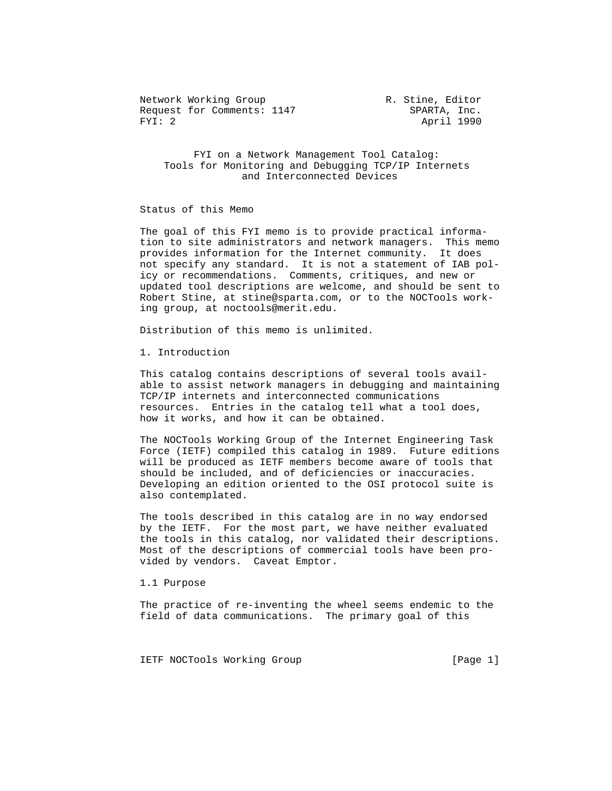Network Working Group 1997 1997 R. Stine, Editor Request for Comments: 1147 SPARTA, Inc. FYI: 2 April 1990

 FYI on a Network Management Tool Catalog: Tools for Monitoring and Debugging TCP/IP Internets and Interconnected Devices

Status of this Memo

 The goal of this FYI memo is to provide practical informa tion to site administrators and network managers. This memo provides information for the Internet community. It does not specify any standard. It is not a statement of IAB pol icy or recommendations. Comments, critiques, and new or updated tool descriptions are welcome, and should be sent to Robert Stine, at stine@sparta.com, or to the NOCTools work ing group, at noctools@merit.edu.

Distribution of this memo is unlimited.

1. Introduction

 This catalog contains descriptions of several tools avail able to assist network managers in debugging and maintaining TCP/IP internets and interconnected communications resources. Entries in the catalog tell what a tool does, how it works, and how it can be obtained.

 The NOCTools Working Group of the Internet Engineering Task Force (IETF) compiled this catalog in 1989. Future editions will be produced as IETF members become aware of tools that should be included, and of deficiencies or inaccuracies. Developing an edition oriented to the OSI protocol suite is also contemplated.

 The tools described in this catalog are in no way endorsed by the IETF. For the most part, we have neither evaluated the tools in this catalog, nor validated their descriptions. Most of the descriptions of commercial tools have been pro vided by vendors. Caveat Emptor.

1.1 Purpose

 The practice of re-inventing the wheel seems endemic to the field of data communications. The primary goal of this

IETF NOCTools Working Group [Page 1]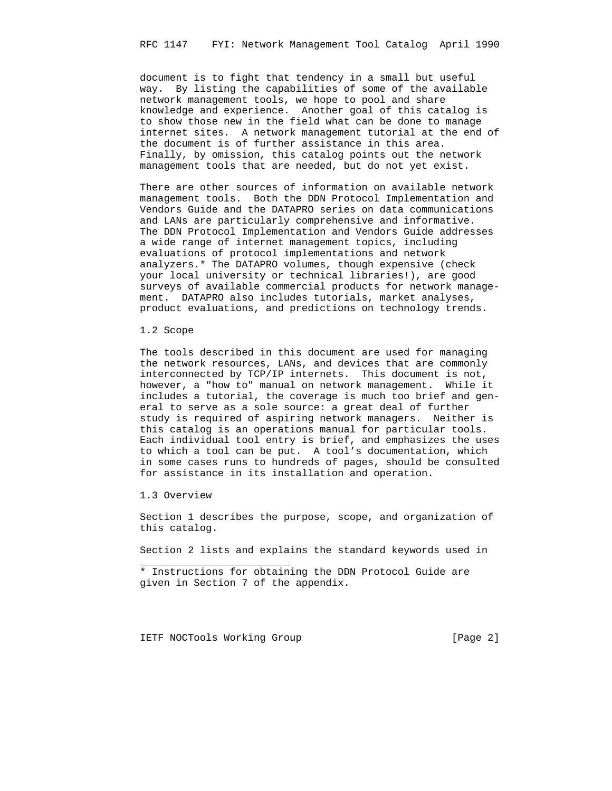document is to fight that tendency in a small but useful way. By listing the capabilities of some of the available network management tools, we hope to pool and share knowledge and experience. Another goal of this catalog is to show those new in the field what can be done to manage internet sites. A network management tutorial at the end of the document is of further assistance in this area. Finally, by omission, this catalog points out the network management tools that are needed, but do not yet exist.

 There are other sources of information on available network management tools. Both the DDN Protocol Implementation and Vendors Guide and the DATAPRO series on data communications and LANs are particularly comprehensive and informative. The DDN Protocol Implementation and Vendors Guide addresses a wide range of internet management topics, including evaluations of protocol implementations and network analyzers.\* The DATAPRO volumes, though expensive (check your local university or technical libraries!), are good surveys of available commercial products for network manage ment. DATAPRO also includes tutorials, market analyses, product evaluations, and predictions on technology trends.

1.2 Scope

 The tools described in this document are used for managing the network resources, LANs, and devices that are commonly interconnected by TCP/IP internets. This document is not, however, a "how to" manual on network management. While it includes a tutorial, the coverage is much too brief and gen eral to serve as a sole source: a great deal of further study is required of aspiring network managers. Neither is this catalog is an operations manual for particular tools. Each individual tool entry is brief, and emphasizes the uses to which a tool can be put. A tool's documentation, which in some cases runs to hundreds of pages, should be consulted for assistance in its installation and operation.

1.3 Overview

\_\_\_\_\_\_\_\_\_\_\_\_\_\_\_\_\_\_\_\_\_\_\_\_\_

 Section 1 describes the purpose, scope, and organization of this catalog.

Section 2 lists and explains the standard keywords used in

IETF NOCTools Working Group [Page 2]

 <sup>\*</sup> Instructions for obtaining the DDN Protocol Guide are given in Section 7 of the appendix.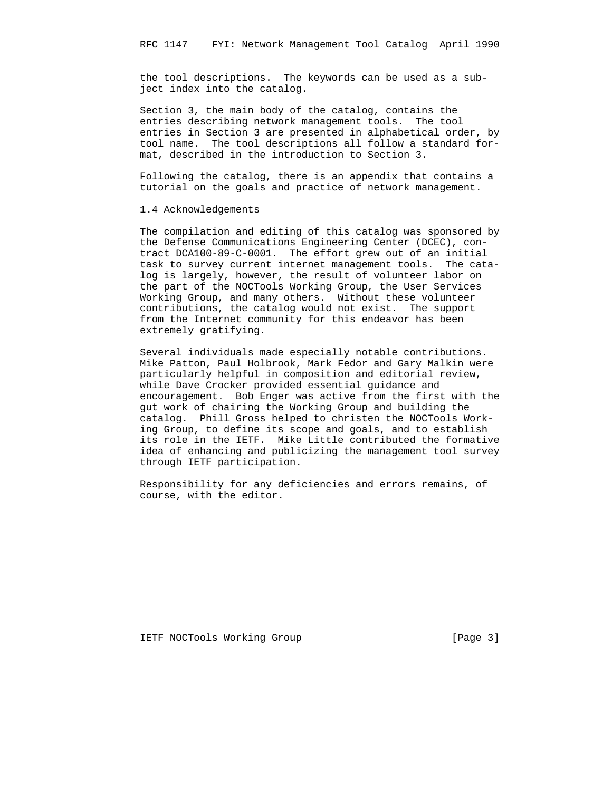the tool descriptions. The keywords can be used as a sub ject index into the catalog.

 Section 3, the main body of the catalog, contains the entries describing network management tools. The tool entries in Section 3 are presented in alphabetical order, by tool name. The tool descriptions all follow a standard for mat, described in the introduction to Section 3.

 Following the catalog, there is an appendix that contains a tutorial on the goals and practice of network management.

1.4 Acknowledgements

 The compilation and editing of this catalog was sponsored by the Defense Communications Engineering Center (DCEC), con tract DCA100-89-C-0001. The effort grew out of an initial task to survey current internet management tools. The cata log is largely, however, the result of volunteer labor on the part of the NOCTools Working Group, the User Services Working Group, and many others. Without these volunteer contributions, the catalog would not exist. The support from the Internet community for this endeavor has been extremely gratifying.

 Several individuals made especially notable contributions. Mike Patton, Paul Holbrook, Mark Fedor and Gary Malkin were particularly helpful in composition and editorial review, while Dave Crocker provided essential guidance and encouragement. Bob Enger was active from the first with the gut work of chairing the Working Group and building the catalog. Phill Gross helped to christen the NOCTools Work ing Group, to define its scope and goals, and to establish its role in the IETF. Mike Little contributed the formative idea of enhancing and publicizing the management tool survey through IETF participation.

 Responsibility for any deficiencies and errors remains, of course, with the editor.

IETF NOCTools Working Group [Page 3]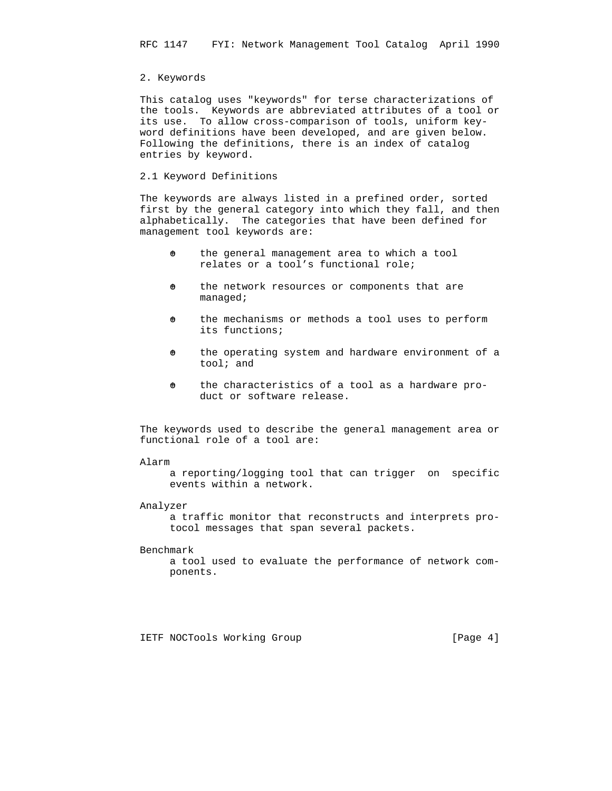## 2. Keywords

 This catalog uses "keywords" for terse characterizations of the tools. Keywords are abbreviated attributes of a tool or its use. To allow cross-comparison of tools, uniform key word definitions have been developed, and are given below. Following the definitions, there is an index of catalog entries by keyword.

## 2.1 Keyword Definitions

 The keywords are always listed in a prefined order, sorted first by the general category into which they fall, and then alphabetically. The categories that have been defined for management tool keywords are:

- $\theta$  the general management area to which a tool relates or a tool's functional role;
- $\theta$  the network resources or components that are managed;
- $\theta$  the mechanisms or methods a tool uses to perform its functions;
- $\theta$  the operating system and hardware environment of a tool; and
- $\theta$  the characteristics of a tool as a hardware product or software release.

 The keywords used to describe the general management area or functional role of a tool are:

### Alarm

 a reporting/logging tool that can trigger on specific events within a network.

## Analyzer

 a traffic monitor that reconstructs and interprets pro tocol messages that span several packets.

#### Benchmark

 a tool used to evaluate the performance of network com ponents.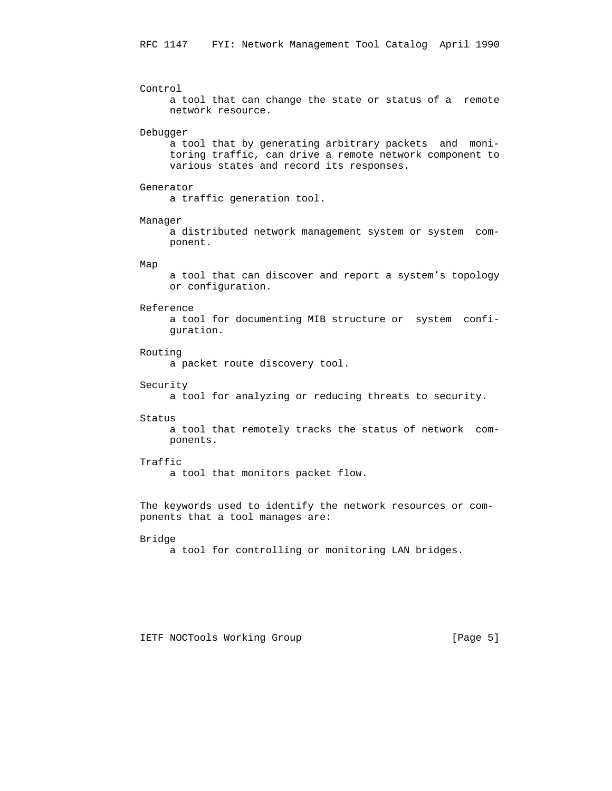Control a tool that can change the state or status of a remote network resource. Debugger a tool that by generating arbitrary packets and moni toring traffic, can drive a remote network component to various states and record its responses. Generator a traffic generation tool. Manager a distributed network management system or system com ponent. Map a tool that can discover and report a system's topology or configuration. Reference a tool for documenting MIB structure or system confi guration. Routing a packet route discovery tool. Security a tool for analyzing or reducing threats to security. Status a tool that remotely tracks the status of network com ponents. Traffic a tool that monitors packet flow. The keywords used to identify the network resources or com ponents that a tool manages are: Bridge

a tool for controlling or monitoring LAN bridges.

IETF NOCTools Working Group [Page 5]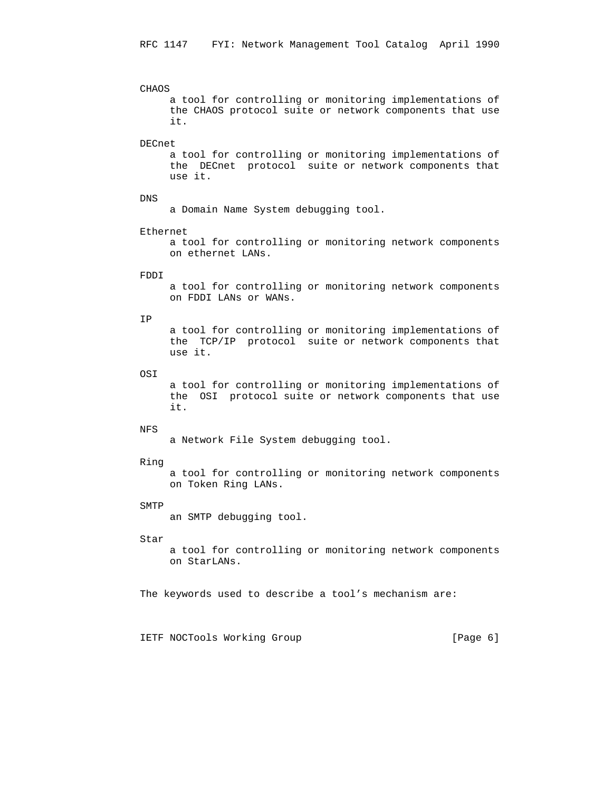#### CHAOS

 a tool for controlling or monitoring implementations of the CHAOS protocol suite or network components that use it.

## DECnet

 a tool for controlling or monitoring implementations of the DECnet protocol suite or network components that use it.

## DNS

a Domain Name System debugging tool.

#### Ethernet

 a tool for controlling or monitoring network components on ethernet LANs.

## FDDI

 a tool for controlling or monitoring network components on FDDI LANs or WANs.

## IP

 a tool for controlling or monitoring implementations of the TCP/IP protocol suite or network components that use it.

## OSI

 a tool for controlling or monitoring implementations of the OSI protocol suite or network components that use it.

## NFS

a Network File System debugging tool.

#### Ring

 a tool for controlling or monitoring network components on Token Ring LANs.

## SMTP

an SMTP debugging tool.

#### Star

 a tool for controlling or monitoring network components on StarLANs.

The keywords used to describe a tool's mechanism are:

IETF NOCTools Working Group [Page 6]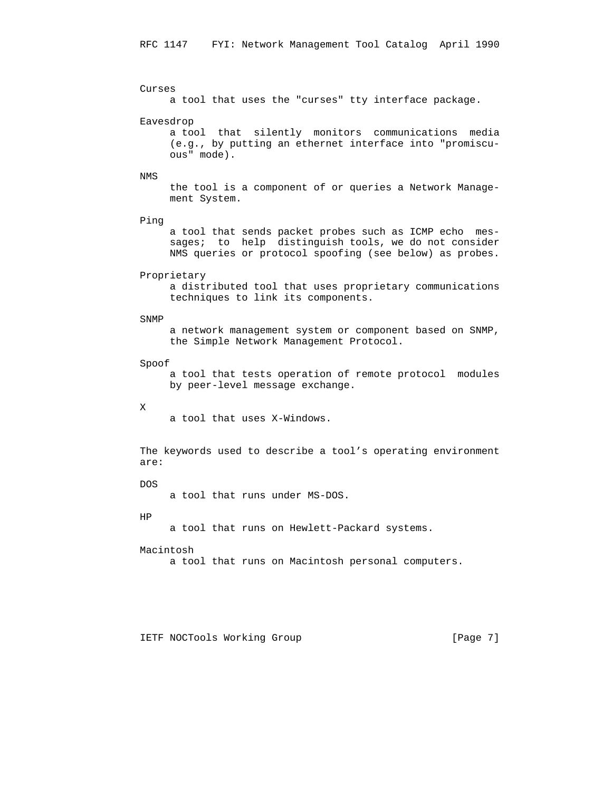```
 Curses
```
a tool that uses the "curses" tty interface package.

## Eavesdrop

 a tool that silently monitors communications media (e.g., by putting an ethernet interface into "promiscu ous" mode).

#### NMS

 the tool is a component of or queries a Network Manage ment System.

### Ping

 a tool that sends packet probes such as ICMP echo mes sages; to help distinguish tools, we do not consider NMS queries or protocol spoofing (see below) as probes.

#### Proprietary

 a distributed tool that uses proprietary communications techniques to link its components.

### SNMP

 a network management system or component based on SNMP, the Simple Network Management Protocol.

#### Spoof

 a tool that tests operation of remote protocol modules by peer-level message exchange.

#### X

a tool that uses X-Windows.

 The keywords used to describe a tool's operating environment are:

### DOS

a tool that runs under MS-DOS.

#### HP

a tool that runs on Hewlett-Packard systems.

#### Macintosh

a tool that runs on Macintosh personal computers.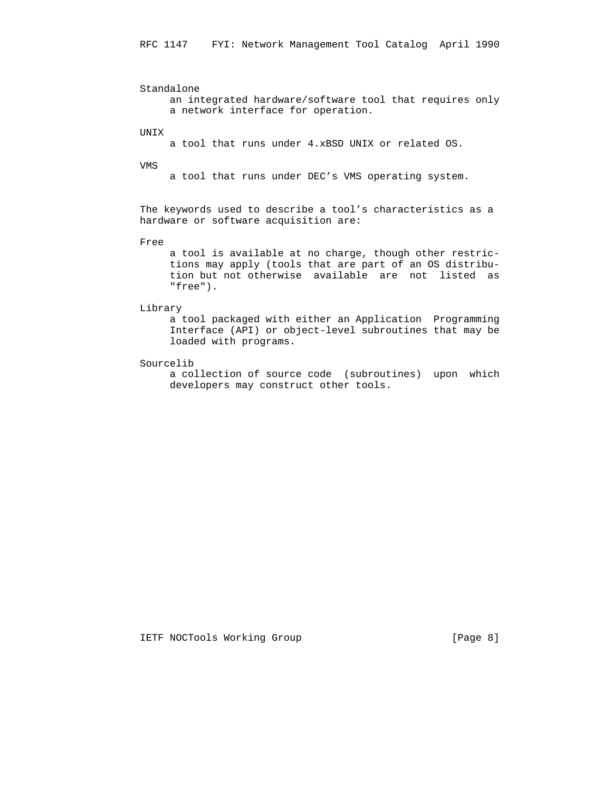Standalone an integrated hardware/software tool that requires only a network interface for operation.

UNIX

a tool that runs under 4.xBSD UNIX or related OS.

VMS

a tool that runs under DEC's VMS operating system.

 The keywords used to describe a tool's characteristics as a hardware or software acquisition are:

Free

 a tool is available at no charge, though other restric tions may apply (tools that are part of an OS distribu tion but not otherwise available are not listed as "free").

## Library

 a tool packaged with either an Application Programming Interface (API) or object-level subroutines that may be loaded with programs.

Sourcelib

 a collection of source code (subroutines) upon which developers may construct other tools.

IETF NOCTools Working Group [Page 8]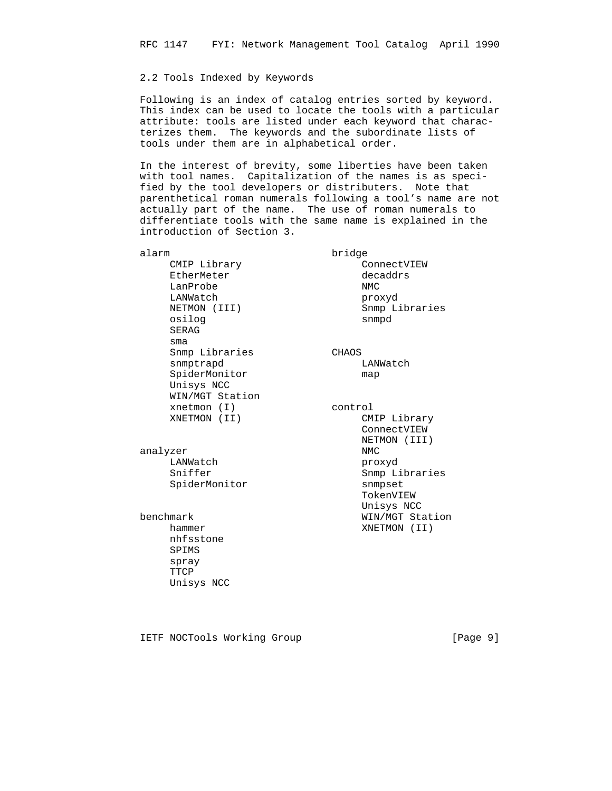## 2.2 Tools Indexed by Keywords

 Following is an index of catalog entries sorted by keyword. This index can be used to locate the tools with a particular attribute: tools are listed under each keyword that charac terizes them. The keywords and the subordinate lists of tools under them are in alphabetical order.

 In the interest of brevity, some liberties have been taken with tool names. Capitalization of the names is as speci fied by the tool developers or distributers. Note that parenthetical roman numerals following a tool's name are not actually part of the name. The use of roman numerals to differentiate tools with the same name is explained in the introduction of Section 3.

 alarm bridge CMIP Library ConnectVIEW EtherMeter and the decaddrs LanProbe NMC LANWatch proxyd osilog SERAG sma Snmp Libraries CHAOS snmptrapd LANWatch SpiderMonitor map Unisys NCC WIN/MGT Station xnetmon (I) control

> analyzer NMC LANWatch proxyd SpiderMonitor snmpset

 nhfsstone SPIMS spray TTCP Unisys NCC

NETMON (III) Snmp Libraries<br>
osilog snmpd

XNETMON (II) CMIP Library ConnectVIEW NETMON (III) Snmp Libraries TokenVIEW Unisys NCC benchmark WIN/MGT Station hammer XNETMON (II)

IETF NOCTools Working Group [Page 9]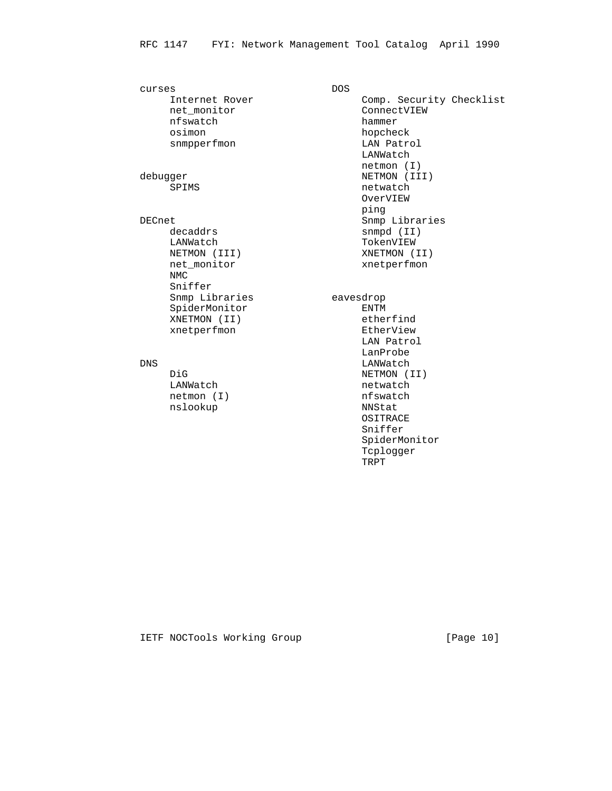curses DOS nfswatch snmpperfmon

decaddrs snmpd (II) LANWatch **TokenVIEW**  NMC Sniffer Snmp Libraries eavesdrop SpiderMonitor ENTM XNETMON (II) etherfind

nslookup

Comp. Security Checklist Internet Rover<br>
net\_monitor Comp. Securi<br>
nfswatch hammer osimon hopcheck<br>snmpperfmon hopcheck<br>LAN Patrol LANWatch netmon (I) debugger NETMON (III) SPIMS netwatch OverVIEW ping the contract of the contract of the contract of the contract of the contract of the contract of the contract of the contract of the contract of the contract of the contract of the contract of the contract of the contr DECnet **Snmp Libraries** Snmp Libraries NETMON (III) XNETMON (II) net\_monitor xnetperfmon xnetperfmon EtherView LAN Patrol  $\begin{minipage}{0.5\linewidth} \textbf{LanProbe} \\ \textbf{LANWatch} \end{minipage}$ LANWatch DiG NETMON (II) netwatch<br>nfswatch netmon (I) nfswatch<br>nslookup NNStat OSITRACE Sniffer

> SpiderMonitor Tcplogger<br>TRPT

IETF NOCTools Working Group [Page 10]

TRPT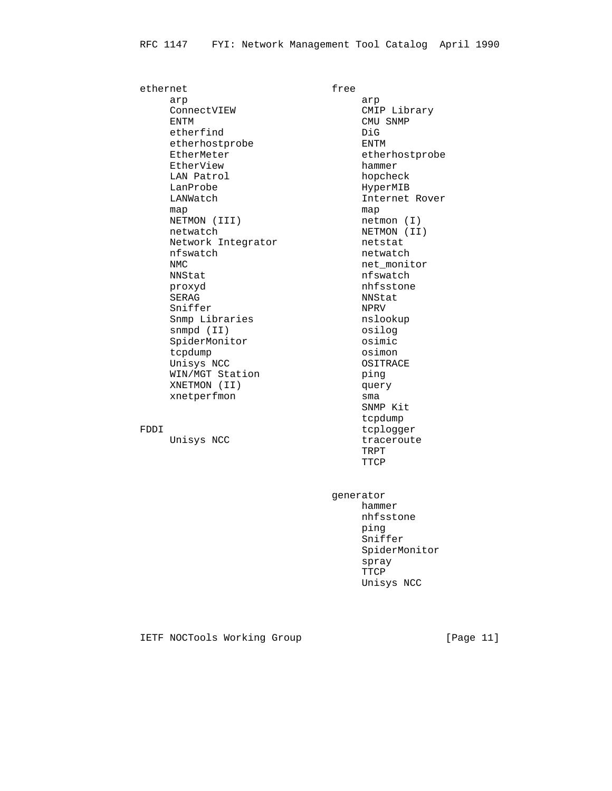ethernet free arp arp ConnectVIEW CMIP Library ENTM CMU SNMP etherfind DiG etherhostprobe **ENTM**  EtherMeter etherhostprobe EtherView hammer LAN Patrol hopcheck LanProbe HyperMIB LANWatch Internet Rover map map map map map map map  $\mathfrak{m}$ NETMON (III) netmon (I) netwatch <br>
NETMON (II)<br>
Network Integrator <br>
Network Integrator <br>
netstat Network Integrator metstat nfswatch netwatch NMC net\_monitor proxyd nhfsstone SERAG NNStat Sniffer NPRV Snmp Libraries nslookup snmpd (II) osilog SpiderMonitor **community** osimic tcpdump osimon Unisys NCC OSITRACE WIN/MGT Station bing XNETMON (II) query XNETMON (II) quer<br>xnetperfmon sma

nfswatch SNMP Kit tcpdump FDDI tcplogger Unisys NCC traceroute TRPT TTCP

 generator hammer nhfsstone ping the contract of the contract of the contract of the contract of the contract of the contract of the contract of the contract of the contract of the contract of the contract of the contract of the contract of the contr Sniffer SpiderMonitor spray **TTCP** Unisys NCC

## IETF NOCTools Working Group [Page 11]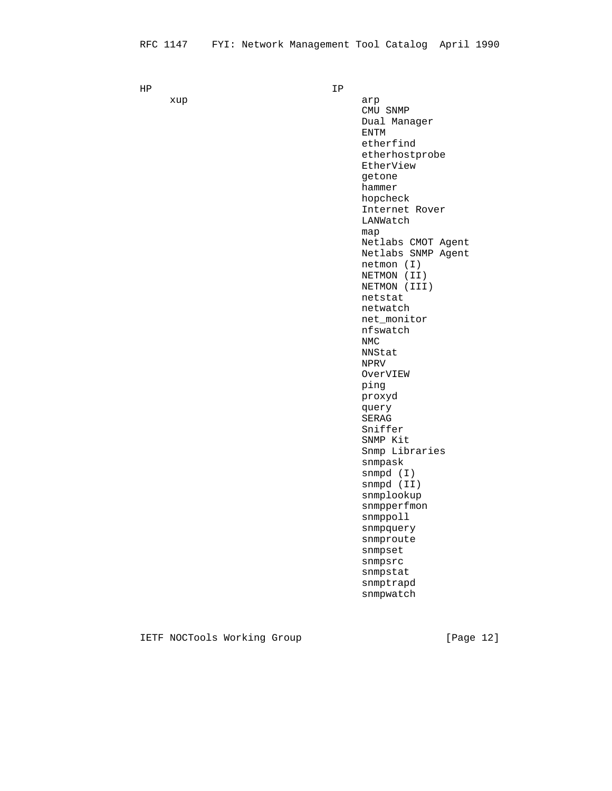HP IP

xup arp arp are the state of  $\alpha$  CMU SNMP Dual Manager ENTM etherfind etherhostprobe EtherView getone hammer hopcheck Internet Rover LANWatch map and the contract of the contract of the contract of the contract of the contract of the contract of the con Netlabs CMOT Agent Netlabs SNMP Agent netmon (I) NETMON (II) NETMON (III) netstat netwatch net\_monitor nfswatch<br>NMC NMC NEWSTAND NEWSTAND NEWSTAND NEWSTAND NEWSTAND NEWSTAND NEWSTAND NEWSTAND NEWSTAND NEWSTAND NEWSTAND NEWSTAND NEWSTAND NEWSTAND NEWSTAND NEWSTAND NEWSTAND NEWSTAND NEWSTAND NEWSTAND NEWSTAND NEWSTAND NEWSTAND NEWSTAND NE NNStat NPRV OverVIEW ping the contract of the contract of the contract of the contract of the contract of the contract of the contract of the contract of the contract of the contract of the contract of the contract of the contract of the contr proxyd query **SERAGE SERAGE SERAGE SERAGE SERAGE SER**  Sniffer SNMP Kit Snmp Libraries snmpask snmpd (I) snmpd (II) snmplookup snmpperfmon snmppoll snmpquery snmproute snmpset snmpsrc snmpstat snmptrapd snmpwatch

IETF NOCTools Working Group [Page 12]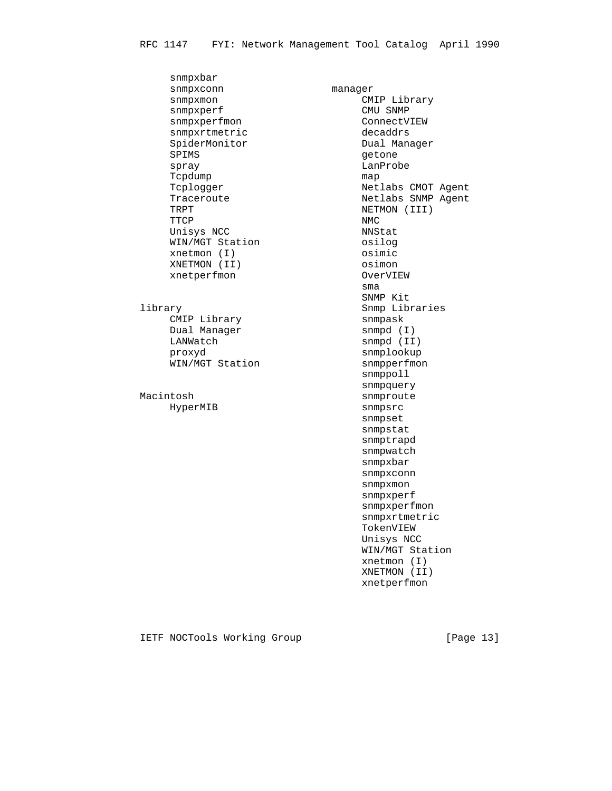snmpxbar snmpxconn manager snmpxmon CMIP Library snmpxperf CMU SNMP snmpxperfmon ConnectVIEW snmpxrtmetric decaddrs SpiderMonitor **Dual Manager** SPIMS getone spray LanProbe Tcpdump map Tcplogger Netlabs CMOT Agent Traceroute Netlabs SNMP Agent<br>Traceroute Netlabs SNMP Agent<br>TRPT NETMON (III) TRPT NETMON (III) TTCP NMC Unisys NCC NNStat WIN/MGT Station osilog xnetmon (I) osimic XNETMON (II) osimon xnetperfmon OverVIEW **sma** and the contract of the contract of the contract of the contract of the contract of the contract of the con library Snmp Libraries CMIP Library rantary<br>Dual Manager<br>LANWatch LANWatch snmpd (II) proxyd snmplookup WIN/MGT Station snmpquery<br>Macintosh snmproute HyperMIB snmpsrc

 SNMP Kit snmppoll snmproute snmpset snmpstat snmptrapd snmpwatch snmpxbar snmpxconn snmpxmon snmpxperf snmpxperfmon snmpxrtmetric TokenVIEW Unisys NCC WIN/MGT Station xnetmon (I) XNETMON (II) xnetperfmon

IETF NOCTools Working Group [Page 13]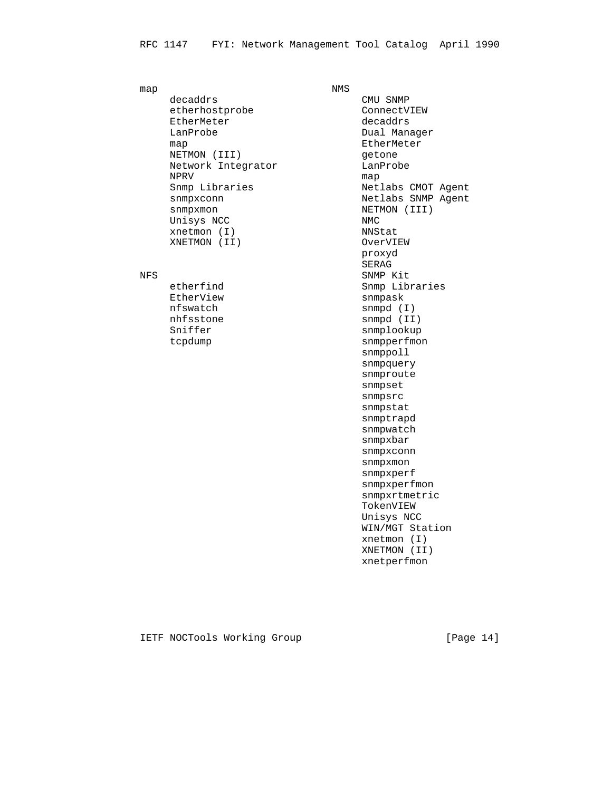map NMS decaddrs CMU SNMP etherhostprobe ConnectVIEW EtherMeter and the decaddrs LanProbe Dual Manager map map and the meter manufacturer manufacturer manufacturer NETMON (III) getone Network Integrator **LanProbe** NPRV map snmpxmon NETMON (III) Unisys NCC NMC xnetmon (I) NNStat XNETMON (II) OverVIEW

EtherView snmpask

Snmp Libraries and Metlabs CMOT Agent snmpxconn Netlabs SNMP Agent proxyd **SERAGE SERAGE SERAGE SERAGE SERAGE SERAGE SER** NFS SNMP Kit etherfind Snmp Libraries nfswatch snmpd (I) nhfsstone snmpd (II) Sniffer snmplookup tcpdump snmpperfmon snmppoll snmpquery snmproute snmpset snmpsrc snmpstat snmptrapd snmpwatch snmpxbar snmpxconn snmpxmon snmpxperf snmpxperfmon snmpxrtmetric TokenVIEW Unisys NCC WIN/MGT Station xnetmon (I) XNETMON (II) xnetperfmon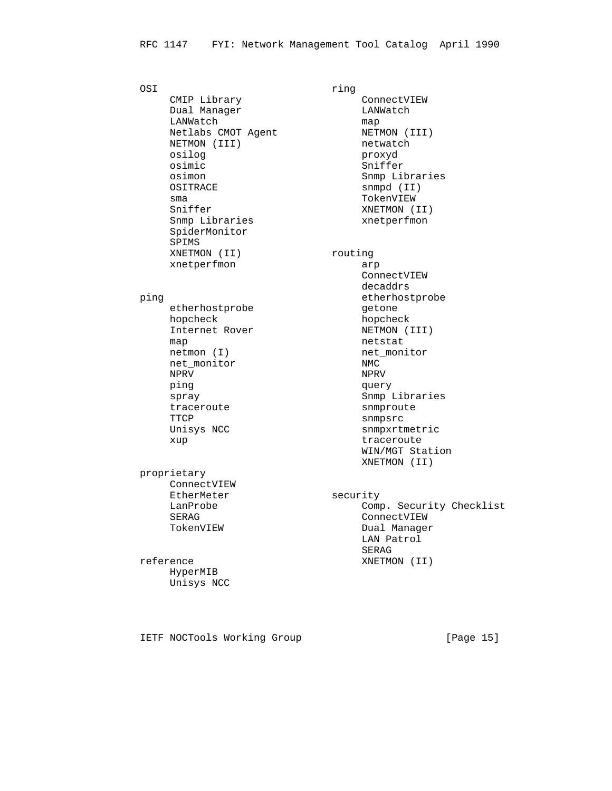OSI ring CMIP Library ConnectVIEW Dual Manager **LANWatch** LANWatch map Netlabs CMOT Agent NETMON (III) NETMON (III) netwatch osilog proxyd osimic Sniffer osimon Shmp Libraries<br>
OSITRACE Snmpd (II) OSITRACE sma TokenVIEW Sniffer XNETMON (II) Snmp Libraries xnetperfmon<br>
SpiderMonitor SpiderMonitor SPIMS XNETMON (II) routing xnetperfmon arp

etherhostprobe and the set one hopcheck hopcheck map netstat netmon (I) net nonitor net\_monitor NMC NPRV NPRV ping query traceroute snmproute TTCP snmpsrc

 proprietary ConnectVIEW EtherMeter security

# HyperMIB Unisys NCC

 ConnectVIEW decaddrs ping etherhostprobe etherhostprobe etherhostprobe etherhostprobe etherhostprobe etherhostprobe etherhostprobe  $\mathbf{q}$ Internet Rover NETMON (III) spray Snmp Libraries Unisys NCC snmpxrtmetric xup traceroute WIN/MGT Station XNETMON (II)

 LanProbe Comp. Security Checklist SERAG ConnectVIEW TokenVIEW Dual Manager LAN Patrol **SERAGE SERAGE SERAGE SERAGE SERAGE SER** reference XNETMON (II)

IETF NOCTools Working Group [Page 15]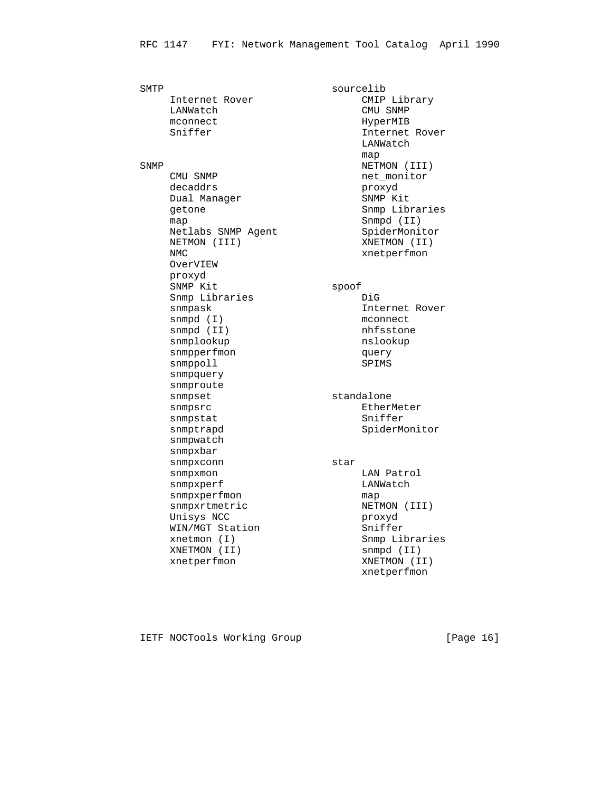SMTP sourcelib Internet Rover CMIP Library LANWatch CMU SNMP mconnect HyperMIB Sniffer Internet Rover LANWatch map and the contract of the contract of the contract of the contract of the contract of the contract of the contract of the contract of the contract of the contract of the contract of the contract of the contract of the co SNMP NETMON (III) CMU SNMP<br>
decaddrs<br>
Dual Manager<br>
Dual Manager<br>
SNMP Kit decaddrs extending the proxyd Dual Manager SNMP Kit getone **Snmp Libraries** Snmp Libraries map Snmpd (II) Netlabs SNMP Agent SpiderMonitor NETMON (III) XNETMON (II) NMC NMC xnetperfmon OverVIEW proxyd SNMP Kit spoof Snmp Libraries **Digman**  snmpask Internet Rover snmpd (I) mconnect snmpd (II) nhfsstone snmplookup nslookup snmpperfmon metal and delay snmppoll SPIMS snmpquery snmproute snmpset standalone snmpsrc extending the extending the EtherMeter snmpstat Sniffer snmptrapd SpiderMonitor snmpwatch<br>snmpxbar snmpxbar snmpxconn star snmpxmon batrol batrol snmpxperf and LANWatch snmpxperfmon map snmpxrtmetric NETMON (III) Unisys NCC **proxyd** WIN/MGT Station Sniffer xnetmon (I) Snmp Libraries XNETMON (II) snmpd (II) xnetperfmon XNETMON (II) xnetperfmon

IETF NOCTools Working Group [Page 16]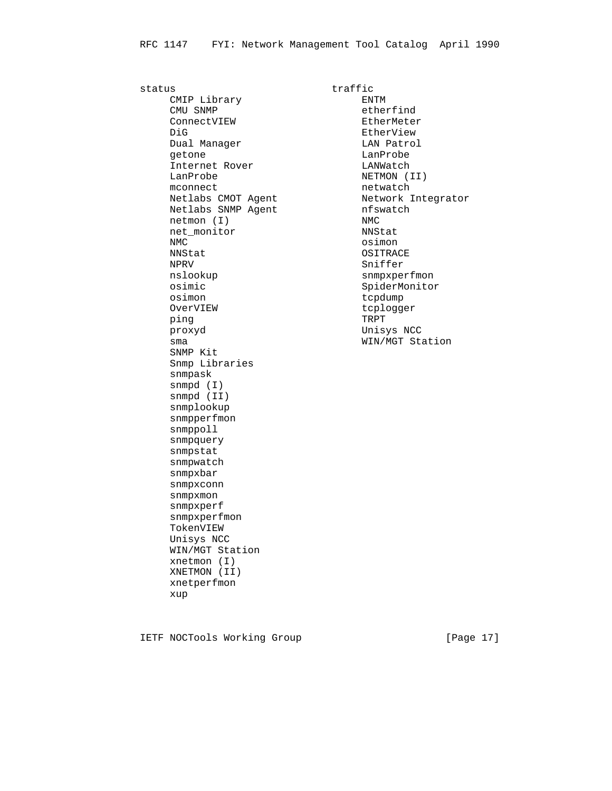status traffic CMIP Library **ENTM** CMU SNMP etherfind ConnectVIEW EtherMeter<br>DiG EtherView EtherView DiG **Example 2018** EtherView Dual Manager and LAN Patrol getone and a language of the Language of Language and Language and Language and Language and Language and Language and Language and Language and Language and Language and Language and Language and Language and Language and Internet Rover Controller LANWatch LanProbe NETMON (II) mconnect netwatch Netlabs CMOT Agent Metwork Integrator Netlabs SNMP Agent https://www.mfswatch netmon (I) NMC net\_monitor NNStat NMC osimon NPRV Sniffer<br>
nslookup snmpxpe: osimic SpiderMonitor osimon tcpdump OverVIEW tcplogger<br>
ping TRPT TRPT ping the state of the state  $\mathbb{R}$   $\mathbb{R}$   $\mathbb{R}$   $\mathbb{R}$   $\mathbb{R}$   $\mathbb{R}$   $\mathbb{R}$   $\mathbb{R}$   $\mathbb{R}$   $\mathbb{R}$   $\mathbb{R}$   $\mathbb{R}$   $\mathbb{R}$   $\mathbb{R}$   $\mathbb{R}$   $\mathbb{R}$   $\mathbb{R}$   $\mathbb{R}$   $\mathbb{R}$   $\mathbb{R}$   $\mathbb{R}$   $\mathbb{$  proxyd Unisys NCC sma WIN/MGT Station SNMP Kit Snmp Libraries snmpask snmpd (I) snmpd (II) snmplookup snmpperfmon snmppoll snmpquery snmpstat snmpwatch snmpxbar snmpxconn snmpxmon snmpxperf snmpxperfmon TokenVIEW Unisys NCC WIN/MGT Station xnetmon (I) XNETMON (II) xnetperfmon xup

OSITRACE snmpxperfmon

IETF NOCTools Working Group [Page 17]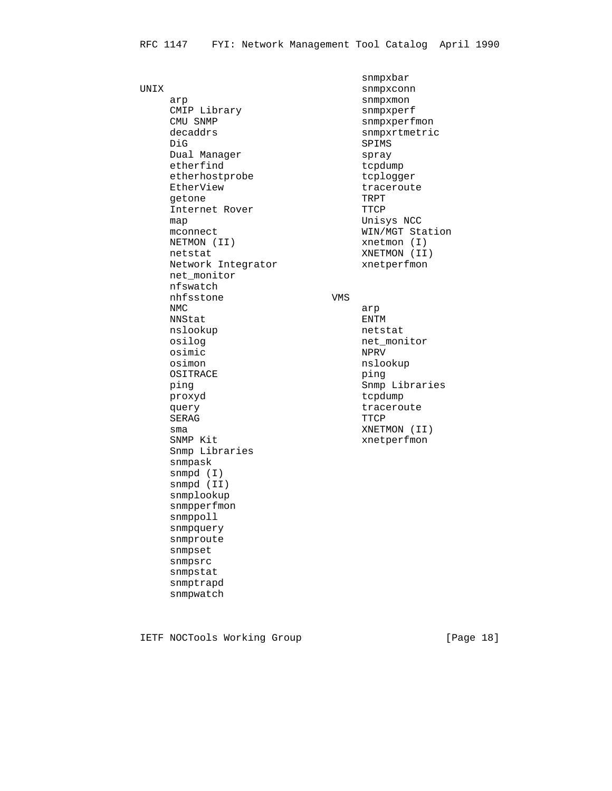snmpxbar<br>UNIX snmpxcon: arp snmpxmon<br>
CMIP Library snmpxperf CMIP Library<br>CMU SNMP CMU SNMP snmpxperfmon<br>decaddrs snmpxrtmetri decaddrs snmpxrtmetric<br>DiG SPIMS Dual Manager spray etherfind tcpdump etherhostprobe tcplogger EtherView **traceroute** getone TRPT Internet Rover TTCP map **Unisys** NCC mconnect WIN/MGT Station NETMON (II) xnetmon (I) netstat XNETMON (II) Network Integrator **xnetperfmon**  net\_monitor nfswatch nhfsstone VMS NMC arp NNStat ENTM nslookup netstat osilog net\_monitor osimic NPRV osimon nslookup nslookup nslookup nslookup nslookup nslookup nslookup nslookup nslookup nslookup nslookup nslookup nslookup nslookup nslookup nslookup nslookup nslookup nslookup nslookup nslookup nslookup nslookup nslookup OSITRACE ping Snmp Libraries proxyd tcpdump query contract traceroute SERAG TTCP sma XNETMON (II) SNMP Kit  $x$ netperfmon Snmp Libraries snmpask snmpd (I) snmpd (II) snmplookup snmpperfmon snmppoll snmpquery snmproute snmpset snmpsrc snmpstat snmptrapd snmpwatch

snmpxconn SPIMS

IETF NOCTools Working Group [Page 18]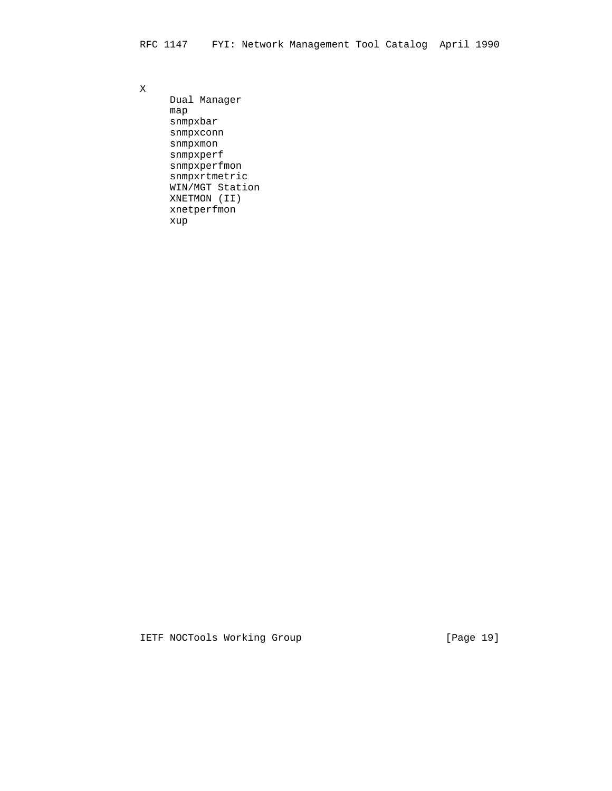X

 Dual Manager map snmpxbar snmpxconn snmpxmon snmpxperf snmpxperfmon snmpxrtmetric WIN/MGT Station XNETMON (II) xnetperfmon xup

IETF NOCTools Working Group [Page 19]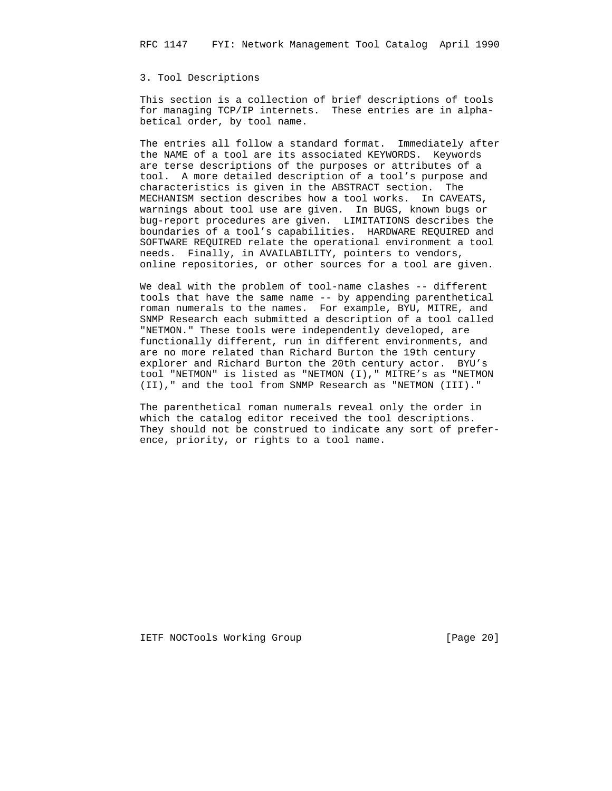## 3. Tool Descriptions

 This section is a collection of brief descriptions of tools for managing TCP/IP internets. These entries are in alpha betical order, by tool name.

 The entries all follow a standard format. Immediately after the NAME of a tool are its associated KEYWORDS. Keywords are terse descriptions of the purposes or attributes of a tool. A more detailed description of a tool's purpose and characteristics is given in the ABSTRACT section. The MECHANISM section describes how a tool works. In CAVEATS, warnings about tool use are given. In BUGS, known bugs or bug-report procedures are given. LIMITATIONS describes the boundaries of a tool's capabilities. HARDWARE REQUIRED and SOFTWARE REQUIRED relate the operational environment a tool needs. Finally, in AVAILABILITY, pointers to vendors, online repositories, or other sources for a tool are given.

We deal with the problem of tool-name clashes -- different tools that have the same name -- by appending parenthetical roman numerals to the names. For example, BYU, MITRE, and SNMP Research each submitted a description of a tool called "NETMON." These tools were independently developed, are functionally different, run in different environments, and are no more related than Richard Burton the 19th century explorer and Richard Burton the 20th century actor. BYU's tool "NETMON" is listed as "NETMON (I)," MITRE's as "NETMON (II)," and the tool from SNMP Research as "NETMON (III)."

 The parenthetical roman numerals reveal only the order in which the catalog editor received the tool descriptions. They should not be construed to indicate any sort of prefer ence, priority, or rights to a tool name.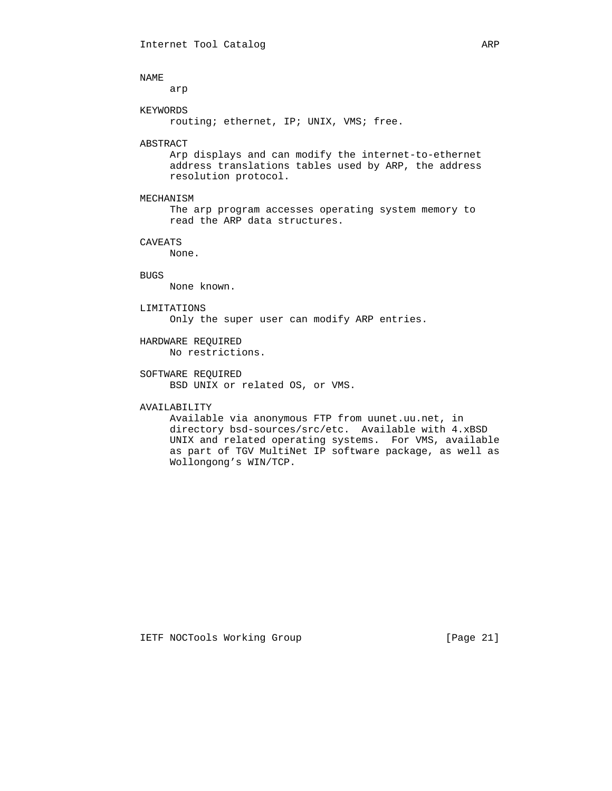arp

## KEYWORDS

routing; ethernet, IP; UNIX, VMS; free.

## ABSTRACT

 Arp displays and can modify the internet-to-ethernet address translations tables used by ARP, the address resolution protocol.

## MECHANISM

 The arp program accesses operating system memory to read the ARP data structures.

## CAVEATS

None.

## BUGS

None known.

## LIMITATIONS

Only the super user can modify ARP entries.

## HARDWARE REQUIRED No restrictions.

## SOFTWARE REQUIRED BSD UNIX or related OS, or VMS.

## AVAILABILITY

 Available via anonymous FTP from uunet.uu.net, in directory bsd-sources/src/etc. Available with 4.xBSD UNIX and related operating systems. For VMS, available as part of TGV MultiNet IP software package, as well as Wollongong's WIN/TCP.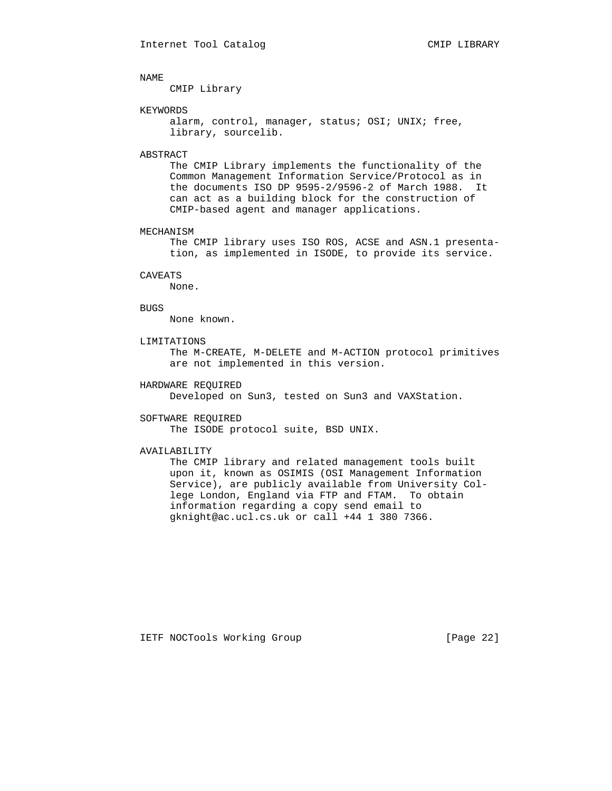CMIP Library

## KEYWORDS

alarm, control, manager, status; OSI; UNIX; free, library, sourcelib.

## ABSTRACT

 The CMIP Library implements the functionality of the Common Management Information Service/Protocol as in the documents ISO DP 9595-2/9596-2 of March 1988. It can act as a building block for the construction of CMIP-based agent and manager applications.

### MECHANISM

 The CMIP library uses ISO ROS, ACSE and ASN.1 presenta tion, as implemented in ISODE, to provide its service.

### CAVEATS

None.

## BUGS

None known.

## LIMITATIONS

 The M-CREATE, M-DELETE and M-ACTION protocol primitives are not implemented in this version.

## HARDWARE REQUIRED

Developed on Sun3, tested on Sun3 and VAXStation.

### SOFTWARE REQUIRED

The ISODE protocol suite, BSD UNIX.

### AVAILABILITY

 The CMIP library and related management tools built upon it, known as OSIMIS (OSI Management Information Service), are publicly available from University Col lege London, England via FTP and FTAM. To obtain information regarding a copy send email to gknight@ac.ucl.cs.uk or call +44 1 380 7366.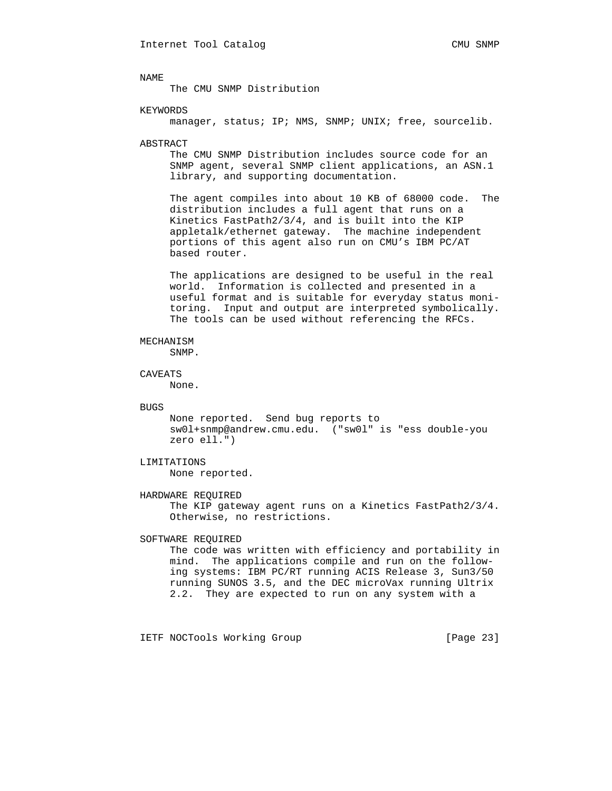The CMU SNMP Distribution

## KEYWORDS

manager, status; IP; NMS, SNMP; UNIX; free, sourcelib.

## ABSTRACT

 The CMU SNMP Distribution includes source code for an SNMP agent, several SNMP client applications, an ASN.1 library, and supporting documentation.

 The agent compiles into about 10 KB of 68000 code. The distribution includes a full agent that runs on a Kinetics FastPath2/3/4, and is built into the KIP appletalk/ethernet gateway. The machine independent portions of this agent also run on CMU's IBM PC/AT based router.

 The applications are designed to be useful in the real world. Information is collected and presented in a useful format and is suitable for everyday status moni toring. Input and output are interpreted symbolically. The tools can be used without referencing the RFCs.

## MECHANISM

SNMP.

## CAVEATS

None.

#### **BUGS**

 None reported. Send bug reports to sw0l+snmp@andrew.cmu.edu. ("sw0l" is "ess double-you zero ell.")

## LIMITATIONS

None reported.

## HARDWARE REQUIRED

 The KIP gateway agent runs on a Kinetics FastPath2/3/4. Otherwise, no restrictions.

## SOFTWARE REQUIRED

 The code was written with efficiency and portability in mind. The applications compile and run on the follow ing systems: IBM PC/RT running ACIS Release 3, Sun3/50 running SUNOS 3.5, and the DEC microVax running Ultrix 2.2. They are expected to run on any system with a

IETF NOCTools Working Group [Page 23]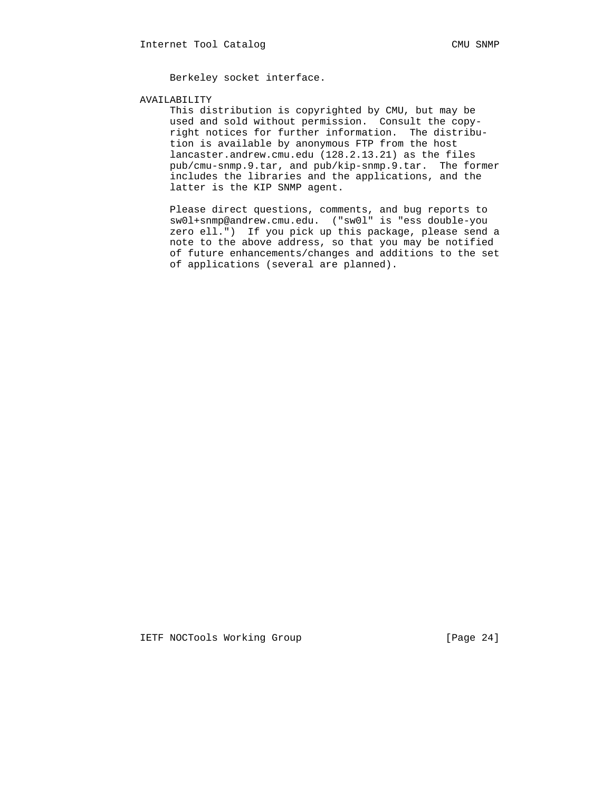Berkeley socket interface.

## AVAILABILITY

 This distribution is copyrighted by CMU, but may be used and sold without permission. Consult the copy right notices for further information. The distribu tion is available by anonymous FTP from the host lancaster.andrew.cmu.edu (128.2.13.21) as the files pub/cmu-snmp.9.tar, and pub/kip-snmp.9.tar. The former includes the libraries and the applications, and the latter is the KIP SNMP agent.

 Please direct questions, comments, and bug reports to sw0l+snmp@andrew.cmu.edu. ("sw0l" is "ess double-you zero ell.") If you pick up this package, please send a note to the above address, so that you may be notified of future enhancements/changes and additions to the set of applications (several are planned).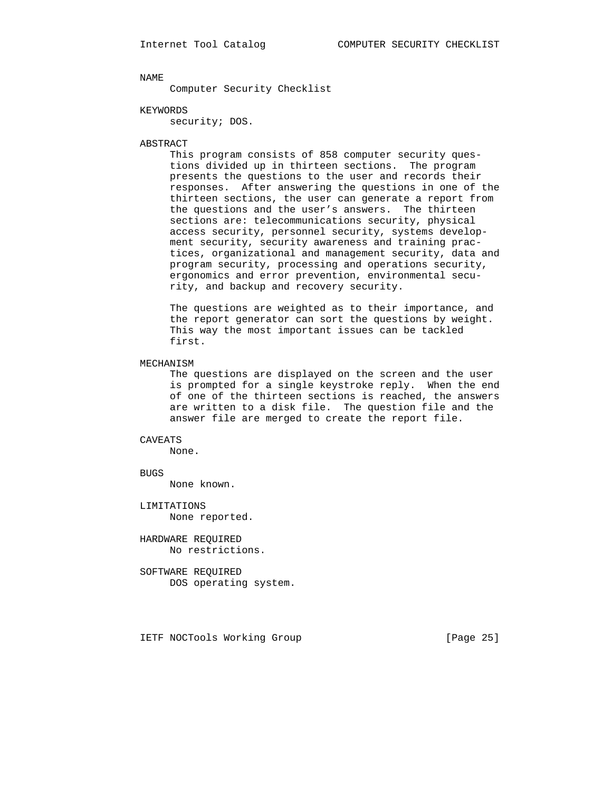Computer Security Checklist

KEYWORDS

security; DOS.

## ABSTRACT

 This program consists of 858 computer security ques tions divided up in thirteen sections. The program presents the questions to the user and records their responses. After answering the questions in one of the thirteen sections, the user can generate a report from the questions and the user's answers. The thirteen sections are: telecommunications security, physical access security, personnel security, systems develop ment security, security awareness and training prac tices, organizational and management security, data and program security, processing and operations security, ergonomics and error prevention, environmental secu rity, and backup and recovery security.

 The questions are weighted as to their importance, and the report generator can sort the questions by weight. This way the most important issues can be tackled first.

## MECHANISM

 The questions are displayed on the screen and the user is prompted for a single keystroke reply. When the end of one of the thirteen sections is reached, the answers are written to a disk file. The question file and the answer file are merged to create the report file.

## CAVEATS

None.

## BUGS

None known.

 LIMITATIONS None reported.

 HARDWARE REQUIRED No restrictions.

 SOFTWARE REQUIRED DOS operating system.

IETF NOCTools Working Group [Page 25]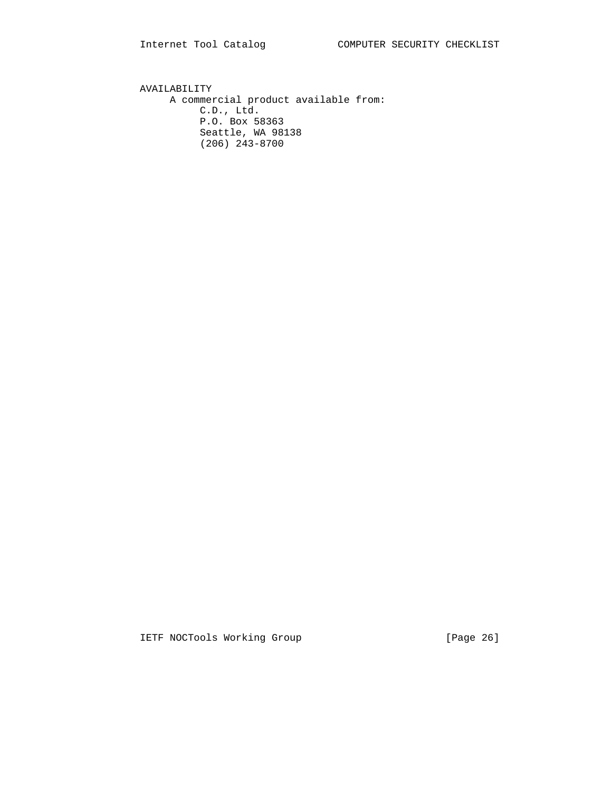AVAILABILITY A commercial product available from: C.D., Ltd. P.O. Box 58363 Seattle, WA 98138 (206) 243-8700

IETF NOCTools Working Group [Page 26]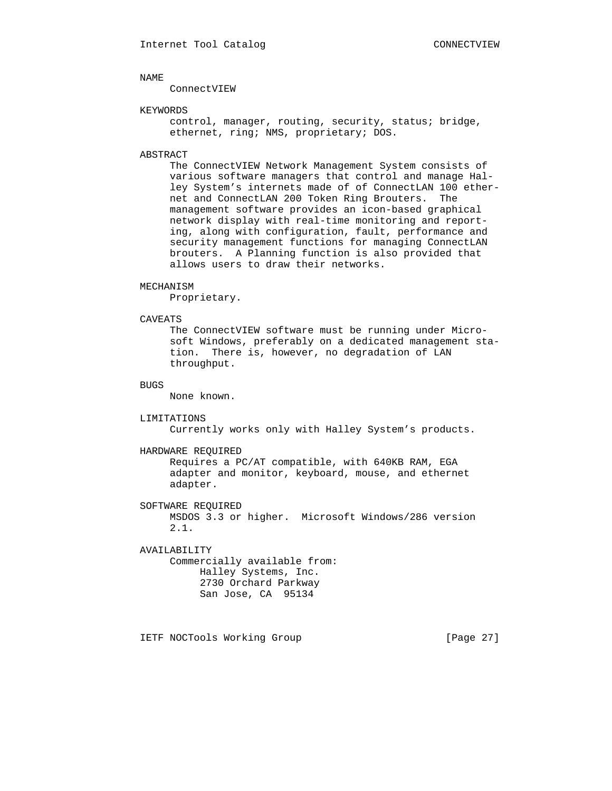ConnectVIEW

## KEYWORDS

 control, manager, routing, security, status; bridge, ethernet, ring; NMS, proprietary; DOS.

## ABSTRACT

 The ConnectVIEW Network Management System consists of various software managers that control and manage Hal ley System's internets made of of ConnectLAN 100 ether net and ConnectLAN 200 Token Ring Brouters. The management software provides an icon-based graphical network display with real-time monitoring and report ing, along with configuration, fault, performance and security management functions for managing ConnectLAN brouters. A Planning function is also provided that allows users to draw their networks.

### MECHANISM

Proprietary.

## CAVEATS

 The ConnectVIEW software must be running under Micro soft Windows, preferably on a dedicated management sta tion. There is, however, no degradation of LAN throughput.

## BUGS

None known.

#### LIMITATIONS

Currently works only with Halley System's products.

#### HARDWARE REQUIRED

 Requires a PC/AT compatible, with 640KB RAM, EGA adapter and monitor, keyboard, mouse, and ethernet adapter.

 SOFTWARE REQUIRED MSDOS 3.3 or higher. Microsoft Windows/286 version 2.1.

 AVAILABILITY Commercially available from: Halley Systems, Inc. 2730 Orchard Parkway San Jose, CA 95134

IETF NOCTools Working Group [Page 27]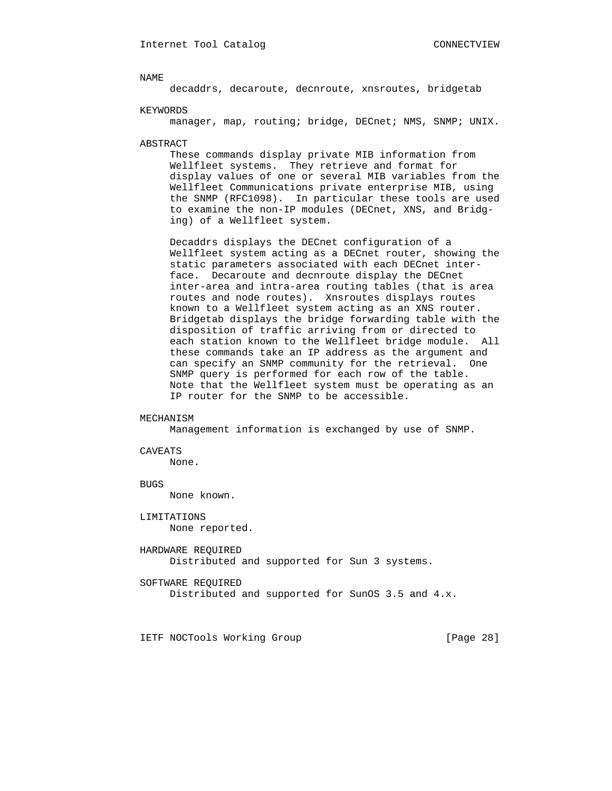decaddrs, decaroute, decnroute, xnsroutes, bridgetab

KEYWORDS

manager, map, routing; bridge, DECnet; NMS, SNMP; UNIX.

ABSTRACT

 These commands display private MIB information from Wellfleet systems. They retrieve and format for display values of one or several MIB variables from the Wellfleet Communications private enterprise MIB, using the SNMP (RFC1098). In particular these tools are used to examine the non-IP modules (DECnet, XNS, and Bridg ing) of a Wellfleet system.

 Decaddrs displays the DECnet configuration of a Wellfleet system acting as a DECnet router, showing the static parameters associated with each DECnet inter face. Decaroute and decnroute display the DECnet inter-area and intra-area routing tables (that is area routes and node routes). Xnsroutes displays routes known to a Wellfleet system acting as an XNS router. Bridgetab displays the bridge forwarding table with the disposition of traffic arriving from or directed to each station known to the Wellfleet bridge module. All these commands take an IP address as the argument and can specify an SNMP community for the retrieval. One SNMP query is performed for each row of the table. Note that the Wellfleet system must be operating as an IP router for the SNMP to be accessible.

#### MECHANISM

Management information is exchanged by use of SNMP.

### CAVEATS

None.

## BUGS

None known.

 LIMITATIONS None reported.

 HARDWARE REQUIRED Distributed and supported for Sun 3 systems.

SOFTWARE REQUIRED

```
 Distributed and supported for SunOS 3.5 and 4.x.
```
IETF NOCTools Working Group [Page 28]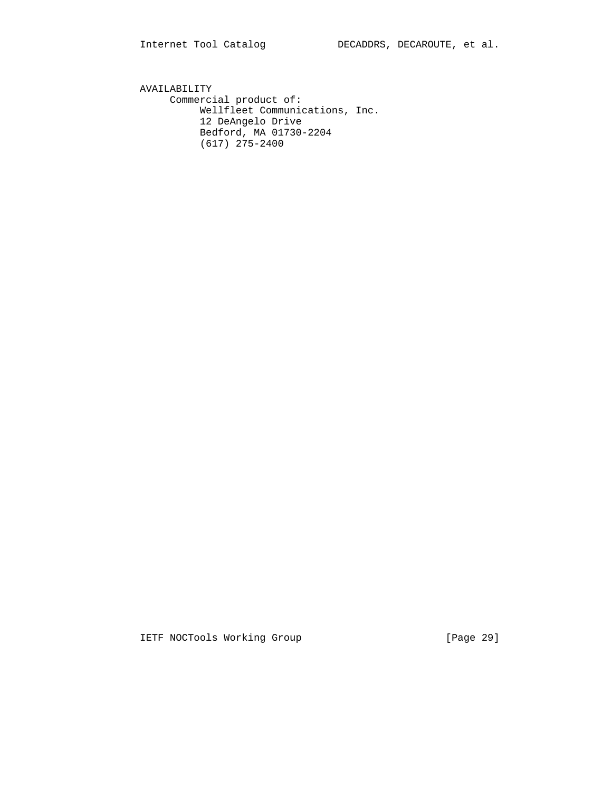AVAILABILITY Commercial product of: Wellfleet Communications, Inc. 12 DeAngelo Drive Bedford, MA 01730-2204 (617) 275-2400

IETF NOCTools Working Group [Page 29]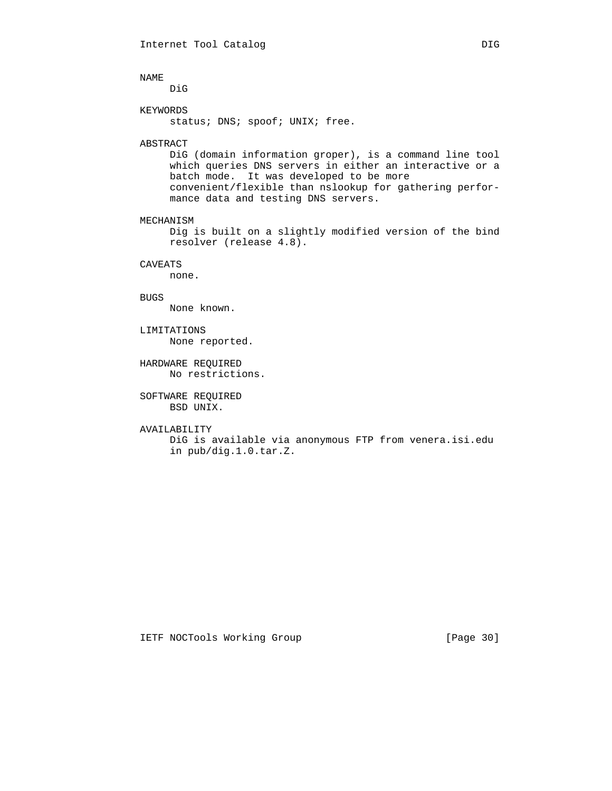DiG

## KEYWORDS

status; DNS; spoof; UNIX; free.

## ABSTRACT

 DiG (domain information groper), is a command line tool which queries DNS servers in either an interactive or a batch mode. It was developed to be more convenient/flexible than nslookup for gathering perfor mance data and testing DNS servers.

## MECHANISM

 Dig is built on a slightly modified version of the bind resolver (release 4.8).

## CAVEATS

none.

## BUGS

None known.

- LIMITATIONS None reported.
- HARDWARE REQUIRED No restrictions.

## SOFTWARE REQUIRED BSD UNIX.

## AVAILABILITY

 DiG is available via anonymous FTP from venera.isi.edu in pub/dig.1.0.tar.Z.

## IETF NOCTools Working Group [Page 30]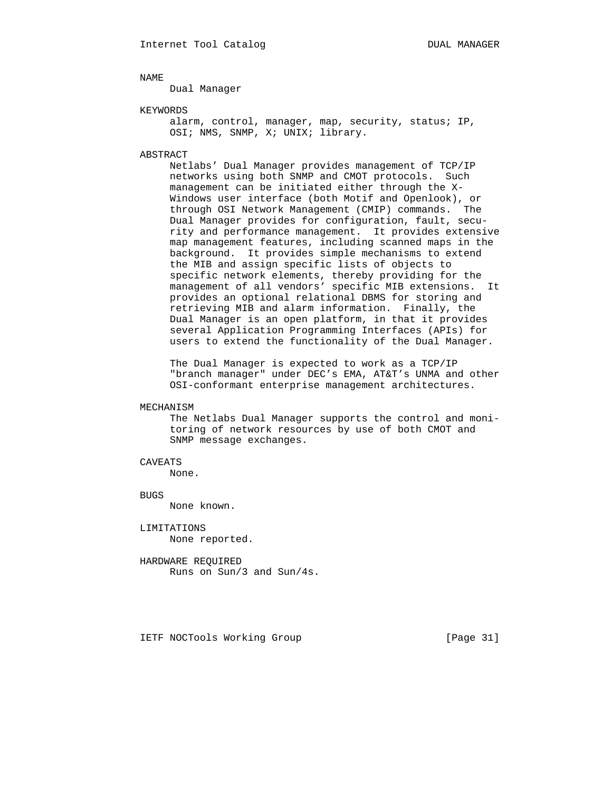Dual Manager

## KEYWORDS

alarm, control, manager, map, security, status; IP, OSI; NMS, SNMP, X; UNIX; library.

## ABSTRACT

 Netlabs' Dual Manager provides management of TCP/IP networks using both SNMP and CMOT protocols. Such management can be initiated either through the X- Windows user interface (both Motif and Openlook), or through OSI Network Management (CMIP) commands. The Dual Manager provides for configuration, fault, secu rity and performance management. It provides extensive map management features, including scanned maps in the background. It provides simple mechanisms to extend the MIB and assign specific lists of objects to specific network elements, thereby providing for the management of all vendors' specific MIB extensions. It provides an optional relational DBMS for storing and retrieving MIB and alarm information. Finally, the Dual Manager is an open platform, in that it provides several Application Programming Interfaces (APIs) for users to extend the functionality of the Dual Manager.

 The Dual Manager is expected to work as a TCP/IP "branch manager" under DEC's EMA, AT&T's UNMA and other OSI-conformant enterprise management architectures.

## MECHANISM

 The Netlabs Dual Manager supports the control and moni toring of network resources by use of both CMOT and SNMP message exchanges.

## CAVEATS

None.

## BUGS

None known.

 LIMITATIONS None reported.

 HARDWARE REQUIRED Runs on Sun/3 and Sun/4s.

IETF NOCTools Working Group [Page 31]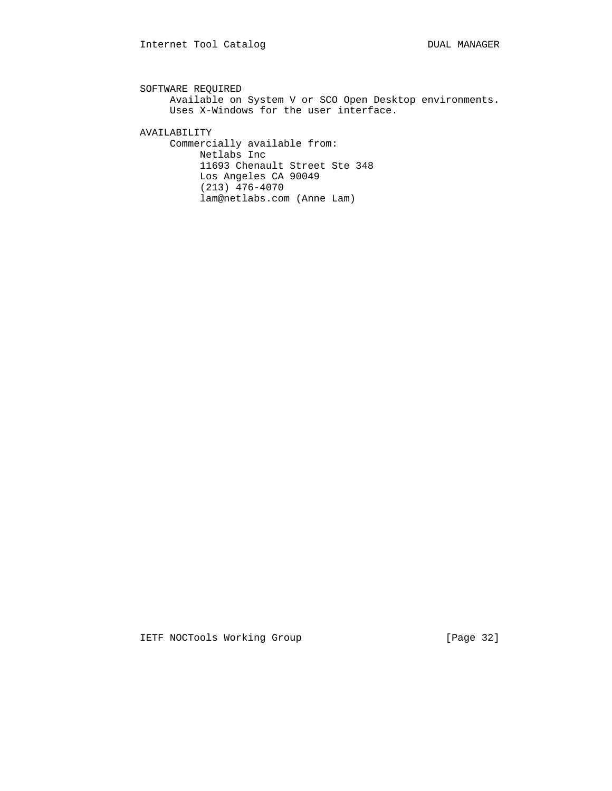```
 SOFTWARE REQUIRED
      Available on System V or SCO Open Desktop environments.
      Uses X-Windows for the user interface.
 AVAILABILITY
      Commercially available from:
          Netlabs Inc
           11693 Chenault Street Ste 348
          Los Angeles CA 90049
           (213) 476-4070
           lam@netlabs.com (Anne Lam)
```
IETF NOCTools Working Group [Page 32]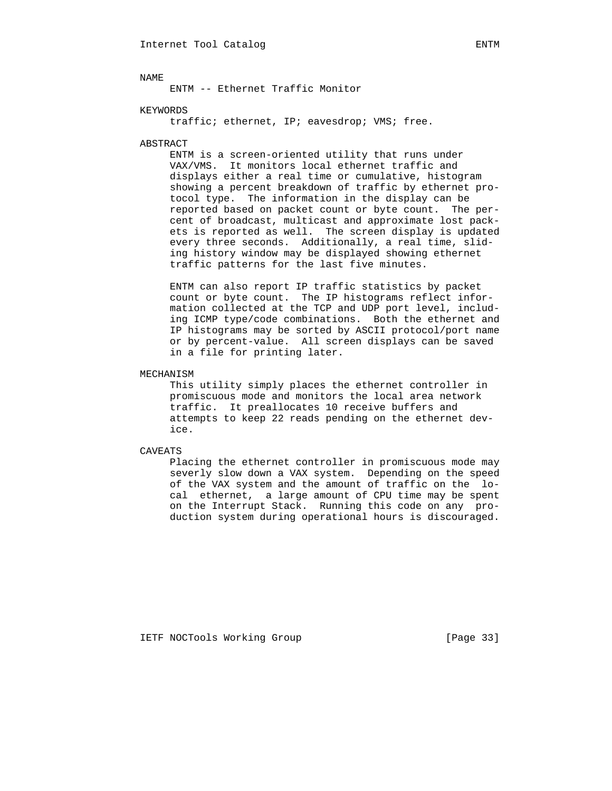ENTM -- Ethernet Traffic Monitor

## KEYWORDS

traffic; ethernet, IP; eavesdrop; VMS; free.

## ABSTRACT

 ENTM is a screen-oriented utility that runs under VAX/VMS. It monitors local ethernet traffic and displays either a real time or cumulative, histogram showing a percent breakdown of traffic by ethernet pro tocol type. The information in the display can be reported based on packet count or byte count. The per cent of broadcast, multicast and approximate lost pack ets is reported as well. The screen display is updated every three seconds. Additionally, a real time, slid ing history window may be displayed showing ethernet traffic patterns for the last five minutes.

 ENTM can also report IP traffic statistics by packet count or byte count. The IP histograms reflect infor mation collected at the TCP and UDP port level, includ ing ICMP type/code combinations. Both the ethernet and IP histograms may be sorted by ASCII protocol/port name or by percent-value. All screen displays can be saved in a file for printing later.

## MECHANISM

 This utility simply places the ethernet controller in promiscuous mode and monitors the local area network traffic. It preallocates 10 receive buffers and attempts to keep 22 reads pending on the ethernet dev ice.

CAVEATS

 Placing the ethernet controller in promiscuous mode may severly slow down a VAX system. Depending on the speed of the VAX system and the amount of traffic on the lo cal ethernet, a large amount of CPU time may be spent on the Interrupt Stack. Running this code on any pro duction system during operational hours is discouraged.

IETF NOCTools Working Group [Page 33]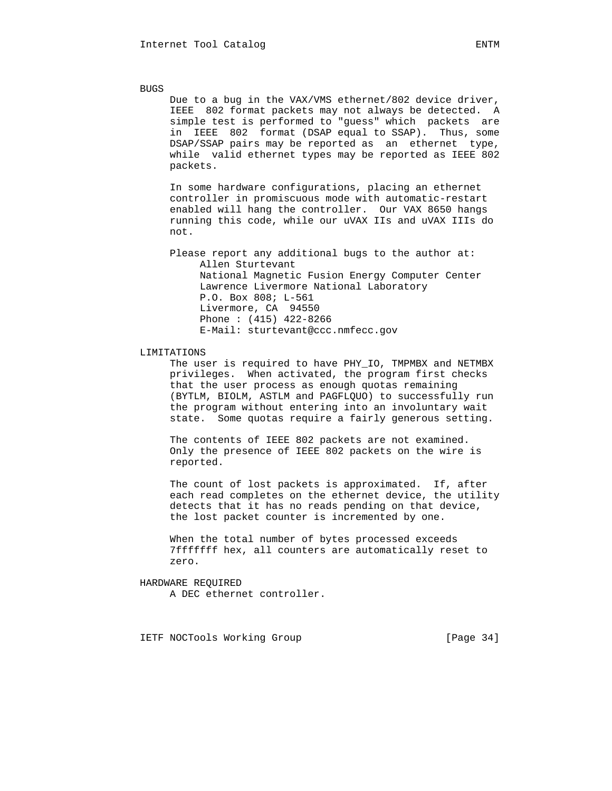BUGS Due to a bug in the VAX/VMS ethernet/802 device driver, IEEE 802 format packets may not always be detected. A simple test is performed to "guess" which packets are in IEEE 802 format (DSAP equal to SSAP). Thus, some DSAP/SSAP pairs may be reported as an ethernet type, while valid ethernet types may be reported as IEEE 802 packets. In some hardware configurations, placing an ethernet controller in promiscuous mode with automatic-restart enabled will hang the controller. Our VAX 8650 hangs running this code, while our uVAX IIs and uVAX IIIs do not. Please report any additional bugs to the author at: Allen Sturtevant National Magnetic Fusion Energy Computer Center Lawrence Livermore National Laboratory P.O. Box 808; L-561

> Livermore, CA 94550 Phone : (415) 422-8266 E-Mail: sturtevant@ccc.nmfecc.gov

#### LIMITATIONS

 The user is required to have PHY\_IO, TMPMBX and NETMBX privileges. When activated, the program first checks that the user process as enough quotas remaining (BYTLM, BIOLM, ASTLM and PAGFLQUO) to successfully run the program without entering into an involuntary wait state. Some quotas require a fairly generous setting.

 The contents of IEEE 802 packets are not examined. Only the presence of IEEE 802 packets on the wire is reported.

 The count of lost packets is approximated. If, after each read completes on the ethernet device, the utility detects that it has no reads pending on that device, the lost packet counter is incremented by one.

 When the total number of bytes processed exceeds 7fffffff hex, all counters are automatically reset to zero.

 HARDWARE REQUIRED A DEC ethernet controller.

IETF NOCTools Working Group [Page 34]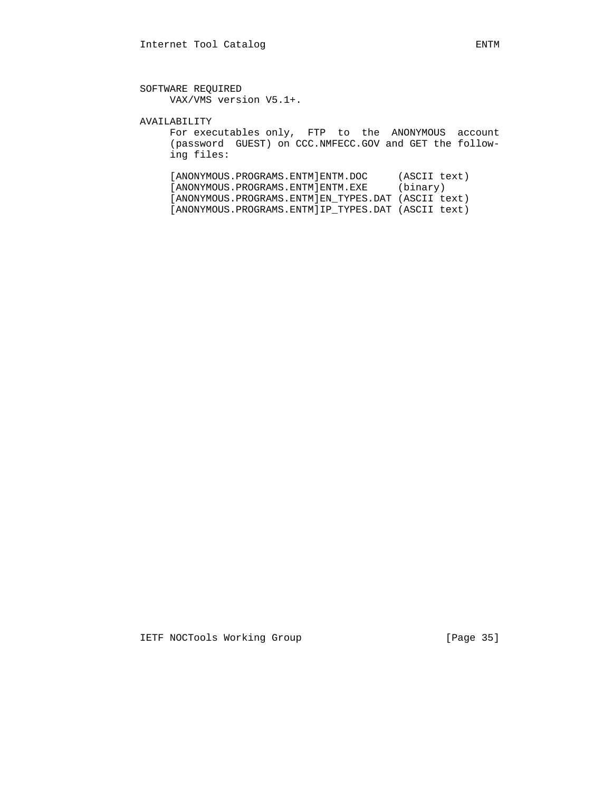AVAILABILITY

 For executables only, FTP to the ANONYMOUS account (password GUEST) on CCC.NMFECC.GOV and GET the follow ing files:

 [ANONYMOUS.PROGRAMS.ENTM]ENTM.DOC (ASCII text) [ANONYMOUS.PROGRAMS.ENTM]ENTM.EXE (binary) [ANONYMOUS.PROGRAMS.ENTM]EN\_TYPES.DAT (ASCII text) [ANONYMOUS.PROGRAMS.ENTM]IP\_TYPES.DAT (ASCII text)

IETF NOCTools Working Group [Page 35]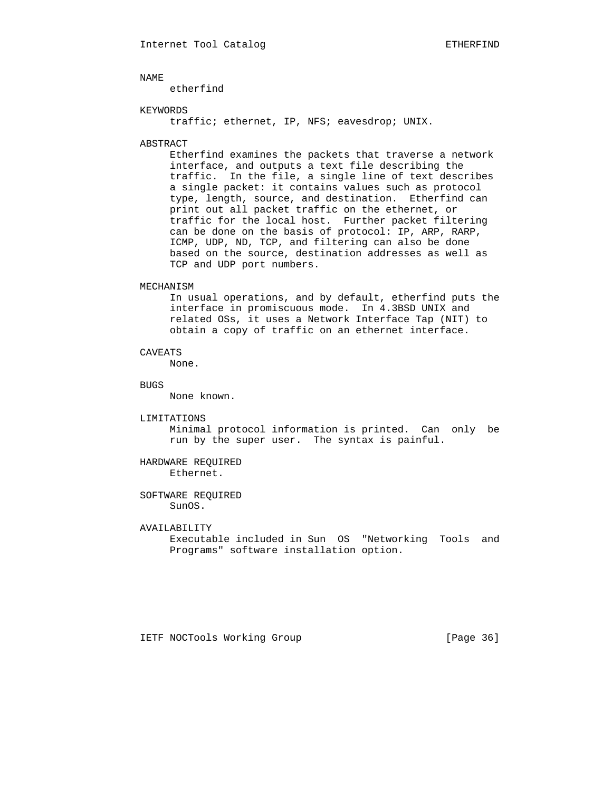etherfind

## KEYWORDS

traffic; ethernet, IP, NFS; eavesdrop; UNIX.

## ABSTRACT

 Etherfind examines the packets that traverse a network interface, and outputs a text file describing the traffic. In the file, a single line of text describes a single packet: it contains values such as protocol type, length, source, and destination. Etherfind can print out all packet traffic on the ethernet, or traffic for the local host. Further packet filtering can be done on the basis of protocol: IP, ARP, RARP, ICMP, UDP, ND, TCP, and filtering can also be done based on the source, destination addresses as well as TCP and UDP port numbers.

#### MECHANISM

 In usual operations, and by default, etherfind puts the interface in promiscuous mode. In 4.3BSD UNIX and related OSs, it uses a Network Interface Tap (NIT) to obtain a copy of traffic on an ethernet interface.

## CAVEATS

None.

#### BUGS

None known.

#### LIMITATIONS

 Minimal protocol information is printed. Can only be run by the super user. The syntax is painful.

## HARDWARE REQUIRED Ethernet.

## SOFTWARE REQUIRED SunOS.

## AVAILABILITY

 Executable included in Sun OS "Networking Tools and Programs" software installation option.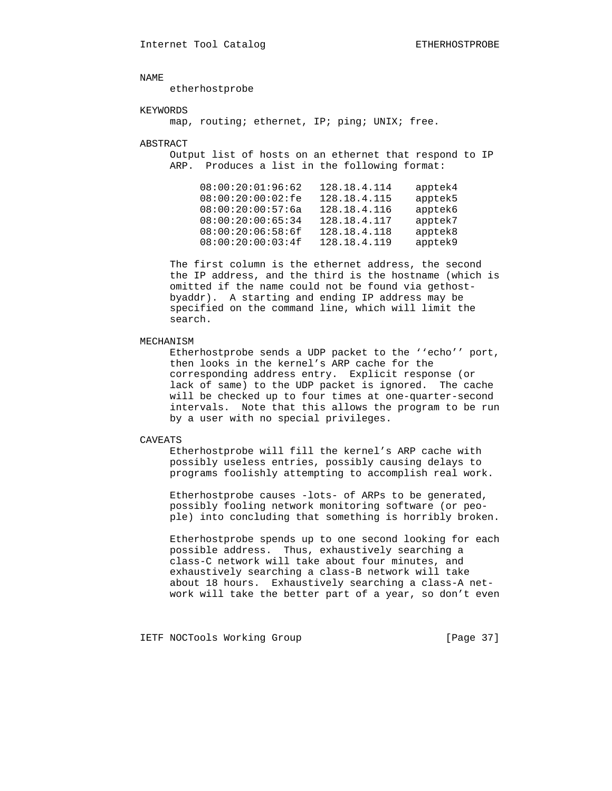etherhostprobe

### KEYWORDS

map, routing; ethernet, IP; ping; UNIX; free.

#### ABSTRACT

 Output list of hosts on an ethernet that respond to IP ARP. Produces a list in the following format:

| apptek4 | 128.18.4.114 | 08:00:20:01:96:62 |
|---------|--------------|-------------------|
| apptek5 | 128.18.4.115 | 08:00:20:00:02:fe |
| apptek6 | 128.18.4.116 | 08:00:20:00:57:6a |
| apptek7 | 128.18.4.117 | 08:00:20:00:65:34 |
| apptek8 | 128.18.4.118 | 08:00:20:06:58:6f |
| apptek9 | 128.18.4.119 | 08:00:20:00:03:4f |
|         |              |                   |

 The first column is the ethernet address, the second the IP address, and the third is the hostname (which is omitted if the name could not be found via gethost byaddr). A starting and ending IP address may be specified on the command line, which will limit the search.

## MECHANISM

 Etherhostprobe sends a UDP packet to the ''echo'' port, then looks in the kernel's ARP cache for the corresponding address entry. Explicit response (or lack of same) to the UDP packet is ignored. The cache will be checked up to four times at one-quarter-second intervals. Note that this allows the program to be run by a user with no special privileges.

## CAVEATS

 Etherhostprobe will fill the kernel's ARP cache with possibly useless entries, possibly causing delays to programs foolishly attempting to accomplish real work.

 Etherhostprobe causes -lots- of ARPs to be generated, possibly fooling network monitoring software (or peo ple) into concluding that something is horribly broken.

 Etherhostprobe spends up to one second looking for each possible address. Thus, exhaustively searching a class-C network will take about four minutes, and exhaustively searching a class-B network will take about 18 hours. Exhaustively searching a class-A net work will take the better part of a year, so don't even

IETF NOCTools Working Group [Page 37]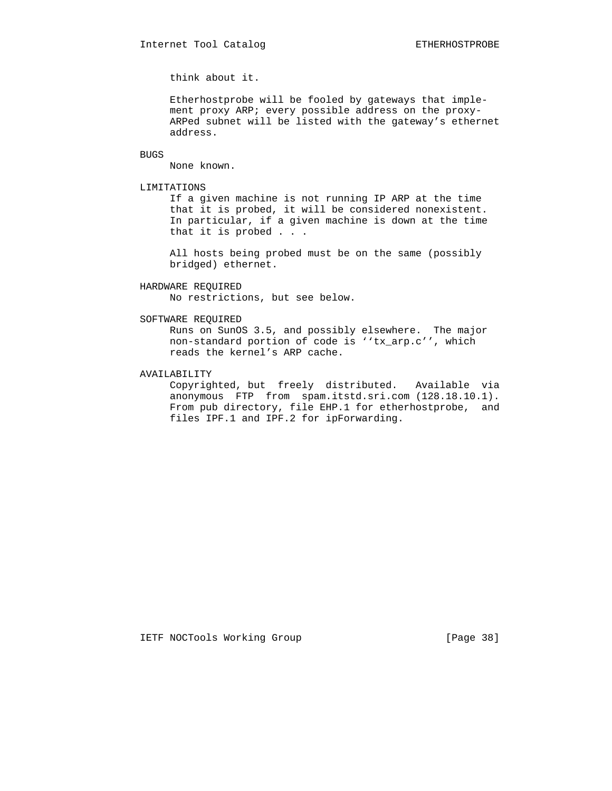think about it.

 Etherhostprobe will be fooled by gateways that imple ment proxy ARP; every possible address on the proxy- ARPed subnet will be listed with the gateway's ethernet address.

BUGS

None known.

#### LIMITATIONS

 If a given machine is not running IP ARP at the time that it is probed, it will be considered nonexistent. In particular, if a given machine is down at the time that it is probed . . .

 All hosts being probed must be on the same (possibly bridged) ethernet.

## HARDWARE REQUIRED

No restrictions, but see below.

#### SOFTWARE REQUIRED

 Runs on SunOS 3.5, and possibly elsewhere. The major non-standard portion of code is ''tx\_arp.c'', which reads the kernel's ARP cache.

### AVAILABILITY

 Copyrighted, but freely distributed. Available via anonymous FTP from spam.itstd.sri.com (128.18.10.1). From pub directory, file EHP.1 for etherhostprobe, and files IPF.1 and IPF.2 for ipForwarding.

IETF NOCTools Working Group [Page 38]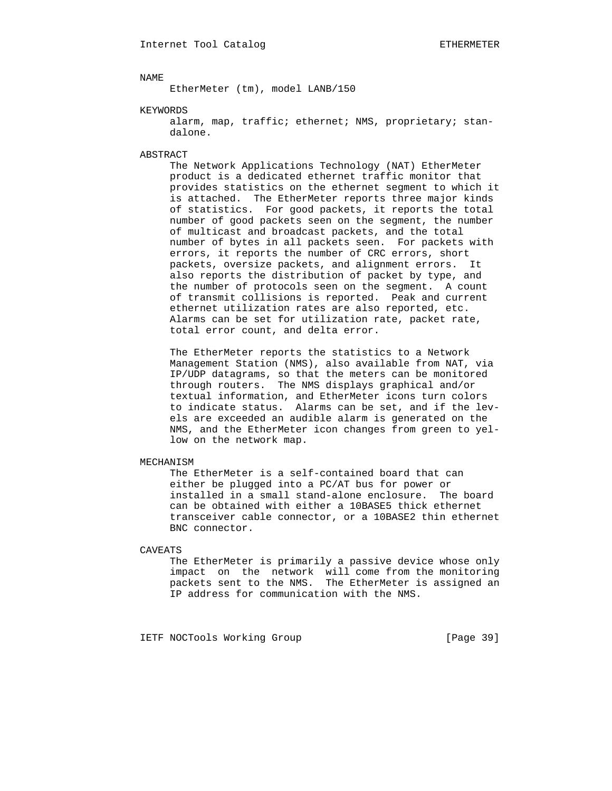EtherMeter (tm), model LANB/150

### KEYWORDS

 alarm, map, traffic; ethernet; NMS, proprietary; stan dalone.

#### ABSTRACT

 The Network Applications Technology (NAT) EtherMeter product is a dedicated ethernet traffic monitor that provides statistics on the ethernet segment to which it is attached. The EtherMeter reports three major kinds of statistics. For good packets, it reports the total number of good packets seen on the segment, the number of multicast and broadcast packets, and the total number of bytes in all packets seen. For packets with errors, it reports the number of CRC errors, short packets, oversize packets, and alignment errors. It also reports the distribution of packet by type, and the number of protocols seen on the segment. A count of transmit collisions is reported. Peak and current ethernet utilization rates are also reported, etc. Alarms can be set for utilization rate, packet rate, total error count, and delta error.

 The EtherMeter reports the statistics to a Network Management Station (NMS), also available from NAT, via IP/UDP datagrams, so that the meters can be monitored through routers. The NMS displays graphical and/or textual information, and EtherMeter icons turn colors to indicate status. Alarms can be set, and if the lev els are exceeded an audible alarm is generated on the NMS, and the EtherMeter icon changes from green to yel low on the network map.

## MECHANISM

 The EtherMeter is a self-contained board that can either be plugged into a PC/AT bus for power or installed in a small stand-alone enclosure. The board can be obtained with either a 10BASE5 thick ethernet transceiver cable connector, or a 10BASE2 thin ethernet BNC connector.

#### CAVEATS

 The EtherMeter is primarily a passive device whose only impact on the network will come from the monitoring packets sent to the NMS. The EtherMeter is assigned an IP address for communication with the NMS.

IETF NOCTools Working Group [Page 39]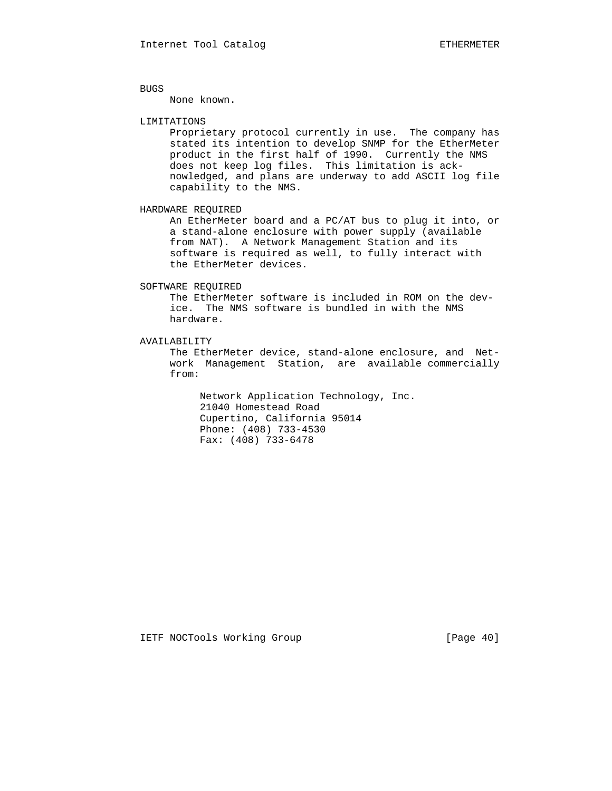BUGS

None known.

#### LIMITATIONS

 Proprietary protocol currently in use. The company has stated its intention to develop SNMP for the EtherMeter product in the first half of 1990. Currently the NMS does not keep log files. This limitation is ack nowledged, and plans are underway to add ASCII log file capability to the NMS.

HARDWARE REQUIRED

 An EtherMeter board and a PC/AT bus to plug it into, or a stand-alone enclosure with power supply (available from NAT). A Network Management Station and its software is required as well, to fully interact with the EtherMeter devices.

## SOFTWARE REQUIRED

 The EtherMeter software is included in ROM on the dev ice. The NMS software is bundled in with the NMS hardware.

AVAILABILITY

 The EtherMeter device, stand-alone enclosure, and Net work Management Station, are available commercially from:

 Network Application Technology, Inc. 21040 Homestead Road Cupertino, California 95014 Phone: (408) 733-4530 Fax: (408) 733-6478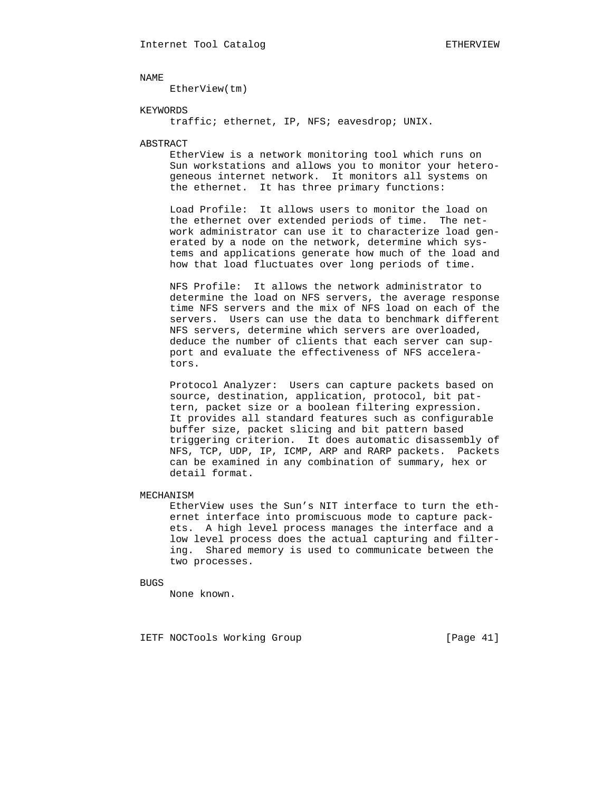EtherView(tm)

### KEYWORDS

traffic; ethernet, IP, NFS; eavesdrop; UNIX.

#### ABSTRACT

 EtherView is a network monitoring tool which runs on Sun workstations and allows you to monitor your hetero geneous internet network. It monitors all systems on the ethernet. It has three primary functions:

 Load Profile: It allows users to monitor the load on the ethernet over extended periods of time. The net work administrator can use it to characterize load gen erated by a node on the network, determine which sys tems and applications generate how much of the load and how that load fluctuates over long periods of time.

 NFS Profile: It allows the network administrator to determine the load on NFS servers, the average response time NFS servers and the mix of NFS load on each of the servers. Users can use the data to benchmark different NFS servers, determine which servers are overloaded, deduce the number of clients that each server can sup port and evaluate the effectiveness of NFS accelera tors.

 Protocol Analyzer: Users can capture packets based on source, destination, application, protocol, bit pat tern, packet size or a boolean filtering expression. It provides all standard features such as configurable buffer size, packet slicing and bit pattern based triggering criterion. It does automatic disassembly of NFS, TCP, UDP, IP, ICMP, ARP and RARP packets. Packets can be examined in any combination of summary, hex or detail format.

## MECHANISM

 EtherView uses the Sun's NIT interface to turn the eth ernet interface into promiscuous mode to capture pack ets. A high level process manages the interface and a low level process does the actual capturing and filter ing. Shared memory is used to communicate between the two processes.

BUGS

None known.

IETF NOCTools Working Group [Page 41]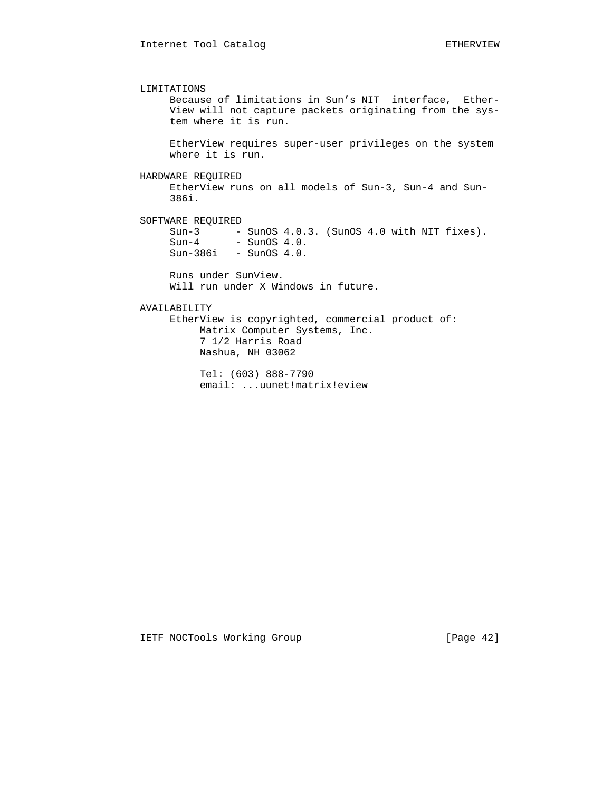LIMITATIONS Because of limitations in Sun's NIT interface, Ether- View will not capture packets originating from the sys tem where it is run. EtherView requires super-user privileges on the system where it is run. HARDWARE REQUIRED EtherView runs on all models of Sun-3, Sun-4 and Sun- 386i. SOFTWARE REQUIRED Sun-3 - SunOS 4.0.3. (SunOS 4.0 with NIT fixes).  $Sun-4$  - SunOS  $4.0$ . Sun-386i - SunOS 4.0. Runs under SunView. Will run under X Windows in future. AVAILABILITY EtherView is copyrighted, commercial product of: Matrix Computer Systems, Inc. 7 1/2 Harris Road Nashua, NH 03062 Tel: (603) 888-7790

email: ...uunet!matrix!eview

IETF NOCTools Working Group [Page 42]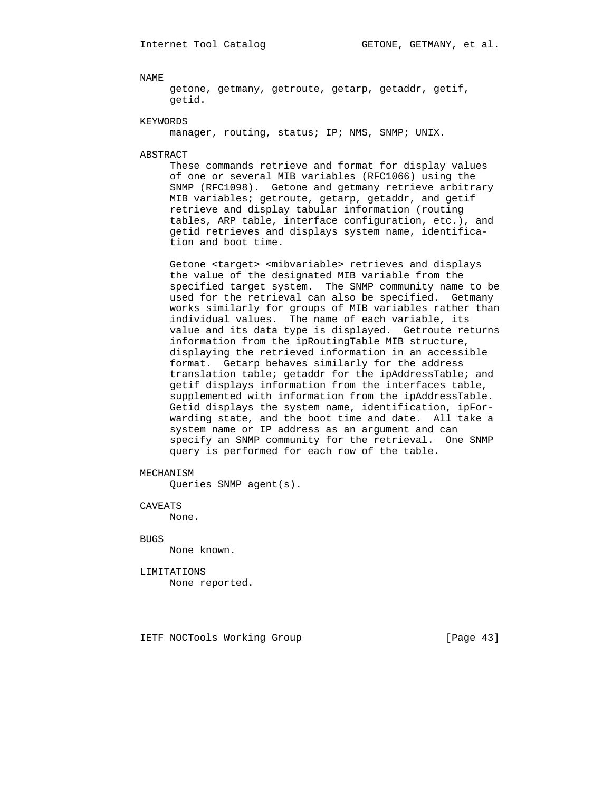getone, getmany, getroute, getarp, getaddr, getif, getid.

#### KEYWORDS

manager, routing, status; IP; NMS, SNMP; UNIX.

#### ABSTRACT

 These commands retrieve and format for display values of one or several MIB variables (RFC1066) using the SNMP (RFC1098). Getone and getmany retrieve arbitrary MIB variables; getroute, getarp, getaddr, and getif retrieve and display tabular information (routing tables, ARP table, interface configuration, etc.), and getid retrieves and displays system name, identifica tion and boot time.

Getone <target> <mibvariable> retrieves and displays the value of the designated MIB variable from the specified target system. The SNMP community name to be used for the retrieval can also be specified. Getmany works similarly for groups of MIB variables rather than individual values. The name of each variable, its value and its data type is displayed. Getroute returns information from the ipRoutingTable MIB structure, displaying the retrieved information in an accessible format. Getarp behaves similarly for the address translation table; getaddr for the ipAddressTable; and getif displays information from the interfaces table, supplemented with information from the ipAddressTable. Getid displays the system name, identification, ipFor warding state, and the boot time and date. All take a system name or IP address as an argument and can specify an SNMP community for the retrieval. One SNMP query is performed for each row of the table.

## MECHANISM

Queries SNMP agent(s).

#### CAVEATS

None.

## **BUGS** None known.

# LIMITATIONS

None reported.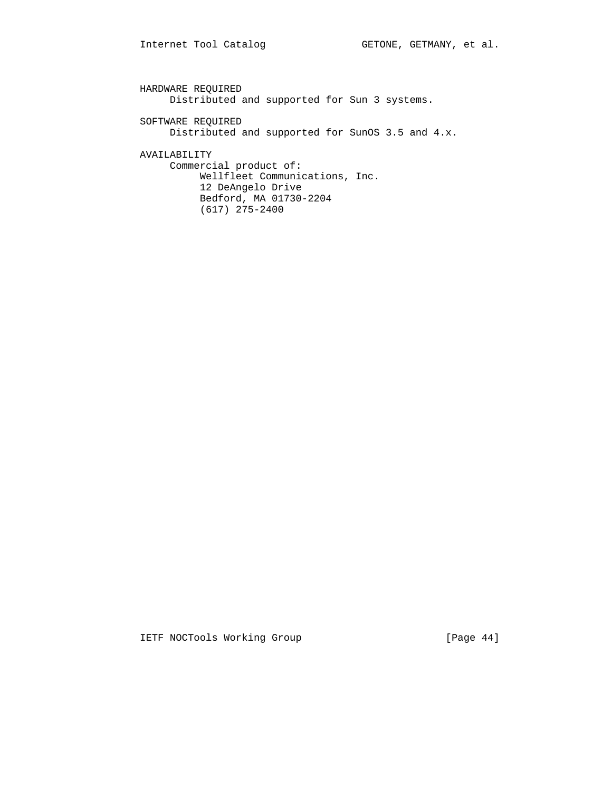HARDWARE REQUIRED Distributed and supported for Sun 3 systems. SOFTWARE REQUIRED Distributed and supported for SunOS 3.5 and 4.x. AVAILABILITY Commercial product of: Wellfleet Communications, Inc. 12 DeAngelo Drive Bedford, MA 01730-2204 (617) 275-2400

IETF NOCTools Working Group [Page 44]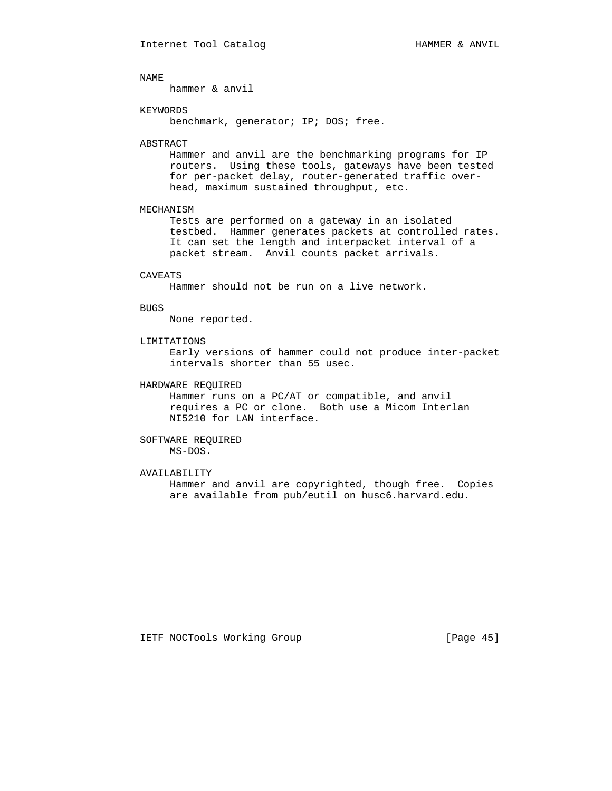hammer & anvil

#### KEYWORDS

benchmark, generator; IP; DOS; free.

#### ABSTRACT

 Hammer and anvil are the benchmarking programs for IP routers. Using these tools, gateways have been tested for per-packet delay, router-generated traffic over head, maximum sustained throughput, etc.

#### MECHANISM

 Tests are performed on a gateway in an isolated testbed. Hammer generates packets at controlled rates. It can set the length and interpacket interval of a packet stream. Anvil counts packet arrivals.

#### CAVEATS

Hammer should not be run on a live network.

#### BUGS

None reported.

## LIMITATIONS

 Early versions of hammer could not produce inter-packet intervals shorter than 55 usec.

## HARDWARE REQUIRED

 Hammer runs on a PC/AT or compatible, and anvil requires a PC or clone. Both use a Micom Interlan NI5210 for LAN interface.

## SOFTWARE REQUIRED MS-DOS.

## AVAILABILITY

 Hammer and anvil are copyrighted, though free. Copies are available from pub/eutil on husc6.harvard.edu.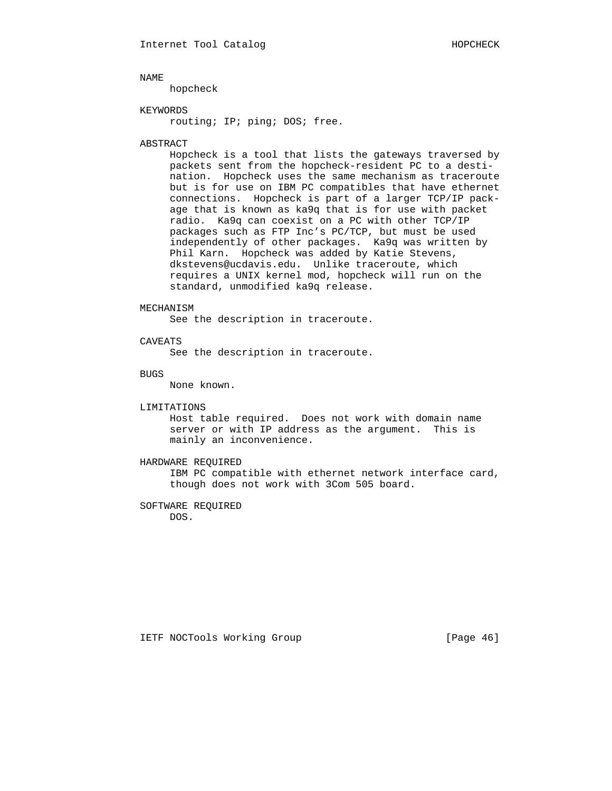hopcheck

### KEYWORDS

routing; IP; ping; DOS; free.

#### ABSTRACT

 Hopcheck is a tool that lists the gateways traversed by packets sent from the hopcheck-resident PC to a desti nation. Hopcheck uses the same mechanism as traceroute but is for use on IBM PC compatibles that have ethernet connections. Hopcheck is part of a larger TCP/IP pack age that is known as ka9q that is for use with packet radio. Ka9q can coexist on a PC with other TCP/IP packages such as FTP Inc's PC/TCP, but must be used independently of other packages. Ka9q was written by Phil Karn. Hopcheck was added by Katie Stevens, dkstevens@ucdavis.edu. Unlike traceroute, which requires a UNIX kernel mod, hopcheck will run on the standard, unmodified ka9q release.

## MECHANISM

See the description in traceroute.

## CAVEATS

See the description in traceroute.

BUGS

None known.

## LIMITATIONS

 Host table required. Does not work with domain name server or with IP address as the argument. This is mainly an inconvenience.

## HARDWARE REQUIRED

 IBM PC compatible with ethernet network interface card, though does not work with 3Com 505 board.

#### SOFTWARE REQUIRED DOS.

IETF NOCTools Working Group [Page 46]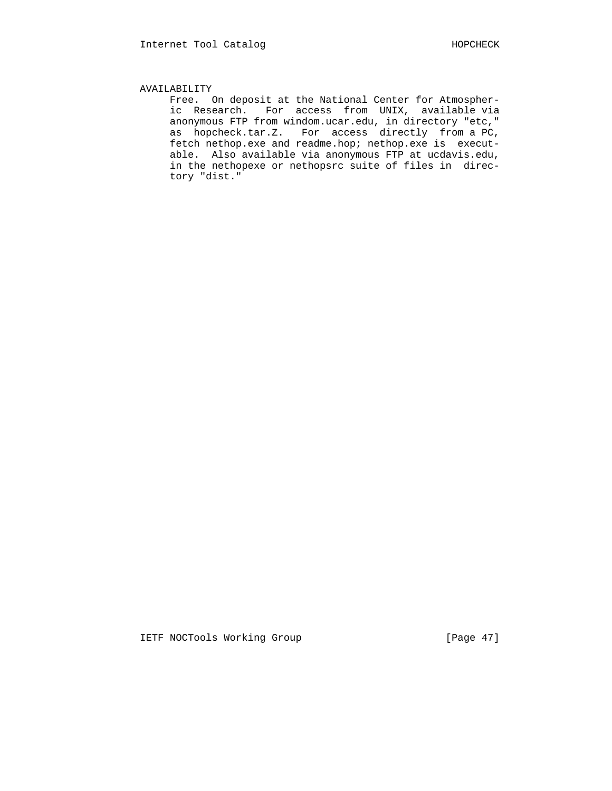## AVAILABILITY

 Free. On deposit at the National Center for Atmospher ic Research. For access from UNIX, available via anonymous FTP from windom.ucar.edu, in directory "etc," as hopcheck.tar.Z. For access directly from a PC, fetch nethop.exe and readme.hop; nethop.exe is execut able. Also available via anonymous FTP at ucdavis.edu, in the nethopexe or nethopsrc suite of files in direc tory "dist."

IETF NOCTools Working Group [Page 47]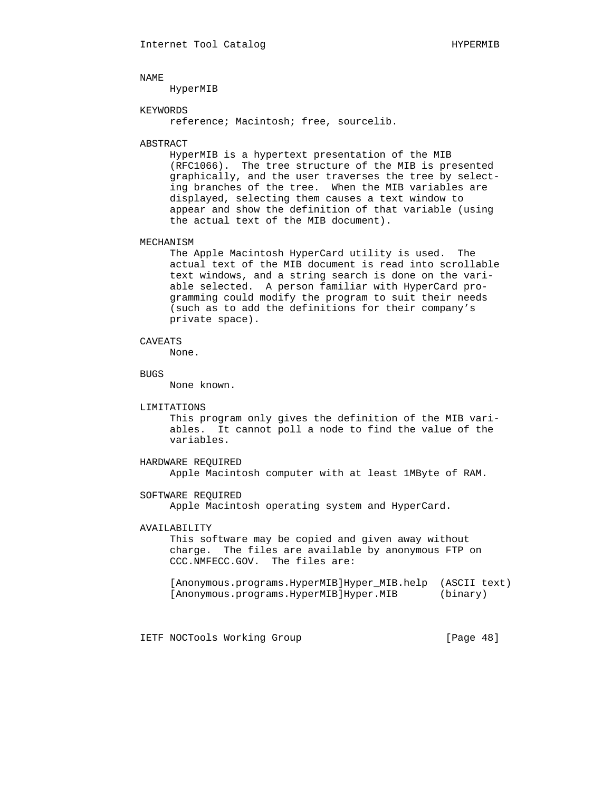HyperMIB

### KEYWORDS

reference; Macintosh; free, sourcelib.

#### ABSTRACT

 HyperMIB is a hypertext presentation of the MIB (RFC1066). The tree structure of the MIB is presented graphically, and the user traverses the tree by select ing branches of the tree. When the MIB variables are displayed, selecting them causes a text window to appear and show the definition of that variable (using the actual text of the MIB document).

#### MECHANISM

 The Apple Macintosh HyperCard utility is used. The actual text of the MIB document is read into scrollable text windows, and a string search is done on the vari able selected. A person familiar with HyperCard pro gramming could modify the program to suit their needs (such as to add the definitions for their company's private space).

## CAVEATS

None.

#### BUGS

None known.

## LIMITATIONS

 This program only gives the definition of the MIB vari ables. It cannot poll a node to find the value of the variables.

## HARDWARE REQUIRED

Apple Macintosh computer with at least 1MByte of RAM.

## SOFTWARE REQUIRED

Apple Macintosh operating system and HyperCard.

## AVAILABILITY

 This software may be copied and given away without charge. The files are available by anonymous FTP on CCC.NMFECC.GOV. The files are:

```
 [Anonymous.programs.HyperMIB]Hyper_MIB.help (ASCII text)
[Anonymous.programs.HyperMIB]Hyper.MIB (binary)
```
IETF NOCTools Working Group [Page 48]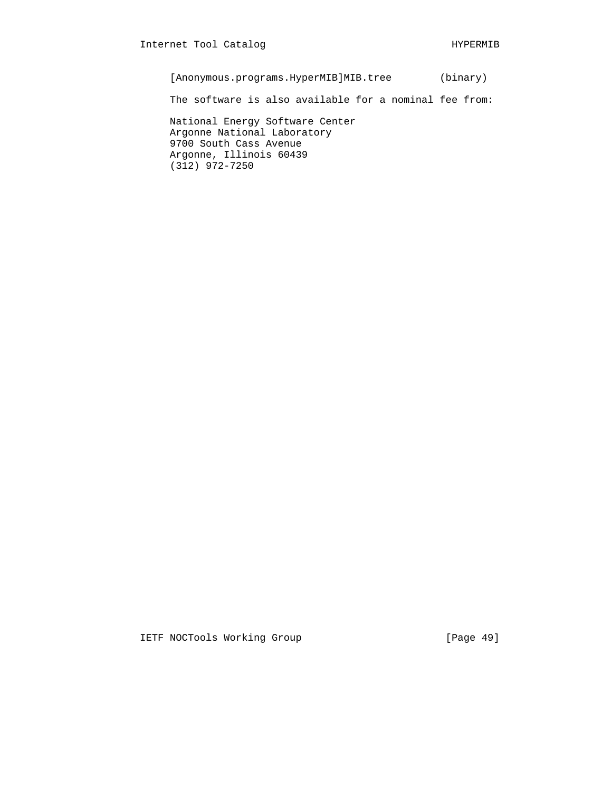[Anonymous.programs.HyperMIB]MIB.tree (binary)

The software is also available for a nominal fee from:

 National Energy Software Center Argonne National Laboratory 9700 South Cass Avenue Argonne, Illinois 60439 (312) 972-7250

IETF NOCTools Working Group [Page 49]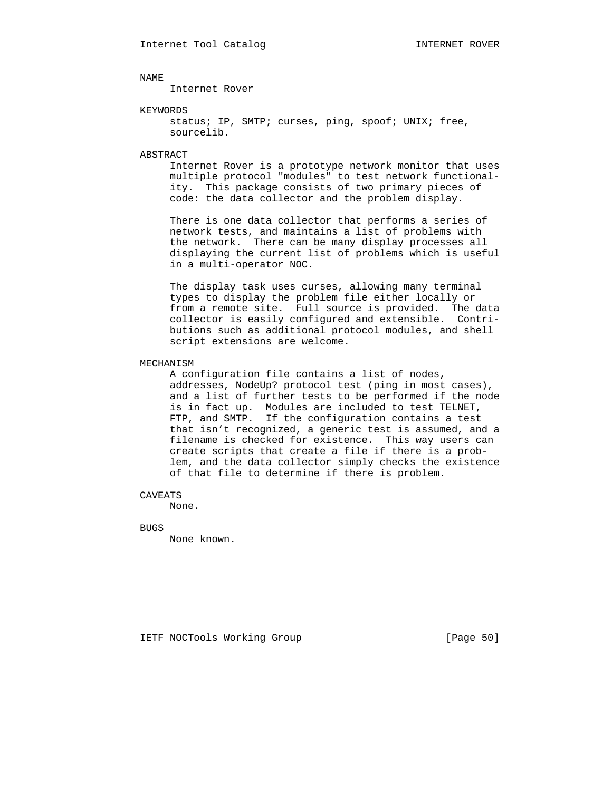Internet Rover

#### KEYWORDS

status; IP, SMTP; curses, ping, spoof; UNIX; free, sourcelib.

#### ABSTRACT

 Internet Rover is a prototype network monitor that uses multiple protocol "modules" to test network functional ity. This package consists of two primary pieces of code: the data collector and the problem display.

 There is one data collector that performs a series of network tests, and maintains a list of problems with the network. There can be many display processes all displaying the current list of problems which is useful in a multi-operator NOC.

 The display task uses curses, allowing many terminal types to display the problem file either locally or from a remote site. Full source is provided. The data collector is easily configured and extensible. Contri butions such as additional protocol modules, and shell script extensions are welcome.

#### MECHANISM

 A configuration file contains a list of nodes, addresses, NodeUp? protocol test (ping in most cases), and a list of further tests to be performed if the node is in fact up. Modules are included to test TELNET, FTP, and SMTP. If the configuration contains a test that isn't recognized, a generic test is assumed, and a filename is checked for existence. This way users can create scripts that create a file if there is a prob lem, and the data collector simply checks the existence of that file to determine if there is problem.

CAVEATS

None.

BUGS

None known.

IETF NOCTools Working Group [Page 50]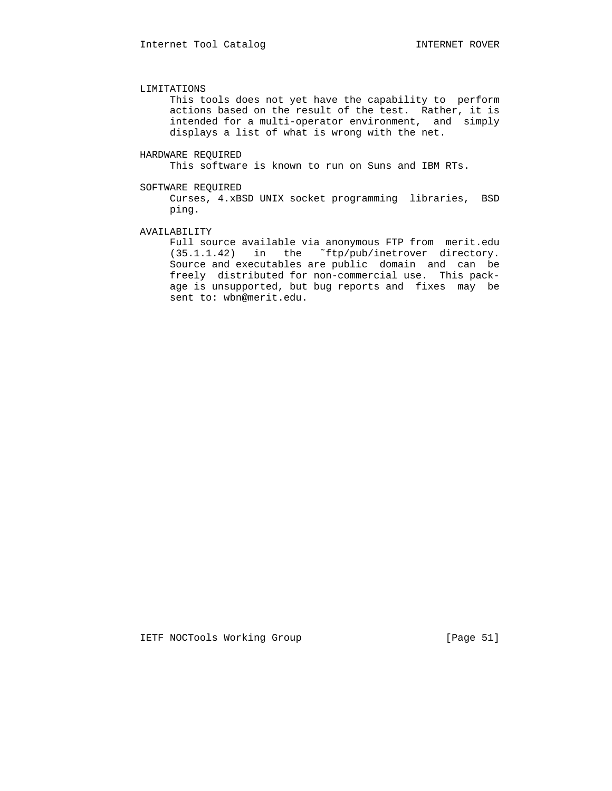#### LIMITATIONS

 This tools does not yet have the capability to perform actions based on the result of the test. Rather, it is intended for a multi-operator environment, and simply displays a list of what is wrong with the net.

#### HARDWARE REQUIRED

This software is known to run on Suns and IBM RTs.

#### SOFTWARE REQUIRED

 Curses, 4.xBSD UNIX socket programming libraries, BSD ping.

## AVAILABILITY

 Full source available via anonymous FTP from merit.edu (35.1.1.42) in the ˜ftp/pub/inetrover directory. Source and executables are public domain and can be freely distributed for non-commercial use. This pack age is unsupported, but bug reports and fixes may be sent to: wbn@merit.edu.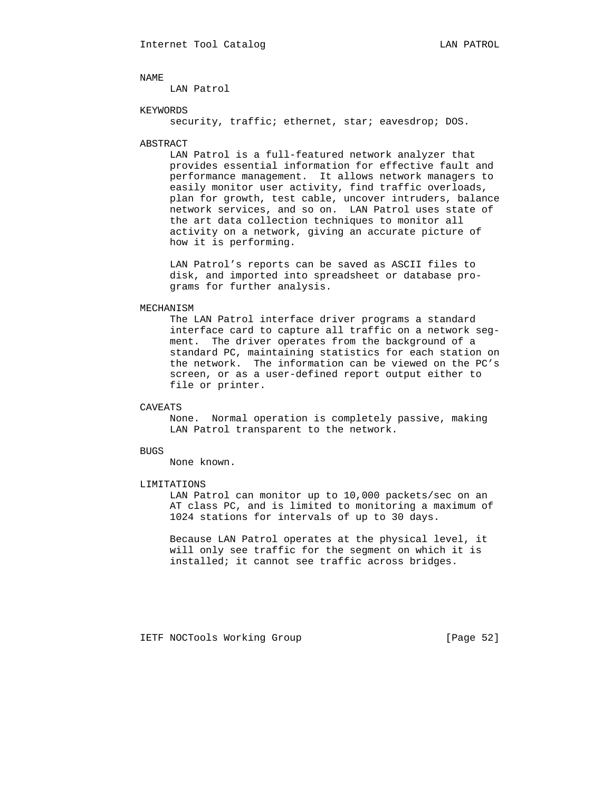LAN Patrol

### KEYWORDS

security, traffic; ethernet, star; eavesdrop; DOS.

#### ABSTRACT

 LAN Patrol is a full-featured network analyzer that provides essential information for effective fault and performance management. It allows network managers to easily monitor user activity, find traffic overloads, plan for growth, test cable, uncover intruders, balance network services, and so on. LAN Patrol uses state of the art data collection techniques to monitor all activity on a network, giving an accurate picture of how it is performing.

 LAN Patrol's reports can be saved as ASCII files to disk, and imported into spreadsheet or database pro grams for further analysis.

## MECHANISM

 The LAN Patrol interface driver programs a standard interface card to capture all traffic on a network seg ment. The driver operates from the background of a standard PC, maintaining statistics for each station on the network. The information can be viewed on the PC's screen, or as a user-defined report output either to file or printer.

## CAVEATS

 None. Normal operation is completely passive, making LAN Patrol transparent to the network.

#### BUGS

None known.

#### LIMITATIONS

 LAN Patrol can monitor up to 10,000 packets/sec on an AT class PC, and is limited to monitoring a maximum of 1024 stations for intervals of up to 30 days.

 Because LAN Patrol operates at the physical level, it will only see traffic for the segment on which it is installed; it cannot see traffic across bridges.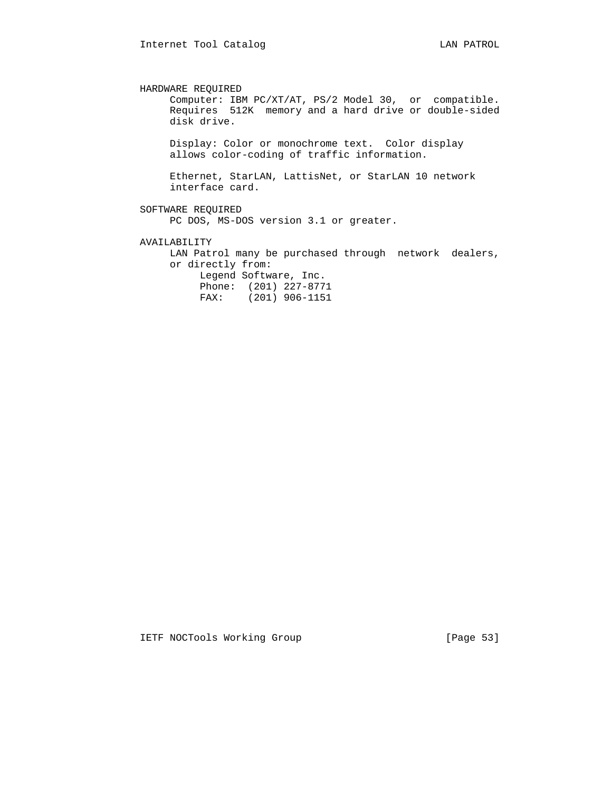HARDWARE REQUIRED Computer: IBM PC/XT/AT, PS/2 Model 30, or compatible. Requires 512K memory and a hard drive or double-sided disk drive. Display: Color or monochrome text. Color display allows color-coding of traffic information. Ethernet, StarLAN, LattisNet, or StarLAN 10 network interface card. SOFTWARE REQUIRED PC DOS, MS-DOS version 3.1 or greater. AVAILABILITY LAN Patrol many be purchased through network dealers, or directly from:

 Legend Software, Inc. Phone: (201) 227-8771 FAX: (201) 906-1151

IETF NOCTools Working Group [Page 53]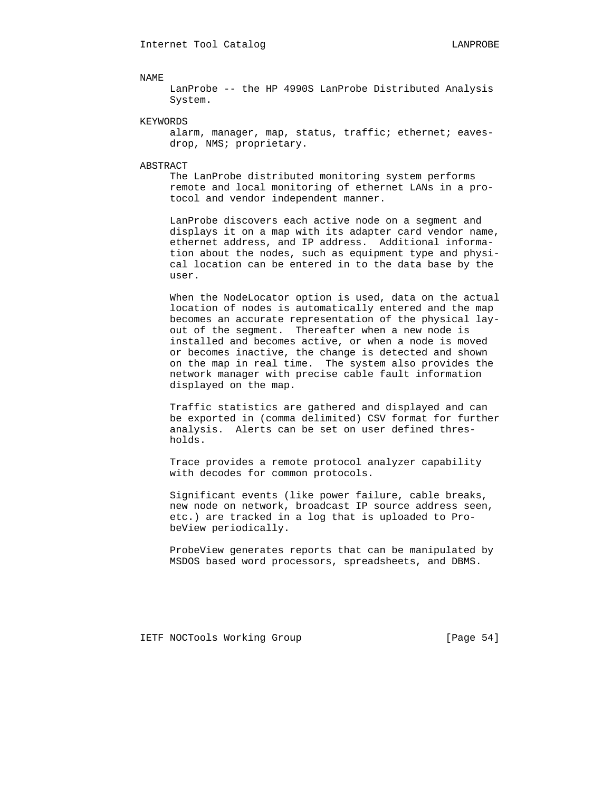LanProbe -- the HP 4990S LanProbe Distributed Analysis System.

#### KEYWORDS

alarm, manager, map, status, traffic; ethernet; eavesdrop, NMS; proprietary.

#### ABSTRACT

 The LanProbe distributed monitoring system performs remote and local monitoring of ethernet LANs in a pro tocol and vendor independent manner.

 LanProbe discovers each active node on a segment and displays it on a map with its adapter card vendor name, ethernet address, and IP address. Additional informa tion about the nodes, such as equipment type and physi cal location can be entered in to the data base by the user.

 When the NodeLocator option is used, data on the actual location of nodes is automatically entered and the map becomes an accurate representation of the physical lay out of the segment. Thereafter when a new node is installed and becomes active, or when a node is moved or becomes inactive, the change is detected and shown on the map in real time. The system also provides the network manager with precise cable fault information displayed on the map.

 Traffic statistics are gathered and displayed and can be exported in (comma delimited) CSV format for further analysis. Alerts can be set on user defined thres holds.

 Trace provides a remote protocol analyzer capability with decodes for common protocols.

 Significant events (like power failure, cable breaks, new node on network, broadcast IP source address seen, etc.) are tracked in a log that is uploaded to Pro beView periodically.

 ProbeView generates reports that can be manipulated by MSDOS based word processors, spreadsheets, and DBMS.

IETF NOCTools Working Group [Page 54]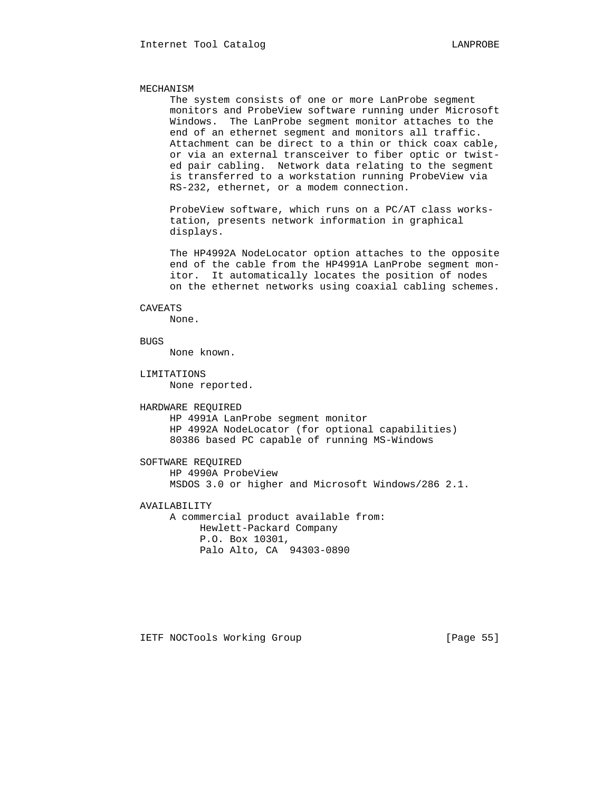## MECHANISM

 The system consists of one or more LanProbe segment monitors and ProbeView software running under Microsoft Windows. The LanProbe segment monitor attaches to the end of an ethernet segment and monitors all traffic. Attachment can be direct to a thin or thick coax cable, or via an external transceiver to fiber optic or twist ed pair cabling. Network data relating to the segment is transferred to a workstation running ProbeView via RS-232, ethernet, or a modem connection.

 ProbeView software, which runs on a PC/AT class works tation, presents network information in graphical displays.

 The HP4992A NodeLocator option attaches to the opposite end of the cable from the HP4991A LanProbe segment mon itor. It automatically locates the position of nodes on the ethernet networks using coaxial cabling schemes.

### CAVEATS

None.

## **BUGS**

None known.

LIMITATIONS

None reported.

#### HARDWARE REQUIRED

 HP 4991A LanProbe segment monitor HP 4992A NodeLocator (for optional capabilities) 80386 based PC capable of running MS-Windows

 SOFTWARE REQUIRED HP 4990A ProbeView MSDOS 3.0 or higher and Microsoft Windows/286 2.1.

AVAILABILITY

 A commercial product available from: Hewlett-Packard Company P.O. Box 10301, Palo Alto, CA 94303-0890

IETF NOCTools Working Group [Page 55]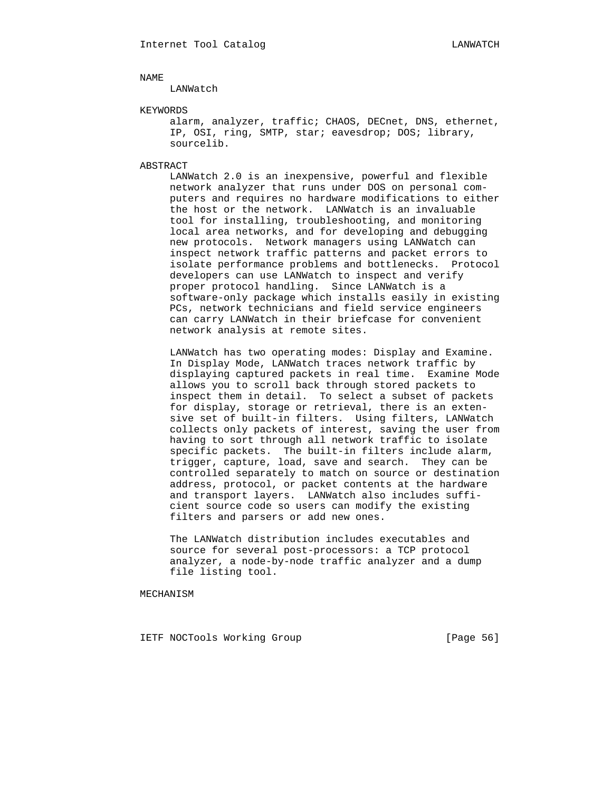### LANWatch

### KEYWORDS

 alarm, analyzer, traffic; CHAOS, DECnet, DNS, ethernet, IP, OSI, ring, SMTP, star; eavesdrop; DOS; library, sourcelib.

#### ABSTRACT

 LANWatch 2.0 is an inexpensive, powerful and flexible network analyzer that runs under DOS on personal com puters and requires no hardware modifications to either the host or the network. LANWatch is an invaluable tool for installing, troubleshooting, and monitoring local area networks, and for developing and debugging new protocols. Network managers using LANWatch can inspect network traffic patterns and packet errors to isolate performance problems and bottlenecks. Protocol developers can use LANWatch to inspect and verify proper protocol handling. Since LANWatch is a software-only package which installs easily in existing PCs, network technicians and field service engineers can carry LANWatch in their briefcase for convenient network analysis at remote sites.

 LANWatch has two operating modes: Display and Examine. In Display Mode, LANWatch traces network traffic by displaying captured packets in real time. Examine Mode allows you to scroll back through stored packets to inspect them in detail. To select a subset of packets for display, storage or retrieval, there is an exten sive set of built-in filters. Using filters, LANWatch collects only packets of interest, saving the user from having to sort through all network traffic to isolate specific packets. The built-in filters include alarm, trigger, capture, load, save and search. They can be controlled separately to match on source or destination address, protocol, or packet contents at the hardware and transport layers. LANWatch also includes suffi cient source code so users can modify the existing filters and parsers or add new ones.

 The LANWatch distribution includes executables and source for several post-processors: a TCP protocol analyzer, a node-by-node traffic analyzer and a dump file listing tool.

MECHANISM

IETF NOCTools Working Group [Page 56]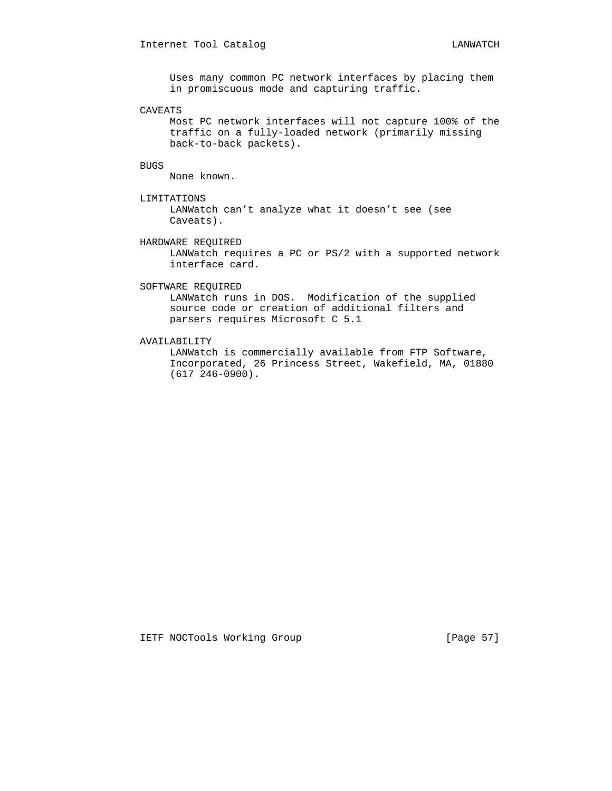Uses many common PC network interfaces by placing them in promiscuous mode and capturing traffic.

### CAVEATS

 Most PC network interfaces will not capture 100% of the traffic on a fully-loaded network (primarily missing back-to-back packets).

## BUGS

None known.

LIMITATIONS

 LANWatch can't analyze what it doesn't see (see Caveats).

HARDWARE REQUIRED

 LANWatch requires a PC or PS/2 with a supported network interface card.

## SOFTWARE REQUIRED

 LANWatch runs in DOS. Modification of the supplied source code or creation of additional filters and parsers requires Microsoft C 5.1

## AVAILABILITY

 LANWatch is commercially available from FTP Software, Incorporated, 26 Princess Street, Wakefield, MA, 01880 (617 246-0900).

IETF NOCTools Working Group [Page 57]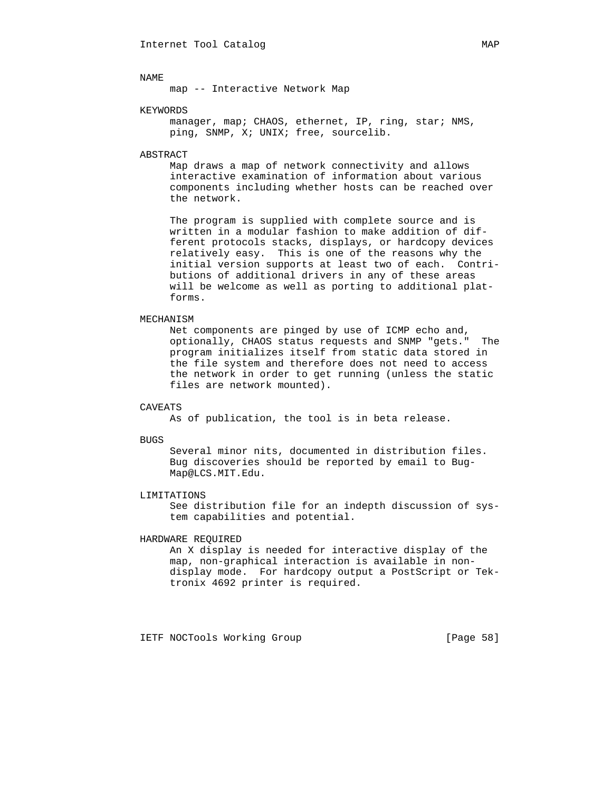map -- Interactive Network Map

#### KEYWORDS

manager, map; CHAOS, ethernet, IP, ring, star; NMS, ping, SNMP, X; UNIX; free, sourcelib.

## ABSTRACT

 Map draws a map of network connectivity and allows interactive examination of information about various components including whether hosts can be reached over the network.

 The program is supplied with complete source and is written in a modular fashion to make addition of dif ferent protocols stacks, displays, or hardcopy devices relatively easy. This is one of the reasons why the initial version supports at least two of each. Contri butions of additional drivers in any of these areas will be welcome as well as porting to additional plat forms.

## MECHANISM

 Net components are pinged by use of ICMP echo and, optionally, CHAOS status requests and SNMP "gets." The program initializes itself from static data stored in the file system and therefore does not need to access the network in order to get running (unless the static files are network mounted).

## CAVEATS

As of publication, the tool is in beta release.

#### BUGS

 Several minor nits, documented in distribution files. Bug discoveries should be reported by email to Bug- Map@LCS.MIT.Edu.

### LIMITATIONS

 See distribution file for an indepth discussion of sys tem capabilities and potential.

## HARDWARE REQUIRED

 An X display is needed for interactive display of the map, non-graphical interaction is available in non display mode. For hardcopy output a PostScript or Tek tronix 4692 printer is required.

IETF NOCTools Working Group [Page 58]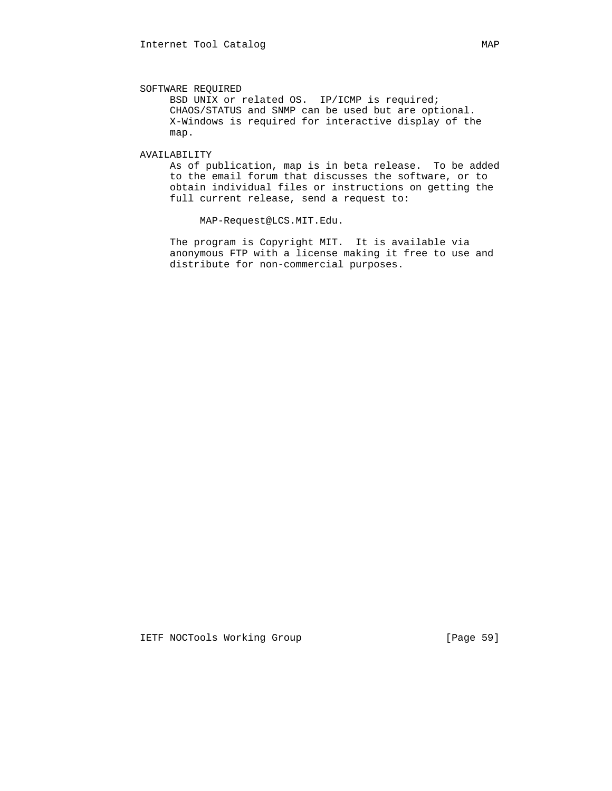SOFTWARE REQUIRED

 BSD UNIX or related OS. IP/ICMP is required; CHAOS/STATUS and SNMP can be used but are optional. X-Windows is required for interactive display of the map.

### AVAILABILITY

 As of publication, map is in beta release. To be added to the email forum that discusses the software, or to obtain individual files or instructions on getting the full current release, send a request to:

MAP-Request@LCS.MIT.Edu.

 The program is Copyright MIT. It is available via anonymous FTP with a license making it free to use and distribute for non-commercial purposes.

IETF NOCTools Working Group [Page 59]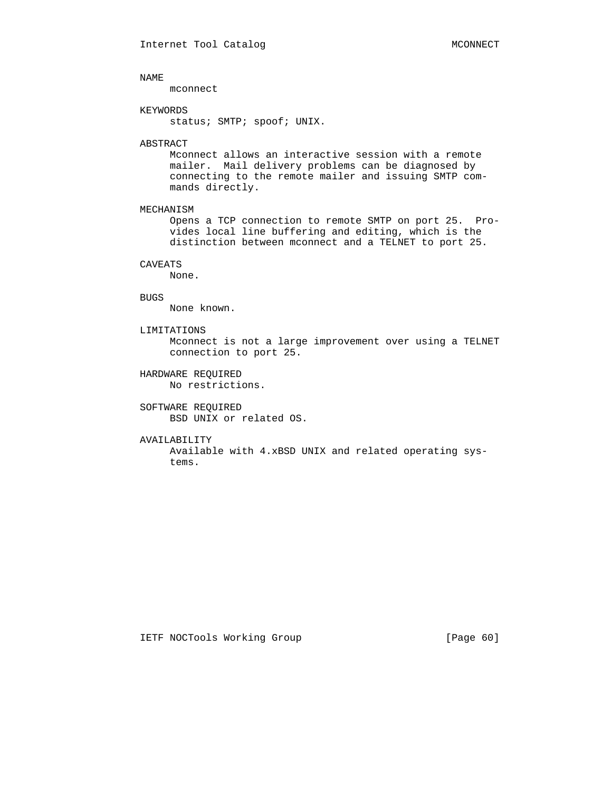mconnect

#### KEYWORDS

status; SMTP; spoof; UNIX.

## ABSTRACT

 Mconnect allows an interactive session with a remote mailer. Mail delivery problems can be diagnosed by connecting to the remote mailer and issuing SMTP com mands directly.

## MECHANISM

 Opens a TCP connection to remote SMTP on port 25. Pro vides local line buffering and editing, which is the distinction between mconnect and a TELNET to port 25.

## CAVEATS

None.

## BUGS

None known.

## LIMITATIONS

 Mconnect is not a large improvement over using a TELNET connection to port 25.

## HARDWARE REQUIRED No restrictions.

## SOFTWARE REQUIRED BSD UNIX or related OS.

#### AVAILABILITY

 Available with 4.xBSD UNIX and related operating sys tems.

## IETF NOCTools Working Group [Page 60]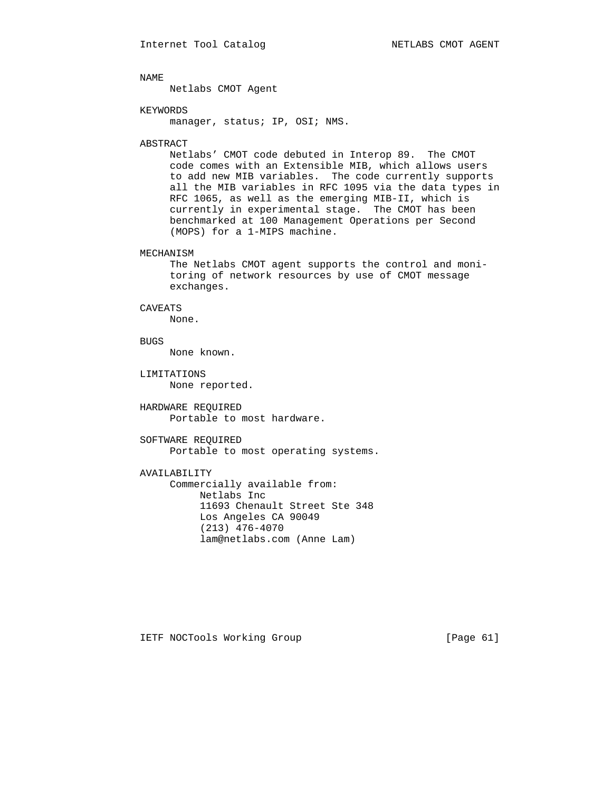Netlabs CMOT Agent

#### KEYWORDS

manager, status; IP, OSI; NMS.

#### ABSTRACT

 Netlabs' CMOT code debuted in Interop 89. The CMOT code comes with an Extensible MIB, which allows users to add new MIB variables. The code currently supports all the MIB variables in RFC 1095 via the data types in RFC 1065, as well as the emerging MIB-II, which is currently in experimental stage. The CMOT has been benchmarked at 100 Management Operations per Second (MOPS) for a 1-MIPS machine.

### MECHANISM

 The Netlabs CMOT agent supports the control and moni toring of network resources by use of CMOT message exchanges.

#### CAVEATS

None.

## **BUGS**

None known.

 LIMITATIONS None reported.

 HARDWARE REQUIRED Portable to most hardware.

 SOFTWARE REQUIRED Portable to most operating systems.

## AVAILABILITY

 Commercially available from: Netlabs Inc 11693 Chenault Street Ste 348 Los Angeles CA 90049 (213) 476-4070 lam@netlabs.com (Anne Lam)

IETF NOCTools Working Group [Page 61]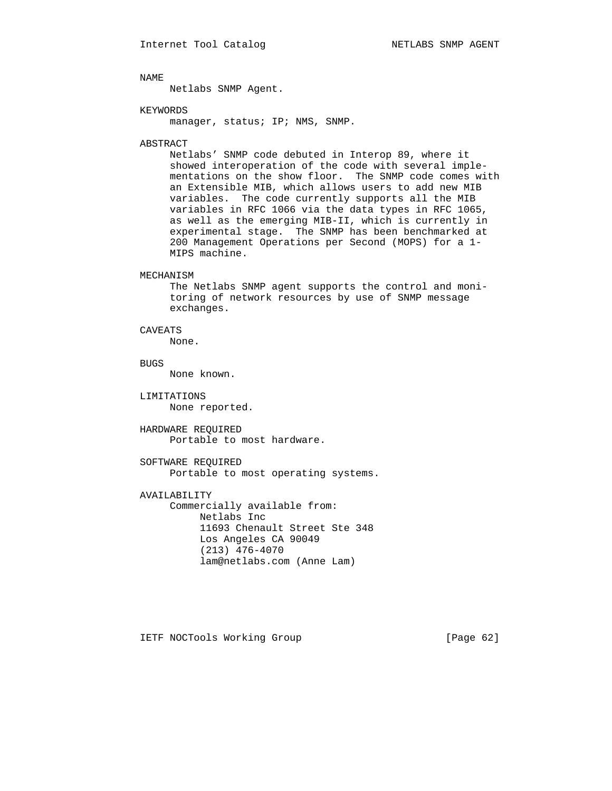Netlabs SNMP Agent.

### KEYWORDS

manager, status; IP; NMS, SNMP.

#### ABSTRACT

 Netlabs' SNMP code debuted in Interop 89, where it showed interoperation of the code with several imple mentations on the show floor. The SNMP code comes with an Extensible MIB, which allows users to add new MIB variables. The code currently supports all the MIB variables in RFC 1066 via the data types in RFC 1065, as well as the emerging MIB-II, which is currently in experimental stage. The SNMP has been benchmarked at 200 Management Operations per Second (MOPS) for a 1- MIPS machine.

#### MECHANISM

 The Netlabs SNMP agent supports the control and moni toring of network resources by use of SNMP message exchanges.

## CAVEATS

None.

# BUGS

None known.

 LIMITATIONS None reported.

 HARDWARE REQUIRED Portable to most hardware.

 SOFTWARE REQUIRED Portable to most operating systems.

## AVAILABILITY

 Commercially available from: Netlabs Inc 11693 Chenault Street Ste 348 Los Angeles CA 90049 (213) 476-4070 lam@netlabs.com (Anne Lam)

IETF NOCTools Working Group [Page 62]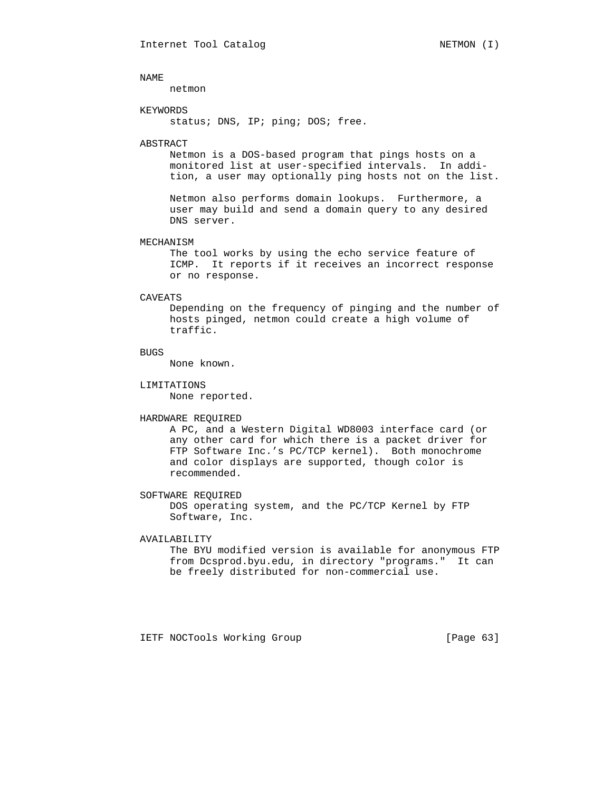netmon

### KEYWORDS

status; DNS, IP; ping; DOS; free.

#### ABSTRACT

 Netmon is a DOS-based program that pings hosts on a monitored list at user-specified intervals. In addi tion, a user may optionally ping hosts not on the list.

 Netmon also performs domain lookups. Furthermore, a user may build and send a domain query to any desired DNS server.

### MECHANISM

 The tool works by using the echo service feature of ICMP. It reports if it receives an incorrect response or no response.

#### CAVEATS

 Depending on the frequency of pinging and the number of hosts pinged, netmon could create a high volume of traffic.

## BUGS

None known.

#### LIMITATIONS

None reported.

#### HARDWARE REQUIRED

 A PC, and a Western Digital WD8003 interface card (or any other card for which there is a packet driver for FTP Software Inc.'s PC/TCP kernel). Both monochrome and color displays are supported, though color is recommended.

 SOFTWARE REQUIRED DOS operating system, and the PC/TCP Kernel by FTP Software, Inc.

## AVAILABILITY

 The BYU modified version is available for anonymous FTP from Dcsprod.byu.edu, in directory "programs." It can be freely distributed for non-commercial use.

IETF NOCTools Working Group [Page 63]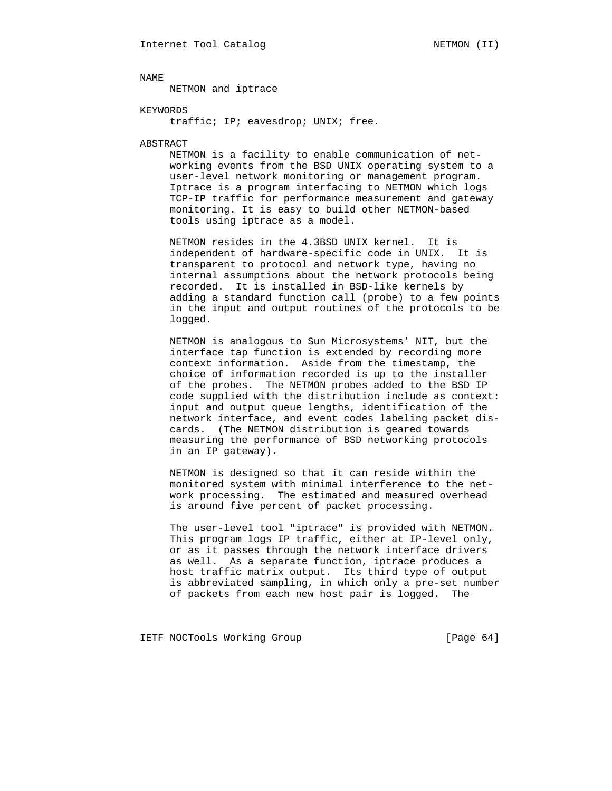NETMON and iptrace

### KEYWORDS

traffic; IP; eavesdrop; UNIX; free.

#### ABSTRACT

 NETMON is a facility to enable communication of net working events from the BSD UNIX operating system to a user-level network monitoring or management program. Iptrace is a program interfacing to NETMON which logs TCP-IP traffic for performance measurement and gateway monitoring. It is easy to build other NETMON-based tools using iptrace as a model.

 NETMON resides in the 4.3BSD UNIX kernel. It is independent of hardware-specific code in UNIX. It is transparent to protocol and network type, having no internal assumptions about the network protocols being recorded. It is installed in BSD-like kernels by adding a standard function call (probe) to a few points in the input and output routines of the protocols to be logged.

 NETMON is analogous to Sun Microsystems' NIT, but the interface tap function is extended by recording more context information. Aside from the timestamp, the choice of information recorded is up to the installer of the probes. The NETMON probes added to the BSD IP code supplied with the distribution include as context: input and output queue lengths, identification of the network interface, and event codes labeling packet dis cards. (The NETMON distribution is geared towards measuring the performance of BSD networking protocols in an IP gateway).

 NETMON is designed so that it can reside within the monitored system with minimal interference to the net work processing. The estimated and measured overhead is around five percent of packet processing.

 The user-level tool "iptrace" is provided with NETMON. This program logs IP traffic, either at IP-level only, or as it passes through the network interface drivers as well. As a separate function, iptrace produces a host traffic matrix output. Its third type of output is abbreviated sampling, in which only a pre-set number of packets from each new host pair is logged. The

IETF NOCTools Working Group [Page 64]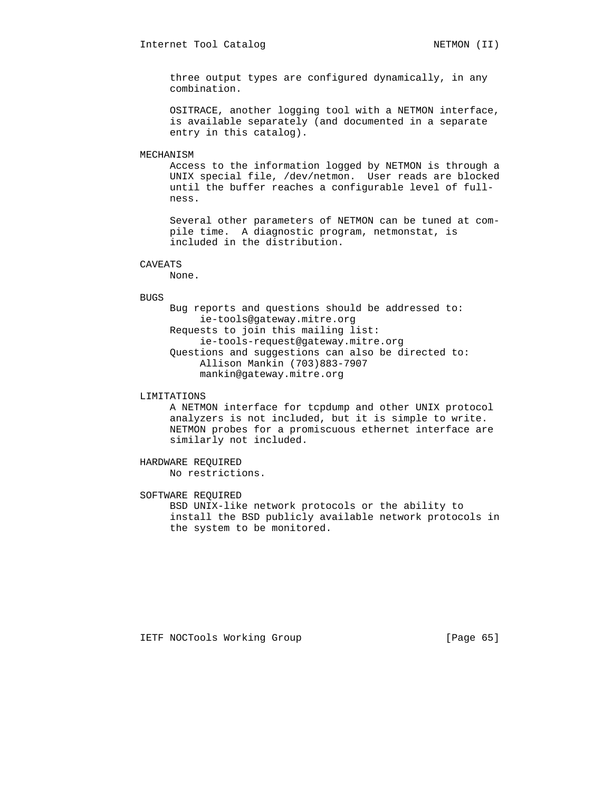three output types are configured dynamically, in any combination.

 OSITRACE, another logging tool with a NETMON interface, is available separately (and documented in a separate entry in this catalog).

## MECHANISM

 Access to the information logged by NETMON is through a UNIX special file, /dev/netmon. User reads are blocked until the buffer reaches a configurable level of full ness.

 Several other parameters of NETMON can be tuned at com pile time. A diagnostic program, netmonstat, is included in the distribution.

#### CAVEATS

None.

#### BUGS

 Bug reports and questions should be addressed to: ie-tools@gateway.mitre.org Requests to join this mailing list: ie-tools-request@gateway.mitre.org Questions and suggestions can also be directed to: Allison Mankin (703)883-7907 mankin@gateway.mitre.org

## LIMITATIONS

 A NETMON interface for tcpdump and other UNIX protocol analyzers is not included, but it is simple to write. NETMON probes for a promiscuous ethernet interface are similarly not included.

## HARDWARE REQUIRED No restrictions.

## SOFTWARE REQUIRED

 BSD UNIX-like network protocols or the ability to install the BSD publicly available network protocols in the system to be monitored.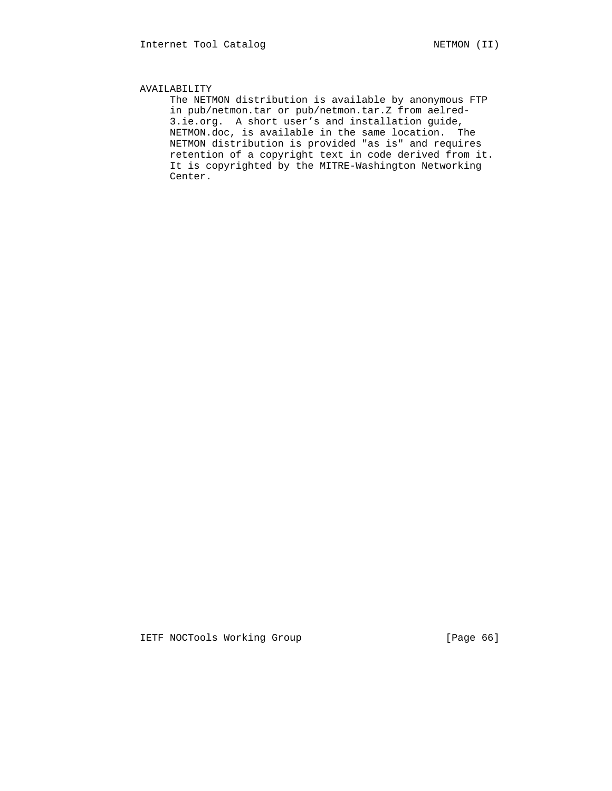## AVAILABILITY

 The NETMON distribution is available by anonymous FTP in pub/netmon.tar or pub/netmon.tar.Z from aelred- 3.ie.org. A short user's and installation guide, NETMON.doc, is available in the same location. The NETMON distribution is provided "as is" and requires retention of a copyright text in code derived from it. It is copyrighted by the MITRE-Washington Networking Center.

IETF NOCTools Working Group [Page 66]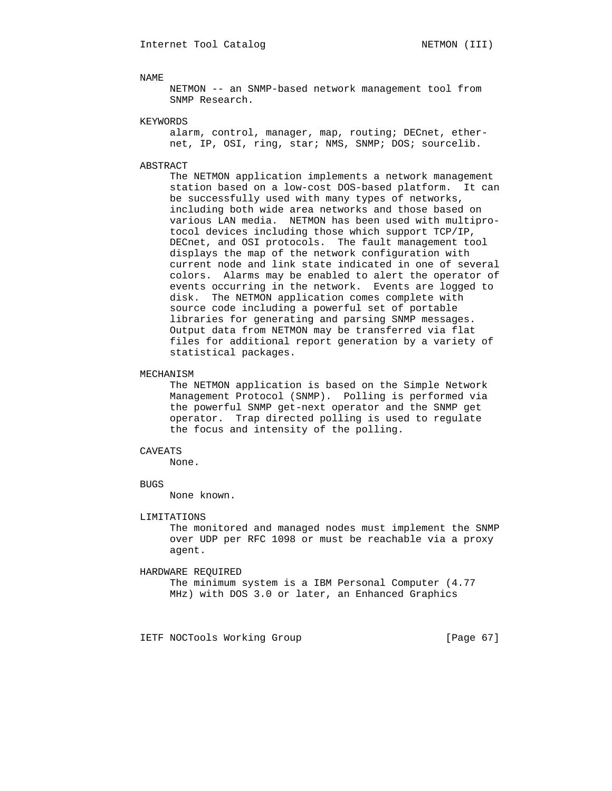NETMON -- an SNMP-based network management tool from SNMP Research.

#### KEYWORDS

 alarm, control, manager, map, routing; DECnet, ether net, IP, OSI, ring, star; NMS, SNMP; DOS; sourcelib.

## ABSTRACT

 The NETMON application implements a network management station based on a low-cost DOS-based platform. It can be successfully used with many types of networks, including both wide area networks and those based on various LAN media. NETMON has been used with multipro tocol devices including those which support TCP/IP, DECnet, and OSI protocols. The fault management tool displays the map of the network configuration with current node and link state indicated in one of several colors. Alarms may be enabled to alert the operator of events occurring in the network. Events are logged to disk. The NETMON application comes complete with source code including a powerful set of portable libraries for generating and parsing SNMP messages. Output data from NETMON may be transferred via flat files for additional report generation by a variety of statistical packages.

### MECHANISM

 The NETMON application is based on the Simple Network Management Protocol (SNMP). Polling is performed via the powerful SNMP get-next operator and the SNMP get operator. Trap directed polling is used to regulate the focus and intensity of the polling.

#### CAVEATS

None.

#### BUGS

None known.

#### LIMITATIONS

 The monitored and managed nodes must implement the SNMP over UDP per RFC 1098 or must be reachable via a proxy agent.

### HARDWARE REQUIRED

 The minimum system is a IBM Personal Computer (4.77 MHz) with DOS 3.0 or later, an Enhanced Graphics

IETF NOCTools Working Group [Page 67]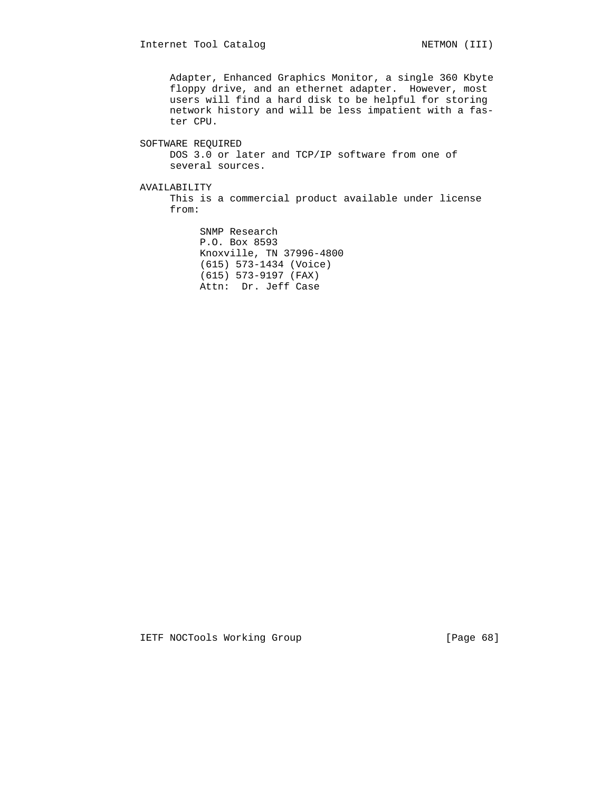Adapter, Enhanced Graphics Monitor, a single 360 Kbyte floppy drive, and an ethernet adapter. However, most users will find a hard disk to be helpful for storing network history and will be less impatient with a fas ter CPU.

# SOFTWARE REQUIRED DOS 3.0 or later and TCP/IP software from one of several sources. AVAILABILITY

 This is a commercial product available under license from:

> SNMP Research P.O. Box 8593 Knoxville, TN 37996-4800 (615) 573-1434 (Voice) (615) 573-9197 (FAX) Attn: Dr. Jeff Case

IETF NOCTools Working Group [Page 68]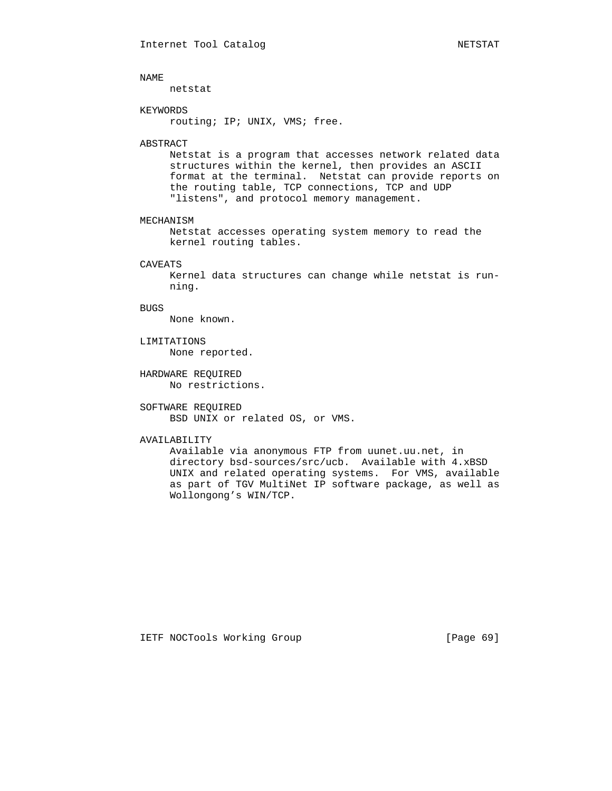netstat

#### KEYWORDS

routing; IP; UNIX, VMS; free.

#### ABSTRACT

 Netstat is a program that accesses network related data structures within the kernel, then provides an ASCII format at the terminal. Netstat can provide reports on the routing table, TCP connections, TCP and UDP "listens", and protocol memory management.

#### MECHANISM

 Netstat accesses operating system memory to read the kernel routing tables.

#### CAVEATS

 Kernel data structures can change while netstat is run ning.

## BUGS

None known.

## LIMITATIONS

None reported.

 HARDWARE REQUIRED No restrictions.

## SOFTWARE REQUIRED BSD UNIX or related OS, or VMS.

## AVAILABILITY

 Available via anonymous FTP from uunet.uu.net, in directory bsd-sources/src/ucb. Available with 4.xBSD UNIX and related operating systems. For VMS, available as part of TGV MultiNet IP software package, as well as Wollongong's WIN/TCP.

IETF NOCTools Working Group [Page 69]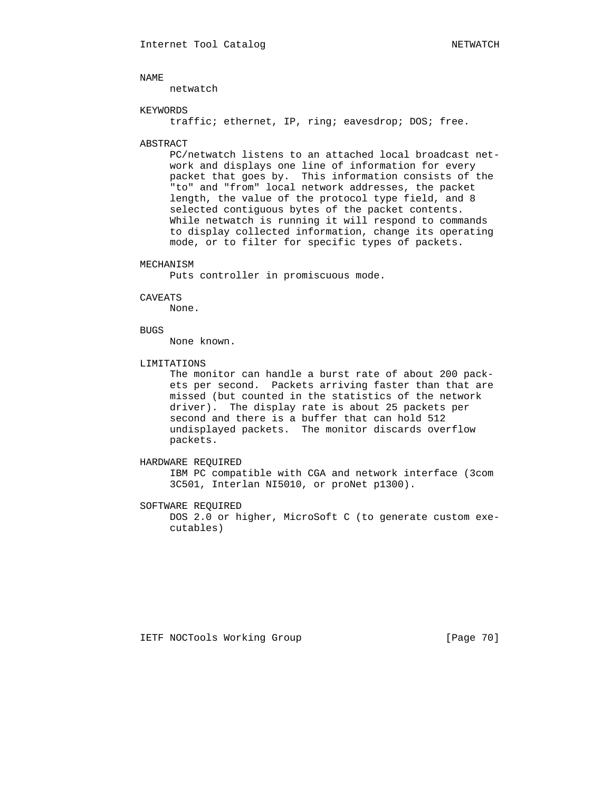netwatch

#### KEYWORDS

traffic; ethernet, IP, ring; eavesdrop; DOS; free.

#### ABSTRACT

 PC/netwatch listens to an attached local broadcast net work and displays one line of information for every packet that goes by. This information consists of the "to" and "from" local network addresses, the packet length, the value of the protocol type field, and 8 selected contiguous bytes of the packet contents. While netwatch is running it will respond to commands to display collected information, change its operating mode, or to filter for specific types of packets.

## MECHANISM

Puts controller in promiscuous mode.

#### CAVEATS

None.

## BUGS

None known.

#### LIMITATIONS

 The monitor can handle a burst rate of about 200 pack ets per second. Packets arriving faster than that are missed (but counted in the statistics of the network driver). The display rate is about 25 packets per second and there is a buffer that can hold 512 undisplayed packets. The monitor discards overflow packets.

## HARDWARE REQUIRED

 IBM PC compatible with CGA and network interface (3com 3C501, Interlan NI5010, or proNet p1300).

## SOFTWARE REQUIRED

 DOS 2.0 or higher, MicroSoft C (to generate custom exe cutables)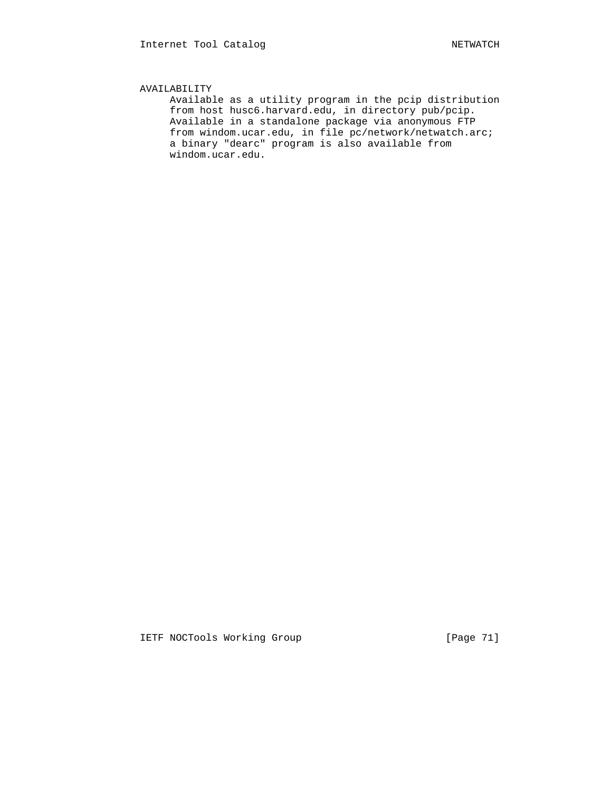## AVAILABILITY

 Available as a utility program in the pcip distribution from host husc6.harvard.edu, in directory pub/pcip. Available in a standalone package via anonymous FTP from windom.ucar.edu, in file pc/network/netwatch.arc; a binary "dearc" program is also available from windom.ucar.edu.

IETF NOCTools Working Group [Page 71]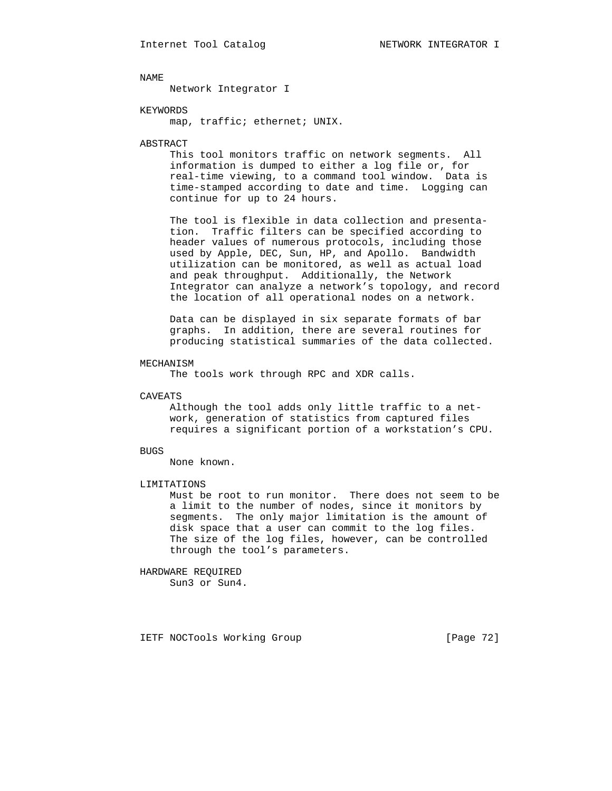Network Integrator I

### KEYWORDS

map, traffic; ethernet; UNIX.

#### ABSTRACT

 This tool monitors traffic on network segments. All information is dumped to either a log file or, for real-time viewing, to a command tool window. Data is time-stamped according to date and time. Logging can continue for up to 24 hours.

 The tool is flexible in data collection and presenta tion. Traffic filters can be specified according to header values of numerous protocols, including those used by Apple, DEC, Sun, HP, and Apollo. Bandwidth utilization can be monitored, as well as actual load and peak throughput. Additionally, the Network Integrator can analyze a network's topology, and record the location of all operational nodes on a network.

 Data can be displayed in six separate formats of bar graphs. In addition, there are several routines for producing statistical summaries of the data collected.

#### MECHANISM

The tools work through RPC and XDR calls.

#### CAVEATS

 Although the tool adds only little traffic to a net work, generation of statistics from captured files requires a significant portion of a workstation's CPU.

#### BUGS

None known.

#### LIMITATIONS

 Must be root to run monitor. There does not seem to be a limit to the number of nodes, since it monitors by segments. The only major limitation is the amount of disk space that a user can commit to the log files. The size of the log files, however, can be controlled through the tool's parameters.

### HARDWARE REQUIRED

Sun3 or Sun4.

IETF NOCTools Working Group [Page 72]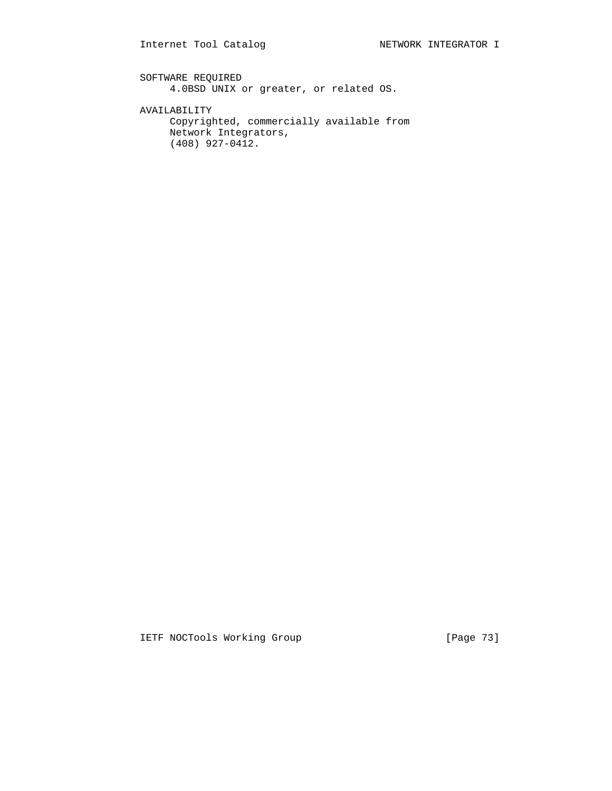SOFTWARE REQUIRED 4.0BSD UNIX or greater, or related OS.

AVAILABILITY

 Copyrighted, commercially available from Network Integrators, (408) 927-0412.

IETF NOCTools Working Group [Page 73]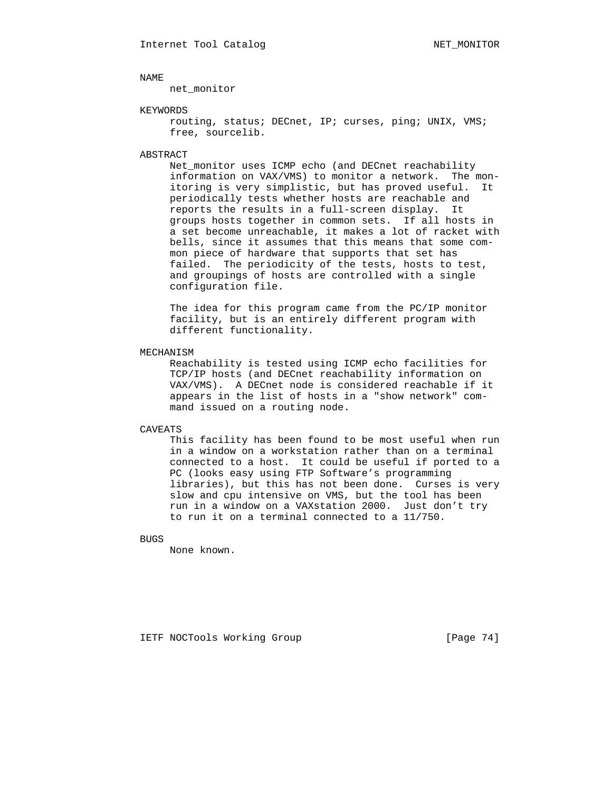net\_monitor

# KEYWORDS

 routing, status; DECnet, IP; curses, ping; UNIX, VMS; free, sourcelib.

## ABSTRACT

 Net\_monitor uses ICMP echo (and DECnet reachability information on VAX/VMS) to monitor a network. The mon itoring is very simplistic, but has proved useful. It periodically tests whether hosts are reachable and reports the results in a full-screen display. It groups hosts together in common sets. If all hosts in a set become unreachable, it makes a lot of racket with bells, since it assumes that this means that some com mon piece of hardware that supports that set has failed. The periodicity of the tests, hosts to test, and groupings of hosts are controlled with a single configuration file.

 The idea for this program came from the PC/IP monitor facility, but is an entirely different program with different functionality.

### MECHANISM

 Reachability is tested using ICMP echo facilities for TCP/IP hosts (and DECnet reachability information on VAX/VMS). A DECnet node is considered reachable if it appears in the list of hosts in a "show network" com mand issued on a routing node.

## CAVEATS

 This facility has been found to be most useful when run in a window on a workstation rather than on a terminal connected to a host. It could be useful if ported to a PC (looks easy using FTP Software's programming libraries), but this has not been done. Curses is very slow and cpu intensive on VMS, but the tool has been run in a window on a VAXstation 2000. Just don't try to run it on a terminal connected to a 11/750.

### **BUGS**

None known.

IETF NOCTools Working Group [Page 74]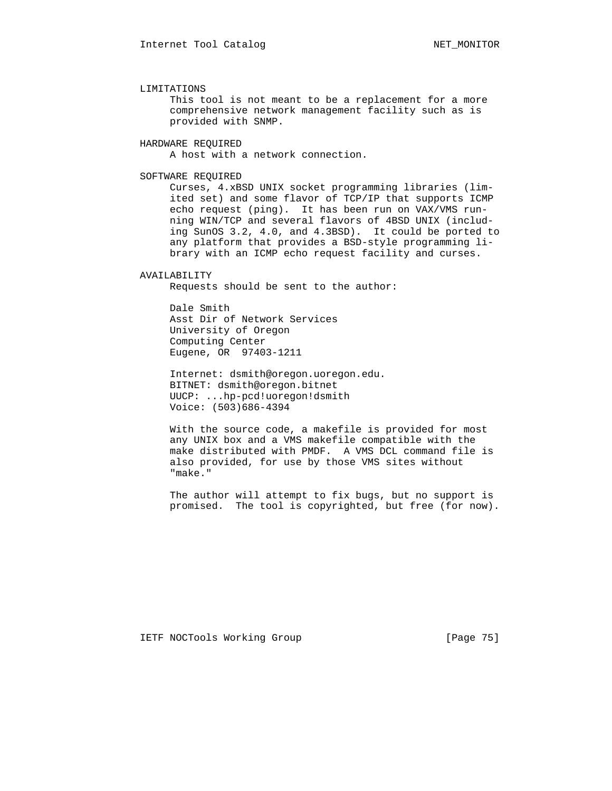### LIMITATIONS

 This tool is not meant to be a replacement for a more comprehensive network management facility such as is provided with SNMP.

## HARDWARE REQUIRED

A host with a network connection.

# SOFTWARE REQUIRED

 Curses, 4.xBSD UNIX socket programming libraries (lim ited set) and some flavor of TCP/IP that supports ICMP echo request (ping). It has been run on VAX/VMS run ning WIN/TCP and several flavors of 4BSD UNIX (includ ing SunOS 3.2, 4.0, and 4.3BSD). It could be ported to any platform that provides a BSD-style programming li brary with an ICMP echo request facility and curses.

### AVAILABILITY

Requests should be sent to the author:

 Dale Smith Asst Dir of Network Services University of Oregon Computing Center Eugene, OR 97403-1211

 Internet: dsmith@oregon.uoregon.edu. BITNET: dsmith@oregon.bitnet UUCP: ...hp-pcd!uoregon!dsmith Voice: (503)686-4394

 With the source code, a makefile is provided for most any UNIX box and a VMS makefile compatible with the make distributed with PMDF. A VMS DCL command file is also provided, for use by those VMS sites without "make."

 The author will attempt to fix bugs, but no support is promised. The tool is copyrighted, but free (for now).

IETF NOCTools Working Group [Page 75]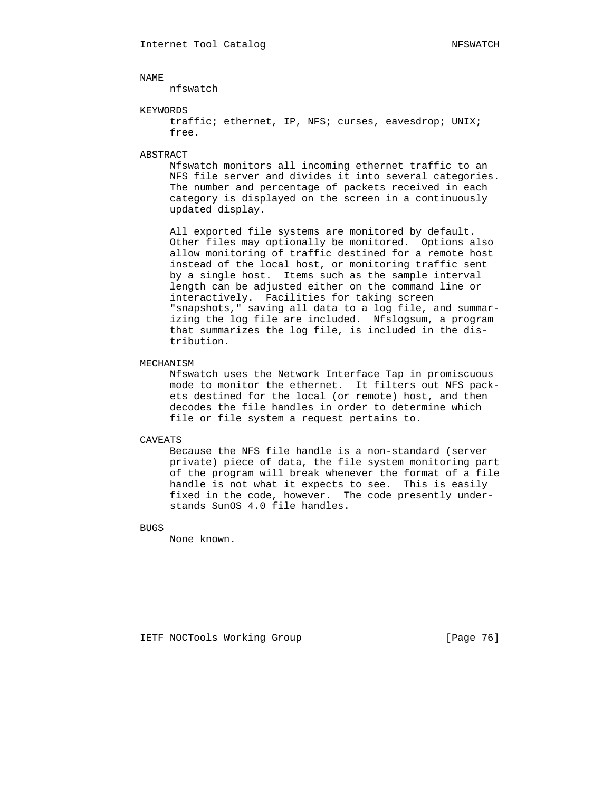nfswatch

## KEYWORDS

 traffic; ethernet, IP, NFS; curses, eavesdrop; UNIX; free.

## ABSTRACT

 Nfswatch monitors all incoming ethernet traffic to an NFS file server and divides it into several categories. The number and percentage of packets received in each category is displayed on the screen in a continuously updated display.

 All exported file systems are monitored by default. Other files may optionally be monitored. Options also allow monitoring of traffic destined for a remote host instead of the local host, or monitoring traffic sent by a single host. Items such as the sample interval length can be adjusted either on the command line or interactively. Facilities for taking screen "snapshots," saving all data to a log file, and summar izing the log file are included. Nfslogsum, a program that summarizes the log file, is included in the dis tribution.

# MECHANISM

 Nfswatch uses the Network Interface Tap in promiscuous mode to monitor the ethernet. It filters out NFS pack ets destined for the local (or remote) host, and then decodes the file handles in order to determine which file or file system a request pertains to.

# CAVEATS

 Because the NFS file handle is a non-standard (server private) piece of data, the file system monitoring part of the program will break whenever the format of a file handle is not what it expects to see. This is easily fixed in the code, however. The code presently under stands SunOS 4.0 file handles.

BUGS

None known.

IETF NOCTools Working Group [Page 76]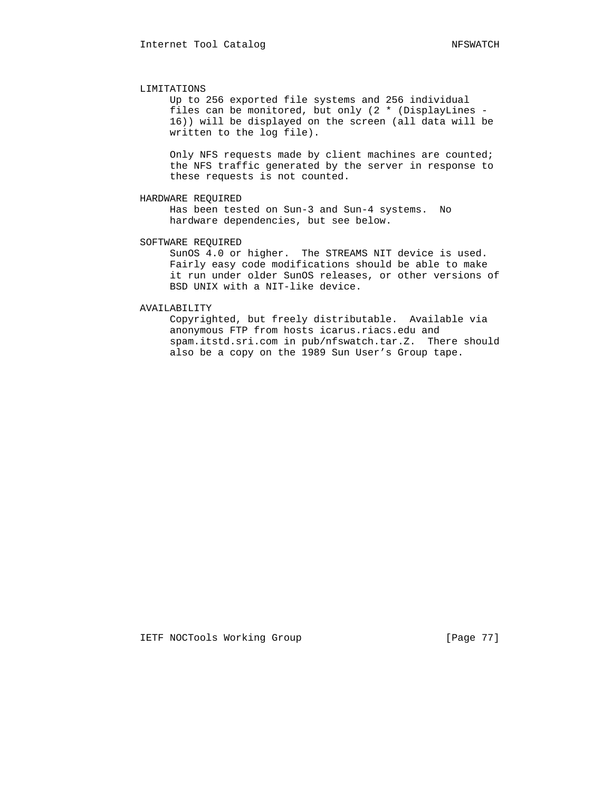### LIMITATIONS

 Up to 256 exported file systems and 256 individual files can be monitored, but only (2 \* (DisplayLines - 16)) will be displayed on the screen (all data will be written to the log file).

 Only NFS requests made by client machines are counted; the NFS traffic generated by the server in response to these requests is not counted.

# HARDWARE REQUIRED

 Has been tested on Sun-3 and Sun-4 systems. No hardware dependencies, but see below.

# SOFTWARE REQUIRED

 SunOS 4.0 or higher. The STREAMS NIT device is used. Fairly easy code modifications should be able to make it run under older SunOS releases, or other versions of BSD UNIX with a NIT-like device.

# AVAILABILITY

 Copyrighted, but freely distributable. Available via anonymous FTP from hosts icarus.riacs.edu and spam.itstd.sri.com in pub/nfswatch.tar.Z. There should also be a copy on the 1989 Sun User's Group tape.

IETF NOCTools Working Group [Page 77]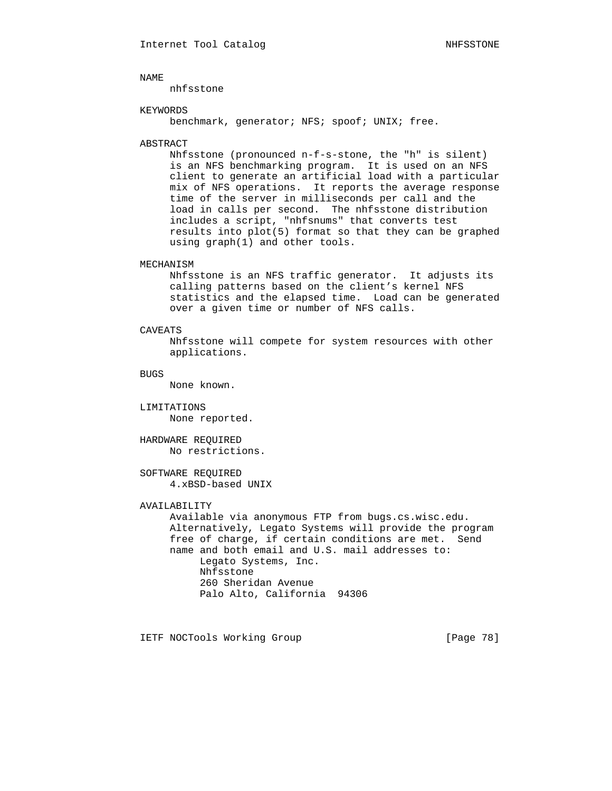nhfsstone

## KEYWORDS

benchmark, generator; NFS; spoof; UNIX; free.

# ABSTRACT

 Nhfsstone (pronounced n-f-s-stone, the "h" is silent) is an NFS benchmarking program. It is used on an NFS client to generate an artificial load with a particular mix of NFS operations. It reports the average response time of the server in milliseconds per call and the load in calls per second. The nhfsstone distribution includes a script, "nhfsnums" that converts test results into plot(5) format so that they can be graphed using graph(1) and other tools.

# MECHANISM

 Nhfsstone is an NFS traffic generator. It adjusts its calling patterns based on the client's kernel NFS statistics and the elapsed time. Load can be generated over a given time or number of NFS calls.

## CAVEATS

 Nhfsstone will compete for system resources with other applications.

### BUGS

None known.

# LIMITATIONS None reported.

 HARDWARE REQUIRED No restrictions.

# SOFTWARE REQUIRED 4.xBSD-based UNIX

# AVAILABILITY

 Available via anonymous FTP from bugs.cs.wisc.edu. Alternatively, Legato Systems will provide the program free of charge, if certain conditions are met. Send name and both email and U.S. mail addresses to: Legato Systems, Inc. Nhfsstone 260 Sheridan Avenue Palo Alto, California 94306

IETF NOCTools Working Group [Page 78]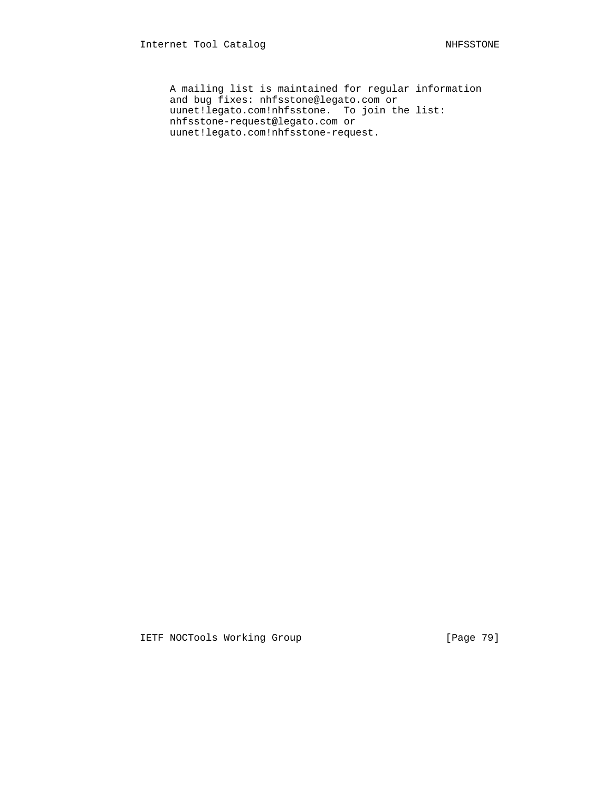A mailing list is maintained for regular information and bug fixes: nhfsstone@legato.com or uunet!legato.com!nhfsstone. To join the list: nhfsstone-request@legato.com or uunet!legato.com!nhfsstone-request.

IETF NOCTools Working Group [Page 79]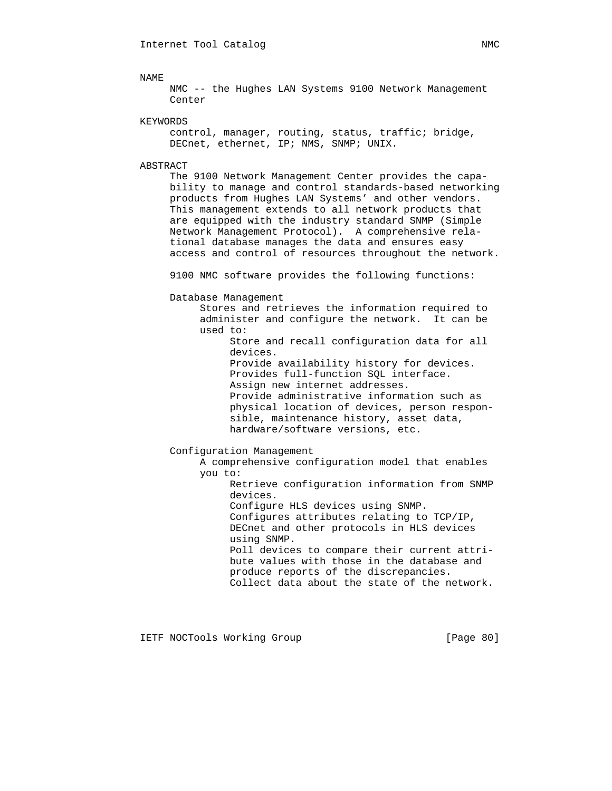NMC -- the Hughes LAN Systems 9100 Network Management Center

KEYWORDS

 control, manager, routing, status, traffic; bridge, DECnet, ethernet, IP; NMS, SNMP; UNIX.

ABSTRACT

 The 9100 Network Management Center provides the capa bility to manage and control standards-based networking products from Hughes LAN Systems' and other vendors. This management extends to all network products that are equipped with the industry standard SNMP (Simple Network Management Protocol). A comprehensive rela tional database manages the data and ensures easy access and control of resources throughout the network.

9100 NMC software provides the following functions:

Database Management

 Stores and retrieves the information required to administer and configure the network. It can be used to:

> Store and recall configuration data for all devices. Provide availability history for devices. Provides full-function SQL interface. Assign new internet addresses. Provide administrative information such as physical location of devices, person respon sible, maintenance history, asset data, hardware/software versions, etc.

Configuration Management

 A comprehensive configuration model that enables you to:

> Retrieve configuration information from SNMP devices. Configure HLS devices using SNMP.

 Configures attributes relating to TCP/IP, DECnet and other protocols in HLS devices using SNMP. Poll devices to compare their current attri-

 bute values with those in the database and produce reports of the discrepancies. Collect data about the state of the network.

IETF NOCTools Working Group [Page 80]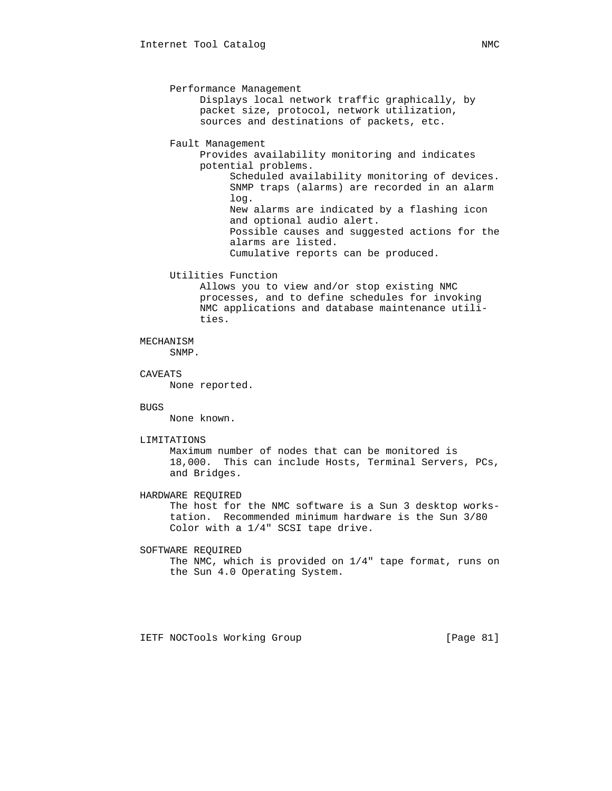Performance Management Displays local network traffic graphically, by packet size, protocol, network utilization, sources and destinations of packets, etc. Fault Management Provides availability monitoring and indicates potential problems. Scheduled availability monitoring of devices. SNMP traps (alarms) are recorded in an alarm log. New alarms are indicated by a flashing icon and optional audio alert. Possible causes and suggested actions for the alarms are listed. Cumulative reports can be produced. Utilities Function Allows you to view and/or stop existing NMC processes, and to define schedules for invoking NMC applications and database maintenance utili ties. MECHANISM SNMP. CAVEATS None reported. **BUGS**  None known. LIMITATIONS Maximum number of nodes that can be monitored is 18,000. This can include Hosts, Terminal Servers, PCs, and Bridges. HARDWARE REQUIRED The host for the NMC software is a Sun 3 desktop works tation. Recommended minimum hardware is the Sun 3/80 Color with a 1/4" SCSI tape drive. SOFTWARE REQUIRED The NMC, which is provided on 1/4" tape format, runs on the Sun 4.0 Operating System.

IETF NOCTools Working Group [Page 81]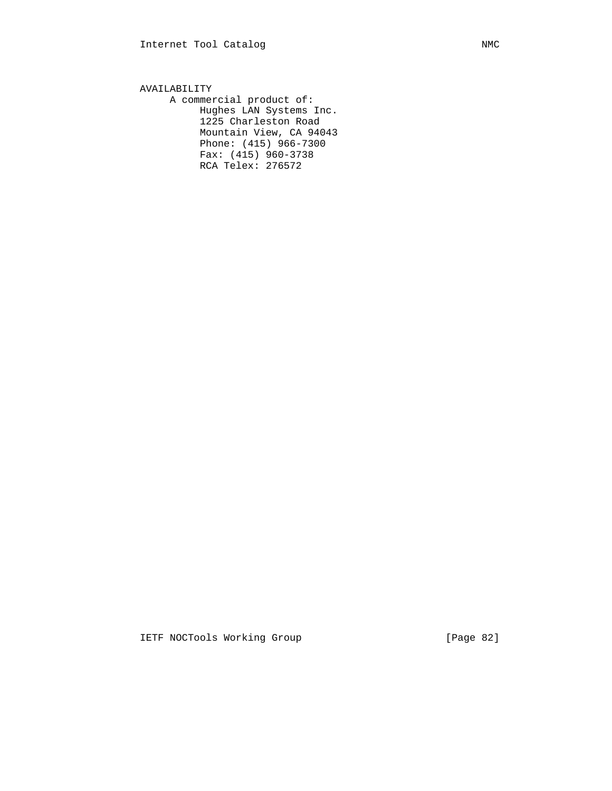AVAILABILITY A commercial product of: Hughes LAN Systems Inc. 1225 Charleston Road Mountain View, CA 94043 Phone: (415) 966-7300 Fax: (415) 960-3738 RCA Telex: 276572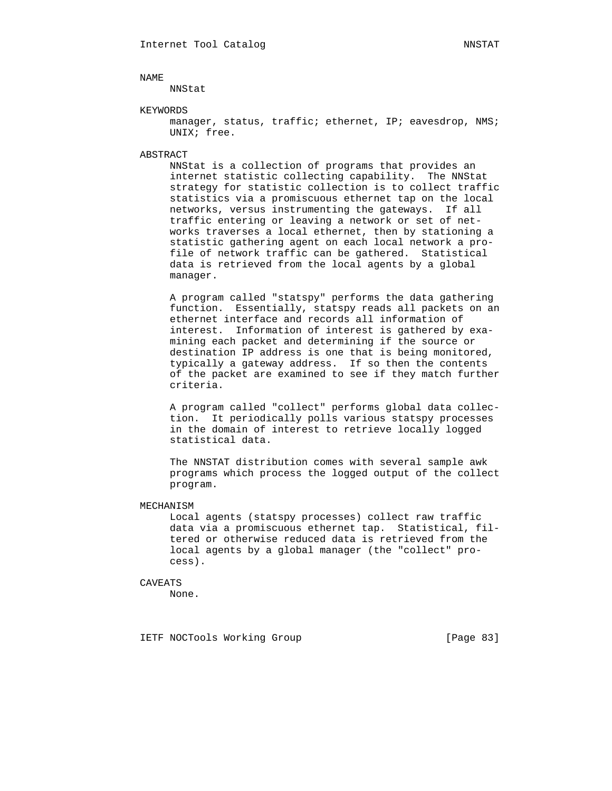NNStat

## KEYWORDS

manager, status, traffic; ethernet, IP; eavesdrop, NMS; UNIX; free.

### ABSTRACT

 NNStat is a collection of programs that provides an internet statistic collecting capability. The NNStat strategy for statistic collection is to collect traffic statistics via a promiscuous ethernet tap on the local networks, versus instrumenting the gateways. If all traffic entering or leaving a network or set of net works traverses a local ethernet, then by stationing a statistic gathering agent on each local network a pro file of network traffic can be gathered. Statistical data is retrieved from the local agents by a global manager.

 A program called "statspy" performs the data gathering function. Essentially, statspy reads all packets on an ethernet interface and records all information of interest. Information of interest is gathered by exa mining each packet and determining if the source or destination IP address is one that is being monitored, typically a gateway address. If so then the contents of the packet are examined to see if they match further criteria.

 A program called "collect" performs global data collec tion. It periodically polls various statspy processes in the domain of interest to retrieve locally logged statistical data.

 The NNSTAT distribution comes with several sample awk programs which process the logged output of the collect program.

### MECHANISM

 Local agents (statspy processes) collect raw traffic data via a promiscuous ethernet tap. Statistical, fil tered or otherwise reduced data is retrieved from the local agents by a global manager (the "collect" pro cess).

### CAVEATS

None.

IETF NOCTools Working Group [Page 83]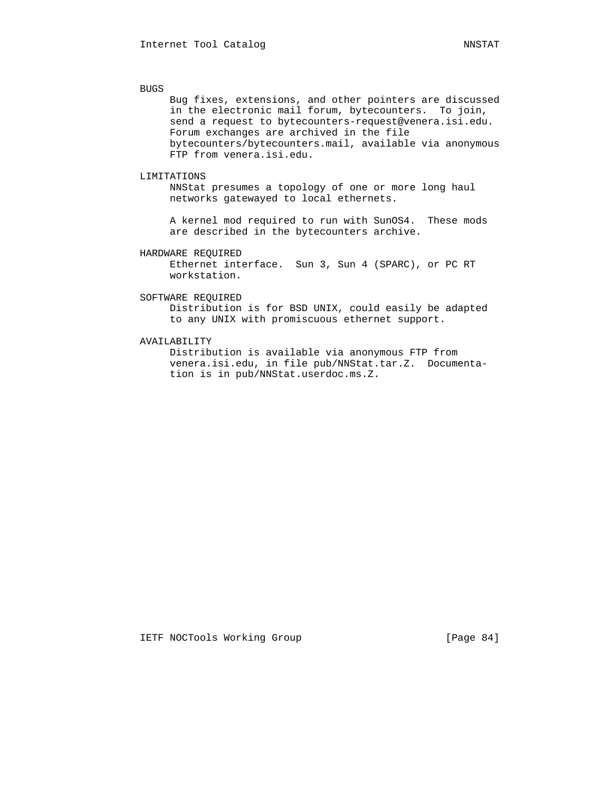BUGS

 Bug fixes, extensions, and other pointers are discussed in the electronic mail forum, bytecounters. To join, send a request to bytecounters-request@venera.isi.edu. Forum exchanges are archived in the file bytecounters/bytecounters.mail, available via anonymous FTP from venera.isi.edu.

# LIMITATIONS

 NNStat presumes a topology of one or more long haul networks gatewayed to local ethernets.

 A kernel mod required to run with SunOS4. These mods are described in the bytecounters archive.

## HARDWARE REQUIRED

 Ethernet interface. Sun 3, Sun 4 (SPARC), or PC RT workstation.

# SOFTWARE REQUIRED

 Distribution is for BSD UNIX, could easily be adapted to any UNIX with promiscuous ethernet support.

# AVAILABILITY

 Distribution is available via anonymous FTP from venera.isi.edu, in file pub/NNStat.tar.Z. Documenta tion is in pub/NNStat.userdoc.ms.Z.

IETF NOCTools Working Group [Page 84]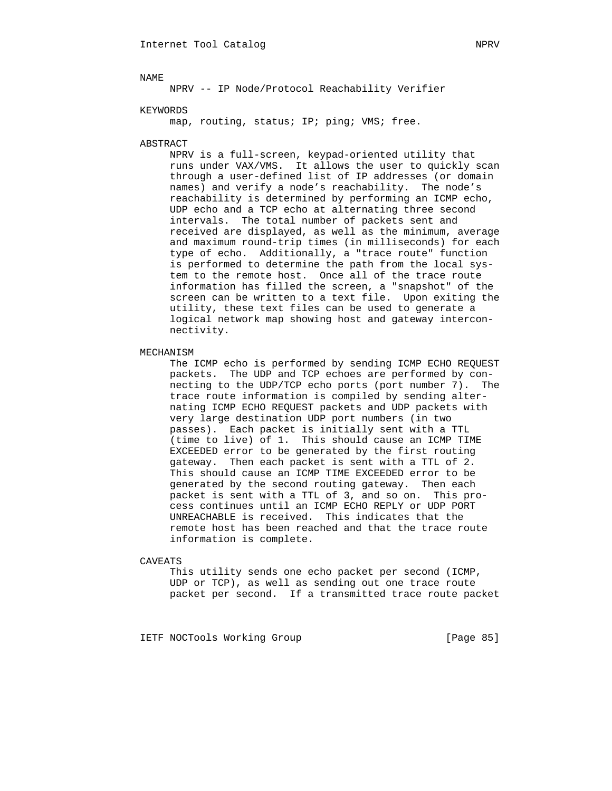KEYWORDS

map, routing, status; IP; ping; VMS; free.

### ABSTRACT

 NPRV is a full-screen, keypad-oriented utility that runs under VAX/VMS. It allows the user to quickly scan through a user-defined list of IP addresses (or domain names) and verify a node's reachability. The node's reachability is determined by performing an ICMP echo, UDP echo and a TCP echo at alternating three second intervals. The total number of packets sent and received are displayed, as well as the minimum, average and maximum round-trip times (in milliseconds) for each type of echo. Additionally, a "trace route" function is performed to determine the path from the local sys tem to the remote host. Once all of the trace route information has filled the screen, a "snapshot" of the screen can be written to a text file. Upon exiting the utility, these text files can be used to generate a logical network map showing host and gateway intercon nectivity.

# MECHANISM

 The ICMP echo is performed by sending ICMP ECHO REQUEST packets. The UDP and TCP echoes are performed by con necting to the UDP/TCP echo ports (port number 7). The trace route information is compiled by sending alter nating ICMP ECHO REQUEST packets and UDP packets with very large destination UDP port numbers (in two passes). Each packet is initially sent with a TTL (time to live) of 1. This should cause an ICMP TIME EXCEEDED error to be generated by the first routing gateway. Then each packet is sent with a TTL of 2. This should cause an ICMP TIME EXCEEDED error to be generated by the second routing gateway. Then each packet is sent with a TTL of 3, and so on. This pro cess continues until an ICMP ECHO REPLY or UDP PORT UNREACHABLE is received. This indicates that the remote host has been reached and that the trace route information is complete.

### CAVEATS

 This utility sends one echo packet per second (ICMP, UDP or TCP), as well as sending out one trace route packet per second. If a transmitted trace route packet

IETF NOCTools Working Group [Page 85]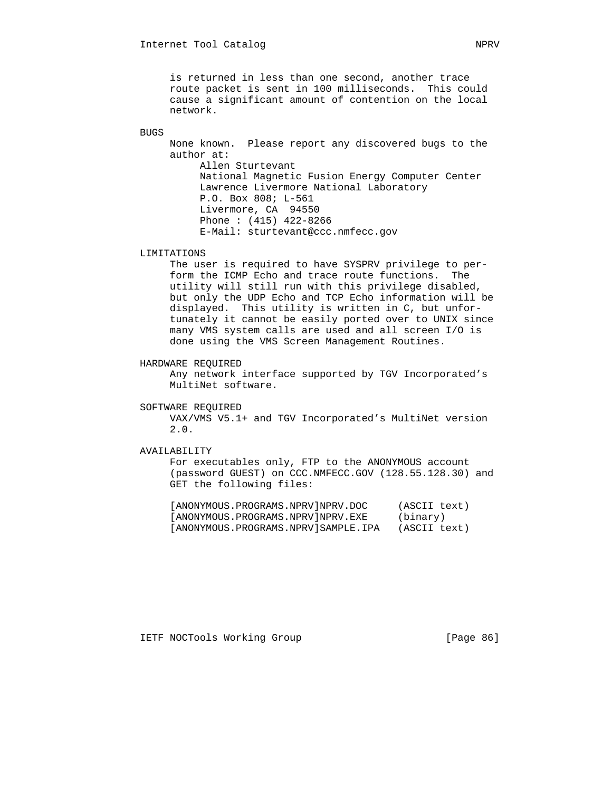is returned in less than one second, another trace route packet is sent in 100 milliseconds. This could cause a significant amount of contention on the local network.

BUGS

 None known. Please report any discovered bugs to the author at: Allen Sturtevant National Magnetic Fusion Energy Computer Center Lawrence Livermore National Laboratory P.O. Box 808; L-561 Livermore, CA 94550 Phone : (415) 422-8266 E-Mail: sturtevant@ccc.nmfecc.gov

# LIMITATIONS

 The user is required to have SYSPRV privilege to per form the ICMP Echo and trace route functions. The utility will still run with this privilege disabled, but only the UDP Echo and TCP Echo information will be displayed. This utility is written in C, but unfor tunately it cannot be easily ported over to UNIX since many VMS system calls are used and all screen I/O is done using the VMS Screen Management Routines.

# HARDWARE REQUIRED

 Any network interface supported by TGV Incorporated's MultiNet software.

## SOFTWARE REQUIRED

 VAX/VMS V5.1+ and TGV Incorporated's MultiNet version 2.0.

# AVAILABILITY

 For executables only, FTP to the ANONYMOUS account (password GUEST) on CCC.NMFECC.GOV (128.55.128.30) and GET the following files:

| [ANONYMOUS.PROGRAMS.NPRV]NPRV.DOC   | (ASCII text) |
|-------------------------------------|--------------|
| [ANONYMOUS.PROGRAMS.NPRV]NPRV.EXE   | (binary)     |
| [ANONYMOUS.PROGRAMS.NPRV]SAMPLE.IPA | (ASCII text) |

IETF NOCTools Working Group [Page 86]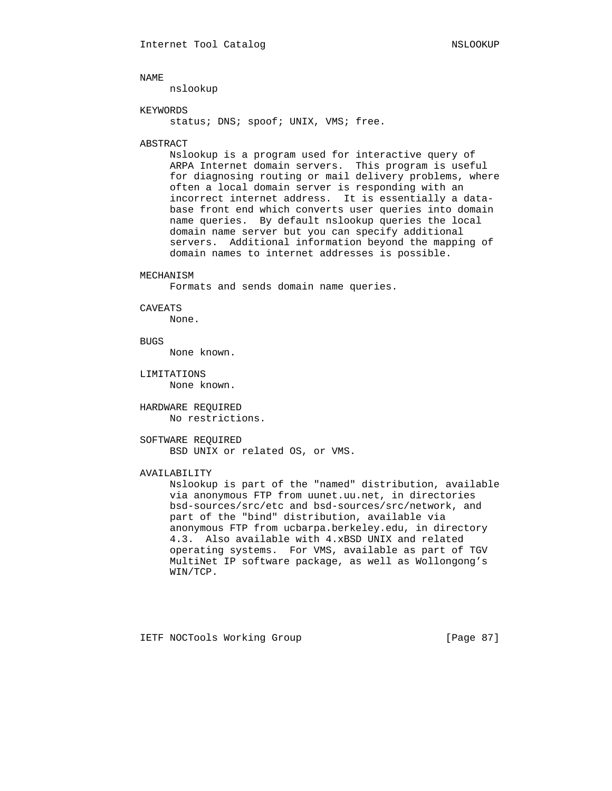nslookup

## KEYWORDS

status; DNS; spoof; UNIX, VMS; free.

### ABSTRACT

 Nslookup is a program used for interactive query of ARPA Internet domain servers. This program is useful for diagnosing routing or mail delivery problems, where often a local domain server is responding with an incorrect internet address. It is essentially a data base front end which converts user queries into domain name queries. By default nslookup queries the local domain name server but you can specify additional servers. Additional information beyond the mapping of domain names to internet addresses is possible.

### MECHANISM

Formats and sends domain name queries.

### CAVEATS

None.

**BUGS** 

None known.

 LIMITATIONS None known.

 HARDWARE REQUIRED No restrictions.

 SOFTWARE REQUIRED BSD UNIX or related OS, or VMS.

# AVAILABILITY

 Nslookup is part of the "named" distribution, available via anonymous FTP from uunet.uu.net, in directories bsd-sources/src/etc and bsd-sources/src/network, and part of the "bind" distribution, available via anonymous FTP from ucbarpa.berkeley.edu, in directory 4.3. Also available with 4.xBSD UNIX and related operating systems. For VMS, available as part of TGV MultiNet IP software package, as well as Wollongong's WIN/TCP.

IETF NOCTools Working Group [Page 87]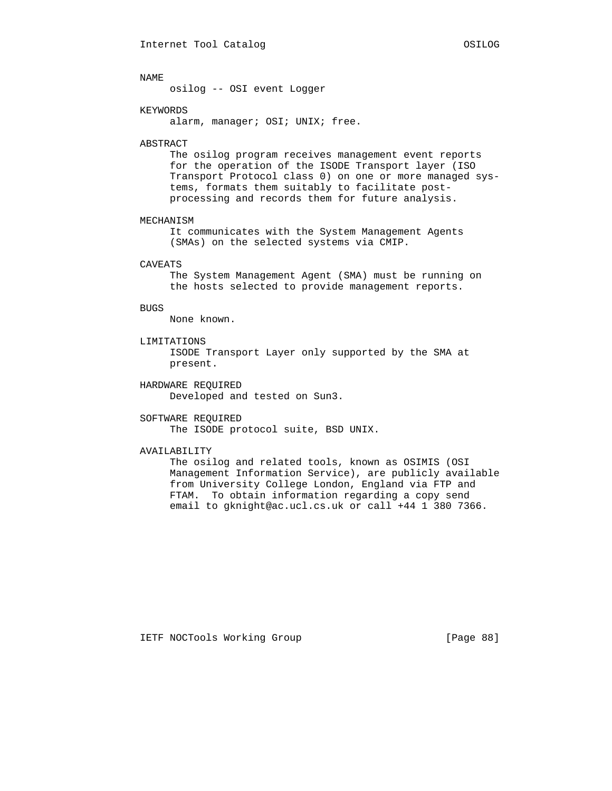osilog -- OSI event Logger

# KEYWORDS

alarm, manager; OSI; UNIX; free.

## ABSTRACT

 The osilog program receives management event reports for the operation of the ISODE Transport layer (ISO Transport Protocol class 0) on one or more managed sys tems, formats them suitably to facilitate post processing and records them for future analysis.

## MECHANISM

 It communicates with the System Management Agents (SMAs) on the selected systems via CMIP.

## CAVEATS

 The System Management Agent (SMA) must be running on the hosts selected to provide management reports.

## BUGS

None known.

# LIMITATIONS

 ISODE Transport Layer only supported by the SMA at present.

# HARDWARE REQUIRED

Developed and tested on Sun3.

## SOFTWARE REQUIRED

The ISODE protocol suite, BSD UNIX.

### AVAILABILITY

 The osilog and related tools, known as OSIMIS (OSI Management Information Service), are publicly available from University College London, England via FTP and FTAM. To obtain information regarding a copy send email to gknight@ac.ucl.cs.uk or call +44 1 380 7366.

IETF NOCTools Working Group [Page 88]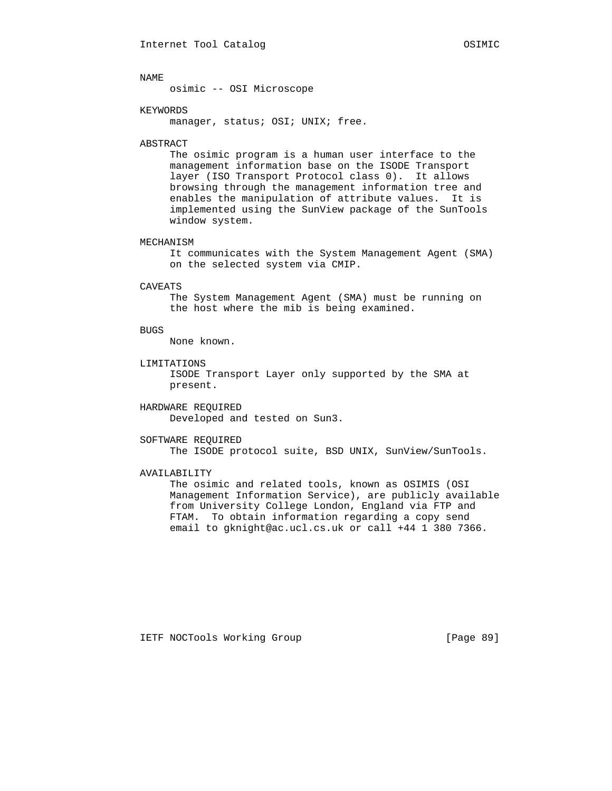osimic -- OSI Microscope

# KEYWORDS

manager, status; OSI; UNIX; free.

## ABSTRACT

 The osimic program is a human user interface to the management information base on the ISODE Transport layer (ISO Transport Protocol class 0). It allows browsing through the management information tree and enables the manipulation of attribute values. It is implemented using the SunView package of the SunTools window system.

# MECHANISM

 It communicates with the System Management Agent (SMA) on the selected system via CMIP.

### CAVEATS

 The System Management Agent (SMA) must be running on the host where the mib is being examined.

## BUGS

None known.

# LIMITATIONS

 ISODE Transport Layer only supported by the SMA at present.

# HARDWARE REQUIRED Developed and tested on Sun3.

# SOFTWARE REQUIRED

The ISODE protocol suite, BSD UNIX, SunView/SunTools.

# AVAILABILITY

 The osimic and related tools, known as OSIMIS (OSI Management Information Service), are publicly available from University College London, England via FTP and FTAM. To obtain information regarding a copy send email to gknight@ac.ucl.cs.uk or call +44 1 380 7366.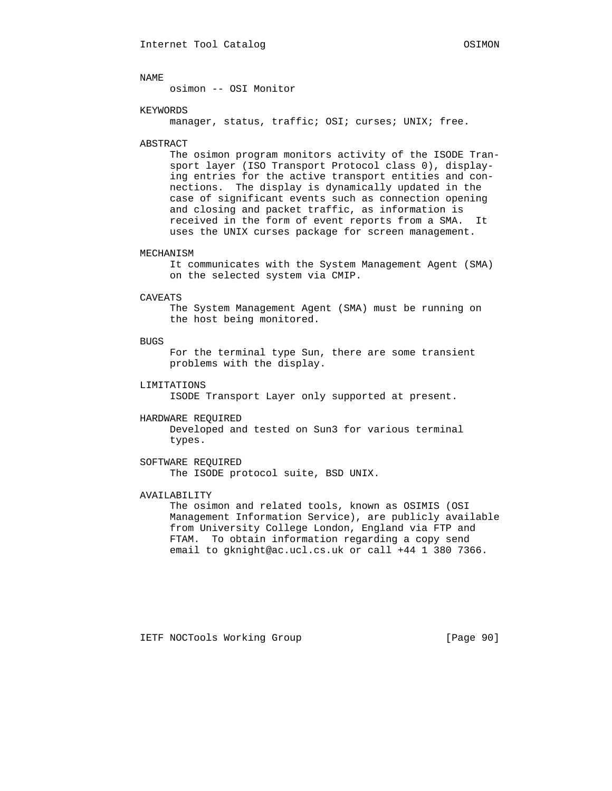osimon -- OSI Monitor

## KEYWORDS

manager, status, traffic; OSI; curses; UNIX; free.

## ABSTRACT

 The osimon program monitors activity of the ISODE Tran sport layer (ISO Transport Protocol class 0), display ing entries for the active transport entities and con nections. The display is dynamically updated in the case of significant events such as connection opening and closing and packet traffic, as information is received in the form of event reports from a SMA. It uses the UNIX curses package for screen management.

## MECHANISM

 It communicates with the System Management Agent (SMA) on the selected system via CMIP.

#### CAVEATS

 The System Management Agent (SMA) must be running on the host being monitored.

# **BUGS**

 For the terminal type Sun, there are some transient problems with the display.

### LIMITATIONS

ISODE Transport Layer only supported at present.

#### HARDWARE REQUIRED

 Developed and tested on Sun3 for various terminal types.

# SOFTWARE REQUIRED The ISODE protocol suite, BSD UNIX.

# AVAILABILITY

 The osimon and related tools, known as OSIMIS (OSI Management Information Service), are publicly available from University College London, England via FTP and FTAM. To obtain information regarding a copy send email to gknight@ac.ucl.cs.uk or call +44 1 380 7366.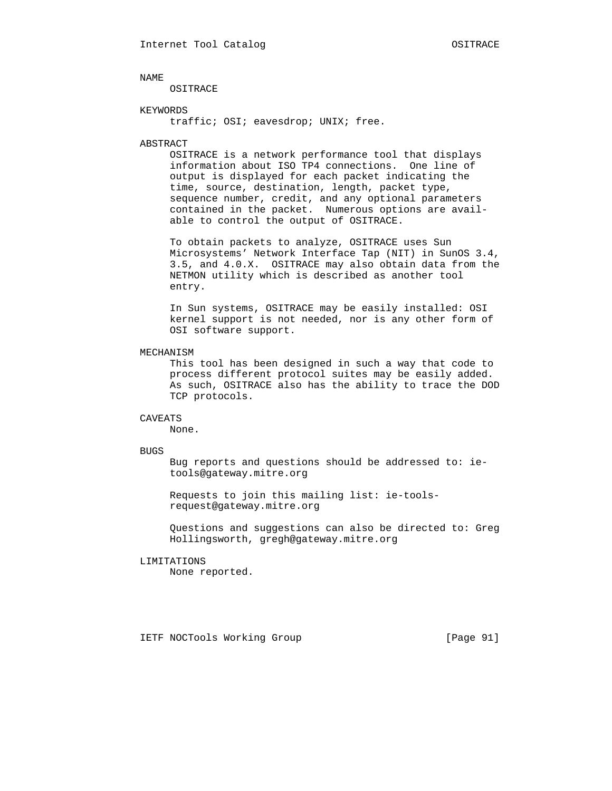OSITRACE

# KEYWORDS

traffic; OSI; eavesdrop; UNIX; free.

### ABSTRACT

 OSITRACE is a network performance tool that displays information about ISO TP4 connections. One line of output is displayed for each packet indicating the time, source, destination, length, packet type, sequence number, credit, and any optional parameters contained in the packet. Numerous options are avail able to control the output of OSITRACE.

 To obtain packets to analyze, OSITRACE uses Sun Microsystems' Network Interface Tap (NIT) in SunOS 3.4, 3.5, and 4.0.X. OSITRACE may also obtain data from the NETMON utility which is described as another tool entry.

 In Sun systems, OSITRACE may be easily installed: OSI kernel support is not needed, nor is any other form of OSI software support.

## MECHANISM

 This tool has been designed in such a way that code to process different protocol suites may be easily added. As such, OSITRACE also has the ability to trace the DOD TCP protocols.

### CAVEATS

None.

### BUGS

 Bug reports and questions should be addressed to: ie tools@gateway.mitre.org

 Requests to join this mailing list: ie-tools request@gateway.mitre.org

 Questions and suggestions can also be directed to: Greg Hollingsworth, gregh@gateway.mitre.org

### LIMITATIONS

None reported.

IETF NOCTools Working Group [Page 91]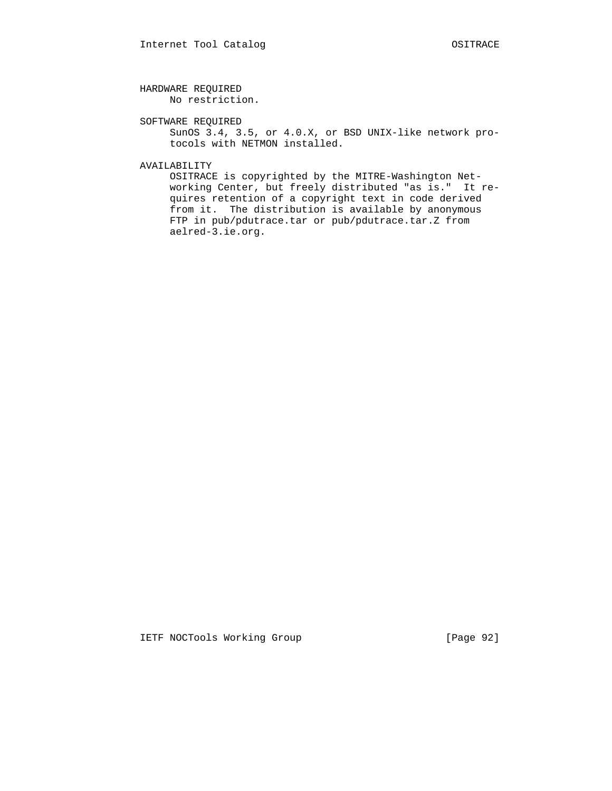HARDWARE REQUIRED No restriction.

 SOFTWARE REQUIRED SunOS 3.4, 3.5, or 4.0.X, or BSD UNIX-like network pro tocols with NETMON installed.

AVAILABILITY

 OSITRACE is copyrighted by the MITRE-Washington Net working Center, but freely distributed "as is." It re quires retention of a copyright text in code derived from it. The distribution is available by anonymous FTP in pub/pdutrace.tar or pub/pdutrace.tar.Z from aelred-3.ie.org.

IETF NOCTools Working Group [Page 92]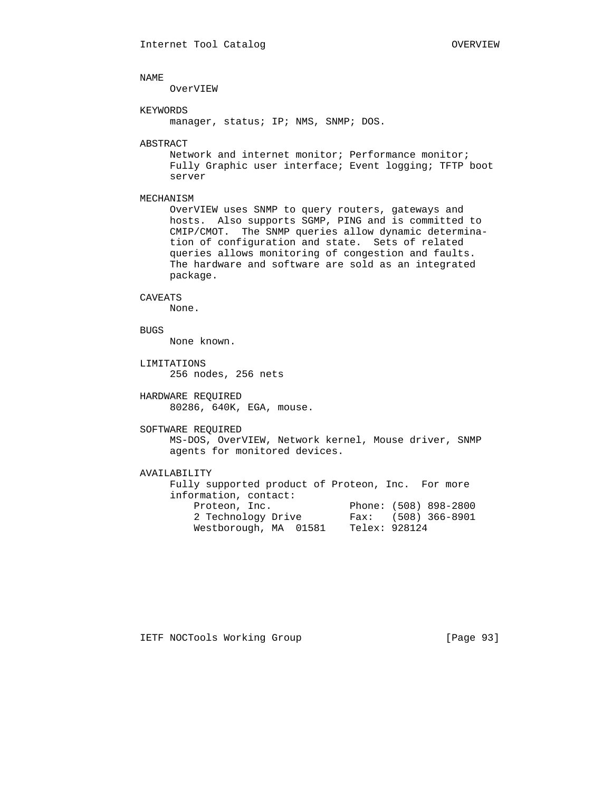OverVIEW

## KEYWORDS

manager, status; IP; NMS, SNMP; DOS.

### ABSTRACT

 Network and internet monitor; Performance monitor; Fully Graphic user interface; Event logging; TFTP boot server

# MECHANISM

 OverVIEW uses SNMP to query routers, gateways and hosts. Also supports SGMP, PING and is committed to CMIP/CMOT. The SNMP queries allow dynamic determina tion of configuration and state. Sets of related queries allows monitoring of congestion and faults. The hardware and software are sold as an integrated package.

### CAVEATS

None.

# BUGS

None known.

- LIMITATIONS 256 nodes, 256 nets
- HARDWARE REQUIRED 80286, 640K, EGA, mouse.

## SOFTWARE REQUIRED

 MS-DOS, OverVIEW, Network kernel, Mouse driver, SNMP agents for monitored devices.

# AVAILABILITY

 Fully supported product of Proteon, Inc. For more information, contact: Proteon, Inc. Phone: (508) 898-2800 2 Technology Drive Fax: (508) 366-8901 Westborough, MA 01581 Telex: 928124

IETF NOCTools Working Group [Page 93]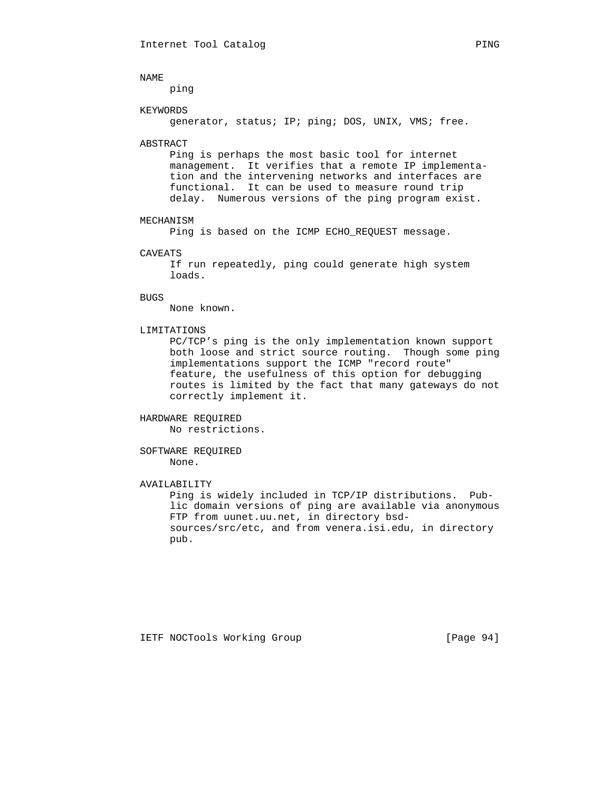ping

### KEYWORDS

generator, status; IP; ping; DOS, UNIX, VMS; free.

## ABSTRACT

 Ping is perhaps the most basic tool for internet management. It verifies that a remote IP implementa tion and the intervening networks and interfaces are functional. It can be used to measure round trip delay. Numerous versions of the ping program exist.

### MECHANISM

Ping is based on the ICMP ECHO\_REQUEST message.

### CAVEATS

 If run repeatedly, ping could generate high system loads.

# BUGS

None known.

## LIMITATIONS

 PC/TCP's ping is the only implementation known support both loose and strict source routing. Though some ping implementations support the ICMP "record route" feature, the usefulness of this option for debugging routes is limited by the fact that many gateways do not correctly implement it.

# HARDWARE REQUIRED No restrictions.

### SOFTWARE REQUIRED None.

### AVAILABILITY

 Ping is widely included in TCP/IP distributions. Pub lic domain versions of ping are available via anonymous FTP from uunet.uu.net, in directory bsd sources/src/etc, and from venera.isi.edu, in directory pub.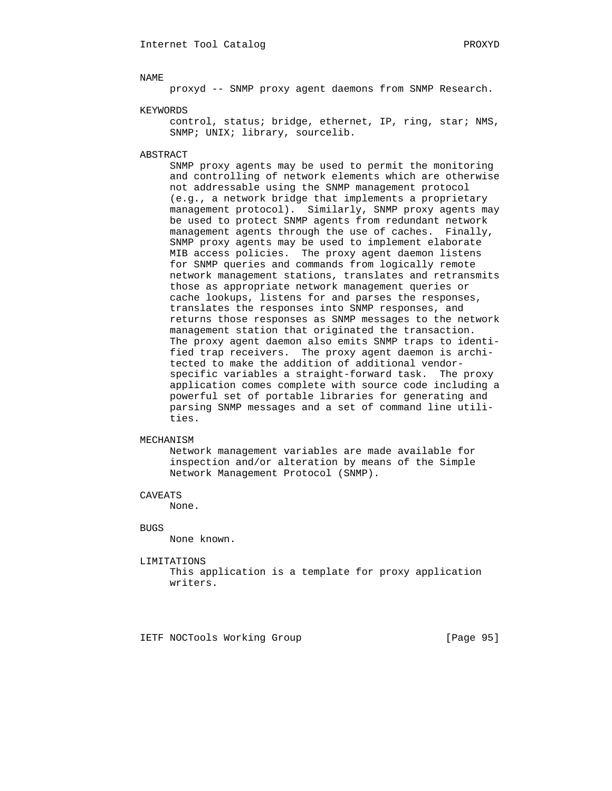proxyd -- SNMP proxy agent daemons from SNMP Research.

KEYWORDS

 control, status; bridge, ethernet, IP, ring, star; NMS, SNMP; UNIX; library, sourcelib.

ABSTRACT

 SNMP proxy agents may be used to permit the monitoring and controlling of network elements which are otherwise not addressable using the SNMP management protocol (e.g., a network bridge that implements a proprietary management protocol). Similarly, SNMP proxy agents may be used to protect SNMP agents from redundant network management agents through the use of caches. Finally, SNMP proxy agents may be used to implement elaborate MIB access policies. The proxy agent daemon listens for SNMP queries and commands from logically remote network management stations, translates and retransmits those as appropriate network management queries or cache lookups, listens for and parses the responses, translates the responses into SNMP responses, and returns those responses as SNMP messages to the network management station that originated the transaction. The proxy agent daemon also emits SNMP traps to identi fied trap receivers. The proxy agent daemon is archi tected to make the addition of additional vendor specific variables a straight-forward task. The proxy application comes complete with source code including a powerful set of portable libraries for generating and parsing SNMP messages and a set of command line utili ties.

## MECHANISM

 Network management variables are made available for inspection and/or alteration by means of the Simple Network Management Protocol (SNMP).

CAVEATS

None.

BUGS

None known.

LIMITATIONS

 This application is a template for proxy application writers.

IETF NOCTools Working Group [Page 95]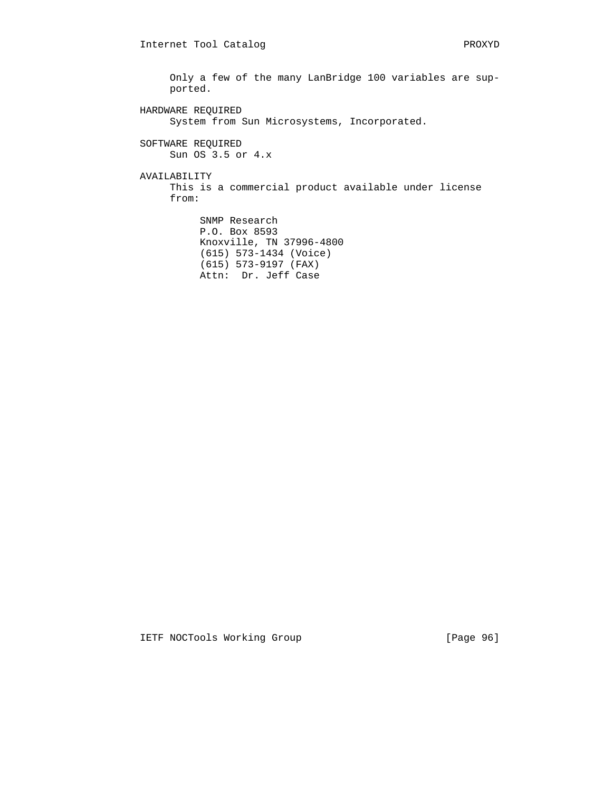Only a few of the many LanBridge 100 variables are sup ported. HARDWARE REQUIRED System from Sun Microsystems, Incorporated. SOFTWARE REQUIRED Sun OS 3.5 or 4.x AVAILABILITY This is a commercial product available under license from: SNMP Research P.O. Box 8593

 Knoxville, TN 37996-4800 (615) 573-1434 (Voice) (615) 573-9197 (FAX) Attn: Dr. Jeff Case

IETF NOCTools Working Group [Page 96]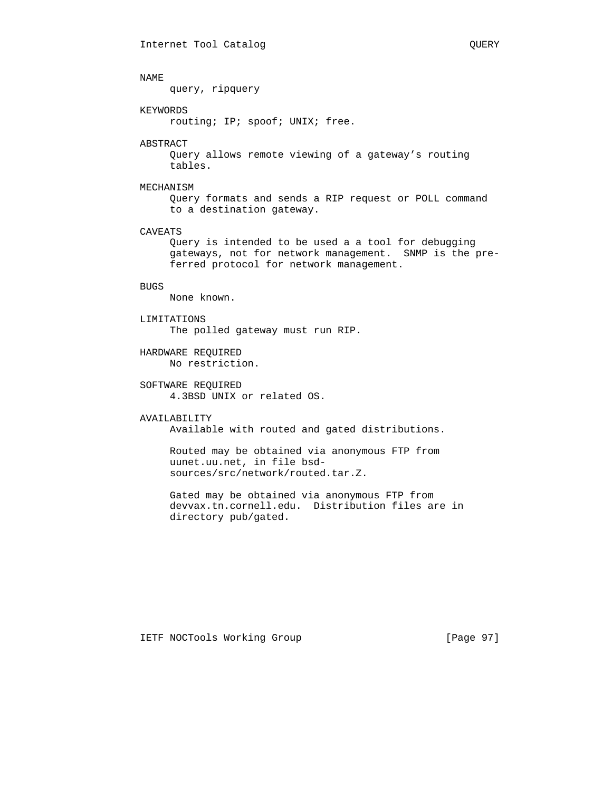query, ripquery

# KEYWORDS

routing; IP; spoof; UNIX; free.

### ABSTRACT

 Query allows remote viewing of a gateway's routing tables.

# MECHANISM

 Query formats and sends a RIP request or POLL command to a destination gateway.

# CAVEATS

 Query is intended to be used a a tool for debugging gateways, not for network management. SNMP is the pre ferred protocol for network management.

# BUGS

None known.

### LIMITATIONS

The polled gateway must run RIP.

# HARDWARE REQUIRED No restriction.

# SOFTWARE REQUIRED 4.3BSD UNIX or related OS.

### AVAILABILITY

Available with routed and gated distributions.

 Routed may be obtained via anonymous FTP from uunet.uu.net, in file bsd sources/src/network/routed.tar.Z.

 Gated may be obtained via anonymous FTP from devvax.tn.cornell.edu. Distribution files are in directory pub/gated.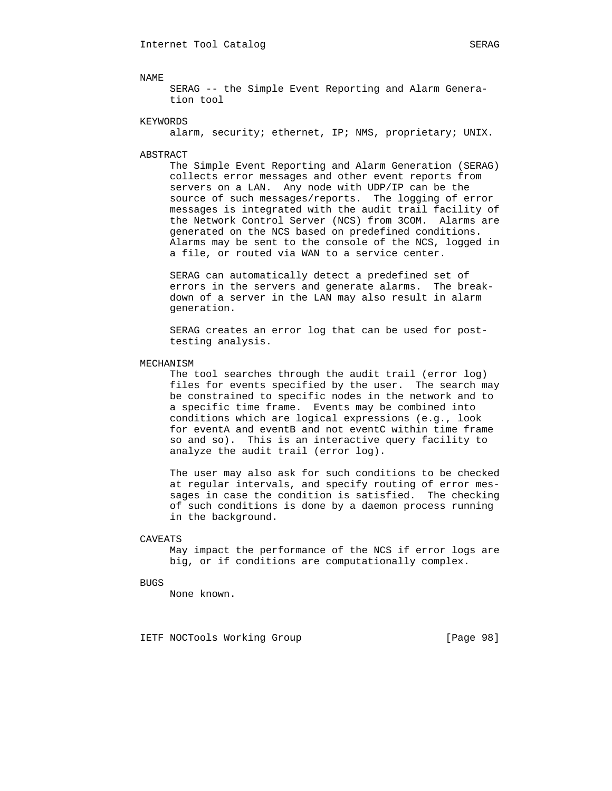SERAG -- the Simple Event Reporting and Alarm Genera tion tool

### KEYWORDS

alarm, security; ethernet, IP; NMS, proprietary; UNIX.

### ABSTRACT

 The Simple Event Reporting and Alarm Generation (SERAG) collects error messages and other event reports from servers on a LAN. Any node with UDP/IP can be the source of such messages/reports. The logging of error messages is integrated with the audit trail facility of the Network Control Server (NCS) from 3COM. Alarms are generated on the NCS based on predefined conditions. Alarms may be sent to the console of the NCS, logged in a file, or routed via WAN to a service center.

 SERAG can automatically detect a predefined set of errors in the servers and generate alarms. The break down of a server in the LAN may also result in alarm generation.

 SERAG creates an error log that can be used for post testing analysis.

### MECHANISM

 The tool searches through the audit trail (error log) files for events specified by the user. The search may be constrained to specific nodes in the network and to a specific time frame. Events may be combined into conditions which are logical expressions (e.g., look for eventA and eventB and not eventC within time frame so and so). This is an interactive query facility to analyze the audit trail (error log).

 The user may also ask for such conditions to be checked at regular intervals, and specify routing of error mes sages in case the condition is satisfied. The checking of such conditions is done by a daemon process running in the background.

# CAVEATS

 May impact the performance of the NCS if error logs are big, or if conditions are computationally complex.

BUGS

None known.

IETF NOCTools Working Group [Page 98]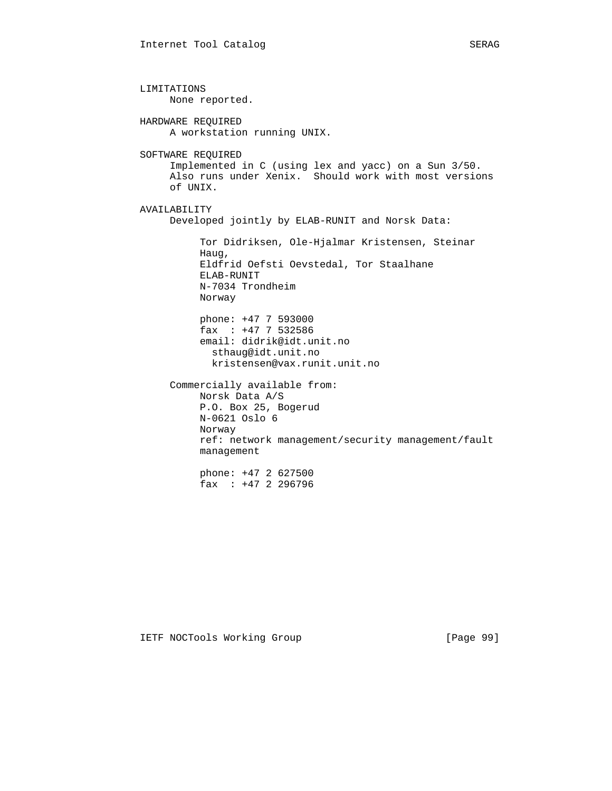LIMITATIONS None reported. HARDWARE REQUIRED A workstation running UNIX. SOFTWARE REQUIRED Implemented in C (using lex and yacc) on a Sun 3/50. Also runs under Xenix. Should work with most versions of UNIX. AVAILABILITY Developed jointly by ELAB-RUNIT and Norsk Data: Tor Didriksen, Ole-Hjalmar Kristensen, Steinar Haug, Eldfrid Oefsti Oevstedal, Tor Staalhane ELAB-RUNIT N-7034 Trondheim Norway phone: +47 7 593000 fax : +47 7 532586 email: didrik@idt.unit.no sthaug@idt.unit.no kristensen@vax.runit.unit.no Commercially available from: Norsk Data A/S P.O. Box 25, Bogerud N-0621 Oslo 6 Norway ref: network management/security management/fault management phone: +47 2 627500 fax : +47 2 296796

IETF NOCTools Working Group [Page 99]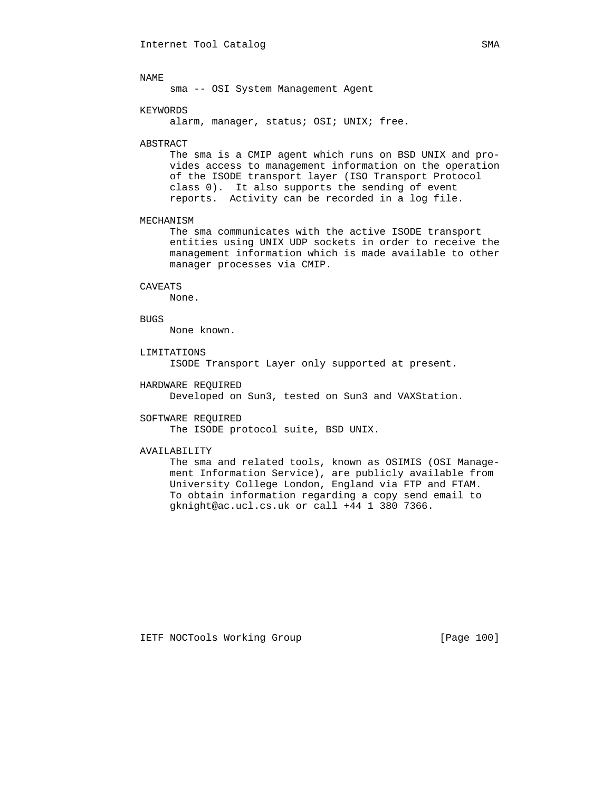sma -- OSI System Management Agent

### KEYWORDS

alarm, manager, status; OSI; UNIX; free.

### ABSTRACT

 The sma is a CMIP agent which runs on BSD UNIX and pro vides access to management information on the operation of the ISODE transport layer (ISO Transport Protocol class 0). It also supports the sending of event reports. Activity can be recorded in a log file.

## MECHANISM

 The sma communicates with the active ISODE transport entities using UNIX UDP sockets in order to receive the management information which is made available to other manager processes via CMIP.

### CAVEATS

None.

### BUGS

None known.

## LIMITATIONS

ISODE Transport Layer only supported at present.

### HARDWARE REQUIRED

Developed on Sun3, tested on Sun3 and VAXStation.

### SOFTWARE REQUIRED

The ISODE protocol suite, BSD UNIX.

### AVAILABILITY

 The sma and related tools, known as OSIMIS (OSI Manage ment Information Service), are publicly available from University College London, England via FTP and FTAM. To obtain information regarding a copy send email to gknight@ac.ucl.cs.uk or call +44 1 380 7366.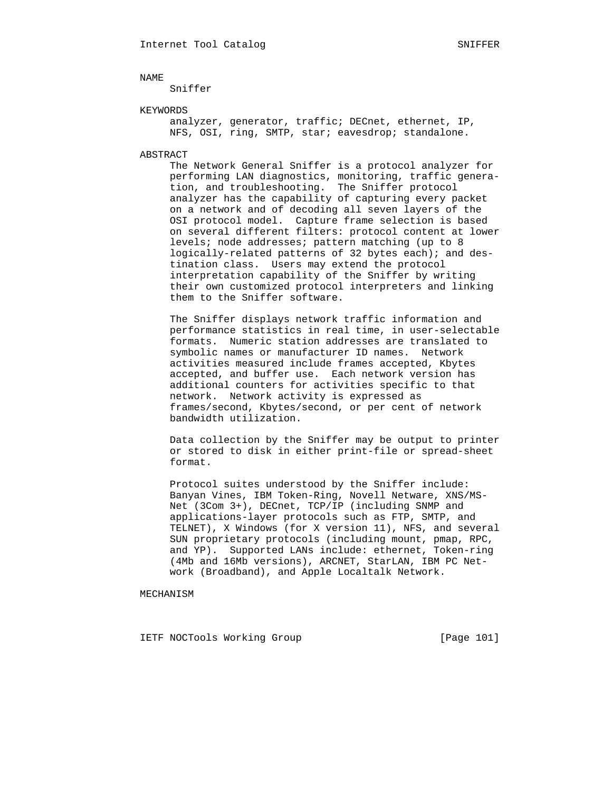Sniffer

# KEYWORDS

 analyzer, generator, traffic; DECnet, ethernet, IP, NFS, OSI, ring, SMTP, star; eavesdrop; standalone.

### ABSTRACT

 The Network General Sniffer is a protocol analyzer for performing LAN diagnostics, monitoring, traffic genera tion, and troubleshooting. The Sniffer protocol analyzer has the capability of capturing every packet on a network and of decoding all seven layers of the OSI protocol model. Capture frame selection is based on several different filters: protocol content at lower levels; node addresses; pattern matching (up to 8 logically-related patterns of 32 bytes each); and des tination class. Users may extend the protocol interpretation capability of the Sniffer by writing their own customized protocol interpreters and linking them to the Sniffer software.

 The Sniffer displays network traffic information and performance statistics in real time, in user-selectable formats. Numeric station addresses are translated to symbolic names or manufacturer ID names. Network activities measured include frames accepted, Kbytes accepted, and buffer use. Each network version has additional counters for activities specific to that network. Network activity is expressed as frames/second, Kbytes/second, or per cent of network bandwidth utilization.

 Data collection by the Sniffer may be output to printer or stored to disk in either print-file or spread-sheet format.

 Protocol suites understood by the Sniffer include: Banyan Vines, IBM Token-Ring, Novell Netware, XNS/MS- Net (3Com 3+), DECnet, TCP/IP (including SNMP and applications-layer protocols such as FTP, SMTP, and TELNET), X Windows (for X version 11), NFS, and several SUN proprietary protocols (including mount, pmap, RPC, and YP). Supported LANs include: ethernet, Token-ring (4Mb and 16Mb versions), ARCNET, StarLAN, IBM PC Net work (Broadband), and Apple Localtalk Network.

MECHANISM

IETF NOCTools Working Group [Page 101]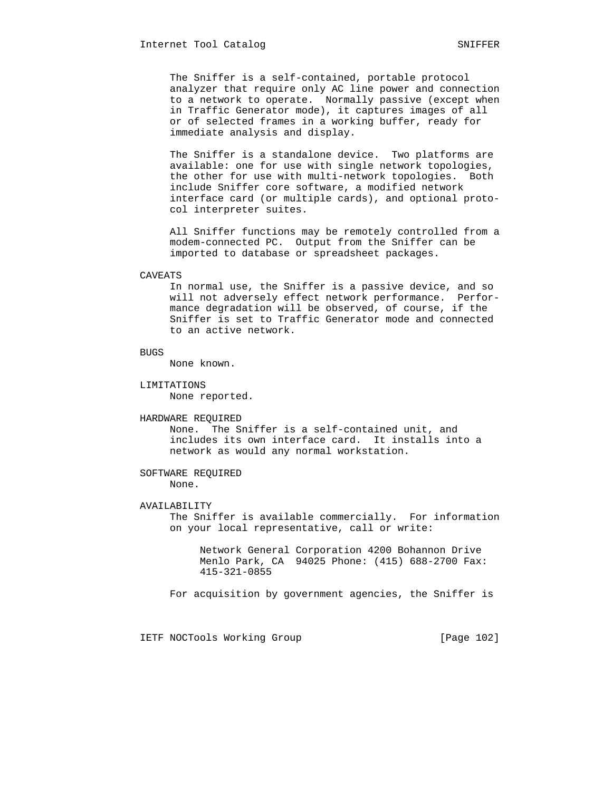The Sniffer is a self-contained, portable protocol analyzer that require only AC line power and connection to a network to operate. Normally passive (except when in Traffic Generator mode), it captures images of all or of selected frames in a working buffer, ready for immediate analysis and display.

 The Sniffer is a standalone device. Two platforms are available: one for use with single network topologies, the other for use with multi-network topologies. Both include Sniffer core software, a modified network interface card (or multiple cards), and optional proto col interpreter suites.

 All Sniffer functions may be remotely controlled from a modem-connected PC. Output from the Sniffer can be imported to database or spreadsheet packages.

### CAVEATS

 In normal use, the Sniffer is a passive device, and so will not adversely effect network performance. Perfor mance degradation will be observed, of course, if the Sniffer is set to Traffic Generator mode and connected to an active network.

```
 BUGS
```
None known.

### LIMITATIONS

None reported.

### HARDWARE REQUIRED

 None. The Sniffer is a self-contained unit, and includes its own interface card. It installs into a network as would any normal workstation.

# SOFTWARE REQUIRED None.

### AVAILABILITY

 The Sniffer is available commercially. For information on your local representative, call or write:

 Network General Corporation 4200 Bohannon Drive Menlo Park, CA 94025 Phone: (415) 688-2700 Fax: 415-321-0855

For acquisition by government agencies, the Sniffer is

IETF NOCTools Working Group [Page 102]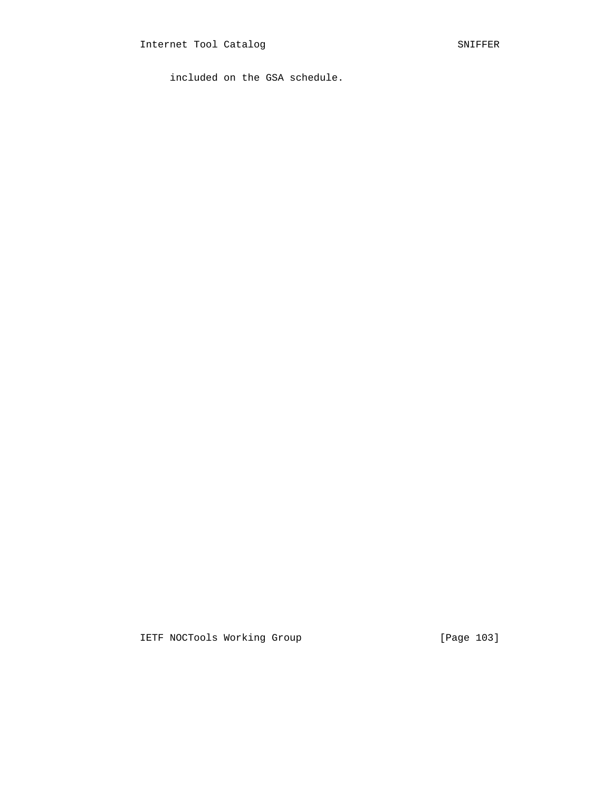included on the GSA schedule.

IETF NOCTools Working Group [Page 103]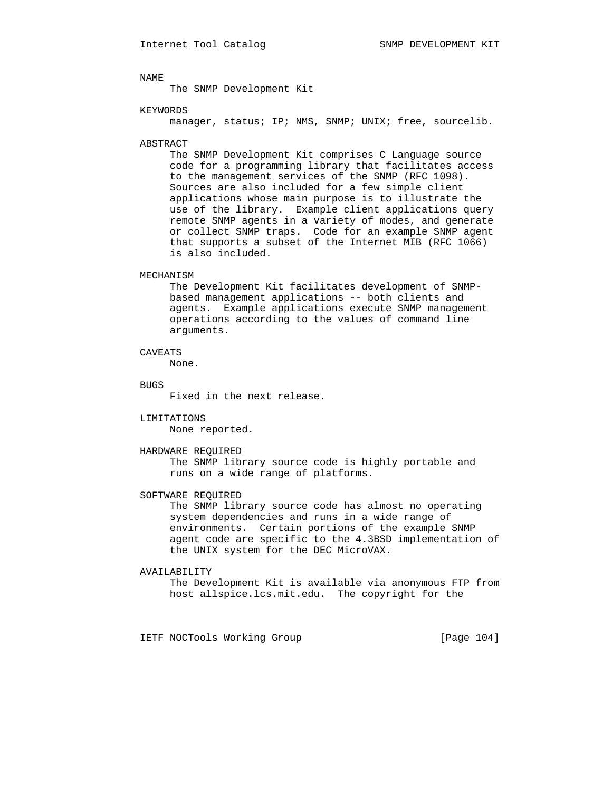The SNMP Development Kit

### KEYWORDS

manager, status; IP; NMS, SNMP; UNIX; free, sourcelib.

### ABSTRACT

 The SNMP Development Kit comprises C Language source code for a programming library that facilitates access to the management services of the SNMP (RFC 1098). Sources are also included for a few simple client applications whose main purpose is to illustrate the use of the library. Example client applications query remote SNMP agents in a variety of modes, and generate or collect SNMP traps. Code for an example SNMP agent that supports a subset of the Internet MIB (RFC 1066) is also included.

## MECHANISM

 The Development Kit facilitates development of SNMP based management applications -- both clients and agents. Example applications execute SNMP management operations according to the values of command line arguments.

## CAVEATS

None.

### BUGS

Fixed in the next release.

LIMITATIONS

None reported.

### HARDWARE REQUIRED

 The SNMP library source code is highly portable and runs on a wide range of platforms.

SOFTWARE REQUIRED

 The SNMP library source code has almost no operating system dependencies and runs in a wide range of environments. Certain portions of the example SNMP agent code are specific to the 4.3BSD implementation of the UNIX system for the DEC MicroVAX.

### AVAILABILITY

 The Development Kit is available via anonymous FTP from host allspice.lcs.mit.edu. The copyright for the

IETF NOCTools Working Group [Page 104]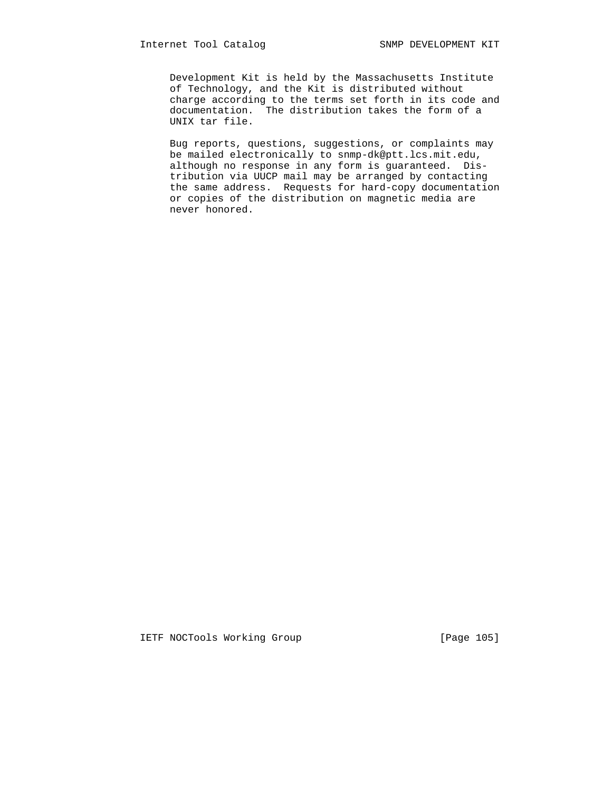Development Kit is held by the Massachusetts Institute of Technology, and the Kit is distributed without charge according to the terms set forth in its code and documentation. The distribution takes the form of a UNIX tar file.

 Bug reports, questions, suggestions, or complaints may be mailed electronically to snmp-dk@ptt.lcs.mit.edu, although no response in any form is guaranteed. Dis tribution via UUCP mail may be arranged by contacting the same address. Requests for hard-copy documentation or copies of the distribution on magnetic media are never honored.

IETF NOCTools Working Group [Page 105]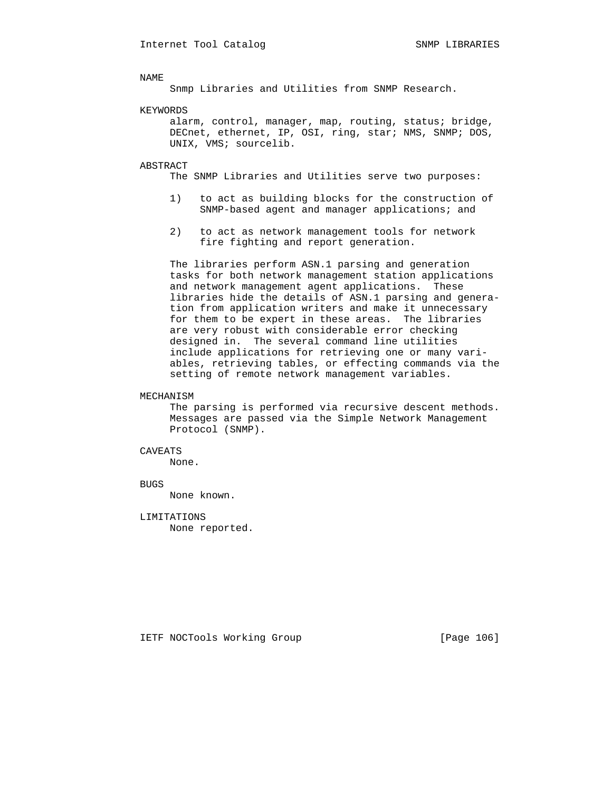Snmp Libraries and Utilities from SNMP Research.

### KEYWORDS

 alarm, control, manager, map, routing, status; bridge, DECnet, ethernet, IP, OSI, ring, star; NMS, SNMP; DOS, UNIX, VMS; sourcelib.

### ABSTRACT

The SNMP Libraries and Utilities serve two purposes:

- 1) to act as building blocks for the construction of SNMP-based agent and manager applications; and
- 2) to act as network management tools for network fire fighting and report generation.

 The libraries perform ASN.1 parsing and generation tasks for both network management station applications and network management agent applications. These libraries hide the details of ASN.1 parsing and genera tion from application writers and make it unnecessary for them to be expert in these areas. The libraries are very robust with considerable error checking designed in. The several command line utilities include applications for retrieving one or many vari ables, retrieving tables, or effecting commands via the setting of remote network management variables.

## MECHANISM

 The parsing is performed via recursive descent methods. Messages are passed via the Simple Network Management Protocol (SNMP).

# CAVEATS

None.

### BUGS

None known.

 LIMITATIONS None reported.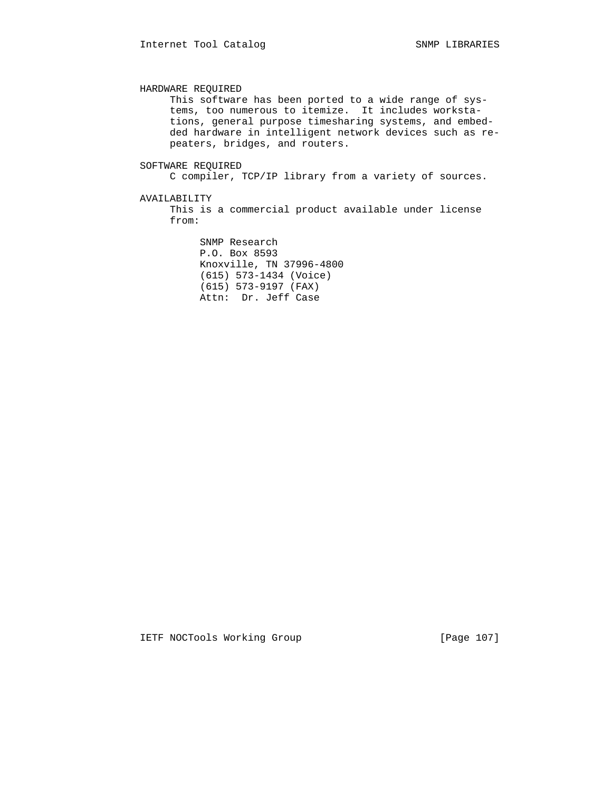HARDWARE REQUIRED This software has been ported to a wide range of sys tems, too numerous to itemize. It includes worksta tions, general purpose timesharing systems, and embed ded hardware in intelligent network devices such as re peaters, bridges, and routers. SOFTWARE REQUIRED C compiler, TCP/IP library from a variety of sources.

AVAILABILITY

 This is a commercial product available under license from:

 SNMP Research P.O. Box 8593 Knoxville, TN 37996-4800 (615) 573-1434 (Voice) (615) 573-9197 (FAX) Attn: Dr. Jeff Case

IETF NOCTools Working Group [Page 107]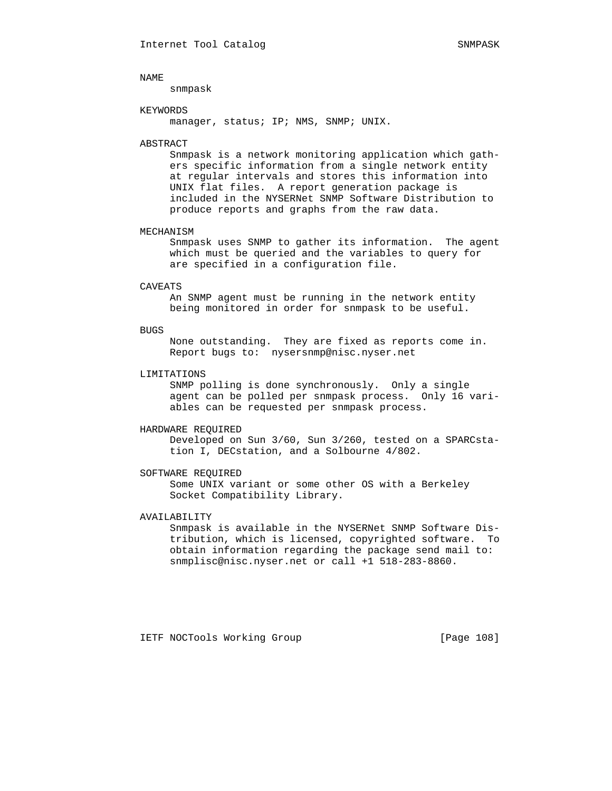snmpask

### KEYWORDS

manager, status; IP; NMS, SNMP; UNIX.

# ABSTRACT

 Snmpask is a network monitoring application which gath ers specific information from a single network entity at regular intervals and stores this information into UNIX flat files. A report generation package is included in the NYSERNet SNMP Software Distribution to produce reports and graphs from the raw data.

### MECHANISM

 Snmpask uses SNMP to gather its information. The agent which must be queried and the variables to query for are specified in a configuration file.

#### CAVEATS

 An SNMP agent must be running in the network entity being monitored in order for snmpask to be useful.

### BUGS

 None outstanding. They are fixed as reports come in. Report bugs to: nysersnmp@nisc.nyser.net

## LIMITATIONS

 SNMP polling is done synchronously. Only a single agent can be polled per snmpask process. Only 16 vari ables can be requested per snmpask process.

## HARDWARE REQUIRED

 Developed on Sun 3/60, Sun 3/260, tested on a SPARCsta tion I, DECstation, and a Solbourne 4/802.

### SOFTWARE REQUIRED

 Some UNIX variant or some other OS with a Berkeley Socket Compatibility Library.

# AVAILABILITY

 Snmpask is available in the NYSERNet SNMP Software Dis tribution, which is licensed, copyrighted software. To obtain information regarding the package send mail to: snmplisc@nisc.nyser.net or call +1 518-283-8860.

IETF NOCTools Working Group [Page 108]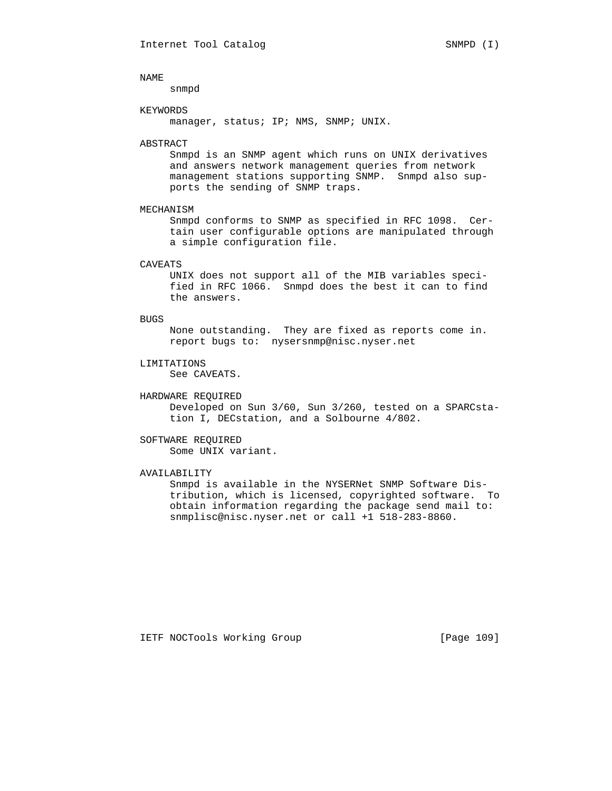snmpd

### KEYWORDS

manager, status; IP; NMS, SNMP; UNIX.

### ABSTRACT

 Snmpd is an SNMP agent which runs on UNIX derivatives and answers network management queries from network management stations supporting SNMP. Snmpd also sup ports the sending of SNMP traps.

# MECHANISM

 Snmpd conforms to SNMP as specified in RFC 1098. Cer tain user configurable options are manipulated through a simple configuration file.

# CAVEATS

 UNIX does not support all of the MIB variables speci fied in RFC 1066. Snmpd does the best it can to find the answers.

### BUGS

 None outstanding. They are fixed as reports come in. report bugs to: nysersnmp@nisc.nyser.net

# LIMITATIONS

See CAVEATS.

# HARDWARE REQUIRED

 Developed on Sun 3/60, Sun 3/260, tested on a SPARCsta tion I, DECstation, and a Solbourne 4/802.

# SOFTWARE REQUIRED

Some UNIX variant.

# AVAILABILITY

 Snmpd is available in the NYSERNet SNMP Software Dis tribution, which is licensed, copyrighted software. To obtain information regarding the package send mail to: snmplisc@nisc.nyser.net or call +1 518-283-8860.

IETF NOCTools Working Group [Page 109]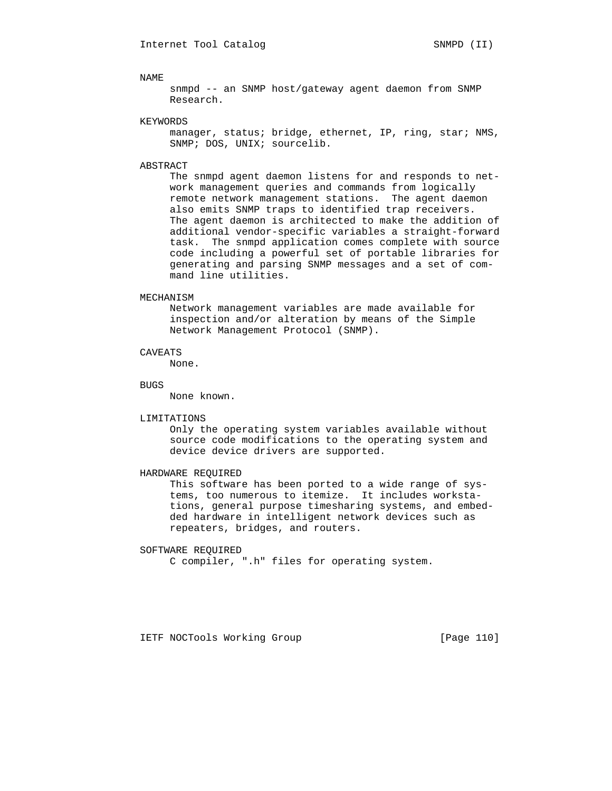snmpd -- an SNMP host/gateway agent daemon from SNMP Research.

### KEYWORDS

manager, status; bridge, ethernet, IP, ring, star; NMS, SNMP; DOS, UNIX; sourcelib.

# ABSTRACT

 The snmpd agent daemon listens for and responds to net work management queries and commands from logically remote network management stations. The agent daemon also emits SNMP traps to identified trap receivers. The agent daemon is architected to make the addition of additional vendor-specific variables a straight-forward task. The snmpd application comes complete with source code including a powerful set of portable libraries for generating and parsing SNMP messages and a set of com mand line utilities.

# MECHANISM

 Network management variables are made available for inspection and/or alteration by means of the Simple Network Management Protocol (SNMP).

## CAVEATS

None.

#### BUGS

None known.

#### LIMITATIONS

 Only the operating system variables available without source code modifications to the operating system and device device drivers are supported.

# HARDWARE REQUIRED

 This software has been ported to a wide range of sys tems, too numerous to itemize. It includes worksta tions, general purpose timesharing systems, and embed ded hardware in intelligent network devices such as repeaters, bridges, and routers.

#### SOFTWARE REQUIRED

C compiler, ".h" files for operating system.

IETF NOCTools Working Group [Page 110]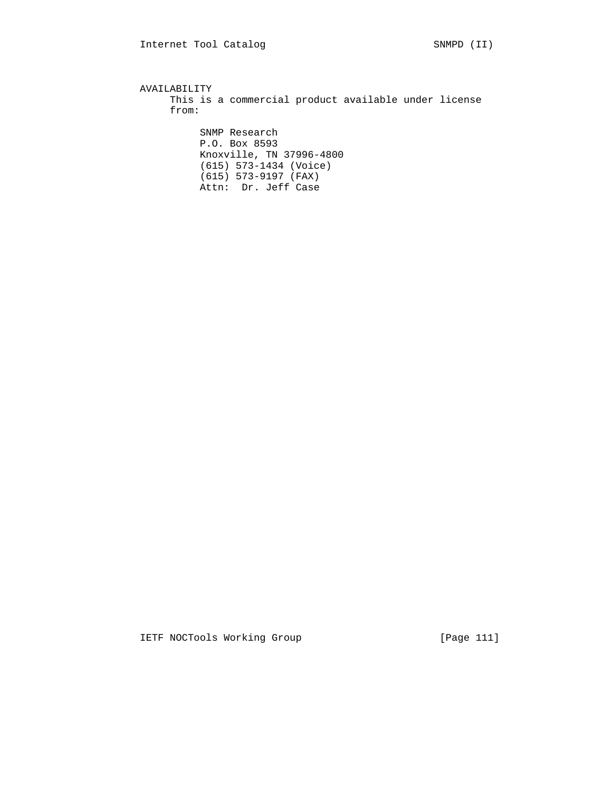AVAILABILITY This is a commercial product available under license from: SNMP Research P.O. Box 8593 Knoxville, TN 37996-4800 (615) 573-1434 (Voice) (615) 573-9197 (FAX) Attn: Dr. Jeff Case

IETF NOCTools Working Group [Page 111]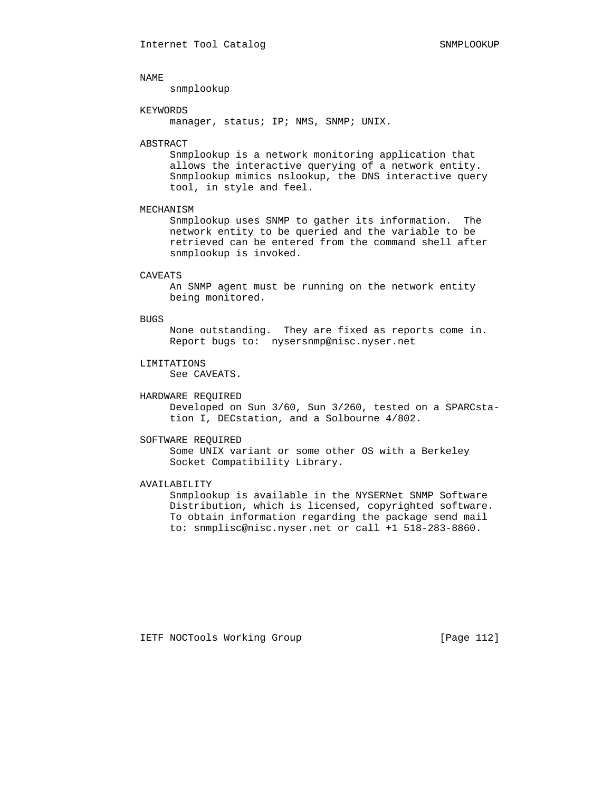snmplookup

# KEYWORDS

manager, status; IP; NMS, SNMP; UNIX.

### ABSTRACT

 Snmplookup is a network monitoring application that allows the interactive querying of a network entity. Snmplookup mimics nslookup, the DNS interactive query tool, in style and feel.

# MECHANISM

 Snmplookup uses SNMP to gather its information. The network entity to be queried and the variable to be retrieved can be entered from the command shell after snmplookup is invoked.

### CAVEATS

 An SNMP agent must be running on the network entity being monitored.

#### BUGS

 None outstanding. They are fixed as reports come in. Report bugs to: nysersnmp@nisc.nyser.net

# LIMITATIONS

See CAVEATS.

# HARDWARE REQUIRED

 Developed on Sun 3/60, Sun 3/260, tested on a SPARCsta tion I, DECstation, and a Solbourne 4/802.

# SOFTWARE REQUIRED

 Some UNIX variant or some other OS with a Berkeley Socket Compatibility Library.

#### AVAILABILITY

 Snmplookup is available in the NYSERNet SNMP Software Distribution, which is licensed, copyrighted software. To obtain information regarding the package send mail to: snmplisc@nisc.nyser.net or call +1 518-283-8860.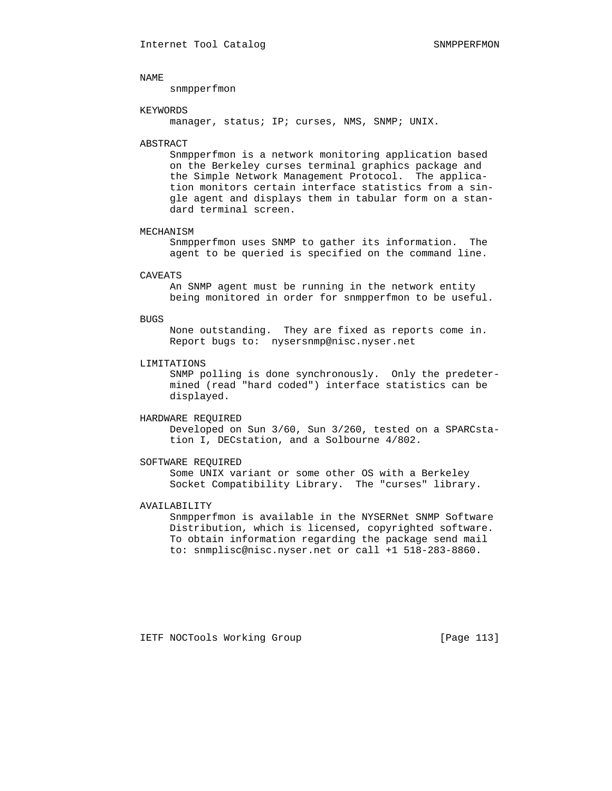snmpperfmon

### KEYWORDS

manager, status; IP; curses, NMS, SNMP; UNIX.

#### ABSTRACT

 Snmpperfmon is a network monitoring application based on the Berkeley curses terminal graphics package and the Simple Network Management Protocol. The applica tion monitors certain interface statistics from a sin gle agent and displays them in tabular form on a stan dard terminal screen.

#### MECHANISM

 Snmpperfmon uses SNMP to gather its information. The agent to be queried is specified on the command line.

#### CAVEATS

 An SNMP agent must be running in the network entity being monitored in order for snmpperfmon to be useful.

#### BUGS

 None outstanding. They are fixed as reports come in. Report bugs to: nysersnmp@nisc.nyser.net

# LIMITATIONS

 SNMP polling is done synchronously. Only the predeter mined (read "hard coded") interface statistics can be displayed.

# HARDWARE REQUIRED

 Developed on Sun 3/60, Sun 3/260, tested on a SPARCsta tion I, DECstation, and a Solbourne 4/802.

### SOFTWARE REQUIRED

 Some UNIX variant or some other OS with a Berkeley Socket Compatibility Library. The "curses" library.

# AVAILABILITY

 Snmpperfmon is available in the NYSERNet SNMP Software Distribution, which is licensed, copyrighted software. To obtain information regarding the package send mail to: snmplisc@nisc.nyser.net or call +1 518-283-8860.

IETF NOCTools Working Group [Page 113]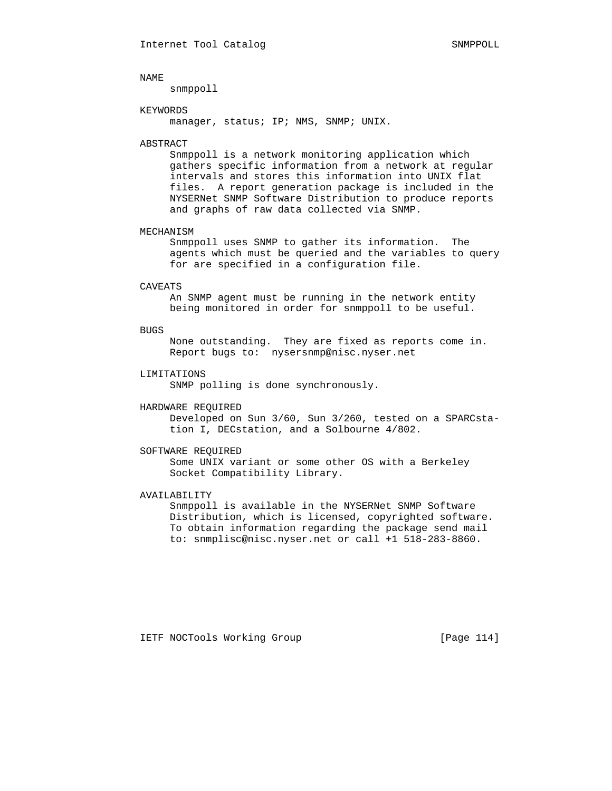snmppoll

### KEYWORDS

manager, status; IP; NMS, SNMP; UNIX.

# ABSTRACT

 Snmppoll is a network monitoring application which gathers specific information from a network at regular intervals and stores this information into UNIX flat files. A report generation package is included in the NYSERNet SNMP Software Distribution to produce reports and graphs of raw data collected via SNMP.

#### MECHANISM

 Snmppoll uses SNMP to gather its information. The agents which must be queried and the variables to query for are specified in a configuration file.

#### CAVEATS

 An SNMP agent must be running in the network entity being monitored in order for snmppoll to be useful.

#### BUGS

 None outstanding. They are fixed as reports come in. Report bugs to: nysersnmp@nisc.nyser.net

# LIMITATIONS

SNMP polling is done synchronously.

# HARDWARE REQUIRED

 Developed on Sun 3/60, Sun 3/260, tested on a SPARCsta tion I, DECstation, and a Solbourne 4/802.

#### SOFTWARE REQUIRED

 Some UNIX variant or some other OS with a Berkeley Socket Compatibility Library.

# AVAILABILITY

 Snmppoll is available in the NYSERNet SNMP Software Distribution, which is licensed, copyrighted software. To obtain information regarding the package send mail to: snmplisc@nisc.nyser.net or call +1 518-283-8860.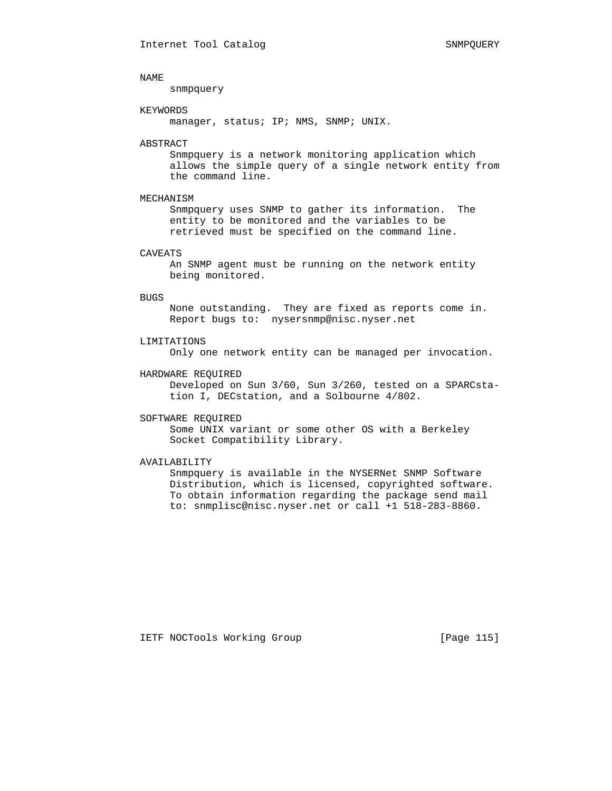snmpquery

### KEYWORDS

manager, status; IP; NMS, SNMP; UNIX.

#### ABSTRACT

 Snmpquery is a network monitoring application which allows the simple query of a single network entity from the command line.

# MECHANISM

 Snmpquery uses SNMP to gather its information. The entity to be monitored and the variables to be retrieved must be specified on the command line.

## CAVEATS

 An SNMP agent must be running on the network entity being monitored.

#### BUGS

 None outstanding. They are fixed as reports come in. Report bugs to: nysersnmp@nisc.nyser.net

# LIMITATIONS

Only one network entity can be managed per invocation.

# HARDWARE REQUIRED

 Developed on Sun 3/60, Sun 3/260, tested on a SPARCsta tion I, DECstation, and a Solbourne 4/802.

#### SOFTWARE REQUIRED

 Some UNIX variant or some other OS with a Berkeley Socket Compatibility Library.

# AVAILABILITY

 Snmpquery is available in the NYSERNet SNMP Software Distribution, which is licensed, copyrighted software. To obtain information regarding the package send mail to: snmplisc@nisc.nyser.net or call +1 518-283-8860.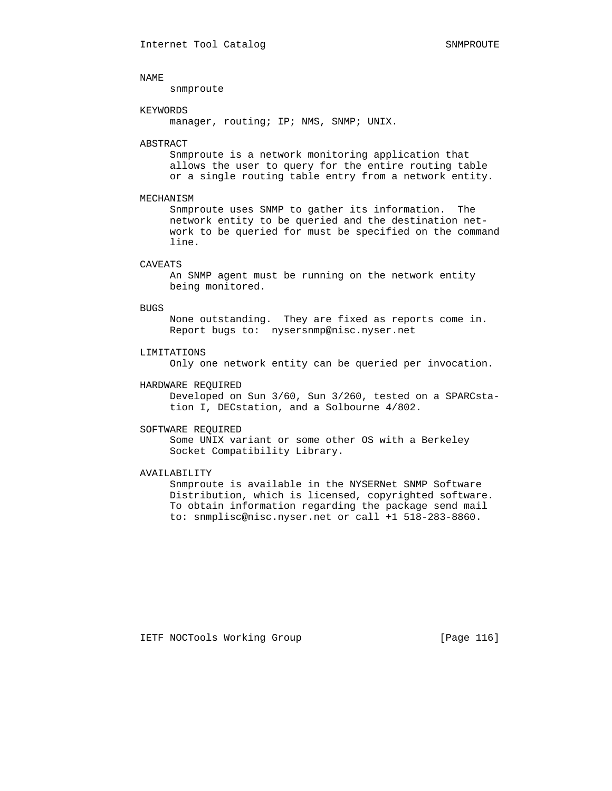snmproute

### KEYWORDS

manager, routing; IP; NMS, SNMP; UNIX.

#### ABSTRACT

 Snmproute is a network monitoring application that allows the user to query for the entire routing table or a single routing table entry from a network entity.

# MECHANISM

 Snmproute uses SNMP to gather its information. The network entity to be queried and the destination net work to be queried for must be specified on the command line.

# CAVEATS

 An SNMP agent must be running on the network entity being monitored.

### BUGS

 None outstanding. They are fixed as reports come in. Report bugs to: nysersnmp@nisc.nyser.net

#### LIMITATIONS

Only one network entity can be queried per invocation.

### HARDWARE REQUIRED

 Developed on Sun 3/60, Sun 3/260, tested on a SPARCsta tion I, DECstation, and a Solbourne 4/802.

# SOFTWARE REQUIRED

 Some UNIX variant or some other OS with a Berkeley Socket Compatibility Library.

# AVAILABILITY

 Snmproute is available in the NYSERNet SNMP Software Distribution, which is licensed, copyrighted software. To obtain information regarding the package send mail to: snmplisc@nisc.nyser.net or call +1 518-283-8860.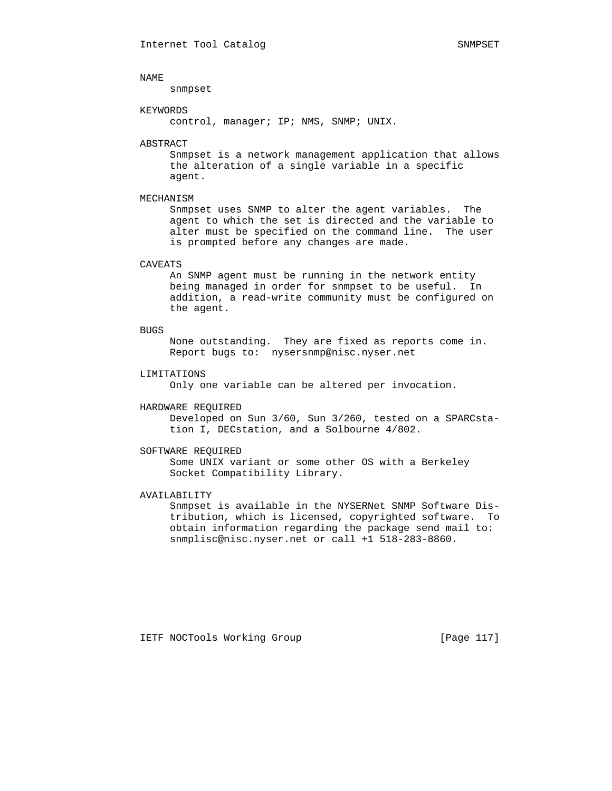snmpset

### KEYWORDS

control, manager; IP; NMS, SNMP; UNIX.

#### ABSTRACT

 Snmpset is a network management application that allows the alteration of a single variable in a specific agent.

# MECHANISM

 Snmpset uses SNMP to alter the agent variables. The agent to which the set is directed and the variable to alter must be specified on the command line. The user is prompted before any changes are made.

# CAVEATS

 An SNMP agent must be running in the network entity being managed in order for snmpset to be useful. In addition, a read-write community must be configured on the agent.

#### BUGS

 None outstanding. They are fixed as reports come in. Report bugs to: nysersnmp@nisc.nyser.net

# LIMITATIONS

Only one variable can be altered per invocation.

#### HARDWARE REQUIRED

 Developed on Sun 3/60, Sun 3/260, tested on a SPARCsta tion I, DECstation, and a Solbourne 4/802.

# SOFTWARE REQUIRED

 Some UNIX variant or some other OS with a Berkeley Socket Compatibility Library.

# AVAILABILITY

 Snmpset is available in the NYSERNet SNMP Software Dis tribution, which is licensed, copyrighted software. To obtain information regarding the package send mail to: snmplisc@nisc.nyser.net or call +1 518-283-8860.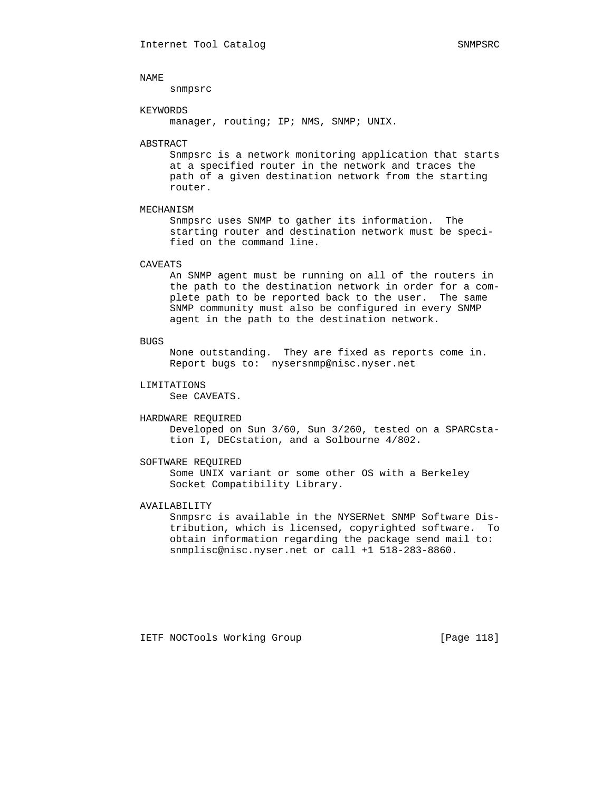snmpsrc

### KEYWORDS

manager, routing; IP; NMS, SNMP; UNIX.

### ABSTRACT

 Snmpsrc is a network monitoring application that starts at a specified router in the network and traces the path of a given destination network from the starting router.

# MECHANISM

 Snmpsrc uses SNMP to gather its information. The starting router and destination network must be speci fied on the command line.

### CAVEATS

 An SNMP agent must be running on all of the routers in the path to the destination network in order for a com plete path to be reported back to the user. The same SNMP community must also be configured in every SNMP agent in the path to the destination network.

# **BUGS**

 None outstanding. They are fixed as reports come in. Report bugs to: nysersnmp@nisc.nyser.net

#### LIMITATIONS

See CAVEATS.

#### HARDWARE REQUIRED

 Developed on Sun 3/60, Sun 3/260, tested on a SPARCsta tion I, DECstation, and a Solbourne 4/802.

# SOFTWARE REQUIRED

 Some UNIX variant or some other OS with a Berkeley Socket Compatibility Library.

# AVAILABILITY

 Snmpsrc is available in the NYSERNet SNMP Software Dis tribution, which is licensed, copyrighted software. To obtain information regarding the package send mail to: snmplisc@nisc.nyser.net or call +1 518-283-8860.

IETF NOCTools Working Group [Page 118]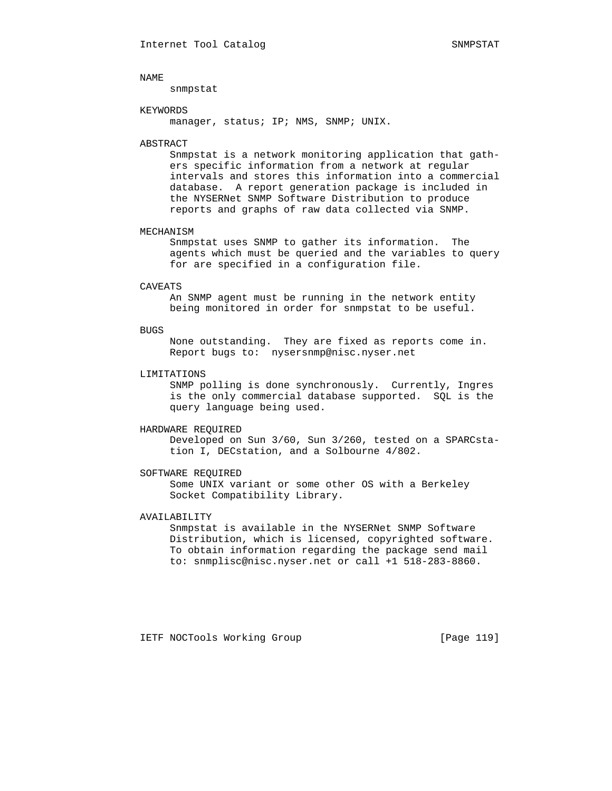snmpstat

### KEYWORDS

manager, status; IP; NMS, SNMP; UNIX.

#### ABSTRACT

 Snmpstat is a network monitoring application that gath ers specific information from a network at regular intervals and stores this information into a commercial database. A report generation package is included in the NYSERNet SNMP Software Distribution to produce reports and graphs of raw data collected via SNMP.

#### MECHANISM

 Snmpstat uses SNMP to gather its information. The agents which must be queried and the variables to query for are specified in a configuration file.

#### CAVEATS

 An SNMP agent must be running in the network entity being monitored in order for snmpstat to be useful.

#### BUGS

 None outstanding. They are fixed as reports come in. Report bugs to: nysersnmp@nisc.nyser.net

# LIMITATIONS

 SNMP polling is done synchronously. Currently, Ingres is the only commercial database supported. SQL is the query language being used.

# HARDWARE REQUIRED

 Developed on Sun 3/60, Sun 3/260, tested on a SPARCsta tion I, DECstation, and a Solbourne 4/802.

# SOFTWARE REQUIRED

 Some UNIX variant or some other OS with a Berkeley Socket Compatibility Library.

# AVAILABILITY

 Snmpstat is available in the NYSERNet SNMP Software Distribution, which is licensed, copyrighted software. To obtain information regarding the package send mail to: snmplisc@nisc.nyser.net or call +1 518-283-8860.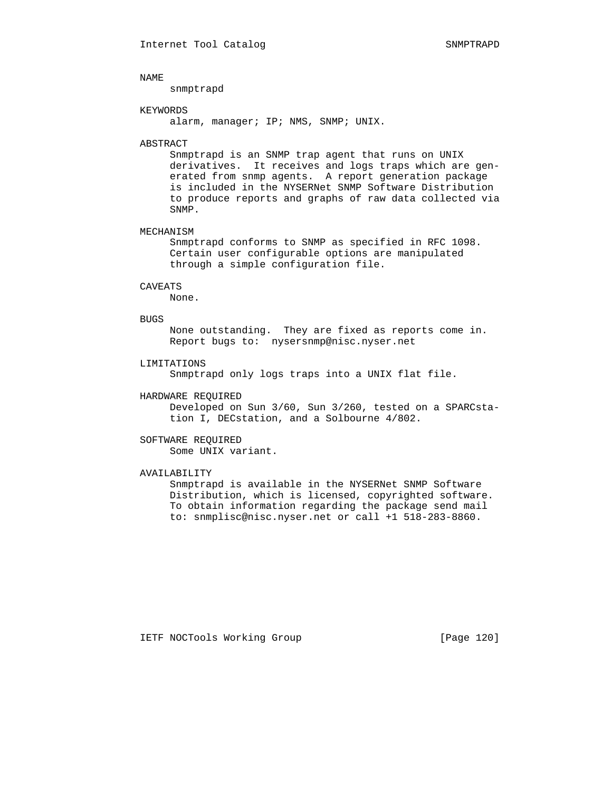snmptrapd

### KEYWORDS

alarm, manager; IP; NMS, SNMP; UNIX.

#### ABSTRACT

 Snmptrapd is an SNMP trap agent that runs on UNIX derivatives. It receives and logs traps which are gen erated from snmp agents. A report generation package is included in the NYSERNet SNMP Software Distribution to produce reports and graphs of raw data collected via SNMP.

# MECHANISM

 Snmptrapd conforms to SNMP as specified in RFC 1098. Certain user configurable options are manipulated through a simple configuration file.

# CAVEATS

None.

# BUGS

 None outstanding. They are fixed as reports come in. Report bugs to: nysersnmp@nisc.nyser.net

# LIMITATIONS

Snmptrapd only logs traps into a UNIX flat file.

# HARDWARE REQUIRED

 Developed on Sun 3/60, Sun 3/260, tested on a SPARCsta tion I, DECstation, and a Solbourne 4/802.

# SOFTWARE REQUIRED

Some UNIX variant.

# AVAILABILITY

 Snmptrapd is available in the NYSERNet SNMP Software Distribution, which is licensed, copyrighted software. To obtain information regarding the package send mail to: snmplisc@nisc.nyser.net or call +1 518-283-8860.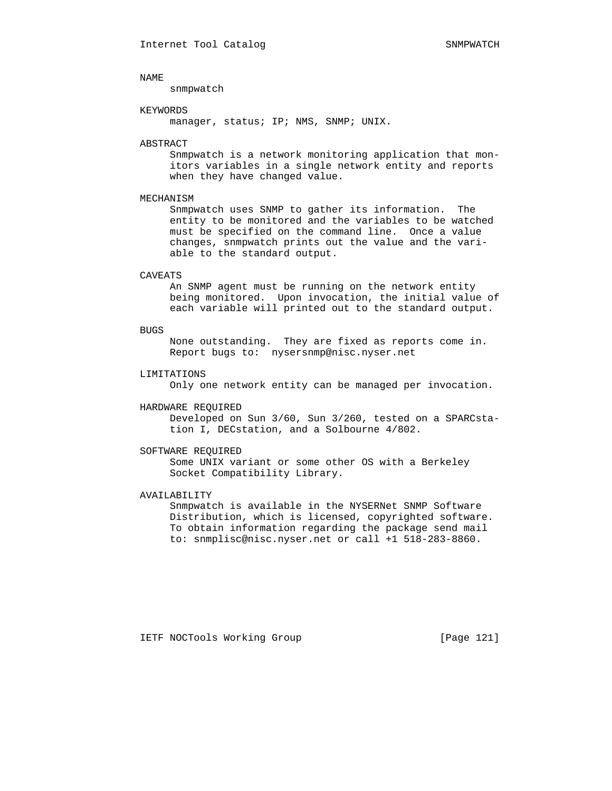snmpwatch

# KEYWORDS

manager, status; IP; NMS, SNMP; UNIX.

#### ABSTRACT

 Snmpwatch is a network monitoring application that mon itors variables in a single network entity and reports when they have changed value.

## MECHANISM

 Snmpwatch uses SNMP to gather its information. The entity to be monitored and the variables to be watched must be specified on the command line. Once a value changes, snmpwatch prints out the value and the vari able to the standard output.

### CAVEATS

 An SNMP agent must be running on the network entity being monitored. Upon invocation, the initial value of each variable will printed out to the standard output.

#### BUGS

 None outstanding. They are fixed as reports come in. Report bugs to: nysersnmp@nisc.nyser.net

# LIMITATIONS

Only one network entity can be managed per invocation.

#### HARDWARE REQUIRED

 Developed on Sun 3/60, Sun 3/260, tested on a SPARCsta tion I, DECstation, and a Solbourne 4/802.

# SOFTWARE REQUIRED

 Some UNIX variant or some other OS with a Berkeley Socket Compatibility Library.

# AVAILABILITY

 Snmpwatch is available in the NYSERNet SNMP Software Distribution, which is licensed, copyrighted software. To obtain information regarding the package send mail to: snmplisc@nisc.nyser.net or call +1 518-283-8860.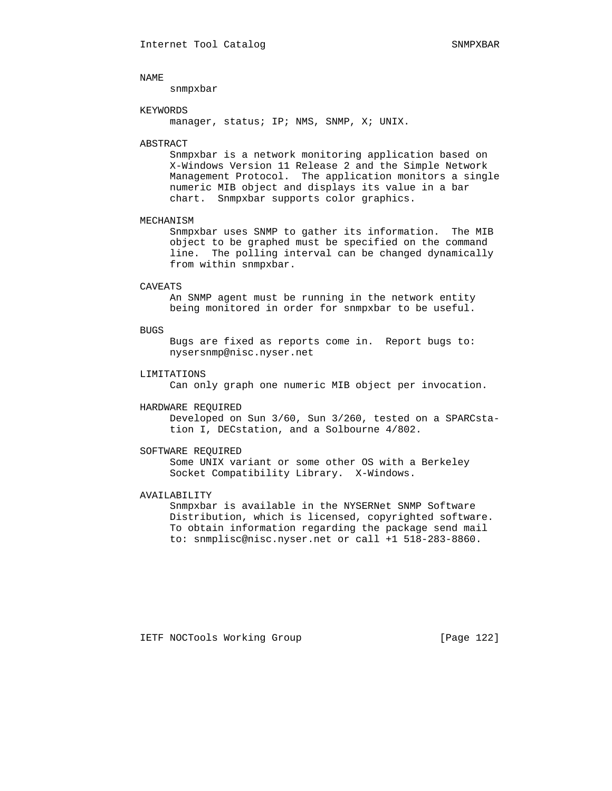snmpxbar

### KEYWORDS

manager, status; IP; NMS, SNMP, X; UNIX.

#### ABSTRACT

 Snmpxbar is a network monitoring application based on X-Windows Version 11 Release 2 and the Simple Network Management Protocol. The application monitors a single numeric MIB object and displays its value in a bar chart. Snmpxbar supports color graphics.

# MECHANISM

 Snmpxbar uses SNMP to gather its information. The MIB object to be graphed must be specified on the command line. The polling interval can be changed dynamically from within snmpxbar.

#### CAVEATS

 An SNMP agent must be running in the network entity being monitored in order for snmpxbar to be useful.

#### BUGS

 Bugs are fixed as reports come in. Report bugs to: nysersnmp@nisc.nyser.net

# LIMITATIONS

Can only graph one numeric MIB object per invocation.

### HARDWARE REQUIRED

 Developed on Sun 3/60, Sun 3/260, tested on a SPARCsta tion I, DECstation, and a Solbourne 4/802.

#### SOFTWARE REQUIRED

 Some UNIX variant or some other OS with a Berkeley Socket Compatibility Library. X-Windows.

# AVAILABILITY

 Snmpxbar is available in the NYSERNet SNMP Software Distribution, which is licensed, copyrighted software. To obtain information regarding the package send mail to: snmplisc@nisc.nyser.net or call +1 518-283-8860.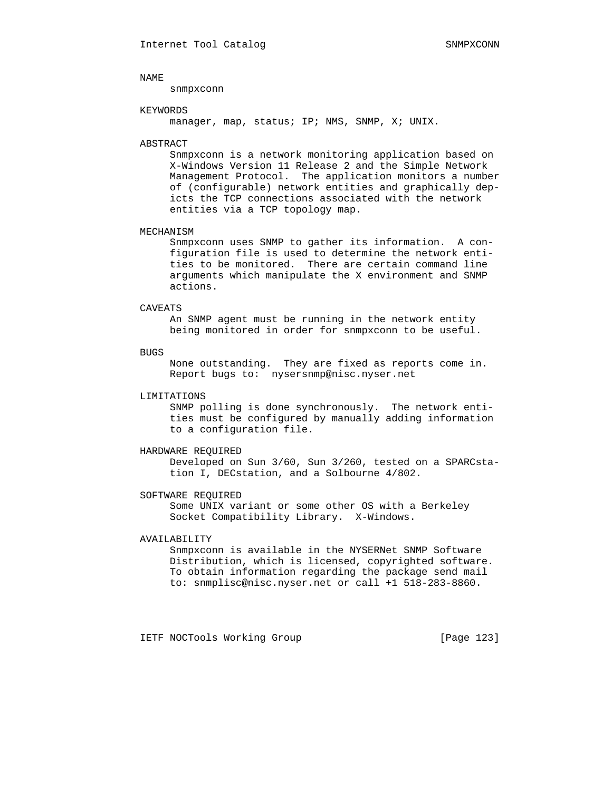snmpxconn

### KEYWORDS

manager, map, status; IP; NMS, SNMP, X; UNIX.

### ABSTRACT

 Snmpxconn is a network monitoring application based on X-Windows Version 11 Release 2 and the Simple Network Management Protocol. The application monitors a number of (configurable) network entities and graphically dep icts the TCP connections associated with the network entities via a TCP topology map.

#### MECHANISM

 Snmpxconn uses SNMP to gather its information. A con figuration file is used to determine the network enti ties to be monitored. There are certain command line arguments which manipulate the X environment and SNMP actions.

# CAVEATS

 An SNMP agent must be running in the network entity being monitored in order for snmpxconn to be useful.

#### BUGS

 None outstanding. They are fixed as reports come in. Report bugs to: nysersnmp@nisc.nyser.net

# LIMITATIONS

 SNMP polling is done synchronously. The network enti ties must be configured by manually adding information to a configuration file.

#### HARDWARE REQUIRED

 Developed on Sun 3/60, Sun 3/260, tested on a SPARCsta tion I, DECstation, and a Solbourne 4/802.

# SOFTWARE REQUIRED

 Some UNIX variant or some other OS with a Berkeley Socket Compatibility Library. X-Windows.

# AVAILABILITY

 Snmpxconn is available in the NYSERNet SNMP Software Distribution, which is licensed, copyrighted software. To obtain information regarding the package send mail to: snmplisc@nisc.nyser.net or call +1 518-283-8860.

IETF NOCTools Working Group [Page 123]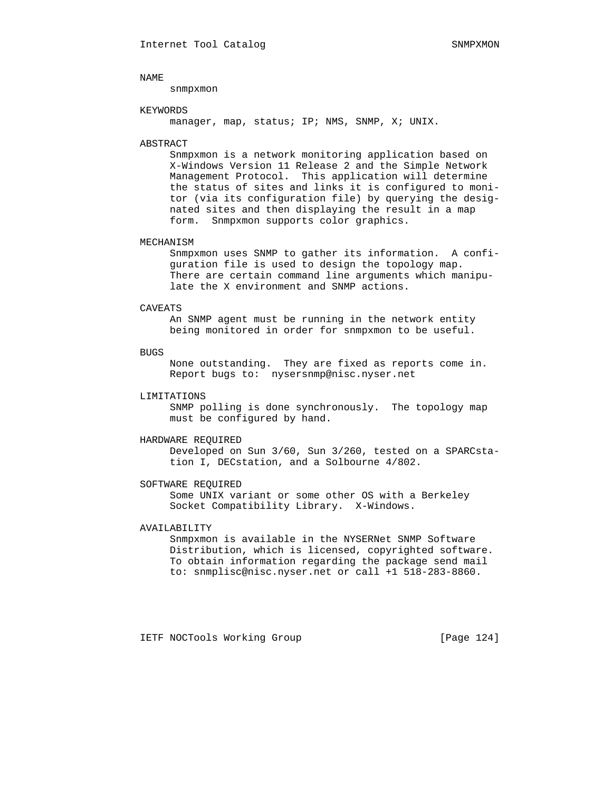snmpxmon

### KEYWORDS

manager, map, status; IP; NMS, SNMP, X; UNIX.

# ABSTRACT

 Snmpxmon is a network monitoring application based on X-Windows Version 11 Release 2 and the Simple Network Management Protocol. This application will determine the status of sites and links it is configured to moni tor (via its configuration file) by querying the desig nated sites and then displaying the result in a map form. Snmpxmon supports color graphics.

# MECHANISM

 Snmpxmon uses SNMP to gather its information. A confi guration file is used to design the topology map. There are certain command line arguments which manipu late the X environment and SNMP actions.

# CAVEATS

 An SNMP agent must be running in the network entity being monitored in order for snmpxmon to be useful.

## BUGS

 None outstanding. They are fixed as reports come in. Report bugs to: nysersnmp@nisc.nyser.net

# LIMITATIONS

 SNMP polling is done synchronously. The topology map must be configured by hand.

# HARDWARE REQUIRED

 Developed on Sun 3/60, Sun 3/260, tested on a SPARCsta tion I, DECstation, and a Solbourne 4/802.

#### SOFTWARE REQUIRED

 Some UNIX variant or some other OS with a Berkeley Socket Compatibility Library. X-Windows.

# AVAILABILITY

 Snmpxmon is available in the NYSERNet SNMP Software Distribution, which is licensed, copyrighted software. To obtain information regarding the package send mail to: snmplisc@nisc.nyser.net or call +1 518-283-8860.

IETF NOCTools Working Group [Page 124]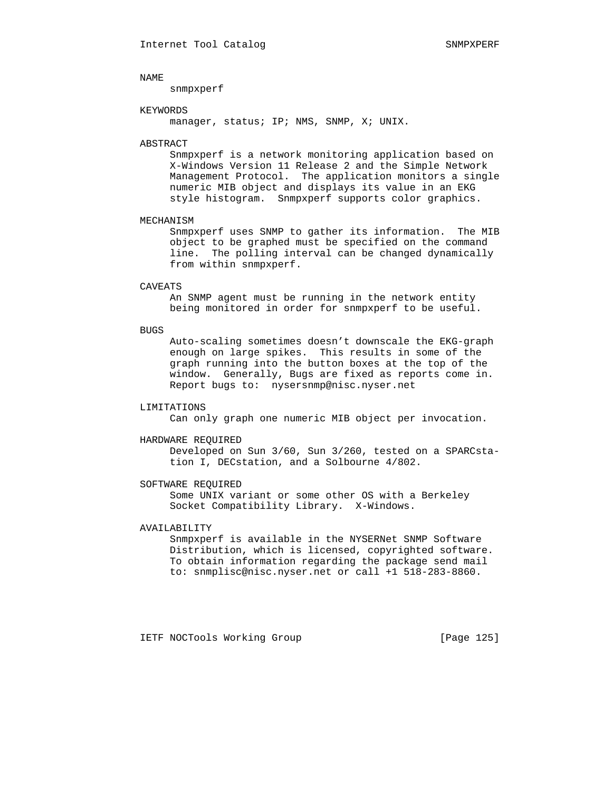snmpxperf

# KEYWORDS

manager, status; IP; NMS, SNMP, X; UNIX.

# ABSTRACT

 Snmpxperf is a network monitoring application based on X-Windows Version 11 Release 2 and the Simple Network Management Protocol. The application monitors a single numeric MIB object and displays its value in an EKG style histogram. Snmpxperf supports color graphics.

#### MECHANISM

 Snmpxperf uses SNMP to gather its information. The MIB object to be graphed must be specified on the command line. The polling interval can be changed dynamically from within snmpxperf.

#### CAVEATS

 An SNMP agent must be running in the network entity being monitored in order for snmpxperf to be useful.

#### BUGS

 Auto-scaling sometimes doesn't downscale the EKG-graph enough on large spikes. This results in some of the graph running into the button boxes at the top of the window. Generally, Bugs are fixed as reports come in. Report bugs to: nysersnmp@nisc.nyser.net

# LIMITATIONS

Can only graph one numeric MIB object per invocation.

#### HARDWARE REQUIRED

 Developed on Sun 3/60, Sun 3/260, tested on a SPARCsta tion I, DECstation, and a Solbourne 4/802.

#### SOFTWARE REQUIRED

 Some UNIX variant or some other OS with a Berkeley Socket Compatibility Library. X-Windows.

# AVAILABILITY

 Snmpxperf is available in the NYSERNet SNMP Software Distribution, which is licensed, copyrighted software. To obtain information regarding the package send mail to: snmplisc@nisc.nyser.net or call +1 518-283-8860.

IETF NOCTools Working Group [Page 125]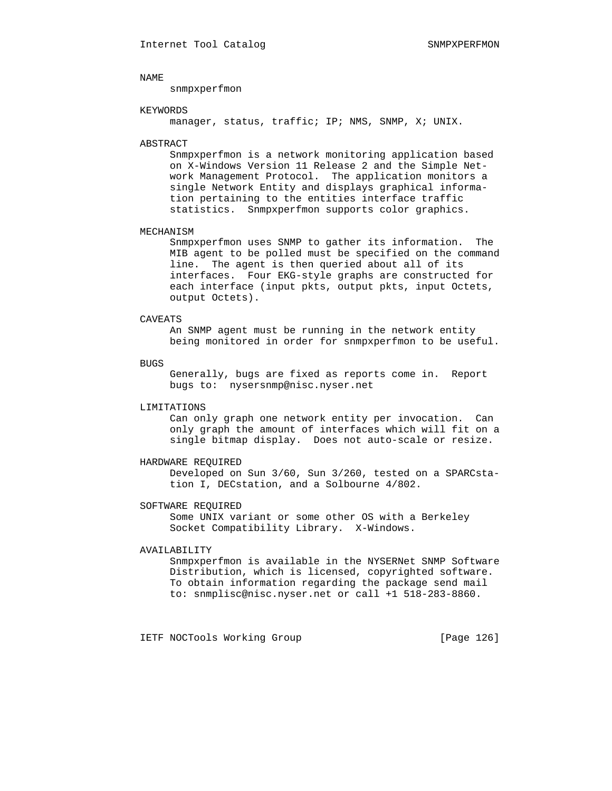snmpxperfmon

### KEYWORDS

manager, status, traffic; IP; NMS, SNMP, X; UNIX.

#### ABSTRACT

 Snmpxperfmon is a network monitoring application based on X-Windows Version 11 Release 2 and the Simple Net work Management Protocol. The application monitors a single Network Entity and displays graphical informa tion pertaining to the entities interface traffic statistics. Snmpxperfmon supports color graphics.

#### MECHANISM

 Snmpxperfmon uses SNMP to gather its information. The MIB agent to be polled must be specified on the command line. The agent is then queried about all of its interfaces. Four EKG-style graphs are constructed for each interface (input pkts, output pkts, input Octets, output Octets).

# CAVEATS

 An SNMP agent must be running in the network entity being monitored in order for snmpxperfmon to be useful.

#### BUGS

 Generally, bugs are fixed as reports come in. Report bugs to: nysersnmp@nisc.nyser.net

# LIMITATIONS

 Can only graph one network entity per invocation. Can only graph the amount of interfaces which will fit on a single bitmap display. Does not auto-scale or resize.

# HARDWARE REQUIRED

 Developed on Sun 3/60, Sun 3/260, tested on a SPARCsta tion I, DECstation, and a Solbourne 4/802.

# SOFTWARE REQUIRED

 Some UNIX variant or some other OS with a Berkeley Socket Compatibility Library. X-Windows.

#### AVAILABILITY

 Snmpxperfmon is available in the NYSERNet SNMP Software Distribution, which is licensed, copyrighted software. To obtain information regarding the package send mail to: snmplisc@nisc.nyser.net or call +1 518-283-8860.

IETF NOCTools Working Group [Page 126]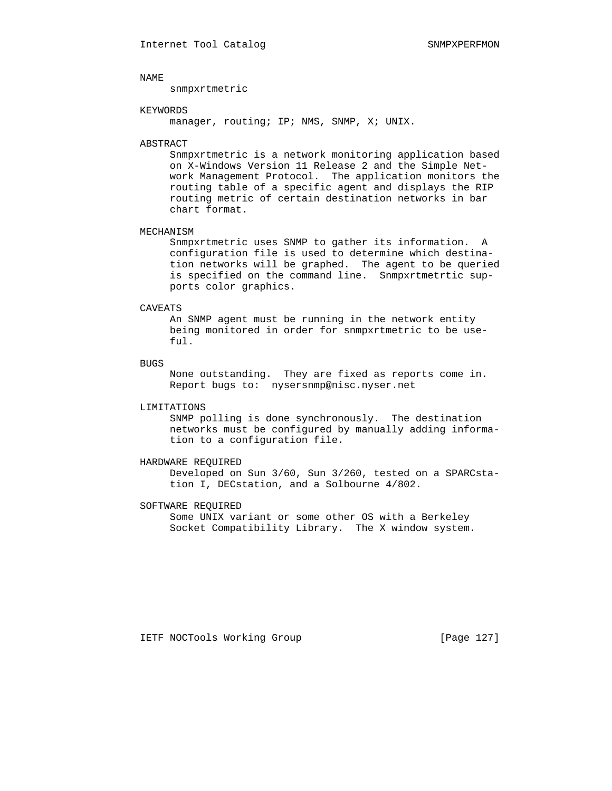snmpxrtmetric

# KEYWORDS

manager, routing; IP; NMS, SNMP, X; UNIX.

#### ABSTRACT

 Snmpxrtmetric is a network monitoring application based on X-Windows Version 11 Release 2 and the Simple Net work Management Protocol. The application monitors the routing table of a specific agent and displays the RIP routing metric of certain destination networks in bar chart format.

# MECHANISM

 Snmpxrtmetric uses SNMP to gather its information. A configuration file is used to determine which destina tion networks will be graphed. The agent to be queried is specified on the command line. Snmpxrtmetrtic sup ports color graphics.

# CAVEATS

 An SNMP agent must be running in the network entity being monitored in order for snmpxrtmetric to be use ful.

### BUGS

 None outstanding. They are fixed as reports come in. Report bugs to: nysersnmp@nisc.nyser.net

# LIMITATIONS

 SNMP polling is done synchronously. The destination networks must be configured by manually adding informa tion to a configuration file.

# HARDWARE REQUIRED

 Developed on Sun 3/60, Sun 3/260, tested on a SPARCsta tion I, DECstation, and a Solbourne 4/802.

# SOFTWARE REQUIRED

 Some UNIX variant or some other OS with a Berkeley Socket Compatibility Library. The X window system.

IETF NOCTools Working Group [Page 127]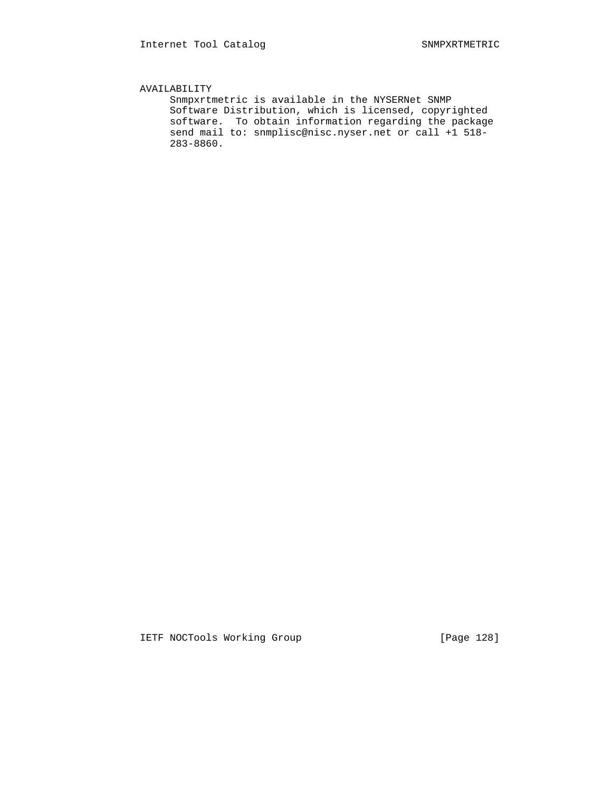# AVAILABILITY

 Snmpxrtmetric is available in the NYSERNet SNMP Software Distribution, which is licensed, copyrighted software. To obtain information regarding the package send mail to: snmplisc@nisc.nyser.net or call +1 518- 283-8860.

IETF NOCTools Working Group [Page 128]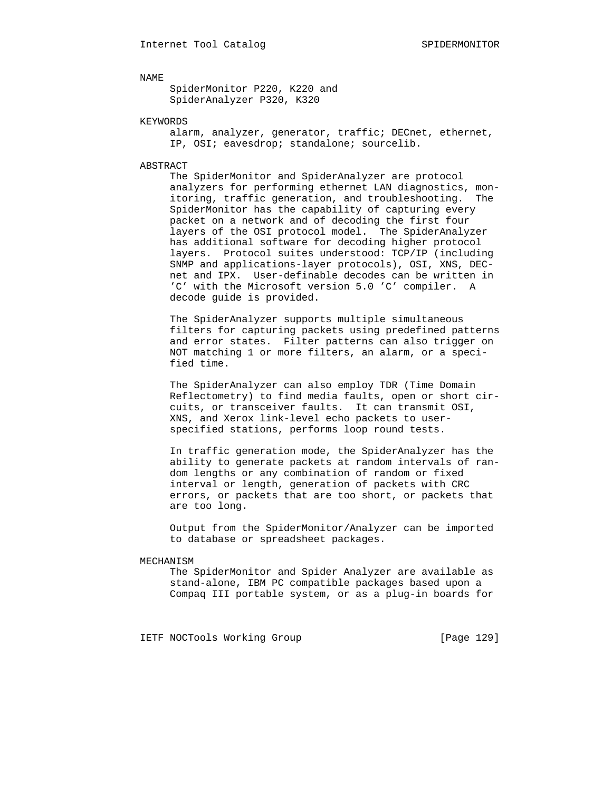SpiderMonitor P220, K220 and SpiderAnalyzer P320, K320

# KEYWORDS

 alarm, analyzer, generator, traffic; DECnet, ethernet, IP, OSI; eavesdrop; standalone; sourcelib.

# ABSTRACT

 The SpiderMonitor and SpiderAnalyzer are protocol analyzers for performing ethernet LAN diagnostics, mon itoring, traffic generation, and troubleshooting. The SpiderMonitor has the capability of capturing every packet on a network and of decoding the first four layers of the OSI protocol model. The SpiderAnalyzer has additional software for decoding higher protocol layers. Protocol suites understood: TCP/IP (including SNMP and applications-layer protocols), OSI, XNS, DEC net and IPX. User-definable decodes can be written in 'C' with the Microsoft version 5.0 'C' compiler. A decode guide is provided.

 The SpiderAnalyzer supports multiple simultaneous filters for capturing packets using predefined patterns and error states. Filter patterns can also trigger on NOT matching 1 or more filters, an alarm, or a speci fied time.

 The SpiderAnalyzer can also employ TDR (Time Domain Reflectometry) to find media faults, open or short cir cuits, or transceiver faults. It can transmit OSI, XNS, and Xerox link-level echo packets to user specified stations, performs loop round tests.

 In traffic generation mode, the SpiderAnalyzer has the ability to generate packets at random intervals of ran dom lengths or any combination of random or fixed interval or length, generation of packets with CRC errors, or packets that are too short, or packets that are too long.

 Output from the SpiderMonitor/Analyzer can be imported to database or spreadsheet packages.

#### MECHANISM

 The SpiderMonitor and Spider Analyzer are available as stand-alone, IBM PC compatible packages based upon a Compaq III portable system, or as a plug-in boards for

IETF NOCTools Working Group [Page 129]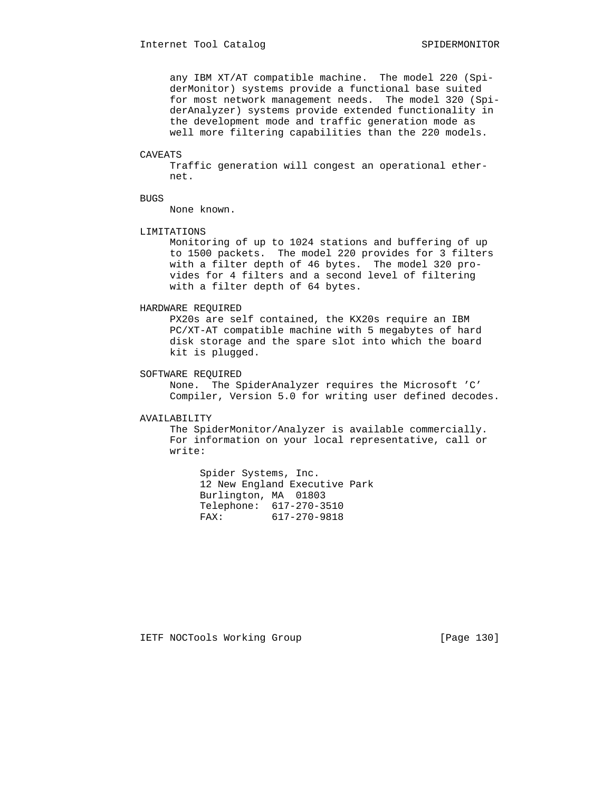any IBM XT/AT compatible machine. The model 220 (Spi derMonitor) systems provide a functional base suited for most network management needs. The model 320 (Spi derAnalyzer) systems provide extended functionality in the development mode and traffic generation mode as well more filtering capabilities than the 220 models.

# CAVEATS

 Traffic generation will congest an operational ether net.

# BUGS

None known.

# LIMITATIONS

 Monitoring of up to 1024 stations and buffering of up to 1500 packets. The model 220 provides for 3 filters with a filter depth of 46 bytes. The model 320 pro vides for 4 filters and a second level of filtering with a filter depth of 64 bytes.

# HARDWARE REQUIRED

 PX20s are self contained, the KX20s require an IBM PC/XT-AT compatible machine with 5 megabytes of hard disk storage and the spare slot into which the board kit is plugged.

# SOFTWARE REQUIRED

 None. The SpiderAnalyzer requires the Microsoft 'C' Compiler, Version 5.0 for writing user defined decodes.

# AVAILABILITY

 The SpiderMonitor/Analyzer is available commercially. For information on your local representative, call or write:

 Spider Systems, Inc. 12 New England Executive Park Burlington, MA 01803 Telephone: 617-270-3510 FAX: 617-270-9818

IETF NOCTools Working Group [Page 130]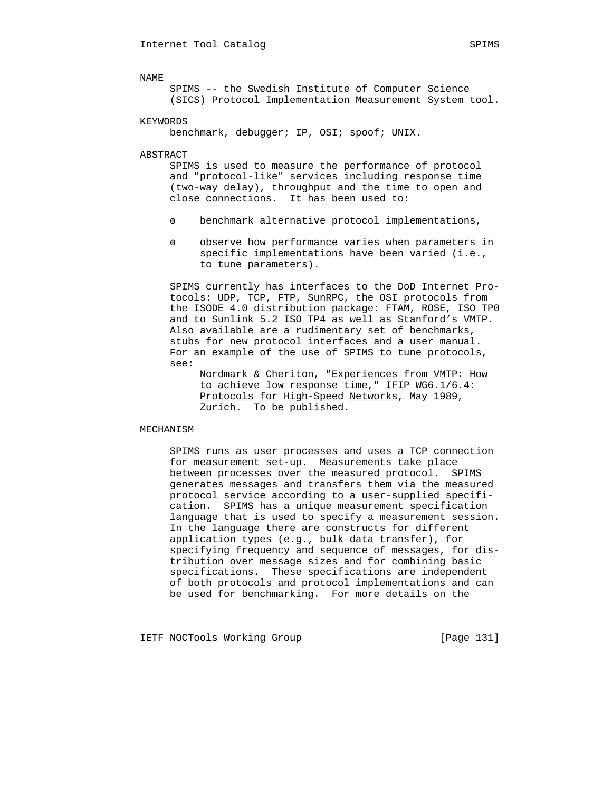SPIMS -- the Swedish Institute of Computer Science (SICS) Protocol Implementation Measurement System tool.

KEYWORDS

benchmark, debugger; IP, OSI; spoof; UNIX.

ABSTRACT

 SPIMS is used to measure the performance of protocol and "protocol-like" services including response time (two-way delay), throughput and the time to open and close connections. It has been used to:

- $\theta$  benchmark alternative protocol implementations,
- $\theta$  observe how performance varies when parameters in specific implementations have been varied (i.e., to tune parameters).

 SPIMS currently has interfaces to the DoD Internet Pro tocols: UDP, TCP, FTP, SunRPC, the OSI protocols from the ISODE 4.0 distribution package: FTAM, ROSE, ISO TP0 and to Sunlink 5.2 ISO TP4 as well as Stanford's VMTP. Also available are a rudimentary set of benchmarks, stubs for new protocol interfaces and a user manual. For an example of the use of SPIMS to tune protocols, see:

 Nordmark & Cheriton, "Experiences from VMTP: How to achieve low response time," IFIP  $WGS.1/6.4$ : Protocols for High-Speed Networks, May 1989, Zurich. To be published.

#### MECHANISM

 SPIMS runs as user processes and uses a TCP connection for measurement set-up. Measurements take place between processes over the measured protocol. SPIMS generates messages and transfers them via the measured protocol service according to a user-supplied specifi cation. SPIMS has a unique measurement specification language that is used to specify a measurement session. In the language there are constructs for different application types (e.g., bulk data transfer), for specifying frequency and sequence of messages, for dis tribution over message sizes and for combining basic specifications. These specifications are independent of both protocols and protocol implementations and can be used for benchmarking. For more details on the

IETF NOCTools Working Group [Page 131]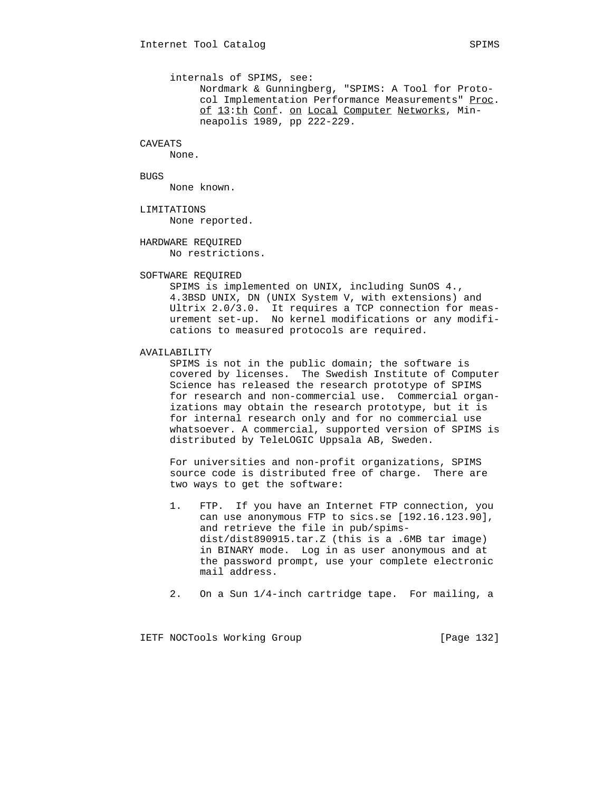# CAVEATS

None.

BUGS

None known.

LIMITATIONS

None reported.

 HARDWARE REQUIRED No restrictions.

# SOFTWARE REQUIRED

 SPIMS is implemented on UNIX, including SunOS 4., 4.3BSD UNIX, DN (UNIX System V, with extensions) and Ultrix 2.0/3.0. It requires a TCP connection for meas urement set-up. No kernel modifications or any modifi cations to measured protocols are required.

# AVAILABILITY

 SPIMS is not in the public domain; the software is covered by licenses. The Swedish Institute of Computer Science has released the research prototype of SPIMS for research and non-commercial use. Commercial organ izations may obtain the research prototype, but it is for internal research only and for no commercial use whatsoever. A commercial, supported version of SPIMS is distributed by TeleLOGIC Uppsala AB, Sweden.

 For universities and non-profit organizations, SPIMS source code is distributed free of charge. There are two ways to get the software:

- 1. FTP. If you have an Internet FTP connection, you can use anonymous FTP to sics.se [192.16.123.90], and retrieve the file in pub/spims dist/dist890915.tar.Z (this is a .6MB tar image) in BINARY mode. Log in as user anonymous and at the password prompt, use your complete electronic mail address.
- 2. On a Sun 1/4-inch cartridge tape. For mailing, a

IETF NOCTools Working Group [Page 132]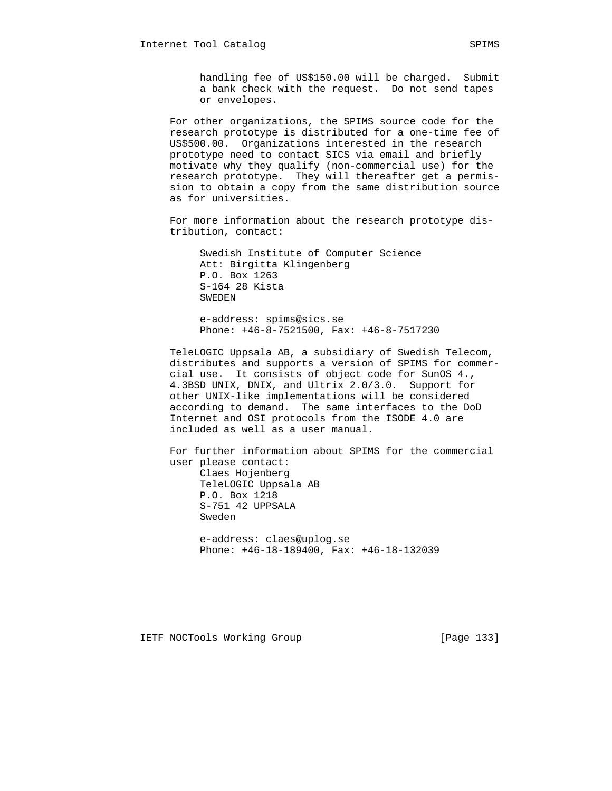For other organizations, the SPIMS source code for the research prototype is distributed for a one-time fee of US\$500.00. Organizations interested in the research prototype need to contact SICS via email and briefly motivate why they qualify (non-commercial use) for the research prototype. They will thereafter get a permis sion to obtain a copy from the same distribution source as for universities.

 For more information about the research prototype dis tribution, contact:

 Swedish Institute of Computer Science Att: Birgitta Klingenberg P.O. Box 1263 S-164 28 Kista SWEDEN

 e-address: spims@sics.se Phone: +46-8-7521500, Fax: +46-8-7517230

 TeleLOGIC Uppsala AB, a subsidiary of Swedish Telecom, distributes and supports a version of SPIMS for commer cial use. It consists of object code for SunOS 4., 4.3BSD UNIX, DNIX, and Ultrix 2.0/3.0. Support for other UNIX-like implementations will be considered according to demand. The same interfaces to the DoD Internet and OSI protocols from the ISODE 4.0 are included as well as a user manual.

 For further information about SPIMS for the commercial user please contact: Claes Hojenberg TeleLOGIC Uppsala AB P.O. Box 1218 S-751 42 UPPSALA Sweden e-address: claes@uplog.se Phone: +46-18-189400, Fax: +46-18-132039

IETF NOCTools Working Group [Page 133]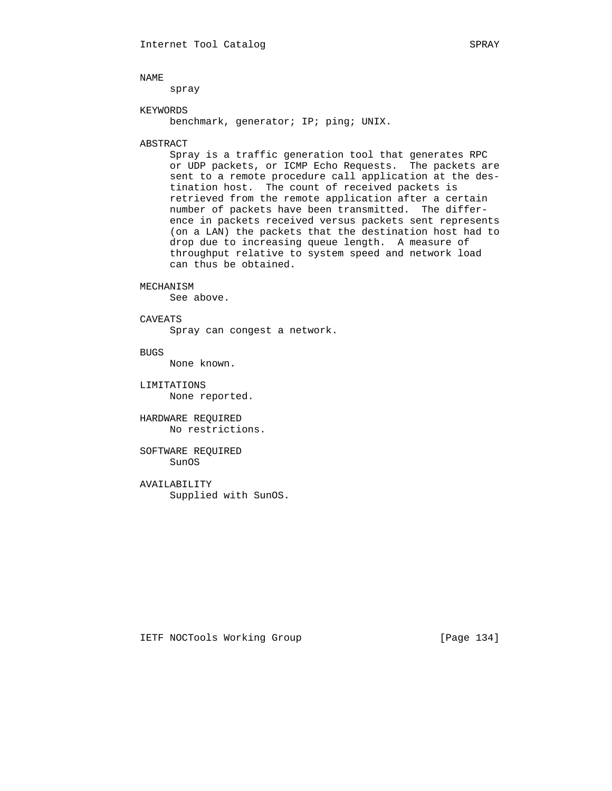spray

# KEYWORDS

benchmark, generator; IP; ping; UNIX.

### ABSTRACT

 Spray is a traffic generation tool that generates RPC or UDP packets, or ICMP Echo Requests. The packets are sent to a remote procedure call application at the des tination host. The count of received packets is retrieved from the remote application after a certain number of packets have been transmitted. The differ ence in packets received versus packets sent represents (on a LAN) the packets that the destination host had to drop due to increasing queue length. A measure of throughput relative to system speed and network load can thus be obtained.

# MECHANISM

See above.

# CAVEATS

Spray can congest a network.

BUGS

None known.

 LIMITATIONS None reported.

 HARDWARE REQUIRED No restrictions.

 SOFTWARE REQUIRED SunOS

 AVAILABILITY Supplied with SunOS.

IETF NOCTools Working Group [Page 134]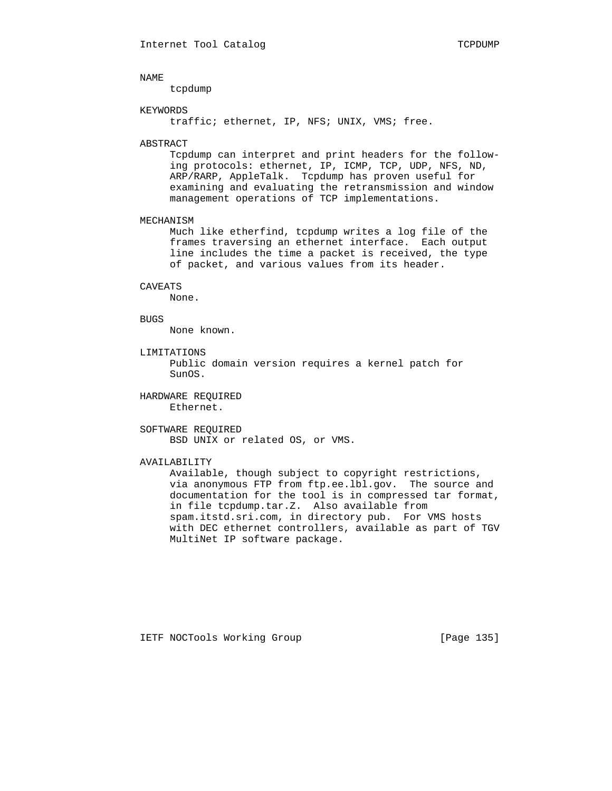tcpdump

### KEYWORDS

traffic; ethernet, IP, NFS; UNIX, VMS; free.

#### ABSTRACT

 Tcpdump can interpret and print headers for the follow ing protocols: ethernet, IP, ICMP, TCP, UDP, NFS, ND, ARP/RARP, AppleTalk. Tcpdump has proven useful for examining and evaluating the retransmission and window management operations of TCP implementations.

#### MECHANISM

 Much like etherfind, tcpdump writes a log file of the frames traversing an ethernet interface. Each output line includes the time a packet is received, the type of packet, and various values from its header.

#### CAVEATS

None.

#### BUGS

None known.

# LIMITATIONS

 Public domain version requires a kernel patch for SunOS.

# HARDWARE REQUIRED Ethernet.

 SOFTWARE REQUIRED BSD UNIX or related OS, or VMS.

# AVAILABILITY

 Available, though subject to copyright restrictions, via anonymous FTP from ftp.ee.lbl.gov. The source and documentation for the tool is in compressed tar format, in file tcpdump.tar.Z. Also available from spam.itstd.sri.com, in directory pub. For VMS hosts with DEC ethernet controllers, available as part of TGV MultiNet IP software package.

IETF NOCTools Working Group [Page 135]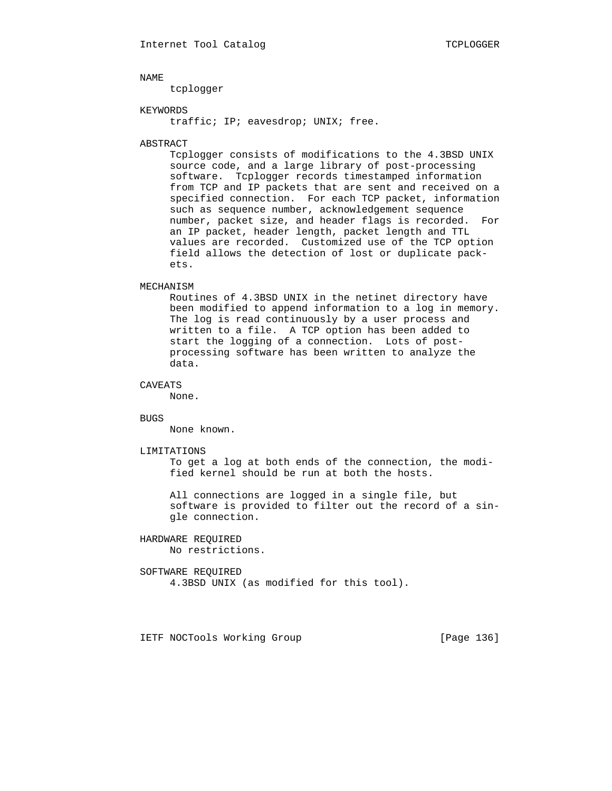tcplogger

# KEYWORDS

traffic; IP; eavesdrop; UNIX; free.

#### ABSTRACT

 Tcplogger consists of modifications to the 4.3BSD UNIX source code, and a large library of post-processing software. Tcplogger records timestamped information from TCP and IP packets that are sent and received on a specified connection. For each TCP packet, information such as sequence number, acknowledgement sequence number, packet size, and header flags is recorded. For an IP packet, header length, packet length and TTL values are recorded. Customized use of the TCP option field allows the detection of lost or duplicate pack ets.

#### MECHANISM

 Routines of 4.3BSD UNIX in the netinet directory have been modified to append information to a log in memory. The log is read continuously by a user process and written to a file. A TCP option has been added to start the logging of a connection. Lots of post processing software has been written to analyze the data.

# CAVEATS

None.

#### BUGS

None known.

#### LIMITATIONS

 To get a log at both ends of the connection, the modi fied kernel should be run at both the hosts.

 All connections are logged in a single file, but software is provided to filter out the record of a sin gle connection.

# HARDWARE REQUIRED

No restrictions.

# SOFTWARE REQUIRED

4.3BSD UNIX (as modified for this tool).

IETF NOCTools Working Group [Page 136]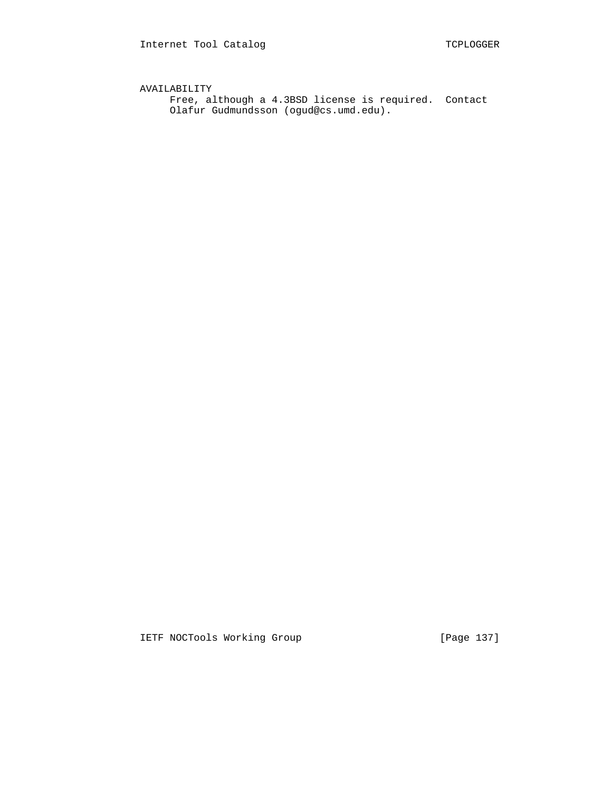AVAILABILITY Free, although a 4.3BSD license is required. Contact Olafur Gudmundsson (ogud@cs.umd.edu).

IETF NOCTools Working Group [Page 137]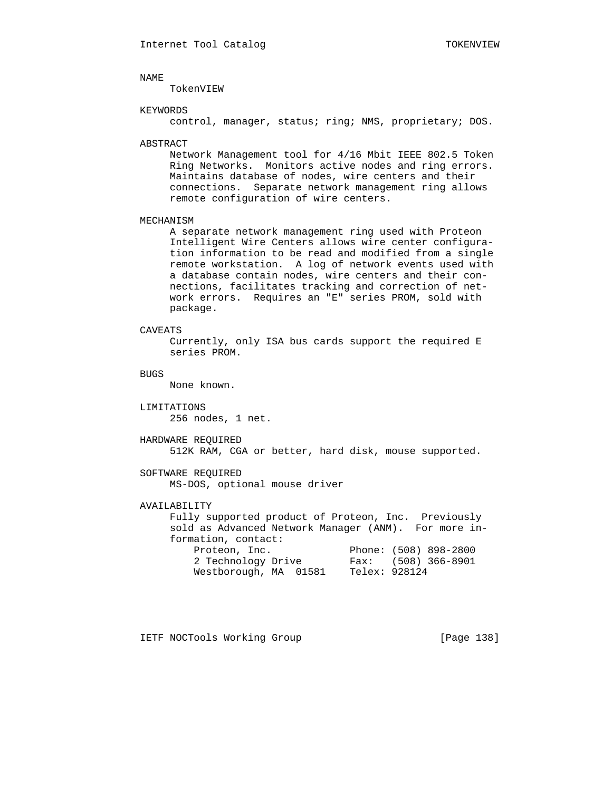TokenVIEW

### KEYWORDS

control, manager, status; ring; NMS, proprietary; DOS.

#### ABSTRACT

 Network Management tool for 4/16 Mbit IEEE 802.5 Token Ring Networks. Monitors active nodes and ring errors. Maintains database of nodes, wire centers and their connections. Separate network management ring allows remote configuration of wire centers.

#### MECHANISM

 A separate network management ring used with Proteon Intelligent Wire Centers allows wire center configura tion information to be read and modified from a single remote workstation. A log of network events used with a database contain nodes, wire centers and their con nections, facilitates tracking and correction of net work errors. Requires an "E" series PROM, sold with package.

# CAVEATS

 Currently, only ISA bus cards support the required E series PROM.

# BUGS

None known.

# LIMITATIONS

256 nodes, 1 net.

# HARDWARE REQUIRED

512K RAM, CGA or better, hard disk, mouse supported.

# SOFTWARE REQUIRED

MS-DOS, optional mouse driver

# AVAILABILITY

 Fully supported product of Proteon, Inc. Previously sold as Advanced Network Manager (ANM). For more in formation, contact: Proteon, Inc. Phone: (508) 898-2800 2 Technology Drive Fax: (508) 366-8901 Westborough, MA 01581 Telex: 928124

IETF NOCTools Working Group [Page 138]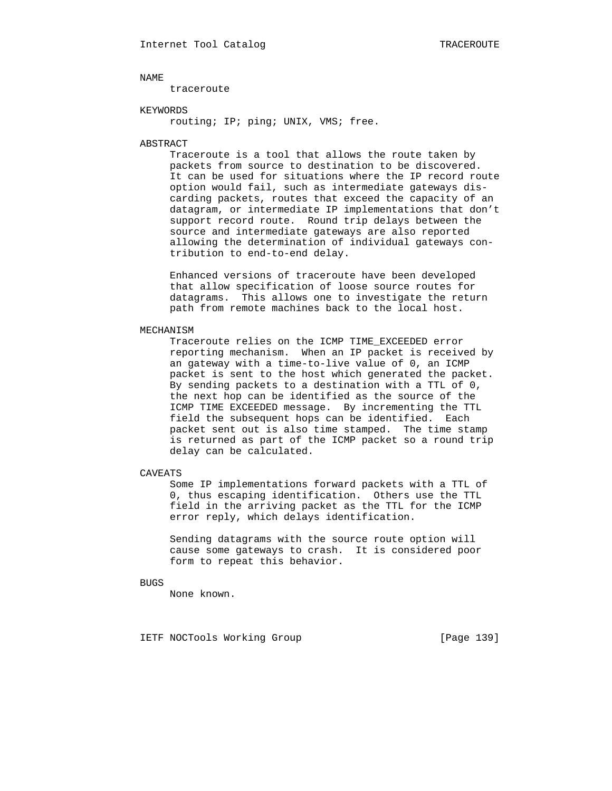traceroute

# KEYWORDS

routing; IP; ping; UNIX, VMS; free.

### ABSTRACT

 Traceroute is a tool that allows the route taken by packets from source to destination to be discovered. It can be used for situations where the IP record route option would fail, such as intermediate gateways dis carding packets, routes that exceed the capacity of an datagram, or intermediate IP implementations that don't support record route. Round trip delays between the source and intermediate gateways are also reported allowing the determination of individual gateways con tribution to end-to-end delay.

 Enhanced versions of traceroute have been developed that allow specification of loose source routes for datagrams. This allows one to investigate the return path from remote machines back to the local host.

#### MECHANISM

 Traceroute relies on the ICMP TIME\_EXCEEDED error reporting mechanism. When an IP packet is received by an gateway with a time-to-live value of 0, an ICMP packet is sent to the host which generated the packet. By sending packets to a destination with a TTL of 0, the next hop can be identified as the source of the ICMP TIME EXCEEDED message. By incrementing the TTL field the subsequent hops can be identified. Each packet sent out is also time stamped. The time stamp is returned as part of the ICMP packet so a round trip delay can be calculated.

# CAVEATS

 Some IP implementations forward packets with a TTL of 0, thus escaping identification. Others use the TTL field in the arriving packet as the TTL for the ICMP error reply, which delays identification.

 Sending datagrams with the source route option will cause some gateways to crash. It is considered poor form to repeat this behavior.

# BUGS

None known.

IETF NOCTools Working Group [Page 139]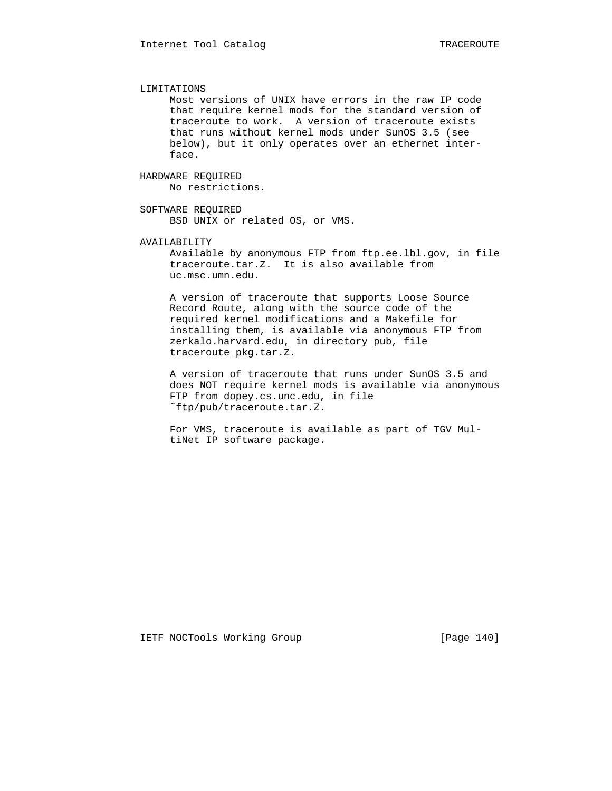# LIMITATIONS

 Most versions of UNIX have errors in the raw IP code that require kernel mods for the standard version of traceroute to work. A version of traceroute exists that runs without kernel mods under SunOS 3.5 (see below), but it only operates over an ethernet inter face.

# HARDWARE REQUIRED

No restrictions.

# SOFTWARE REQUIRED

BSD UNIX or related OS, or VMS.

# AVAILABILITY

 Available by anonymous FTP from ftp.ee.lbl.gov, in file traceroute.tar.Z. It is also available from uc.msc.umn.edu.

 A version of traceroute that supports Loose Source Record Route, along with the source code of the required kernel modifications and a Makefile for installing them, is available via anonymous FTP from zerkalo.harvard.edu, in directory pub, file traceroute\_pkg.tar.Z.

 A version of traceroute that runs under SunOS 3.5 and does NOT require kernel mods is available via anonymous FTP from dopey.cs.unc.edu, in file ˜ftp/pub/traceroute.tar.Z.

 For VMS, traceroute is available as part of TGV Mul tiNet IP software package.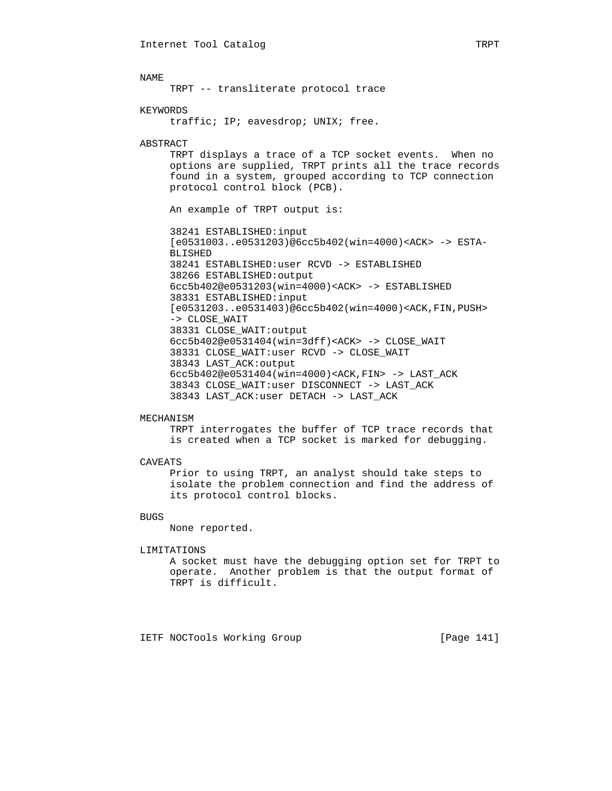TRPT -- transliterate protocol trace

### KEYWORDS

traffic; IP; eavesdrop; UNIX; free.

# ABSTRACT

 TRPT displays a trace of a TCP socket events. When no options are supplied, TRPT prints all the trace records found in a system, grouped according to TCP connection protocol control block (PCB).

An example of TRPT output is:

 38241 ESTABLISHED:input [e0531003..e0531203)@6cc5b402(win=4000)<ACK> -> ESTA- BLISHED 38241 ESTABLISHED:user RCVD -> ESTABLISHED 38266 ESTABLISHED:output 6cc5b402@e0531203(win=4000)<ACK> -> ESTABLISHED 38331 ESTABLISHED:input [e0531203..e0531403)@6cc5b402(win=4000)<ACK,FIN,PUSH> -> CLOSE\_WAIT 38331 CLOSE\_WAIT:output 6cc5b402@e0531404(win=3dff)<ACK> -> CLOSE\_WAIT 38331 CLOSE\_WAIT:user RCVD -> CLOSE\_WAIT 38343 LAST\_ACK:output 6cc5b402@e0531404(win=4000)<ACK,FIN> -> LAST\_ACK 38343 CLOSE\_WAIT:user DISCONNECT -> LAST\_ACK 38343 LAST\_ACK:user DETACH -> LAST\_ACK

### MECHANISM

 TRPT interrogates the buffer of TCP trace records that is created when a TCP socket is marked for debugging.

### CAVEATS

 Prior to using TRPT, an analyst should take steps to isolate the problem connection and find the address of its protocol control blocks.

# BUGS

None reported.

#### LIMITATIONS

 A socket must have the debugging option set for TRPT to operate. Another problem is that the output format of TRPT is difficult.

IETF NOCTools Working Group [Page 141]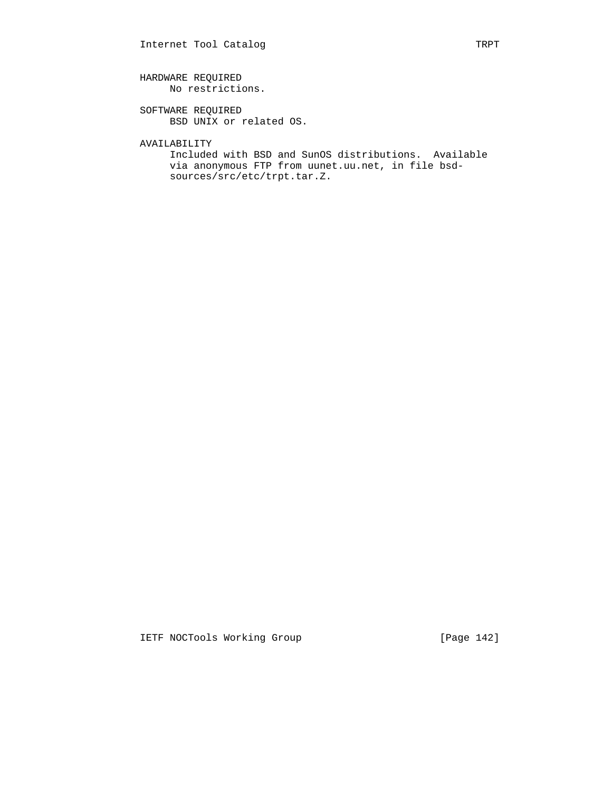# HARDWARE REQUIRED No restrictions.

 SOFTWARE REQUIRED BSD UNIX or related OS.

AVAILABILITY

 Included with BSD and SunOS distributions. Available via anonymous FTP from uunet.uu.net, in file bsd sources/src/etc/trpt.tar.Z.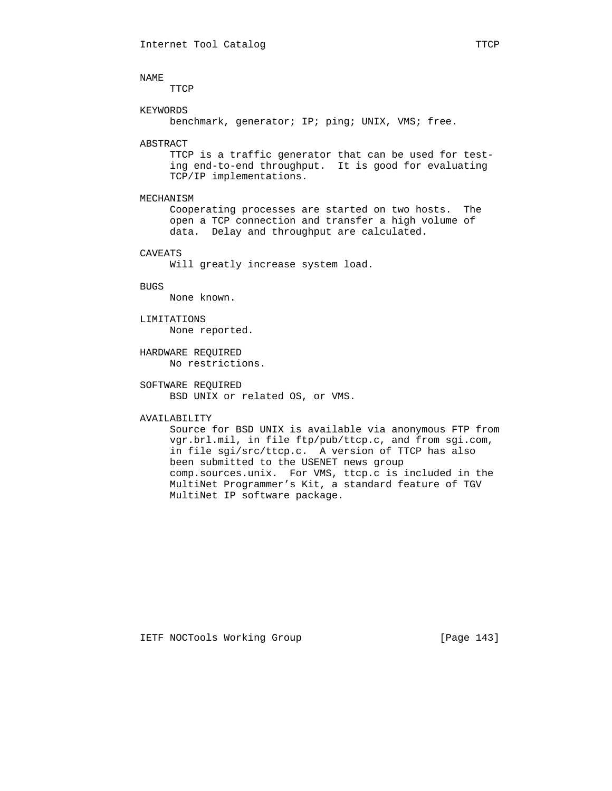TTCP

### KEYWORDS

benchmark, generator; IP; ping; UNIX, VMS; free.

# ABSTRACT

 TTCP is a traffic generator that can be used for test ing end-to-end throughput. It is good for evaluating TCP/IP implementations.

# MECHANISM

 Cooperating processes are started on two hosts. The open a TCP connection and transfer a high volume of data. Delay and throughput are calculated.

# CAVEATS

Will greatly increase system load.

# BUGS

None known.

# LIMITATIONS

None reported.

 HARDWARE REQUIRED No restrictions.

# SOFTWARE REQUIRED BSD UNIX or related OS, or VMS.

#### AVAILABILITY

 Source for BSD UNIX is available via anonymous FTP from vgr.brl.mil, in file ftp/pub/ttcp.c, and from sgi.com, in file sgi/src/ttcp.c. A version of TTCP has also been submitted to the USENET news group comp.sources.unix. For VMS, ttcp.c is included in the MultiNet Programmer's Kit, a standard feature of TGV MultiNet IP software package.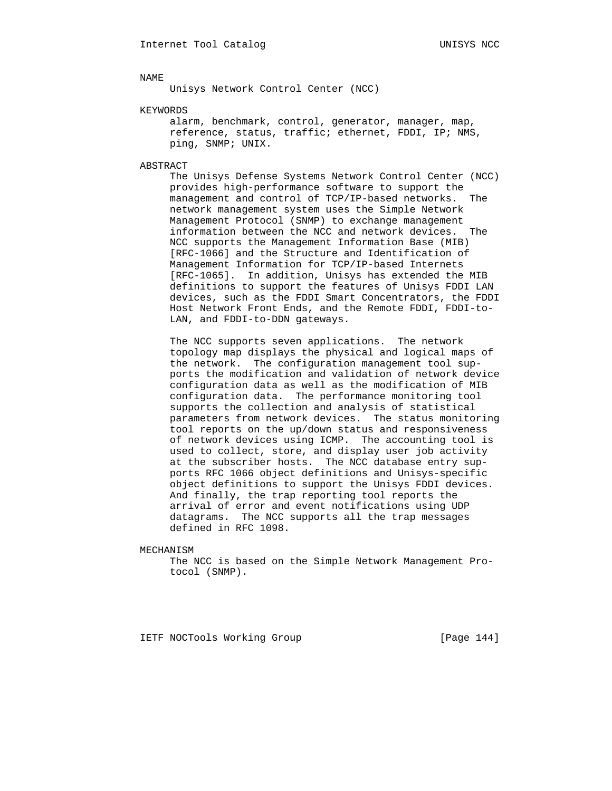Unisys Network Control Center (NCC)

KEYWORDS

 alarm, benchmark, control, generator, manager, map, reference, status, traffic; ethernet, FDDI, IP; NMS, ping, SNMP; UNIX.

ABSTRACT

 The Unisys Defense Systems Network Control Center (NCC) provides high-performance software to support the management and control of TCP/IP-based networks. The network management system uses the Simple Network Management Protocol (SNMP) to exchange management information between the NCC and network devices. The NCC supports the Management Information Base (MIB) [RFC-1066] and the Structure and Identification of Management Information for TCP/IP-based Internets [RFC-1065]. In addition, Unisys has extended the MIB definitions to support the features of Unisys FDDI LAN devices, such as the FDDI Smart Concentrators, the FDDI Host Network Front Ends, and the Remote FDDI, FDDI-to- LAN, and FDDI-to-DDN gateways.

 The NCC supports seven applications. The network topology map displays the physical and logical maps of the network. The configuration management tool sup ports the modification and validation of network device configuration data as well as the modification of MIB configuration data. The performance monitoring tool supports the collection and analysis of statistical parameters from network devices. The status monitoring tool reports on the up/down status and responsiveness of network devices using ICMP. The accounting tool is used to collect, store, and display user job activity at the subscriber hosts. The NCC database entry sup ports RFC 1066 object definitions and Unisys-specific object definitions to support the Unisys FDDI devices. And finally, the trap reporting tool reports the arrival of error and event notifications using UDP datagrams. The NCC supports all the trap messages defined in RFC 1098.

MECHANISM

 The NCC is based on the Simple Network Management Pro tocol (SNMP).

IETF NOCTools Working Group [Page 144]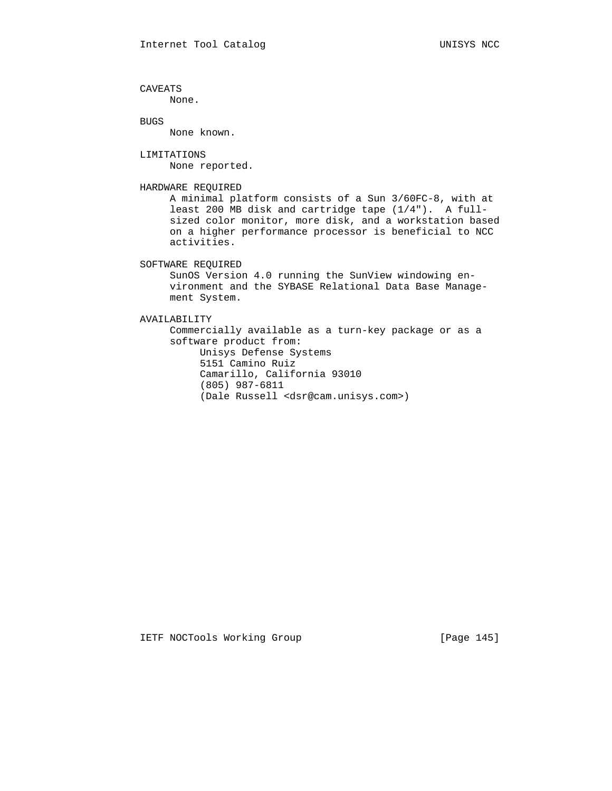CAVEATS None. BUGS None known. LIMITATIONS None reported. HARDWARE REQUIRED A minimal platform consists of a Sun 3/60FC-8, with at least 200 MB disk and cartridge tape (1/4"). A full sized color monitor, more disk, and a workstation based on a higher performance processor is beneficial to NCC activities. SOFTWARE REQUIRED SunOS Version 4.0 running the SunView windowing en vironment and the SYBASE Relational Data Base Manage ment System. AVAILABILITY Commercially available as a turn-key package or as a software product from: Unisys Defense Systems 5151 Camino Ruiz Camarillo, California 93010 (805) 987-6811

(Dale Russell <dsr@cam.unisys.com>)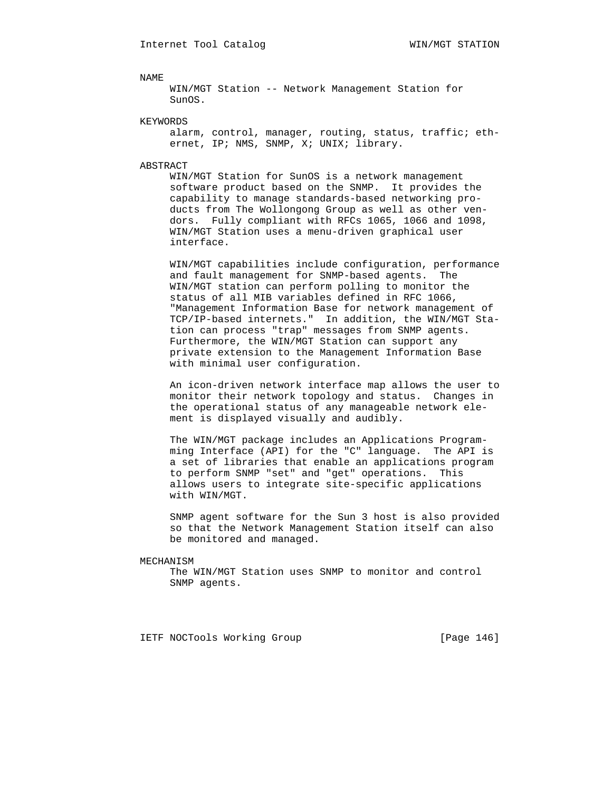## NAME

 WIN/MGT Station -- Network Management Station for SunOS.

# KEYWORDS

 alarm, control, manager, routing, status, traffic; eth ernet, IP; NMS, SNMP, X; UNIX; library.

#### ABSTRACT

 WIN/MGT Station for SunOS is a network management software product based on the SNMP. It provides the capability to manage standards-based networking pro ducts from The Wollongong Group as well as other ven dors. Fully compliant with RFCs 1065, 1066 and 1098, WIN/MGT Station uses a menu-driven graphical user interface.

 WIN/MGT capabilities include configuration, performance and fault management for SNMP-based agents. The WIN/MGT station can perform polling to monitor the status of all MIB variables defined in RFC 1066, "Management Information Base for network management of TCP/IP-based internets." In addition, the WIN/MGT Sta tion can process "trap" messages from SNMP agents. Furthermore, the WIN/MGT Station can support any private extension to the Management Information Base with minimal user configuration.

 An icon-driven network interface map allows the user to monitor their network topology and status. Changes in the operational status of any manageable network ele ment is displayed visually and audibly.

 The WIN/MGT package includes an Applications Program ming Interface (API) for the "C" language. The API is a set of libraries that enable an applications program to perform SNMP "set" and "get" operations. This allows users to integrate site-specific applications with WIN/MGT.

 SNMP agent software for the Sun 3 host is also provided so that the Network Management Station itself can also be monitored and managed.

## MECHANISM

 The WIN/MGT Station uses SNMP to monitor and control SNMP agents.

IETF NOCTools Working Group [Page 146]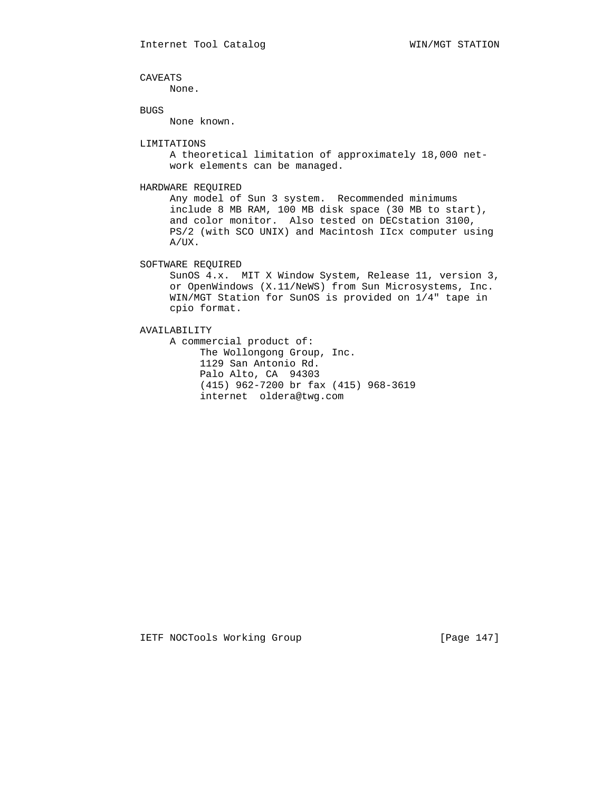CAVEATS

None.

BUGS

None known.

## LIMITATIONS

 A theoretical limitation of approximately 18,000 net work elements can be managed.

# HARDWARE REQUIRED

 Any model of Sun 3 system. Recommended minimums include 8 MB RAM, 100 MB disk space (30 MB to start), and color monitor. Also tested on DECstation 3100, PS/2 (with SCO UNIX) and Macintosh IIcx computer using A/UX.

SOFTWARE REQUIRED

 SunOS 4.x. MIT X Window System, Release 11, version 3, or OpenWindows (X.11/NeWS) from Sun Microsystems, Inc. WIN/MGT Station for SunOS is provided on 1/4" tape in cpio format.

AVAILABILITY

 A commercial product of: The Wollongong Group, Inc. 1129 San Antonio Rd. Palo Alto, CA 94303 (415) 962-7200 br fax (415) 968-3619 internet oldera@twg.com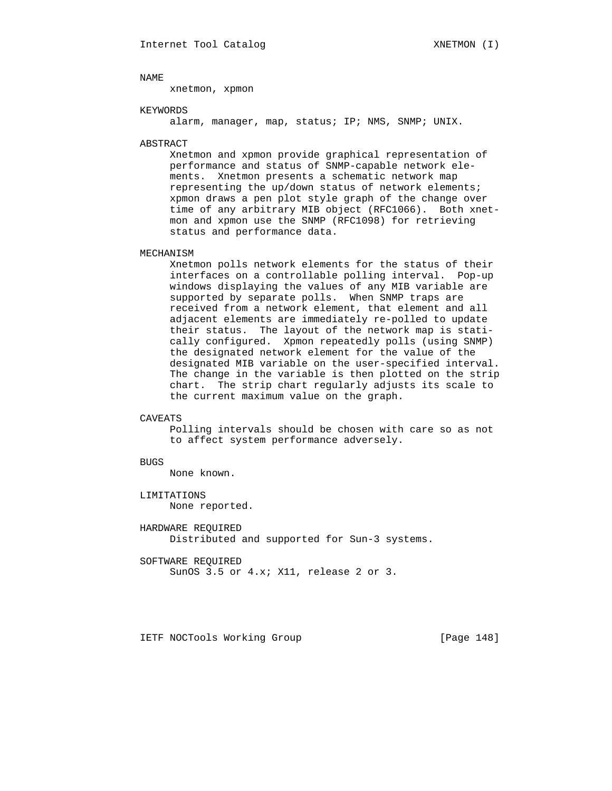NAME

xnetmon, xpmon

#### KEYWORDS

alarm, manager, map, status; IP; NMS, SNMP; UNIX.

#### ABSTRACT

 Xnetmon and xpmon provide graphical representation of performance and status of SNMP-capable network ele ments. Xnetmon presents a schematic network map representing the up/down status of network elements; xpmon draws a pen plot style graph of the change over time of any arbitrary MIB object (RFC1066). Both xnet mon and xpmon use the SNMP (RFC1098) for retrieving status and performance data.

## MECHANISM

 Xnetmon polls network elements for the status of their interfaces on a controllable polling interval. Pop-up windows displaying the values of any MIB variable are supported by separate polls. When SNMP traps are received from a network element, that element and all adjacent elements are immediately re-polled to update their status. The layout of the network map is stati cally configured. Xpmon repeatedly polls (using SNMP) the designated network element for the value of the designated MIB variable on the user-specified interval. The change in the variable is then plotted on the strip chart. The strip chart regularly adjusts its scale to the current maximum value on the graph.

## CAVEATS

 Polling intervals should be chosen with care so as not to affect system performance adversely.

# BUGS

None known.

# LIMITATIONS None reported.

 HARDWARE REQUIRED Distributed and supported for Sun-3 systems.

 SOFTWARE REQUIRED SunOS 3.5 or 4.x; X11, release 2 or 3.

IETF NOCTools Working Group [Page 148]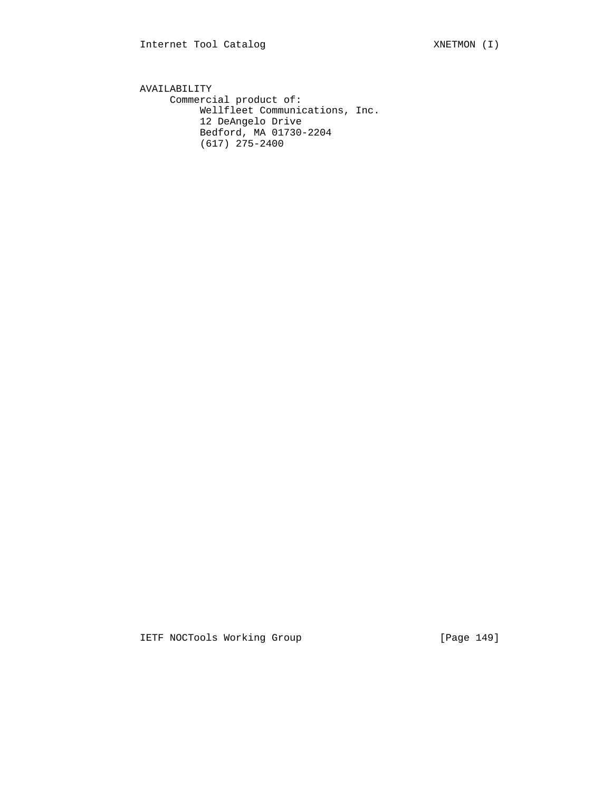AVAILABILITY Commercial product of: Wellfleet Communications, Inc. 12 DeAngelo Drive Bedford, MA 01730-2204 (617) 275-2400

IETF NOCTools Working Group [Page 149]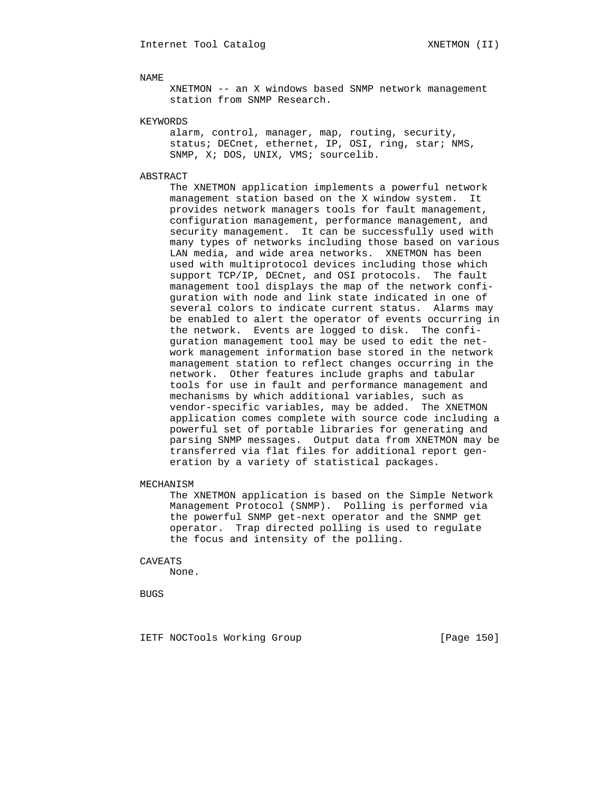NAME

 XNETMON -- an X windows based SNMP network management station from SNMP Research.

KEYWORDS

 alarm, control, manager, map, routing, security, status; DECnet, ethernet, IP, OSI, ring, star; NMS, SNMP, X; DOS, UNIX, VMS; sourcelib.

# ABSTRACT

 The XNETMON application implements a powerful network management station based on the X window system. It provides network managers tools for fault management, configuration management, performance management, and security management. It can be successfully used with many types of networks including those based on various LAN media, and wide area networks. XNETMON has been used with multiprotocol devices including those which support TCP/IP, DECnet, and OSI protocols. The fault management tool displays the map of the network confi guration with node and link state indicated in one of several colors to indicate current status. Alarms may be enabled to alert the operator of events occurring in the network. Events are logged to disk. The confi guration management tool may be used to edit the net work management information base stored in the network management station to reflect changes occurring in the network. Other features include graphs and tabular tools for use in fault and performance management and mechanisms by which additional variables, such as vendor-specific variables, may be added. The XNETMON application comes complete with source code including a powerful set of portable libraries for generating and parsing SNMP messages. Output data from XNETMON may be transferred via flat files for additional report gen eration by a variety of statistical packages.

#### MECHANISM

 The XNETMON application is based on the Simple Network Management Protocol (SNMP). Polling is performed via the powerful SNMP get-next operator and the SNMP get operator. Trap directed polling is used to regulate the focus and intensity of the polling.

#### CAVEATS

None.

BUGS

IETF NOCTools Working Group [Page 150]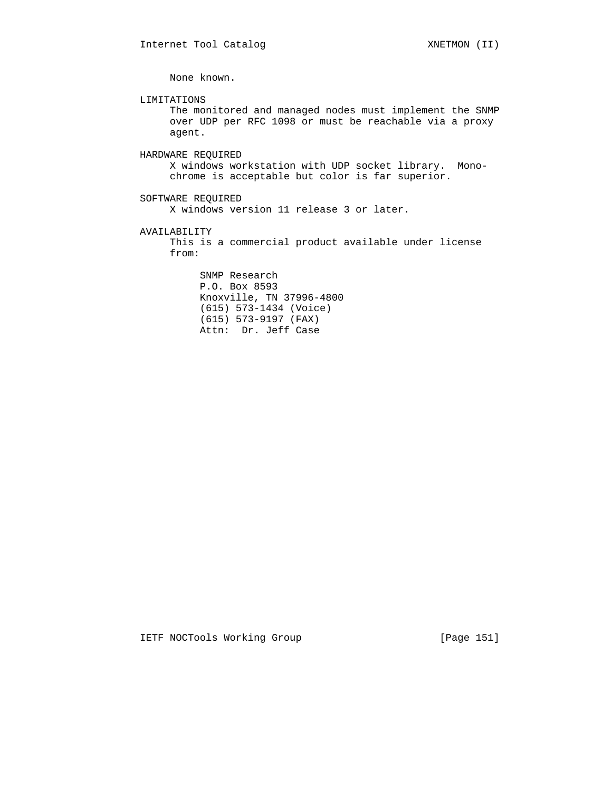None known.

LIMITATIONS

 The monitored and managed nodes must implement the SNMP over UDP per RFC 1098 or must be reachable via a proxy agent.

HARDWARE REQUIRED

 X windows workstation with UDP socket library. Mono chrome is acceptable but color is far superior.

 SOFTWARE REQUIRED X windows version 11 release 3 or later.

AVAILABILITY

 This is a commercial product available under license from:

 SNMP Research P.O. Box 8593 Knoxville, TN 37996-4800 (615) 573-1434 (Voice) (615) 573-9197 (FAX) Attn: Dr. Jeff Case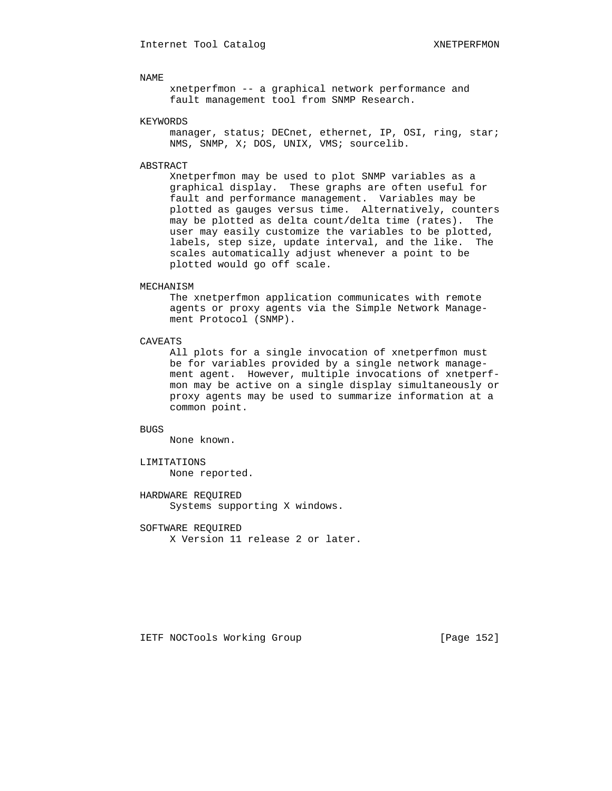# NAME

 xnetperfmon -- a graphical network performance and fault management tool from SNMP Research.

## KEYWORDS

manager, status; DECnet, ethernet, IP, OSI, ring, star; NMS, SNMP, X; DOS, UNIX, VMS; sourcelib.

## ABSTRACT

 Xnetperfmon may be used to plot SNMP variables as a graphical display. These graphs are often useful for fault and performance management. Variables may be plotted as gauges versus time. Alternatively, counters may be plotted as delta count/delta time (rates). The user may easily customize the variables to be plotted, labels, step size, update interval, and the like. The scales automatically adjust whenever a point to be plotted would go off scale.

#### MECHANISM

 The xnetperfmon application communicates with remote agents or proxy agents via the Simple Network Manage ment Protocol (SNMP).

# CAVEATS

 All plots for a single invocation of xnetperfmon must be for variables provided by a single network manage ment agent. However, multiple invocations of xnetperf mon may be active on a single display simultaneously or proxy agents may be used to summarize information at a common point.

# BUGS

None known.

# LIMITATIONS None reported.

 HARDWARE REQUIRED Systems supporting X windows.

 SOFTWARE REQUIRED X Version 11 release 2 or later.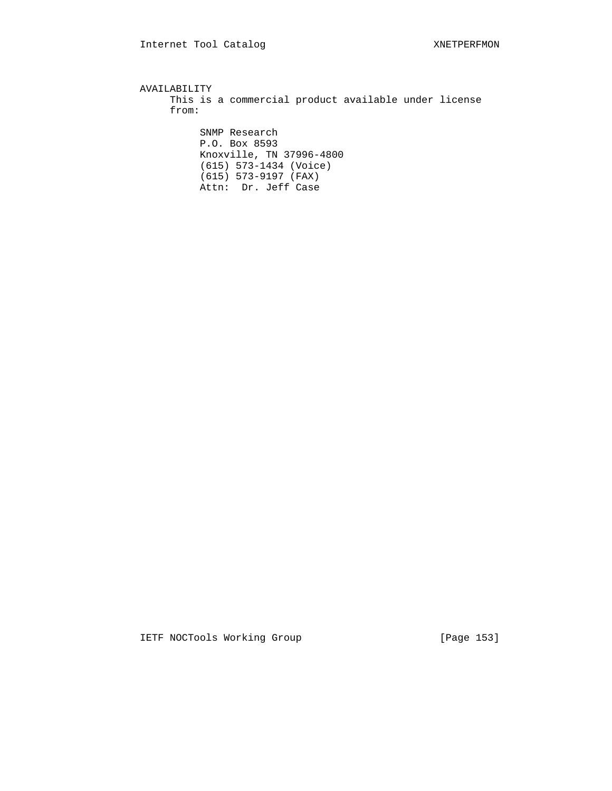AVAILABILITY This is a commercial product available under license from: SNMP Research P.O. Box 8593 Knoxville, TN 37996-4800 (615) 573-1434 (Voice) (615) 573-9197 (FAX) Attn: Dr. Jeff Case

IETF NOCTools Working Group [Page 153]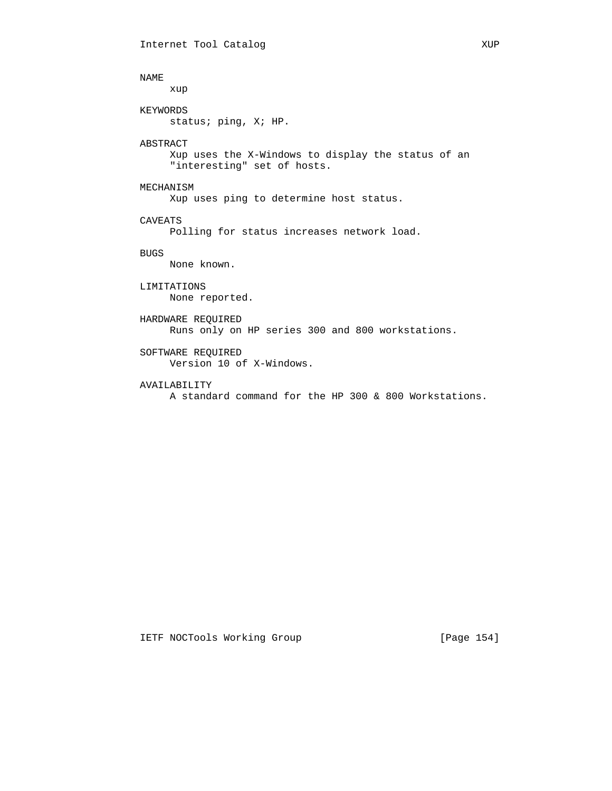```
 NAME
     xup
KEYWORDS
     status; ping, X; HP.
ABSTRACT
     Xup uses the X-Windows to display the status of an
     "interesting" set of hosts.
MECHANISM
     Xup uses ping to determine host status.
CAVEATS
     Polling for status increases network load.
BUGS
     None known.
LIMITATIONS
    None reported.
HARDWARE REQUIRED
     Runs only on HP series 300 and 800 workstations.
SOFTWARE REQUIRED
     Version 10 of X-Windows.
AVAILABILITY
     A standard command for the HP 300 & 800 Workstations.
```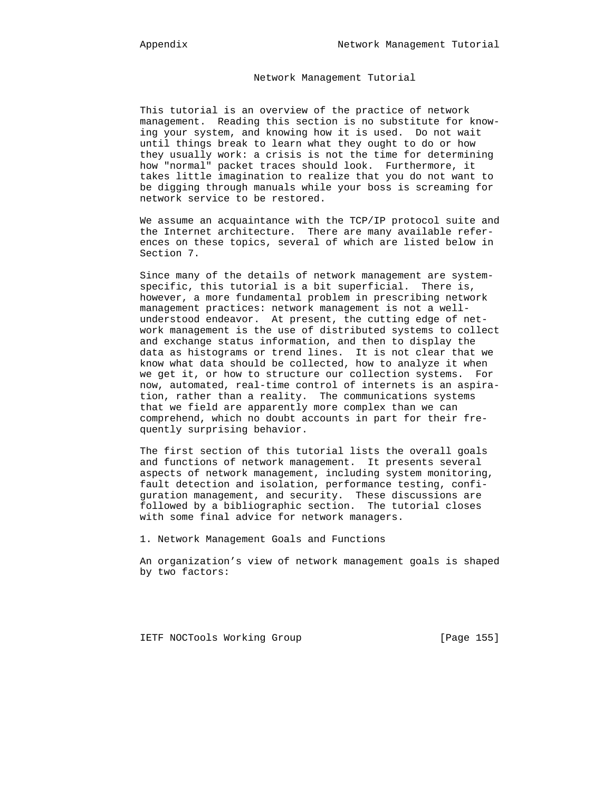# Network Management Tutorial

 This tutorial is an overview of the practice of network management. Reading this section is no substitute for know ing your system, and knowing how it is used. Do not wait until things break to learn what they ought to do or how they usually work: a crisis is not the time for determining how "normal" packet traces should look. Furthermore, it takes little imagination to realize that you do not want to be digging through manuals while your boss is screaming for network service to be restored.

 We assume an acquaintance with the TCP/IP protocol suite and the Internet architecture. There are many available refer ences on these topics, several of which are listed below in Section 7.

 Since many of the details of network management are system specific, this tutorial is a bit superficial. There is, however, a more fundamental problem in prescribing network management practices: network management is not a well understood endeavor. At present, the cutting edge of net work management is the use of distributed systems to collect and exchange status information, and then to display the data as histograms or trend lines. It is not clear that we know what data should be collected, how to analyze it when we get it, or how to structure our collection systems. For now, automated, real-time control of internets is an aspira tion, rather than a reality. The communications systems that we field are apparently more complex than we can comprehend, which no doubt accounts in part for their fre quently surprising behavior.

> The first section of this tutorial lists the overall goals and functions of network management. It presents several aspects of network management, including system monitoring, fault detection and isolation, performance testing, confi guration management, and security. These discussions are followed by a bibliographic section. The tutorial closes with some final advice for network managers.

1. Network Management Goals and Functions

 An organization's view of network management goals is shaped by two factors:

IETF NOCTools Working Group [Page 155]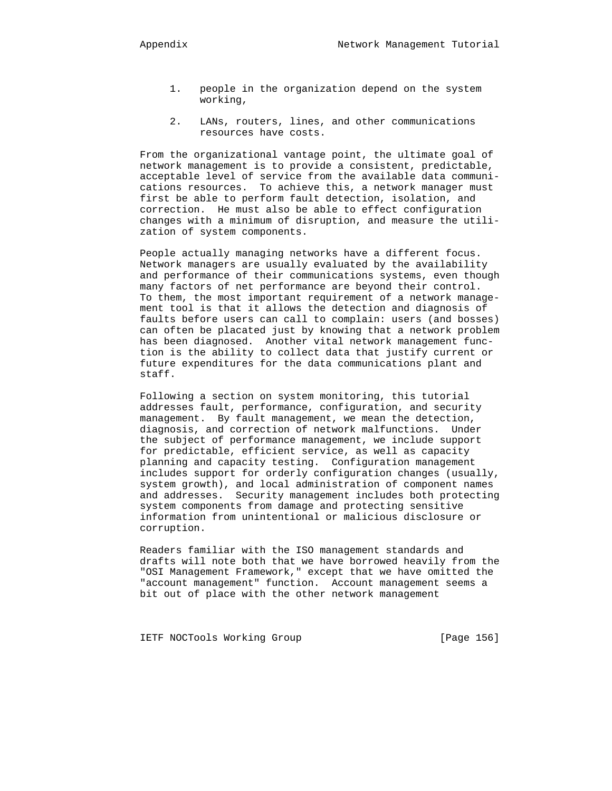- 1. people in the organization depend on the system working,
- 2. LANs, routers, lines, and other communications resources have costs.

 From the organizational vantage point, the ultimate goal of network management is to provide a consistent, predictable, acceptable level of service from the available data communi cations resources. To achieve this, a network manager must first be able to perform fault detection, isolation, and correction. He must also be able to effect configuration changes with a minimum of disruption, and measure the utili zation of system components.

 People actually managing networks have a different focus. Network managers are usually evaluated by the availability and performance of their communications systems, even though many factors of net performance are beyond their control. To them, the most important requirement of a network manage ment tool is that it allows the detection and diagnosis of faults before users can call to complain: users (and bosses) can often be placated just by knowing that a network problem has been diagnosed. Another vital network management func tion is the ability to collect data that justify current or future expenditures for the data communications plant and staff.

 Following a section on system monitoring, this tutorial addresses fault, performance, configuration, and security management. By fault management, we mean the detection, diagnosis, and correction of network malfunctions. Under the subject of performance management, we include support for predictable, efficient service, as well as capacity planning and capacity testing. Configuration management includes support for orderly configuration changes (usually, system growth), and local administration of component names and addresses. Security management includes both protecting system components from damage and protecting sensitive information from unintentional or malicious disclosure or corruption.

 Readers familiar with the ISO management standards and drafts will note both that we have borrowed heavily from the "OSI Management Framework," except that we have omitted the "account management" function. Account management seems a bit out of place with the other network management

IETF NOCTools Working Group [Page 156]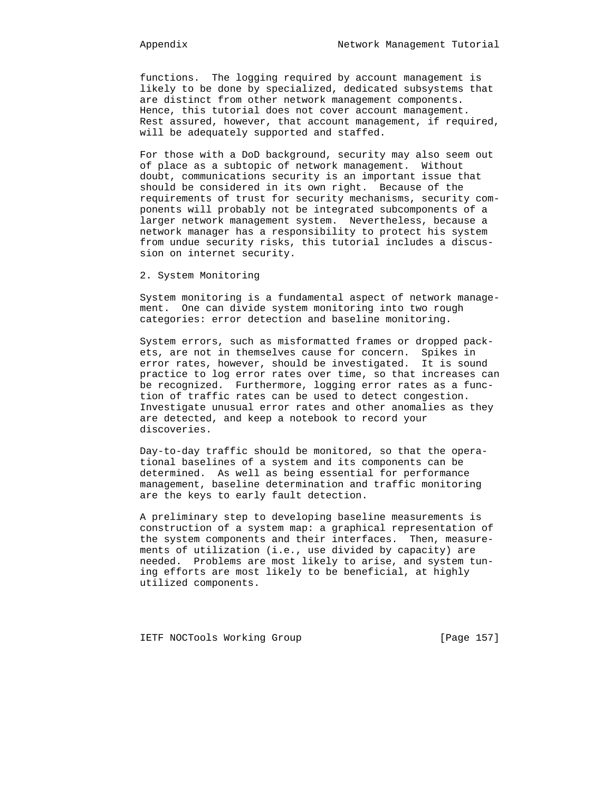functions. The logging required by account management is likely to be done by specialized, dedicated subsystems that are distinct from other network management components. Hence, this tutorial does not cover account management. Rest assured, however, that account management, if required, will be adequately supported and staffed.

 For those with a DoD background, security may also seem out of place as a subtopic of network management. Without doubt, communications security is an important issue that should be considered in its own right. Because of the requirements of trust for security mechanisms, security com ponents will probably not be integrated subcomponents of a larger network management system. Nevertheless, because a network manager has a responsibility to protect his system from undue security risks, this tutorial includes a discus sion on internet security.

2. System Monitoring

 System monitoring is a fundamental aspect of network manage ment. One can divide system monitoring into two rough categories: error detection and baseline monitoring.

 System errors, such as misformatted frames or dropped pack ets, are not in themselves cause for concern. Spikes in error rates, however, should be investigated. It is sound practice to log error rates over time, so that increases can be recognized. Furthermore, logging error rates as a func tion of traffic rates can be used to detect congestion. Investigate unusual error rates and other anomalies as they are detected, and keep a notebook to record your discoveries.

 Day-to-day traffic should be monitored, so that the opera tional baselines of a system and its components can be determined. As well as being essential for performance management, baseline determination and traffic monitoring are the keys to early fault detection.

 A preliminary step to developing baseline measurements is construction of a system map: a graphical representation of the system components and their interfaces. Then, measure ments of utilization (i.e., use divided by capacity) are needed. Problems are most likely to arise, and system tun ing efforts are most likely to be beneficial, at highly utilized components.

IETF NOCTools Working Group [Page 157]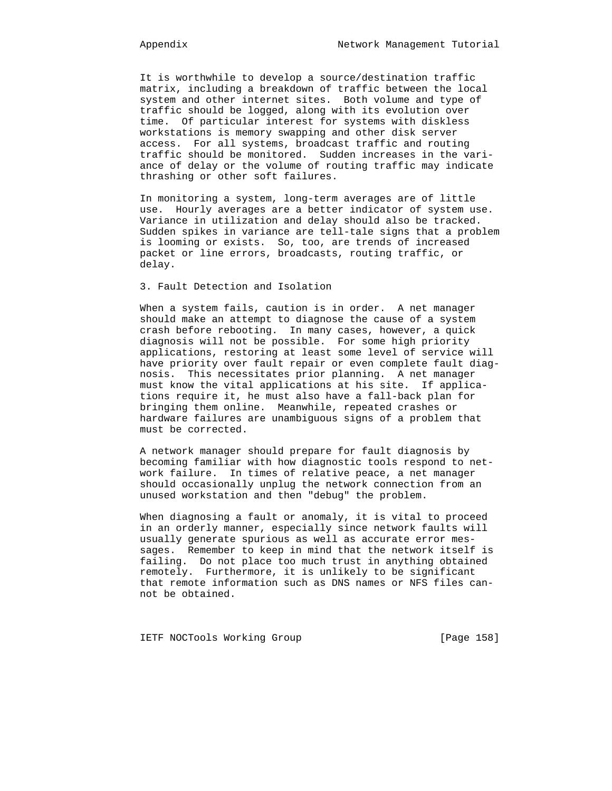It is worthwhile to develop a source/destination traffic matrix, including a breakdown of traffic between the local system and other internet sites. Both volume and type of traffic should be logged, along with its evolution over time. Of particular interest for systems with diskless workstations is memory swapping and other disk server access. For all systems, broadcast traffic and routing traffic should be monitored. Sudden increases in the vari ance of delay or the volume of routing traffic may indicate thrashing or other soft failures.

 In monitoring a system, long-term averages are of little use. Hourly averages are a better indicator of system use. Variance in utilization and delay should also be tracked. Sudden spikes in variance are tell-tale signs that a problem is looming or exists. So, too, are trends of increased packet or line errors, broadcasts, routing traffic, or delay.

# 3. Fault Detection and Isolation

 When a system fails, caution is in order. A net manager should make an attempt to diagnose the cause of a system crash before rebooting. In many cases, however, a quick diagnosis will not be possible. For some high priority applications, restoring at least some level of service will have priority over fault repair or even complete fault diag nosis. This necessitates prior planning. A net manager must know the vital applications at his site. If applica tions require it, he must also have a fall-back plan for bringing them online. Meanwhile, repeated crashes or hardware failures are unambiguous signs of a problem that must be corrected.

 A network manager should prepare for fault diagnosis by becoming familiar with how diagnostic tools respond to net work failure. In times of relative peace, a net manager should occasionally unplug the network connection from an unused workstation and then "debug" the problem.

 When diagnosing a fault or anomaly, it is vital to proceed in an orderly manner, especially since network faults will usually generate spurious as well as accurate error mes sages. Remember to keep in mind that the network itself is failing. Do not place too much trust in anything obtained remotely. Furthermore, it is unlikely to be significant that remote information such as DNS names or NFS files can not be obtained.

IETF NOCTools Working Group [Page 158]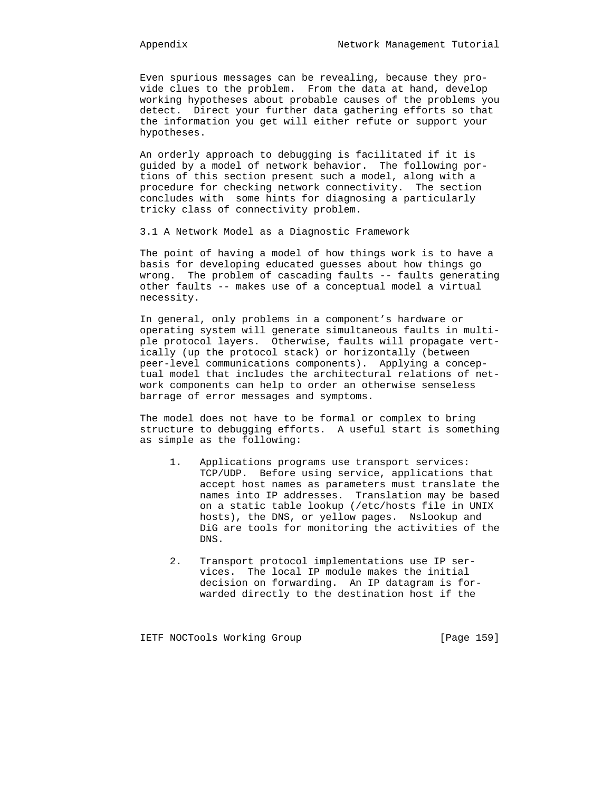Even spurious messages can be revealing, because they pro vide clues to the problem. From the data at hand, develop working hypotheses about probable causes of the problems you detect. Direct your further data gathering efforts so that the information you get will either refute or support your hypotheses.

 An orderly approach to debugging is facilitated if it is guided by a model of network behavior. The following por tions of this section present such a model, along with a procedure for checking network connectivity. The section concludes with some hints for diagnosing a particularly tricky class of connectivity problem.

3.1 A Network Model as a Diagnostic Framework

 The point of having a model of how things work is to have a basis for developing educated guesses about how things go wrong. The problem of cascading faults -- faults generating other faults -- makes use of a conceptual model a virtual necessity.

 In general, only problems in a component's hardware or operating system will generate simultaneous faults in multi ple protocol layers. Otherwise, faults will propagate vert ically (up the protocol stack) or horizontally (between peer-level communications components). Applying a concep tual model that includes the architectural relations of net work components can help to order an otherwise senseless barrage of error messages and symptoms.

 The model does not have to be formal or complex to bring structure to debugging efforts. A useful start is something as simple as the following:

- 1. Applications programs use transport services: TCP/UDP. Before using service, applications that accept host names as parameters must translate the names into IP addresses. Translation may be based on a static table lookup (/etc/hosts file in UNIX hosts), the DNS, or yellow pages. Nslookup and DiG are tools for monitoring the activities of the DNS.
- 2. Transport protocol implementations use IP ser vices. The local IP module makes the initial decision on forwarding. An IP datagram is for warded directly to the destination host if the

IETF NOCTools Working Group [Page 159]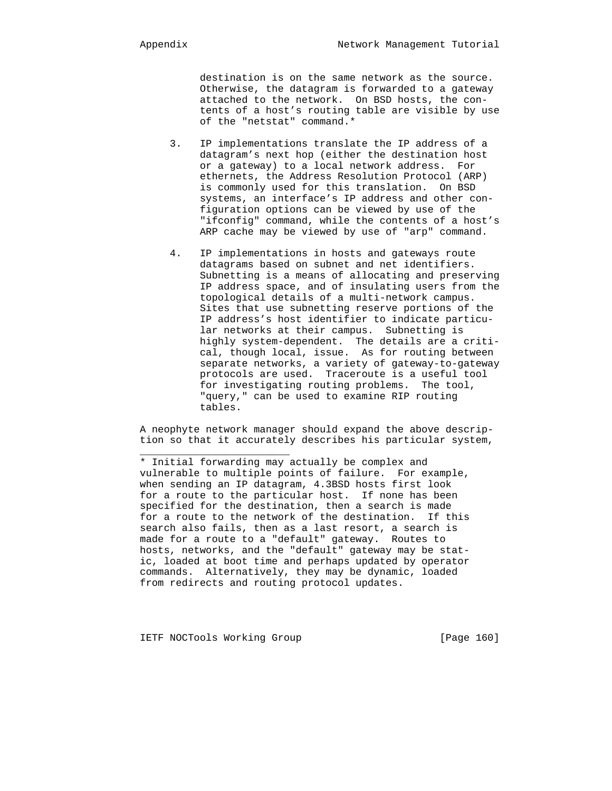destination is on the same network as the source. Otherwise, the datagram is forwarded to a gateway attached to the network. On BSD hosts, the con tents of a host's routing table are visible by use of the "netstat" command.\*

- 3. IP implementations translate the IP address of a datagram's next hop (either the destination host or a gateway) to a local network address. For ethernets, the Address Resolution Protocol (ARP) is commonly used for this translation. On BSD systems, an interface's IP address and other con figuration options can be viewed by use of the "ifconfig" command, while the contents of a host's ARP cache may be viewed by use of "arp" command.
- 4. IP implementations in hosts and gateways route datagrams based on subnet and net identifiers. Subnetting is a means of allocating and preserving IP address space, and of insulating users from the topological details of a multi-network campus. Sites that use subnetting reserve portions of the IP address's host identifier to indicate particu lar networks at their campus. Subnetting is highly system-dependent. The details are a criti cal, though local, issue. As for routing between separate networks, a variety of gateway-to-gateway protocols are used. Traceroute is a useful tool for investigating routing problems. The tool, "query," can be used to examine RIP routing tables.

 A neophyte network manager should expand the above descrip tion so that it accurately describes his particular system,

 \* Initial forwarding may actually be complex and vulnerable to multiple points of failure. For example, when sending an IP datagram, 4.3BSD hosts first look for a route to the particular host. If none has been specified for the destination, then a search is made for a route to the network of the destination. If this search also fails, then as a last resort, a search is made for a route to a "default" gateway. Routes to hosts, networks, and the "default" gateway may be stat ic, loaded at boot time and perhaps updated by operator commands. Alternatively, they may be dynamic, loaded from redirects and routing protocol updates.

IETF NOCTools Working Group [Page 160]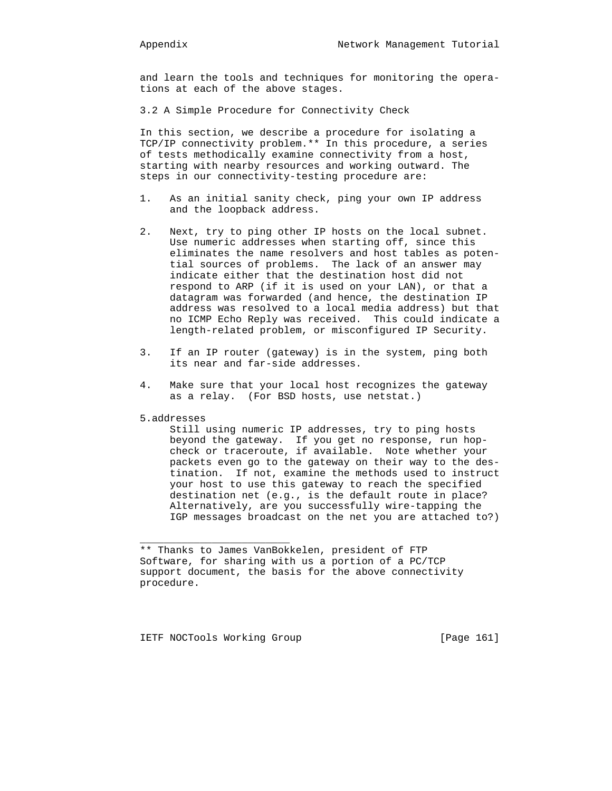and learn the tools and techniques for monitoring the opera tions at each of the above stages.

3.2 A Simple Procedure for Connectivity Check

 In this section, we describe a procedure for isolating a TCP/IP connectivity problem.\*\* In this procedure, a series of tests methodically examine connectivity from a host, starting with nearby resources and working outward. The steps in our connectivity-testing procedure are:

- 1. As an initial sanity check, ping your own IP address and the loopback address.
- 2. Next, try to ping other IP hosts on the local subnet. Use numeric addresses when starting off, since this eliminates the name resolvers and host tables as poten tial sources of problems. The lack of an answer may indicate either that the destination host did not respond to ARP (if it is used on your LAN), or that a datagram was forwarded (and hence, the destination IP address was resolved to a local media address) but that no ICMP Echo Reply was received. This could indicate a length-related problem, or misconfigured IP Security.
- 3. If an IP router (gateway) is in the system, ping both its near and far-side addresses.
- 4. Make sure that your local host recognizes the gateway as a relay. (For BSD hosts, use netstat.)
- 5.addresses

\_\_\_\_\_\_\_\_\_\_\_\_\_\_\_\_\_\_\_\_\_\_\_\_\_

 Still using numeric IP addresses, try to ping hosts beyond the gateway. If you get no response, run hop check or traceroute, if available. Note whether your packets even go to the gateway on their way to the des tination. If not, examine the methods used to instruct your host to use this gateway to reach the specified destination net (e.g., is the default route in place? Alternatively, are you successfully wire-tapping the IGP messages broadcast on the net you are attached to?)

IETF NOCTools Working Group [Page 161]

 <sup>\*\*</sup> Thanks to James VanBokkelen, president of FTP Software, for sharing with us a portion of a PC/TCP support document, the basis for the above connectivity procedure.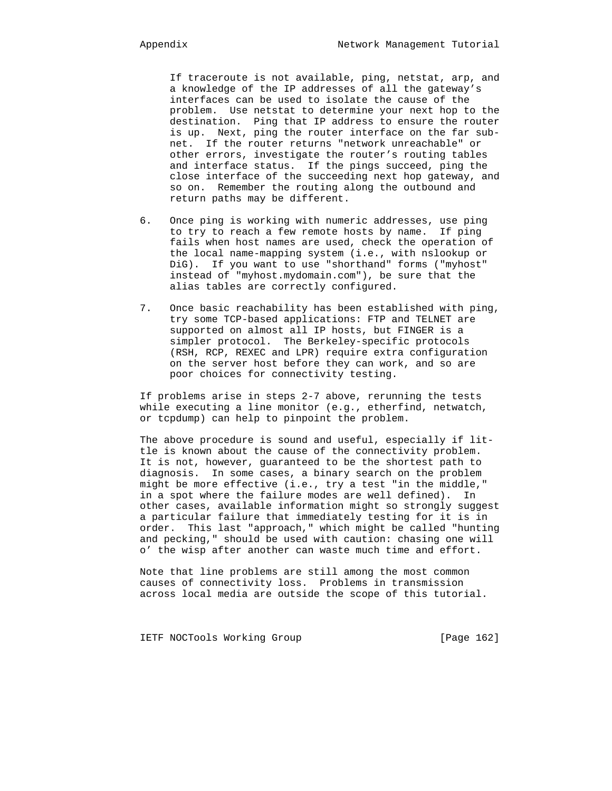If traceroute is not available, ping, netstat, arp, and a knowledge of the IP addresses of all the gateway's interfaces can be used to isolate the cause of the problem. Use netstat to determine your next hop to the destination. Ping that IP address to ensure the router is up. Next, ping the router interface on the far sub net. If the router returns "network unreachable" or other errors, investigate the router's routing tables and interface status. If the pings succeed, ping the close interface of the succeeding next hop gateway, and so on. Remember the routing along the outbound and return paths may be different.

- 6. Once ping is working with numeric addresses, use ping to try to reach a few remote hosts by name. If ping fails when host names are used, check the operation of the local name-mapping system (i.e., with nslookup or DiG). If you want to use "shorthand" forms ("myhost" instead of "myhost.mydomain.com"), be sure that the alias tables are correctly configured.
- 7. Once basic reachability has been established with ping, try some TCP-based applications: FTP and TELNET are supported on almost all IP hosts, but FINGER is a simpler protocol. The Berkeley-specific protocols (RSH, RCP, REXEC and LPR) require extra configuration on the server host before they can work, and so are poor choices for connectivity testing.

 If problems arise in steps 2-7 above, rerunning the tests while executing a line monitor (e.g., etherfind, netwatch, or tcpdump) can help to pinpoint the problem.

 The above procedure is sound and useful, especially if lit tle is known about the cause of the connectivity problem. It is not, however, guaranteed to be the shortest path to diagnosis. In some cases, a binary search on the problem might be more effective (i.e., try a test "in the middle," in a spot where the failure modes are well defined). In other cases, available information might so strongly suggest a particular failure that immediately testing for it is in order. This last "approach," which might be called "hunting and pecking," should be used with caution: chasing one will o' the wisp after another can waste much time and effort.

 Note that line problems are still among the most common causes of connectivity loss. Problems in transmission across local media are outside the scope of this tutorial.

IETF NOCTools Working Group [Page 162]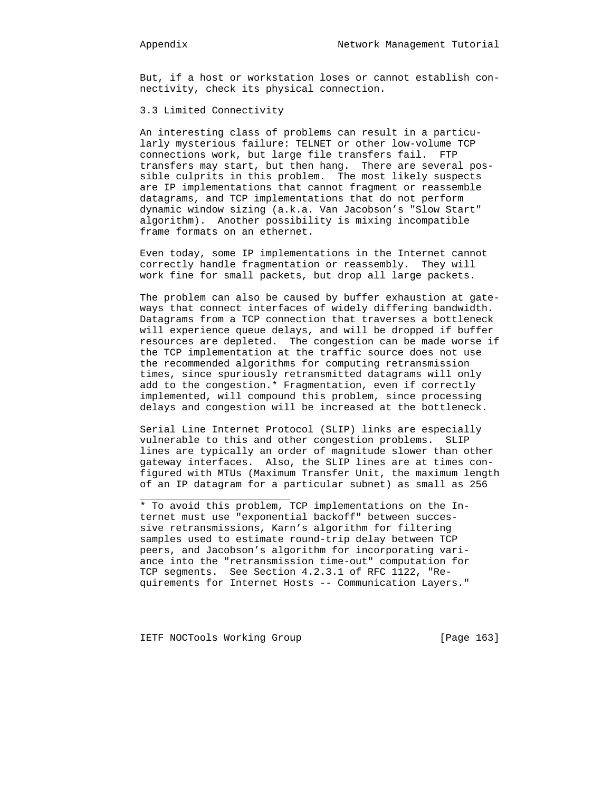But, if a host or workstation loses or cannot establish con nectivity, check its physical connection.

# 3.3 Limited Connectivity

 An interesting class of problems can result in a particu larly mysterious failure: TELNET or other low-volume TCP connections work, but large file transfers fail. FTP transfers may start, but then hang. There are several pos sible culprits in this problem. The most likely suspects are IP implementations that cannot fragment or reassemble datagrams, and TCP implementations that do not perform dynamic window sizing (a.k.a. Van Jacobson's "Slow Start" algorithm). Another possibility is mixing incompatible frame formats on an ethernet.

 Even today, some IP implementations in the Internet cannot correctly handle fragmentation or reassembly. They will work fine for small packets, but drop all large packets.

 The problem can also be caused by buffer exhaustion at gate ways that connect interfaces of widely differing bandwidth. Datagrams from a TCP connection that traverses a bottleneck will experience queue delays, and will be dropped if buffer resources are depleted. The congestion can be made worse if the TCP implementation at the traffic source does not use the recommended algorithms for computing retransmission times, since spuriously retransmitted datagrams will only add to the congestion.\* Fragmentation, even if correctly implemented, will compound this problem, since processing delays and congestion will be increased at the bottleneck.

 Serial Line Internet Protocol (SLIP) links are especially vulnerable to this and other congestion problems. SLIP lines are typically an order of magnitude slower than other gateway interfaces. Also, the SLIP lines are at times con figured with MTUs (Maximum Transfer Unit, the maximum length of an IP datagram for a particular subnet) as small as 256

IETF NOCTools Working Group [Page 163]

 <sup>\*</sup> To avoid this problem, TCP implementations on the In ternet must use "exponential backoff" between succes sive retransmissions, Karn's algorithm for filtering samples used to estimate round-trip delay between TCP peers, and Jacobson's algorithm for incorporating vari ance into the "retransmission time-out" computation for TCP segments. See Section 4.2.3.1 of RFC 1122, "Re quirements for Internet Hosts -- Communication Layers."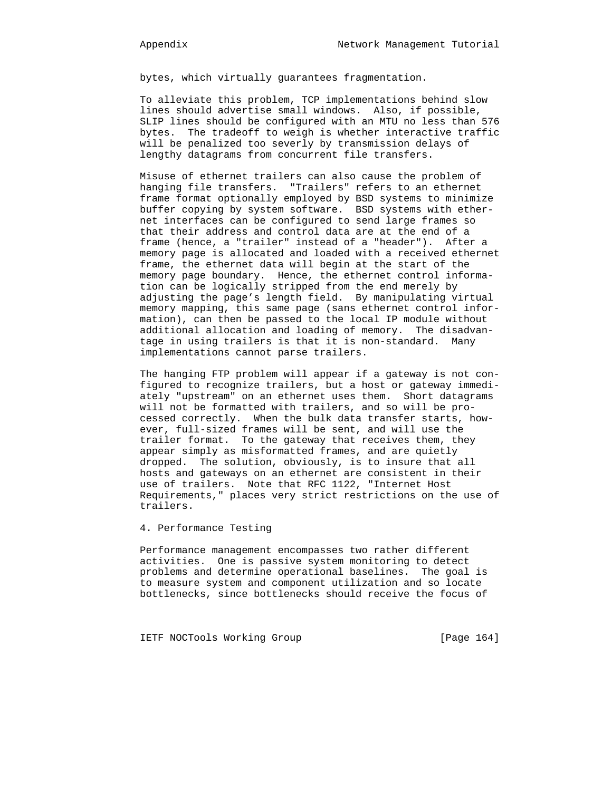bytes, which virtually guarantees fragmentation.

 To alleviate this problem, TCP implementations behind slow lines should advertise small windows. Also, if possible, SLIP lines should be configured with an MTU no less than 576 bytes. The tradeoff to weigh is whether interactive traffic will be penalized too severly by transmission delays of lengthy datagrams from concurrent file transfers.

 Misuse of ethernet trailers can also cause the problem of hanging file transfers. "Trailers" refers to an ethernet frame format optionally employed by BSD systems to minimize buffer copying by system software. BSD systems with ether net interfaces can be configured to send large frames so that their address and control data are at the end of a frame (hence, a "trailer" instead of a "header"). After a memory page is allocated and loaded with a received ethernet frame, the ethernet data will begin at the start of the memory page boundary. Hence, the ethernet control informa tion can be logically stripped from the end merely by adjusting the page's length field. By manipulating virtual memory mapping, this same page (sans ethernet control infor mation), can then be passed to the local IP module without additional allocation and loading of memory. The disadvan tage in using trailers is that it is non-standard. Many implementations cannot parse trailers.

 The hanging FTP problem will appear if a gateway is not con figured to recognize trailers, but a host or gateway immedi ately "upstream" on an ethernet uses them. Short datagrams will not be formatted with trailers, and so will be pro cessed correctly. When the bulk data transfer starts, how ever, full-sized frames will be sent, and will use the trailer format. To the gateway that receives them, they appear simply as misformatted frames, and are quietly dropped. The solution, obviously, is to insure that all hosts and gateways on an ethernet are consistent in their use of trailers. Note that RFC 1122, "Internet Host Requirements," places very strict restrictions on the use of trailers.

4. Performance Testing

 Performance management encompasses two rather different activities. One is passive system monitoring to detect problems and determine operational baselines. The goal is to measure system and component utilization and so locate bottlenecks, since bottlenecks should receive the focus of

IETF NOCTools Working Group [Page 164]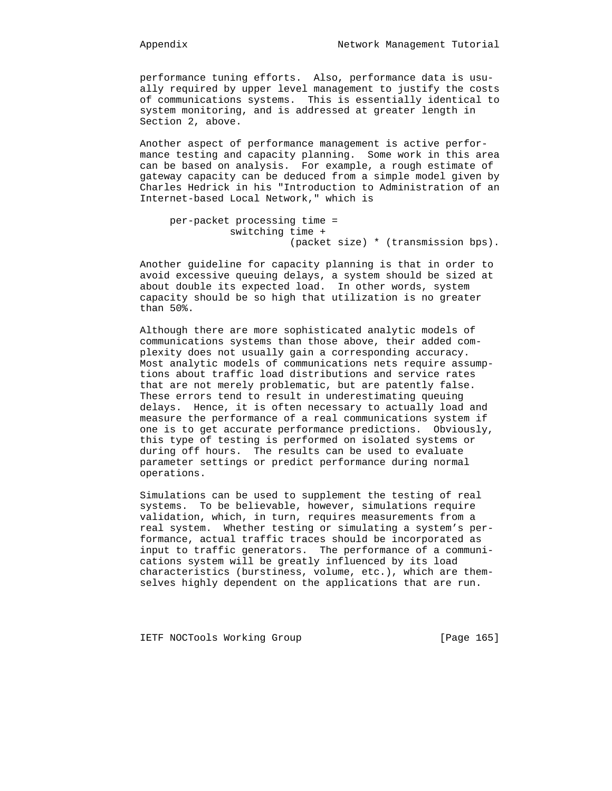performance tuning efforts. Also, performance data is usu ally required by upper level management to justify the costs of communications systems. This is essentially identical to system monitoring, and is addressed at greater length in Section 2, above.

 Another aspect of performance management is active perfor mance testing and capacity planning. Some work in this area can be based on analysis. For example, a rough estimate of gateway capacity can be deduced from a simple model given by Charles Hedrick in his "Introduction to Administration of an Internet-based Local Network," which is

```
 per-packet processing time =
          switching time +
                     (packet size) * (transmission bps).
```
 Another guideline for capacity planning is that in order to avoid excessive queuing delays, a system should be sized at about double its expected load. In other words, system capacity should be so high that utilization is no greater than 50%.

 Although there are more sophisticated analytic models of communications systems than those above, their added com plexity does not usually gain a corresponding accuracy. Most analytic models of communications nets require assump tions about traffic load distributions and service rates that are not merely problematic, but are patently false. These errors tend to result in underestimating queuing delays. Hence, it is often necessary to actually load and measure the performance of a real communications system if one is to get accurate performance predictions. Obviously, this type of testing is performed on isolated systems or during off hours. The results can be used to evaluate parameter settings or predict performance during normal operations.

 Simulations can be used to supplement the testing of real systems. To be believable, however, simulations require validation, which, in turn, requires measurements from a real system. Whether testing or simulating a system's per formance, actual traffic traces should be incorporated as input to traffic generators. The performance of a communi cations system will be greatly influenced by its load characteristics (burstiness, volume, etc.), which are them selves highly dependent on the applications that are run.

IETF NOCTools Working Group [Page 165]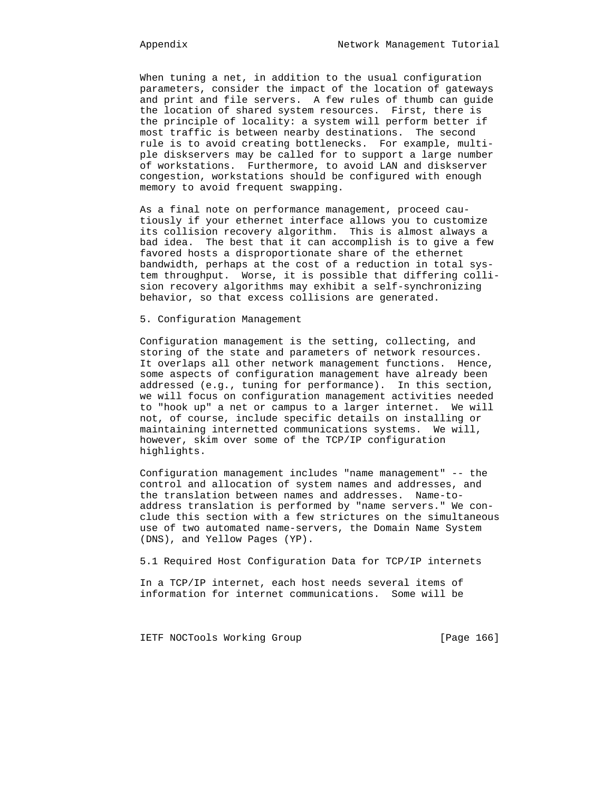When tuning a net, in addition to the usual configuration parameters, consider the impact of the location of gateways and print and file servers. A few rules of thumb can guide the location of shared system resources. First, there is the principle of locality: a system will perform better if most traffic is between nearby destinations. The second rule is to avoid creating bottlenecks. For example, multi ple diskservers may be called for to support a large number of workstations. Furthermore, to avoid LAN and diskserver congestion, workstations should be configured with enough memory to avoid frequent swapping.

 As a final note on performance management, proceed cau tiously if your ethernet interface allows you to customize its collision recovery algorithm. This is almost always a bad idea. The best that it can accomplish is to give a few favored hosts a disproportionate share of the ethernet bandwidth, perhaps at the cost of a reduction in total sys tem throughput. Worse, it is possible that differing colli sion recovery algorithms may exhibit a self-synchronizing behavior, so that excess collisions are generated.

# 5. Configuration Management

 Configuration management is the setting, collecting, and storing of the state and parameters of network resources. It overlaps all other network management functions. Hence, some aspects of configuration management have already been addressed (e.g., tuning for performance). In this section, we will focus on configuration management activities needed to "hook up" a net or campus to a larger internet. We will not, of course, include specific details on installing or maintaining internetted communications systems. We will, however, skim over some of the TCP/IP configuration highlights.

 Configuration management includes "name management" -- the control and allocation of system names and addresses, and the translation between names and addresses. Name-to address translation is performed by "name servers." We con clude this section with a few strictures on the simultaneous use of two automated name-servers, the Domain Name System (DNS), and Yellow Pages (YP).

5.1 Required Host Configuration Data for TCP/IP internets

 In a TCP/IP internet, each host needs several items of information for internet communications. Some will be

IETF NOCTools Working Group [Page 166]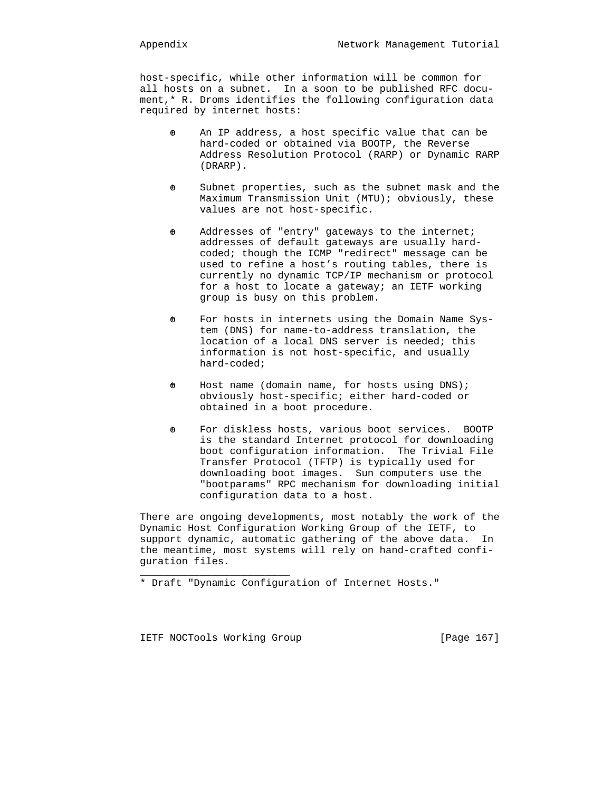host-specific, while other information will be common for all hosts on a subnet. In a soon to be published RFC docu ment,\* R. Droms identifies the following configuration data required by internet hosts:

- $\theta$  An IP address, a host specific value that can be hard-coded or obtained via BOOTP, the Reverse Address Resolution Protocol (RARP) or Dynamic RARP (DRARP).
- $\theta$  Subnet properties, such as the subnet mask and the Maximum Transmission Unit (MTU); obviously, these values are not host-specific.
- $\theta$  Addresses of "entry" gateways to the internet; addresses of default gateways are usually hard coded; though the ICMP "redirect" message can be used to refine a host's routing tables, there is currently no dynamic TCP/IP mechanism or protocol for a host to locate a gateway; an IETF working group is busy on this problem.
- $\Theta$  For hosts in internets using the Domain Name Sys tem (DNS) for name-to-address translation, the location of a local DNS server is needed; this information is not host-specific, and usually hard-coded;
- $\theta$  Host name (domain name, for hosts using DNS); obviously host-specific; either hard-coded or obtained in a boot procedure.
- $\theta$  For diskless hosts, various boot services. BOOTP is the standard Internet protocol for downloading boot configuration information. The Trivial File Transfer Protocol (TFTP) is typically used for downloading boot images. Sun computers use the "bootparams" RPC mechanism for downloading initial configuration data to a host.

 There are ongoing developments, most notably the work of the Dynamic Host Configuration Working Group of the IETF, to support dynamic, automatic gathering of the above data. In the meantime, most systems will rely on hand-crafted confi guration files.

\* Draft "Dynamic Configuration of Internet Hosts."

IETF NOCTools Working Group [Page 167]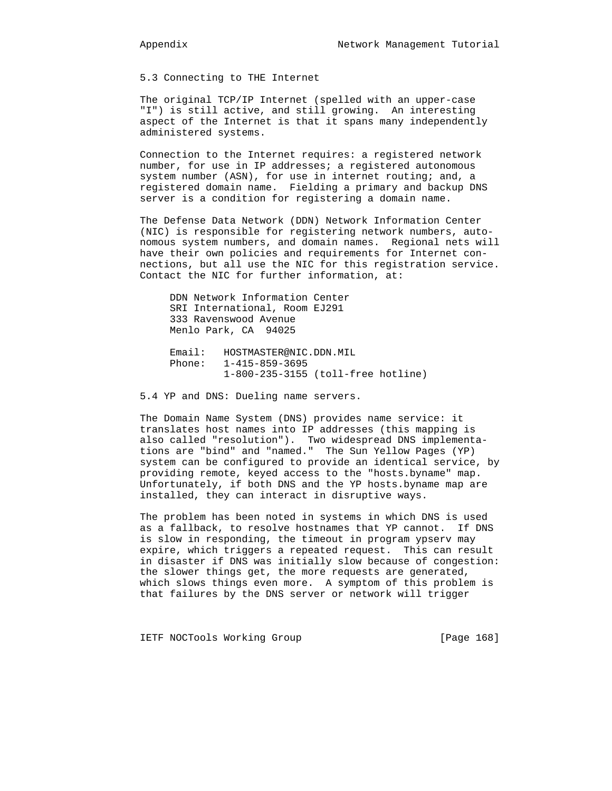5.3 Connecting to THE Internet

 The original TCP/IP Internet (spelled with an upper-case "I") is still active, and still growing. An interesting aspect of the Internet is that it spans many independently administered systems.

 Connection to the Internet requires: a registered network number, for use in IP addresses; a registered autonomous system number (ASN), for use in internet routing; and, a registered domain name. Fielding a primary and backup DNS server is a condition for registering a domain name.

 The Defense Data Network (DDN) Network Information Center (NIC) is responsible for registering network numbers, auto nomous system numbers, and domain names. Regional nets will have their own policies and requirements for Internet con nections, but all use the NIC for this registration service. Contact the NIC for further information, at:

 DDN Network Information Center SRI International, Room EJ291 333 Ravenswood Avenue Menlo Park, CA 94025

 Email: HOSTMASTER@NIC.DDN.MIL Phone: 1-415-859-3695 1-800-235-3155 (toll-free hotline)

5.4 YP and DNS: Dueling name servers.

 The Domain Name System (DNS) provides name service: it translates host names into IP addresses (this mapping is also called "resolution"). Two widespread DNS implementa tions are "bind" and "named." The Sun Yellow Pages (YP) system can be configured to provide an identical service, by providing remote, keyed access to the "hosts.byname" map. Unfortunately, if both DNS and the YP hosts.byname map are installed, they can interact in disruptive ways.

 The problem has been noted in systems in which DNS is used as a fallback, to resolve hostnames that YP cannot. If DNS is slow in responding, the timeout in program ypserv may expire, which triggers a repeated request. This can result in disaster if DNS was initially slow because of congestion: the slower things get, the more requests are generated, which slows things even more. A symptom of this problem is that failures by the DNS server or network will trigger

IETF NOCTools Working Group [Page 168]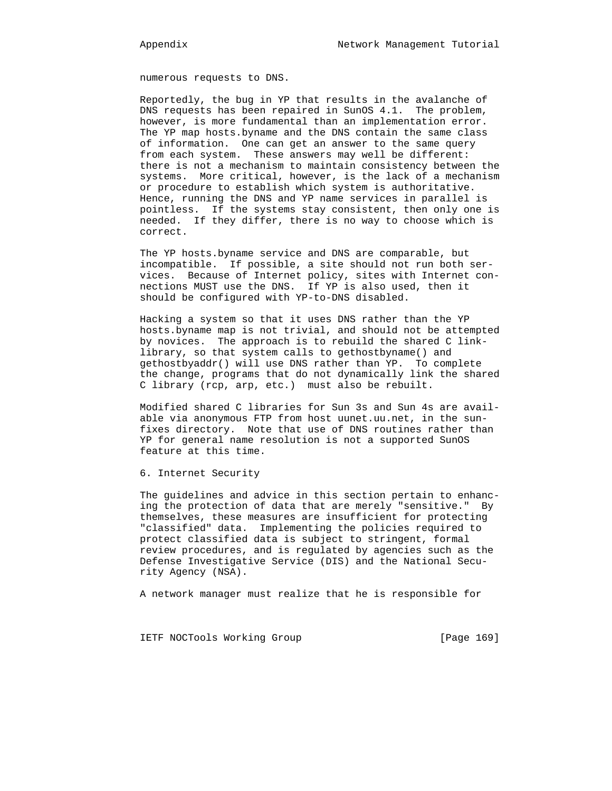numerous requests to DNS.

 Reportedly, the bug in YP that results in the avalanche of DNS requests has been repaired in SunOS 4.1. The problem, however, is more fundamental than an implementation error. The YP map hosts.byname and the DNS contain the same class of information. One can get an answer to the same query from each system. These answers may well be different: there is not a mechanism to maintain consistency between the systems. More critical, however, is the lack of a mechanism or procedure to establish which system is authoritative. Hence, running the DNS and YP name services in parallel is pointless. If the systems stay consistent, then only one is needed. If they differ, there is no way to choose which is correct.

 The YP hosts.byname service and DNS are comparable, but incompatible. If possible, a site should not run both ser vices. Because of Internet policy, sites with Internet con nections MUST use the DNS. If YP is also used, then it should be configured with YP-to-DNS disabled.

 Hacking a system so that it uses DNS rather than the YP hosts.byname map is not trivial, and should not be attempted by novices. The approach is to rebuild the shared C link library, so that system calls to gethostbyname() and gethostbyaddr() will use DNS rather than YP. To complete the change, programs that do not dynamically link the shared C library (rcp, arp, etc.) must also be rebuilt.

 Modified shared C libraries for Sun 3s and Sun 4s are avail able via anonymous FTP from host uunet.uu.net, in the sun fixes directory. Note that use of DNS routines rather than YP for general name resolution is not a supported SunOS feature at this time.

6. Internet Security

 The guidelines and advice in this section pertain to enhanc ing the protection of data that are merely "sensitive." By themselves, these measures are insufficient for protecting "classified" data. Implementing the policies required to protect classified data is subject to stringent, formal review procedures, and is regulated by agencies such as the Defense Investigative Service (DIS) and the National Secu rity Agency (NSA).

A network manager must realize that he is responsible for

IETF NOCTools Working Group [Page 169]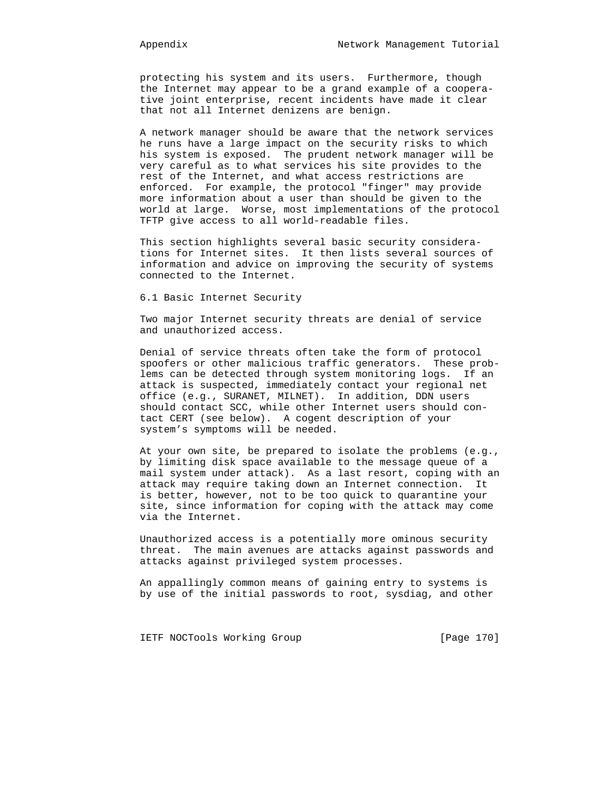protecting his system and its users. Furthermore, though the Internet may appear to be a grand example of a coopera tive joint enterprise, recent incidents have made it clear that not all Internet denizens are benign.

 A network manager should be aware that the network services he runs have a large impact on the security risks to which his system is exposed. The prudent network manager will be very careful as to what services his site provides to the rest of the Internet, and what access restrictions are enforced. For example, the protocol "finger" may provide more information about a user than should be given to the world at large. Worse, most implementations of the protocol TFTP give access to all world-readable files.

 This section highlights several basic security considera tions for Internet sites. It then lists several sources of information and advice on improving the security of systems connected to the Internet.

6.1 Basic Internet Security

 Two major Internet security threats are denial of service and unauthorized access.

 Denial of service threats often take the form of protocol spoofers or other malicious traffic generators. These prob lems can be detected through system monitoring logs. If an attack is suspected, immediately contact your regional net office (e.g., SURANET, MILNET). In addition, DDN users should contact SCC, while other Internet users should con tact CERT (see below). A cogent description of your system's symptoms will be needed.

 At your own site, be prepared to isolate the problems (e.g., by limiting disk space available to the message queue of a mail system under attack). As a last resort, coping with an attack may require taking down an Internet connection. It is better, however, not to be too quick to quarantine your site, since information for coping with the attack may come via the Internet.

 Unauthorized access is a potentially more ominous security threat. The main avenues are attacks against passwords and attacks against privileged system processes.

 An appallingly common means of gaining entry to systems is by use of the initial passwords to root, sysdiag, and other

IETF NOCTools Working Group [Page 170]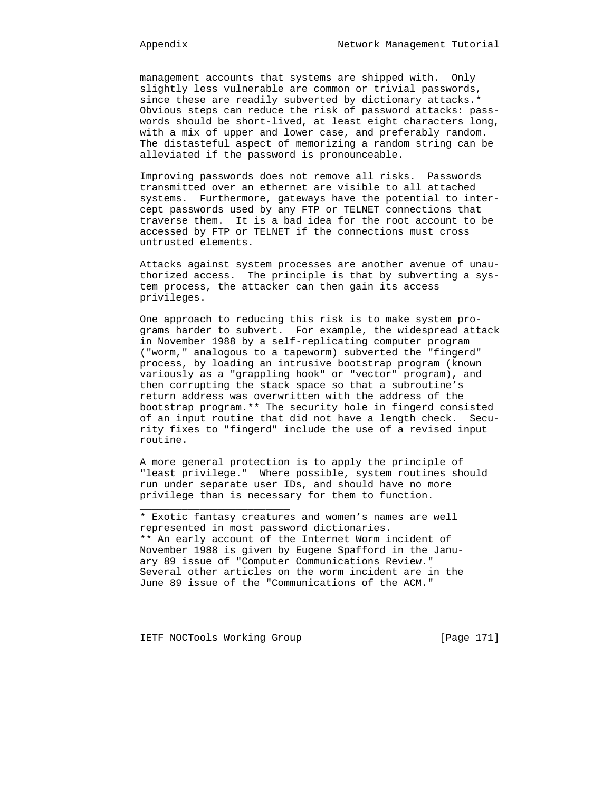management accounts that systems are shipped with. Only slightly less vulnerable are common or trivial passwords, since these are readily subverted by dictionary attacks.\* Obvious steps can reduce the risk of password attacks: pass words should be short-lived, at least eight characters long, with a mix of upper and lower case, and preferably random. The distasteful aspect of memorizing a random string can be alleviated if the password is pronounceable.

 Improving passwords does not remove all risks. Passwords transmitted over an ethernet are visible to all attached systems. Furthermore, gateways have the potential to inter cept passwords used by any FTP or TELNET connections that traverse them. It is a bad idea for the root account to be accessed by FTP or TELNET if the connections must cross untrusted elements.

 Attacks against system processes are another avenue of unau thorized access. The principle is that by subverting a sys tem process, the attacker can then gain its access privileges.

 One approach to reducing this risk is to make system pro grams harder to subvert. For example, the widespread attack in November 1988 by a self-replicating computer program ("worm," analogous to a tapeworm) subverted the "fingerd" process, by loading an intrusive bootstrap program (known variously as a "grappling hook" or "vector" program), and then corrupting the stack space so that a subroutine's return address was overwritten with the address of the bootstrap program.\*\* The security hole in fingerd consisted of an input routine that did not have a length check. Secu rity fixes to "fingerd" include the use of a revised input routine.

> A more general protection is to apply the principle of "least privilege." Where possible, system routines should run under separate user IDs, and should have no more privilege than is necessary for them to function.

 \* Exotic fantasy creatures and women's names are well represented in most password dictionaries. \*\* An early account of the Internet Worm incident of November 1988 is given by Eugene Spafford in the Janu ary 89 issue of "Computer Communications Review." Several other articles on the worm incident are in the June 89 issue of the "Communications of the ACM."

IETF NOCTools Working Group [Page 171]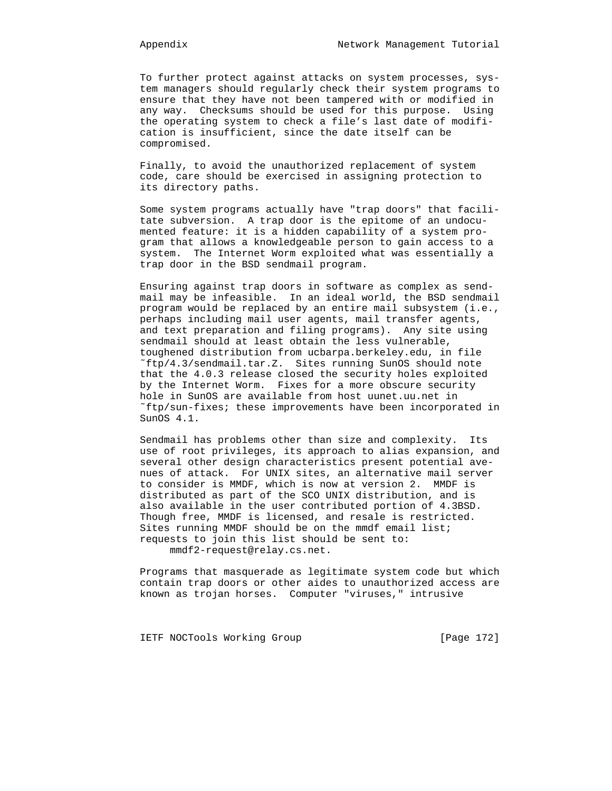To further protect against attacks on system processes, sys tem managers should regularly check their system programs to ensure that they have not been tampered with or modified in any way. Checksums should be used for this purpose. Using the operating system to check a file's last date of modifi cation is insufficient, since the date itself can be compromised.

 Finally, to avoid the unauthorized replacement of system code, care should be exercised in assigning protection to its directory paths.

 Some system programs actually have "trap doors" that facili tate subversion. A trap door is the epitome of an undocu mented feature: it is a hidden capability of a system pro gram that allows a knowledgeable person to gain access to a system. The Internet Worm exploited what was essentially a trap door in the BSD sendmail program.

 Ensuring against trap doors in software as complex as send mail may be infeasible. In an ideal world, the BSD sendmail program would be replaced by an entire mail subsystem (i.e., perhaps including mail user agents, mail transfer agents, and text preparation and filing programs). Any site using sendmail should at least obtain the less vulnerable, toughened distribution from ucbarpa.berkeley.edu, in file ˜ftp/4.3/sendmail.tar.Z. Sites running SunOS should note that the 4.0.3 release closed the security holes exploited by the Internet Worm. Fixes for a more obscure security hole in SunOS are available from host uunet.uu.net in ˜ftp/sun-fixes; these improvements have been incorporated in SunOS 4.1.

 Sendmail has problems other than size and complexity. Its use of root privileges, its approach to alias expansion, and several other design characteristics present potential ave nues of attack. For UNIX sites, an alternative mail server to consider is MMDF, which is now at version 2. MMDF is distributed as part of the SCO UNIX distribution, and is also available in the user contributed portion of 4.3BSD. Though free, MMDF is licensed, and resale is restricted. Sites running MMDF should be on the mmdf email list; requests to join this list should be sent to: mmdf2-request@relay.cs.net.

 Programs that masquerade as legitimate system code but which contain trap doors or other aides to unauthorized access are known as trojan horses. Computer "viruses," intrusive

IETF NOCTools Working Group [Page 172]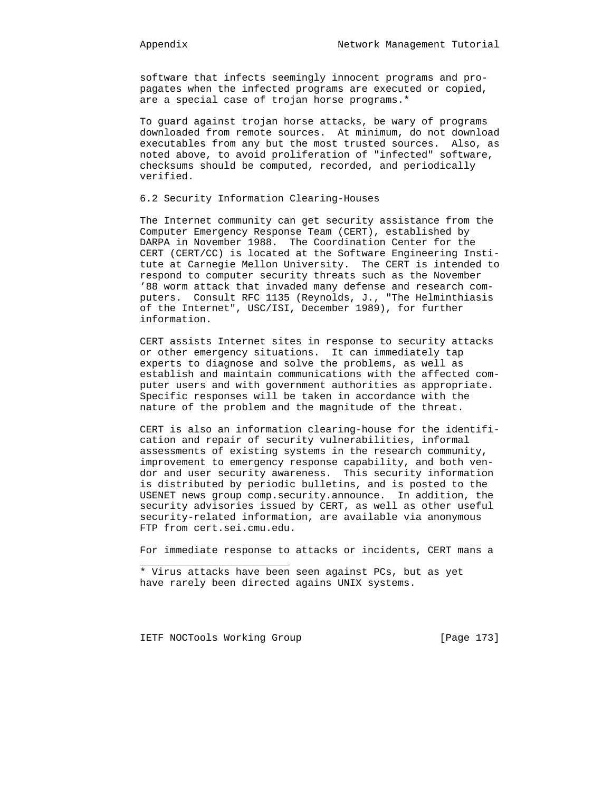software that infects seemingly innocent programs and pro pagates when the infected programs are executed or copied, are a special case of trojan horse programs.\*

 To guard against trojan horse attacks, be wary of programs downloaded from remote sources. At minimum, do not download executables from any but the most trusted sources. Also, as noted above, to avoid proliferation of "infected" software, checksums should be computed, recorded, and periodically verified.

# 6.2 Security Information Clearing-Houses

 The Internet community can get security assistance from the Computer Emergency Response Team (CERT), established by DARPA in November 1988. The Coordination Center for the CERT (CERT/CC) is located at the Software Engineering Insti tute at Carnegie Mellon University. The CERT is intended to respond to computer security threats such as the November '88 worm attack that invaded many defense and research com puters. Consult RFC 1135 (Reynolds, J., "The Helminthiasis of the Internet", USC/ISI, December 1989), for further information.

 CERT assists Internet sites in response to security attacks or other emergency situations. It can immediately tap experts to diagnose and solve the problems, as well as establish and maintain communications with the affected com puter users and with government authorities as appropriate. Specific responses will be taken in accordance with the nature of the problem and the magnitude of the threat.

 CERT is also an information clearing-house for the identifi cation and repair of security vulnerabilities, informal assessments of existing systems in the research community, improvement to emergency response capability, and both ven dor and user security awareness. This security information is distributed by periodic bulletins, and is posted to the USENET news group comp.security.announce. In addition, the security advisories issued by CERT, as well as other useful security-related information, are available via anonymous FTP from cert.sei.cmu.edu.

For immediate response to attacks or incidents, CERT mans a

IETF NOCTools Working Group [Page 173]

 <sup>\*</sup> Virus attacks have been seen against PCs, but as yet have rarely been directed agains UNIX systems.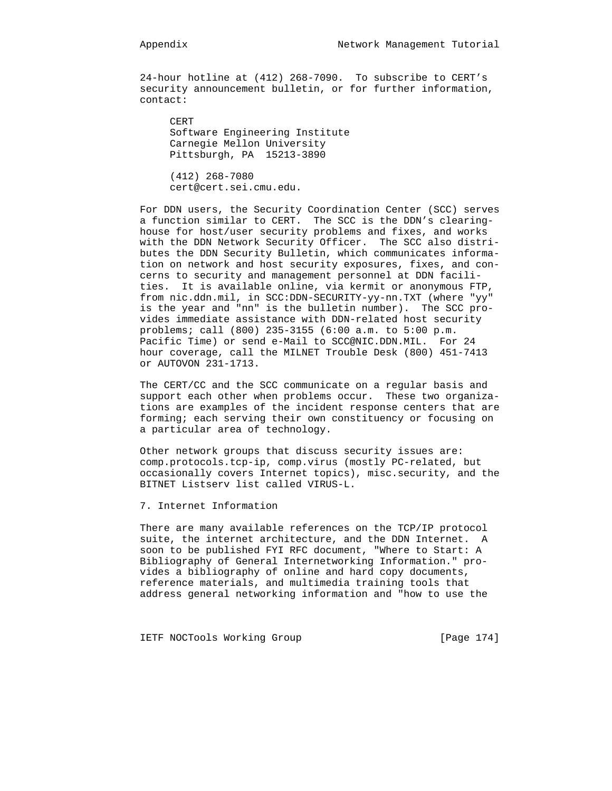24-hour hotline at (412) 268-7090. To subscribe to CERT's security announcement bulletin, or for further information, contact:

 CERT Software Engineering Institute Carnegie Mellon University Pittsburgh, PA 15213-3890

 (412) 268-7080 cert@cert.sei.cmu.edu.

 For DDN users, the Security Coordination Center (SCC) serves a function similar to CERT. The SCC is the DDN's clearing house for host/user security problems and fixes, and works with the DDN Network Security Officer. The SCC also distri butes the DDN Security Bulletin, which communicates informa tion on network and host security exposures, fixes, and con cerns to security and management personnel at DDN facili ties. It is available online, via kermit or anonymous FTP, from nic.ddn.mil, in SCC:DDN-SECURITY-yy-nn.TXT (where "yy" is the year and "nn" is the bulletin number). The SCC pro vides immediate assistance with DDN-related host security problems; call (800) 235-3155 (6:00 a.m. to 5:00 p.m. Pacific Time) or send e-Mail to SCC@NIC.DDN.MIL. For 24 hour coverage, call the MILNET Trouble Desk (800) 451-7413 or AUTOVON 231-1713.

 The CERT/CC and the SCC communicate on a regular basis and support each other when problems occur. These two organiza tions are examples of the incident response centers that are forming; each serving their own constituency or focusing on a particular area of technology.

 Other network groups that discuss security issues are: comp.protocols.tcp-ip, comp.virus (mostly PC-related, but occasionally covers Internet topics), misc.security, and the BITNET Listserv list called VIRUS-L.

7. Internet Information

 There are many available references on the TCP/IP protocol suite, the internet architecture, and the DDN Internet. A soon to be published FYI RFC document, "Where to Start: A Bibliography of General Internetworking Information." pro vides a bibliography of online and hard copy documents, reference materials, and multimedia training tools that address general networking information and "how to use the

IETF NOCTools Working Group [Page 174]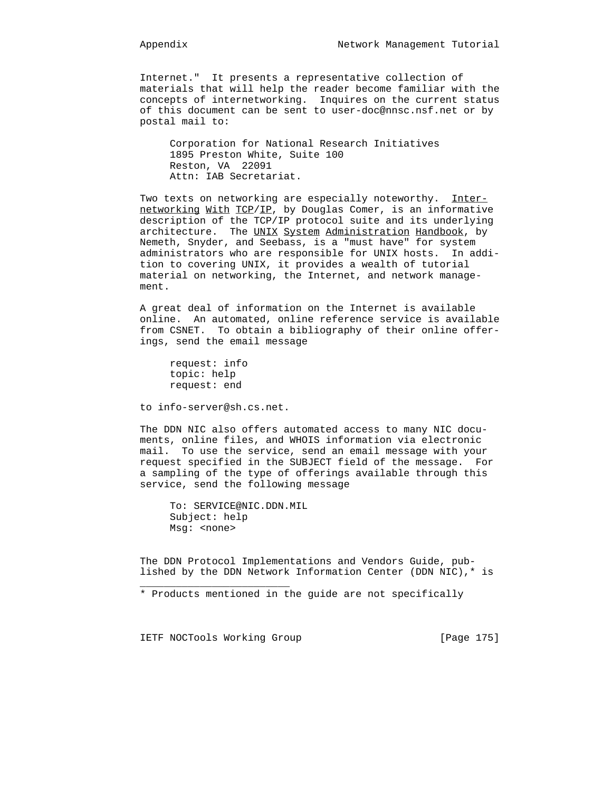Internet." It presents a representative collection of materials that will help the reader become familiar with the concepts of internetworking. Inquires on the current status of this document can be sent to user-doc@nnsc.nsf.net or by postal mail to:

 Corporation for National Research Initiatives 1895 Preston White, Suite 100 Reston, VA 22091 Attn: IAB Secretariat.

Two texts on networking are especially noteworthy. Internetworking With TCP/IP, by Douglas Comer, is an informative description of the TCP/IP protocol suite and its underlying architecture. The UNIX System Administration Handbook, by Nemeth, Snyder, and Seebass, is a "must have" for system administrators who are responsible for UNIX hosts. In addi tion to covering UNIX, it provides a wealth of tutorial material on networking, the Internet, and network manage ment.

 A great deal of information on the Internet is available online. An automated, online reference service is available from CSNET. To obtain a bibliography of their online offer ings, send the email message

 request: info topic: help request: end

to info-server@sh.cs.net.

 The DDN NIC also offers automated access to many NIC docu ments, online files, and WHOIS information via electronic mail. To use the service, send an email message with your request specified in the SUBJECT field of the message. For a sampling of the type of offerings available through this service, send the following message

 To: SERVICE@NIC.DDN.MIL Subject: help Msg: <none>

 The DDN Protocol Implementations and Vendors Guide, pub lished by the DDN Network Information Center (DDN NIC),\* is

\* Products mentioned in the guide are not specifically

IETF NOCTools Working Group [Page 175]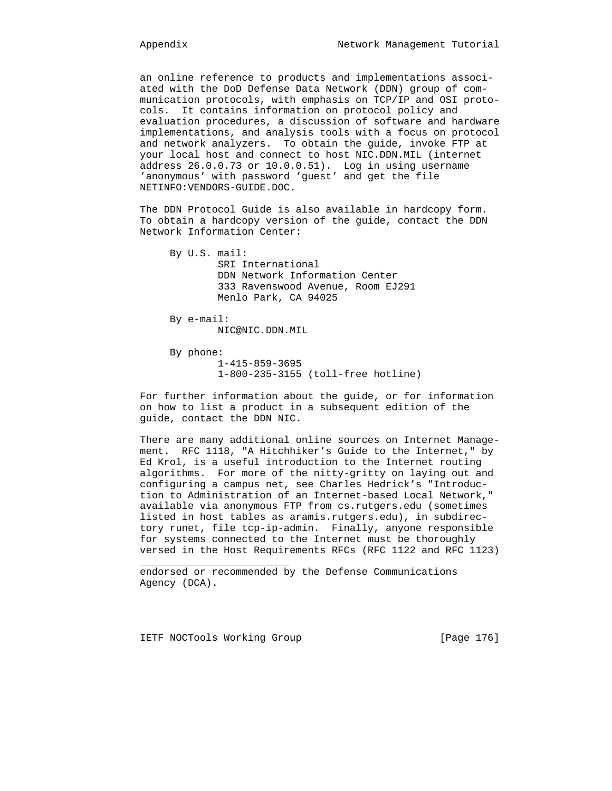an online reference to products and implementations associ ated with the DoD Defense Data Network (DDN) group of com munication protocols, with emphasis on TCP/IP and OSI proto cols. It contains information on protocol policy and evaluation procedures, a discussion of software and hardware implementations, and analysis tools with a focus on protocol and network analyzers. To obtain the guide, invoke FTP at your local host and connect to host NIC.DDN.MIL (internet address 26.0.0.73 or 10.0.0.51). Log in using username 'anonymous' with password 'guest' and get the file NETINFO:VENDORS-GUIDE.DOC.

 The DDN Protocol Guide is also available in hardcopy form. To obtain a hardcopy version of the guide, contact the DDN Network Information Center:

 By U.S. mail: SRI International DDN Network Information Center 333 Ravenswood Avenue, Room EJ291 Menlo Park, CA 94025 By e-mail: NIC@NIC.DDN.MIL

 By phone: 1-415-859-3695 1-800-235-3155 (toll-free hotline)

 For further information about the guide, or for information on how to list a product in a subsequent edition of the guide, contact the DDN NIC.

 There are many additional online sources on Internet Manage ment. RFC 1118, "A Hitchhiker's Guide to the Internet," by Ed Krol, is a useful introduction to the Internet routing algorithms. For more of the nitty-gritty on laying out and configuring a campus net, see Charles Hedrick's "Introduc tion to Administration of an Internet-based Local Network," available via anonymous FTP from cs.rutgers.edu (sometimes listed in host tables as aramis.rutgers.edu), in subdirec tory runet, file tcp-ip-admin. Finally, anyone responsible for systems connected to the Internet must be thoroughly versed in the Host Requirements RFCs (RFC 1122 and RFC 1123)

 endorsed or recommended by the Defense Communications Agency (DCA).

IETF NOCTools Working Group [Page 176]